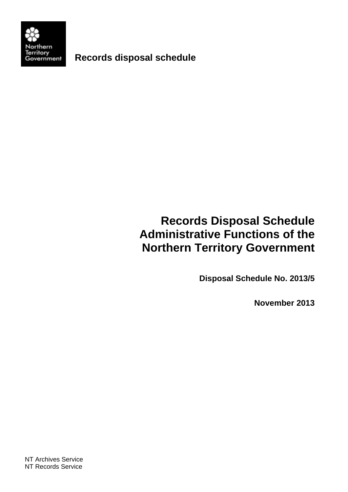

**Records disposal schedule** 

## **Records Disposal Schedule Administrative Functions of the Northern Territory Government**

**Disposal Schedule No. 2013/5** 

**November 2013**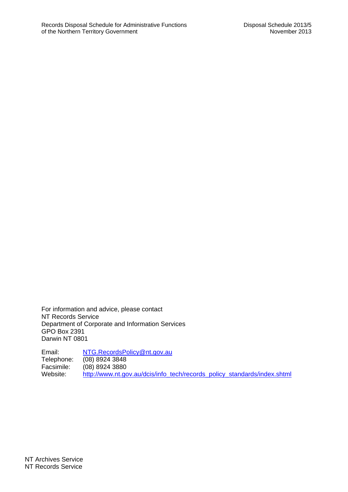For information and advice, please contact NT Records Service Department of Corporate and Information Services GPO Box 2391 Darwin NT 0801

Email: NTG.RecordsPolicy@nt.gov.au Telephone: (08) 8924 3848<br>Facsimile: (08) 8924 3880 Facsimile: (08) 8924 3880<br>Website: http://www.nt.go http://www.nt.gov.au/dcis/info\_tech/records\_policy\_standards/index.shtml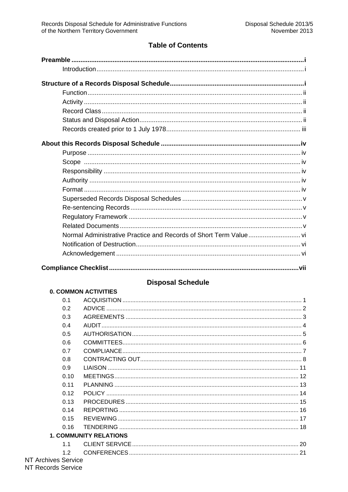## **Table of Contents**

## **Disposal Schedule**

## **0. COMMON ACTIVITIES**

| 0.1                           |    |
|-------------------------------|----|
|                               |    |
| <b>ADVICE</b><br>0.2          |    |
| 0.3                           |    |
| 0.4                           |    |
| 0.5                           |    |
| 0.6                           |    |
| 0.7<br>COMPLIANCE             |    |
| 0.8                           |    |
| 0.9                           |    |
| 0.10                          |    |
| 0.11                          |    |
| 0.12                          |    |
| 0.13                          |    |
| 0.14                          |    |
| 0.15                          |    |
| 0.16                          |    |
| <b>1. COMMUNITY RELATIONS</b> |    |
| 11                            |    |
| 1.2                           | 21 |
| ives Service                  |    |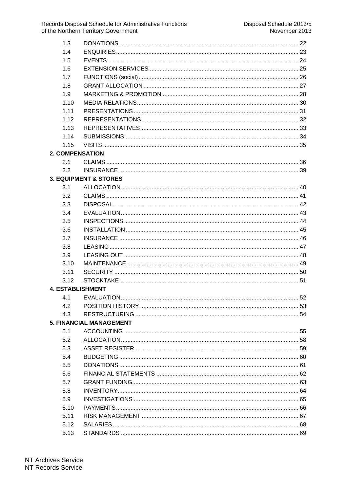| 1.3                     |                                  |    |
|-------------------------|----------------------------------|----|
| 1.4                     |                                  |    |
| 1.5                     |                                  |    |
| 1.6                     |                                  |    |
| 1.7                     |                                  |    |
| 1.8                     |                                  |    |
| 1.9                     |                                  |    |
| 1.10                    |                                  |    |
| 1.11                    |                                  |    |
| 1.12                    |                                  |    |
| 1.13                    |                                  |    |
| 1.14                    |                                  |    |
| 1.15                    |                                  |    |
| <b>2. COMPENSATION</b>  |                                  |    |
| 2.1                     |                                  |    |
| 2.2                     |                                  |    |
|                         | <b>3. EQUIPMENT &amp; STORES</b> |    |
| 3.1                     |                                  |    |
| 3.2                     |                                  |    |
| 3.3                     |                                  |    |
| 3.4                     |                                  |    |
| 3.5                     |                                  |    |
| 3.6                     |                                  |    |
| 3.7                     |                                  |    |
| 3.8                     |                                  |    |
| 3.9                     |                                  |    |
| 3.10                    |                                  |    |
| 3.11                    |                                  |    |
| 3.12                    |                                  |    |
| <b>4. ESTABLISHMENT</b> |                                  |    |
|                         | 4.1 EVALUATION                   | 52 |
| 4.2                     |                                  |    |
| 4.3                     |                                  |    |
|                         | <b>5. FINANCIAL MANAGEMENT</b>   |    |
| 5.1                     |                                  |    |
| 5.2                     |                                  |    |
| 5.3                     |                                  |    |
| 5.4                     |                                  |    |
| 5.5                     |                                  |    |
| 5.6                     |                                  |    |
| 5.7                     |                                  |    |
| 5.8                     |                                  |    |
| 5.9                     |                                  |    |
| 5.10                    |                                  |    |
| 5.11                    |                                  |    |
| 5.12                    |                                  |    |
| 5.13                    |                                  |    |
|                         |                                  |    |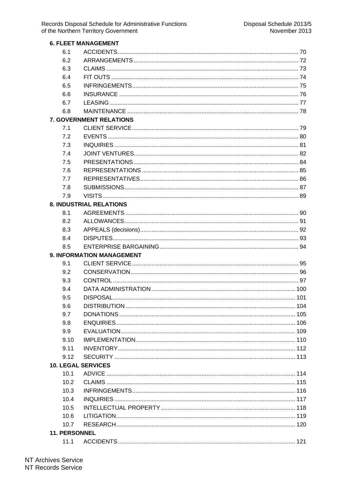|               | <b>6. FLEET MANAGEMENT</b>       |  |
|---------------|----------------------------------|--|
| 6.1           |                                  |  |
| 6.2           |                                  |  |
| 6.3           |                                  |  |
| 6.4           |                                  |  |
| 6.5           |                                  |  |
| 6.6           |                                  |  |
| 6.7           |                                  |  |
| 6.8           |                                  |  |
|               | <b>7. GOVERNMENT RELATIONS</b>   |  |
| 7.1           |                                  |  |
| 7.2           |                                  |  |
| 7.3           |                                  |  |
| 7.4           |                                  |  |
| 7.5           |                                  |  |
| 7.6           |                                  |  |
| 7.7           |                                  |  |
| 7.8           |                                  |  |
| 7.9           |                                  |  |
|               | <b>8. INDUSTRIAL RELATIONS</b>   |  |
| 8.1           |                                  |  |
| 8.2           |                                  |  |
| 8.3           |                                  |  |
| 8.4           |                                  |  |
| 8.5           |                                  |  |
|               | <b>9. INFORMATION MANAGEMENT</b> |  |
| 9.1           |                                  |  |
| 9.2           |                                  |  |
| 9.3           |                                  |  |
| 9.4           |                                  |  |
| 9.5           |                                  |  |
| 9.6           |                                  |  |
| 9.7           |                                  |  |
| 9.8           |                                  |  |
| 9.9           |                                  |  |
| 9.10          |                                  |  |
| 9.11          |                                  |  |
| 9.12          |                                  |  |
|               | <b>10. LEGAL SERVICES</b>        |  |
| 10.1          |                                  |  |
| 10.2          |                                  |  |
| 10.3          |                                  |  |
| 10.4          |                                  |  |
| 10.5          |                                  |  |
| 10.6          |                                  |  |
| 10.7          |                                  |  |
| 11. PERSONNEL |                                  |  |
|               |                                  |  |
| 11.1          |                                  |  |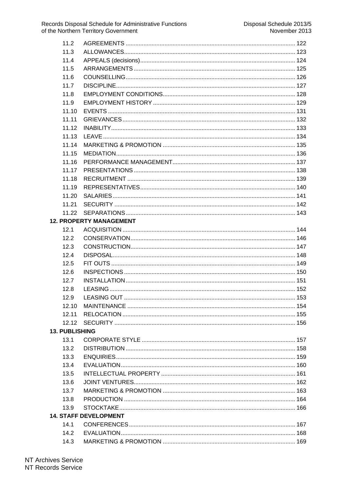| 11.2                  |                                |  |
|-----------------------|--------------------------------|--|
| 11.3                  |                                |  |
| 11.4                  |                                |  |
| 11.5                  |                                |  |
| 11.6                  |                                |  |
| 11.7                  |                                |  |
| 11.8                  |                                |  |
| 11.9                  |                                |  |
| 11.10                 |                                |  |
| 11.11                 |                                |  |
| 11.12                 |                                |  |
| 11.13                 |                                |  |
| 11.14                 |                                |  |
| 11.15                 |                                |  |
| 11.16                 |                                |  |
| 11.17                 |                                |  |
| 11.18                 |                                |  |
| 11.19                 |                                |  |
| 11.20                 |                                |  |
| 11.21                 |                                |  |
| 11.22                 |                                |  |
|                       | <b>12. PROPERTY MANAGEMENT</b> |  |
| 12.1                  |                                |  |
| 12.2                  |                                |  |
| 12.3                  |                                |  |
| 12.4                  |                                |  |
| 12.5                  |                                |  |
| 12.6                  |                                |  |
| 12.7                  |                                |  |
| 12.8                  |                                |  |
| 12.9                  |                                |  |
| 12.10                 |                                |  |
| 12.11                 |                                |  |
| 12.12                 |                                |  |
| <b>13. PUBLISHING</b> |                                |  |
| 13.1                  |                                |  |
| 13.2                  |                                |  |
| 13.3                  |                                |  |
| 13.4                  |                                |  |
| 13.5                  |                                |  |
| 13.6                  |                                |  |
| 13.7                  |                                |  |
| 13.8                  |                                |  |
| 13.9                  |                                |  |
|                       | <b>14. STAFF DEVELOPMENT</b>   |  |
| 14.1                  |                                |  |
| 14.2                  |                                |  |
| 14.3                  |                                |  |

## NT Archives Service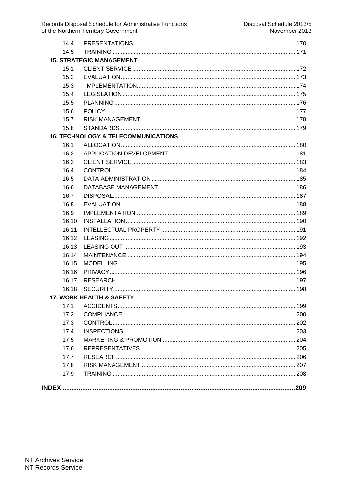| 17.9                                           |  |
|------------------------------------------------|--|
| 17.8                                           |  |
| 17.7                                           |  |
| 17.6                                           |  |
| 17.5                                           |  |
| 17.4                                           |  |
| 17.3                                           |  |
| 17.2                                           |  |
| 17.1                                           |  |
| <b>17. WORK HEALTH &amp; SAFETY</b>            |  |
| 16.18                                          |  |
| 16.17                                          |  |
| 16.16                                          |  |
| 16.15                                          |  |
| 16.14                                          |  |
| 16.13                                          |  |
| 16.12                                          |  |
| 16.11                                          |  |
| 16.10                                          |  |
| 16.9                                           |  |
| 16.8                                           |  |
| 16.7                                           |  |
| 16.6                                           |  |
| 16.5                                           |  |
| 16.4                                           |  |
| 16.3                                           |  |
| 16.2                                           |  |
| 16.1                                           |  |
| <b>16. TECHNOLOGY &amp; TELECOMMUNICATIONS</b> |  |
| 15.8                                           |  |
| 15.7                                           |  |
| 15.6                                           |  |
| 15.5                                           |  |
| 15.4                                           |  |
| 15.3                                           |  |
| 15.2                                           |  |
| 15.1                                           |  |
| <b>15. STRATEGIC MANAGEMENT</b>                |  |
| 14.5                                           |  |
| 14.4                                           |  |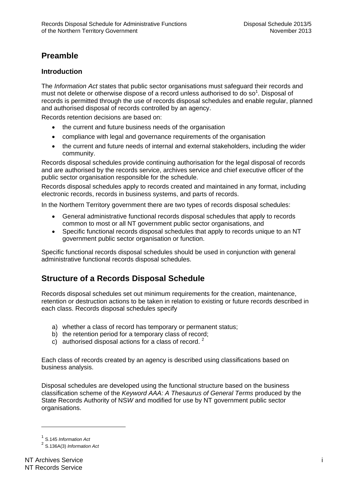## **Preamble**

## **Introduction**

The *Information Act* states that public sector organisations must safeguard their records and must not delete or otherwise dispose of a record unless authorised to do so<sup>1</sup>. Disposal of records is permitted through the use of records disposal schedules and enable regular, planned and authorised disposal of records controlled by an agency.

Records retention decisions are based on:

- the current and future business needs of the organisation
- compliance with legal and governance requirements of the organisation
- the current and future needs of internal and external stakeholders, including the wider community.

Records disposal schedules provide continuing authorisation for the legal disposal of records and are authorised by the records service, archives service and chief executive officer of the public sector organisation responsible for the schedule.

Records disposal schedules apply to records created and maintained in any format, including electronic records, records in business systems, and parts of records.

In the Northern Territory government there are two types of records disposal schedules:

- General administrative functional records disposal schedules that apply to records common to most or all NT government public sector organisations, and
- Specific functional records disposal schedules that apply to records unique to an NT government public sector organisation or function.

Specific functional records disposal schedules should be used in conjunction with general administrative functional records disposal schedules.

## **Structure of a Records Disposal Schedule**

Records disposal schedules set out minimum requirements for the creation, maintenance, retention or destruction actions to be taken in relation to existing or future records described in each class. Records disposal schedules specify

- a) whether a class of record has temporary or permanent status;
- b) the retention period for a temporary class of record;
- c) authorised disposal actions for a class of record.  $2^2$

Each class of records created by an agency is described using classifications based on business analysis.

Disposal schedules are developed using the functional structure based on the business classification scheme of the *Keyword AAA: A Thesaurus of General Terms* produced by the State Records Authority of NS*W* and modified for use by NT government public sector organisations.

 $\overline{a}$ 

<sup>1</sup> S.145 *Information Act*

<sup>2</sup> S.136A(3) *Information Act*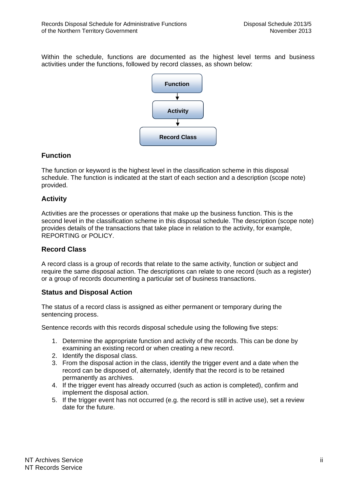Within the schedule, functions are documented as the highest level terms and business activities under the functions, followed by record classes, as shown below:



## **Function**

The function or keyword is the highest level in the classification scheme in this disposal schedule. The function is indicated at the start of each section and a description (scope note) provided.

## **Activity**

Activities are the processes or operations that make up the business function. This is the second level in the classification scheme in this disposal schedule. The description (scope note) provides details of the transactions that take place in relation to the activity, for example, REPORTING or POLICY.

## **Record Class**

A record class is a group of records that relate to the same activity, function or subject and require the same disposal action. The descriptions can relate to one record (such as a register) or a group of records documenting a particular set of business transactions.

## **Status and Disposal Action**

The status of a record class is assigned as either permanent or temporary during the sentencing process.

Sentence records with this records disposal schedule using the following five steps:

- 1. Determine the appropriate function and activity of the records. This can be done by examining an existing record or when creating a new record.
- 2. Identify the disposal class.
- 3. From the disposal action in the class, identify the trigger event and a date when the record can be disposed of, alternately, identify that the record is to be retained permanently as archives.
- 4. If the trigger event has already occurred (such as action is completed), confirm and implement the disposal action.
- 5. If the trigger event has not occurred (e.g. the record is still in active use), set a review date for the future.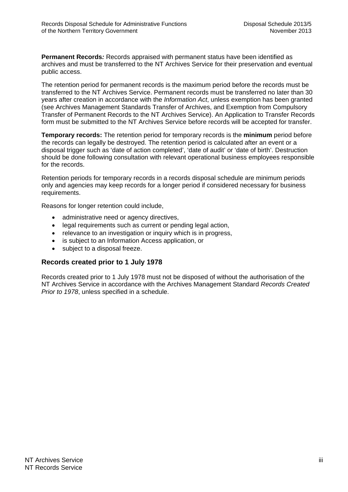**Permanent Records***:* Records appraised with permanent status have been identified as archives and must be transferred to the NT Archives Service for their preservation and eventual public access.

The retention period for permanent records is the maximum period before the records must be transferred to the NT Archives Service. Permanent records must be transferred no later than 30 years after creation in accordance with the *Information Act*, unless exemption has been granted (see Archives Management Standards Transfer of Archives, and Exemption from Compulsory Transfer of Permanent Records to the NT Archives Service). An Application to Transfer Records form must be submitted to the NT Archives Service before records will be accepted for transfer.

**Temporary records:** The retention period for temporary records is the **minimum** period before the records can legally be destroyed. The retention period is calculated after an event or a disposal trigger such as 'date of action completed', 'date of audit' or 'date of birth'. Destruction should be done following consultation with relevant operational business employees responsible for the records.

Retention periods for temporary records in a records disposal schedule are minimum periods only and agencies may keep records for a longer period if considered necessary for business requirements.

Reasons for longer retention could include,

- administrative need or agency directives,
- legal requirements such as current or pending legal action,
- relevance to an investigation or inquiry which is in progress,
- is subject to an Information Access application, or
- subject to a disposal freeze.

#### **Records created prior to 1 July 1978**

Records created prior to 1 July 1978 must not be disposed of without the authorisation of the NT Archives Service in accordance with the Archives Management Standard *Records Created Prior to 1978*, unless specified in a schedule.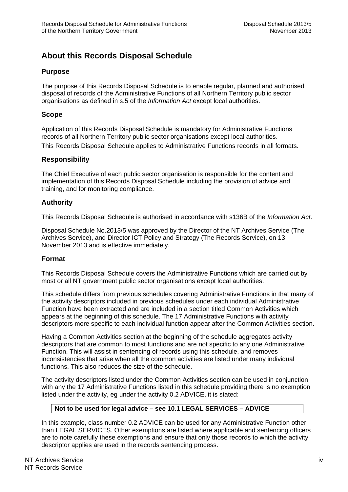## **About this Records Disposal Schedule**

## **Purpose**

The purpose of this Records Disposal Schedule is to enable regular, planned and authorised disposal of records of the Administrative Functions of all Northern Territory public sector organisations as defined in s.5 of the *Information Act* except local authorities.

## **Scope**

Application of this Records Disposal Schedule is mandatory for Administrative Functions records of all Northern Territory public sector organisations except local authorities. This Records Disposal Schedule applies to Administrative Functions records in all formats.

## **Responsibility**

The Chief Executive of each public sector organisation is responsible for the content and implementation of this Records Disposal Schedule including the provision of advice and training, and for monitoring compliance.

## **Authority**

This Records Disposal Schedule is authorised in accordance with s136B of the *Information Act*.

Disposal Schedule No.2013/5 was approved by the Director of the NT Archives Service (The Archives Service), and Director ICT Policy and Strategy (The Records Service), on 13 November 2013 and is effective immediately.

## **Format**

This Records Disposal Schedule covers the Administrative Functions which are carried out by most or all NT government public sector organisations except local authorities.

This schedule differs from previous schedules covering Administrative Functions in that many of the activity descriptors included in previous schedules under each individual Administrative Function have been extracted and are included in a section titled Common Activities which appears at the beginning of this schedule. The 17 Administrative Functions with activity descriptors more specific to each individual function appear after the Common Activities section.

Having a Common Activities section at the beginning of the schedule aggregates activity descriptors that are common to most functions and are not specific to any one Administrative Function. This will assist in sentencing of records using this schedule, and removes inconsistencies that arise when all the common activities are listed under many individual functions. This also reduces the size of the schedule.

The activity descriptors listed under the Common Activities section can be used in conjunction with any the 17 Administrative Functions listed in this schedule providing there is no exemption listed under the activity, eg under the activity 0.2 ADVICE, it is stated:

## **Not to be used for legal advice – see 10.1 LEGAL SERVICES – ADVICE**

In this example, class number 0.2 ADVICE can be used for any Administrative Function other than LEGAL SERVICES. Other exemptions are listed where applicable and sentencing officers are to note carefully these exemptions and ensure that only those records to which the activity descriptor applies are used in the records sentencing process.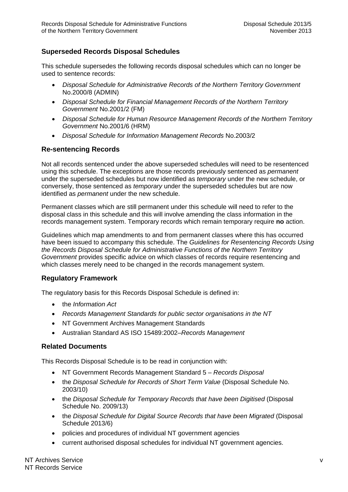## **Superseded Records Disposal Schedules**

This schedule supersedes the following records disposal schedules which can no longer be used to sentence records:

- *Disposal Schedule for Administrative Records of the Northern Territory Government* No.2000/8 (ADMIN)
- *Disposal Schedule for Financial Management Records of the Northern Territory Government* No.2001/2 (FM)
- *Disposal Schedule for Human Resource Management Records of the Northern Territory Government* No.2001/6 (HRM)
- *Disposal Schedule for Information Management Records* No.2003/2

### **Re-sentencing Records**

Not all records sentenced under the above superseded schedules will need to be resentenced using this schedule. The exceptions are those records previously sentenced as *permanent* under the superseded schedules but now identified as *temporary* under the new schedule, or conversely, those sentenced as *temporary* under the superseded schedules but are now identified as *permanent* under the new schedule.

Permanent classes which are still permanent under this schedule will need to refer to the disposal class in this schedule and this will involve amending the class information in the records management system. Temporary records which remain temporary require **no** action.

Guidelines which map amendments to and from permanent classes where this has occurred have been issued to accompany this schedule. The *Guidelines for Resentencing Records Using the Records Disposal Schedule for Administrative Functions of the Northern Territory Government* provides specific advice on which classes of records require resentencing and which classes merely need to be changed in the records management system.

## **Regulatory Framework**

The regulatory basis for this Records Disposal Schedule is defined in:

- the *Information Act*
- *Records Management Standards for public sector organisations in the NT*
- NT Government Archives Management Standards
- Australian Standard AS ISO 15489:2002–*Records Management*

#### **Related Documents**

This Records Disposal Schedule is to be read in conjunction with:

- NT Government Records Management Standard 5 *Records Disposal*
- the *Disposal Schedule for Records of Short Term Value* (Disposal Schedule No. 2003/10)
- the *Disposal Schedule for Temporary Records that have been Digitised* (Disposal Schedule No. 2009/13)
- the *Disposal Schedule for Digital Source Records that have been Migrated* (Disposal Schedule 2013/6)
- policies and procedures of individual NT government agencies
- current authorised disposal schedules for individual NT government agencies.

NT Archives Service v NT Records Service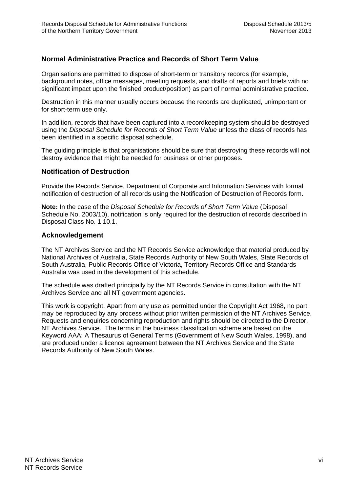## **Normal Administrative Practice and Records of Short Term Value**

Organisations are permitted to dispose of short-term or transitory records (for example, background notes, office messages, meeting requests, and drafts of reports and briefs with no significant impact upon the finished product/position) as part of normal administrative practice.

Destruction in this manner usually occurs because the records are duplicated, unimportant or for short-term use only.

In addition, records that have been captured into a recordkeeping system should be destroyed using the *Disposal Schedule for Records of Short Term Value* unless the class of records has been identified in a specific disposal schedule.

The guiding principle is that organisations should be sure that destroying these records will not destroy evidence that might be needed for business or other purposes.

### **Notification of Destruction**

Provide the Records Service, Department of Corporate and Information Services with formal notification of destruction of all records using the Notification of Destruction of Records form.

**Note:** In the case of the *Disposal Schedule for Records of Short Term Value* (Disposal Schedule No. 2003/10), notification is only required for the destruction of records described in Disposal Class No. 1.10.1.

#### **Acknowledgement**

The NT Archives Service and the NT Records Service acknowledge that material produced by National Archives of Australia, State Records Authority of New South Wales, State Records of South Australia, Public Records Office of Victoria, Territory Records Office and Standards Australia was used in the development of this schedule.

The schedule was drafted principally by the NT Records Service in consultation with the NT Archives Service and all NT government agencies.

This work is copyright. Apart from any use as permitted under the Copyright Act 1968, no part may be reproduced by any process without prior written permission of the NT Archives Service. Requests and enquiries concerning reproduction and rights should be directed to the Director, NT Archives Service. The terms in the business classification scheme are based on the Keyword AAA: A Thesaurus of General Terms (Government of New South Wales, 1998), and are produced under a licence agreement between the NT Archives Service and the State Records Authority of New South Wales.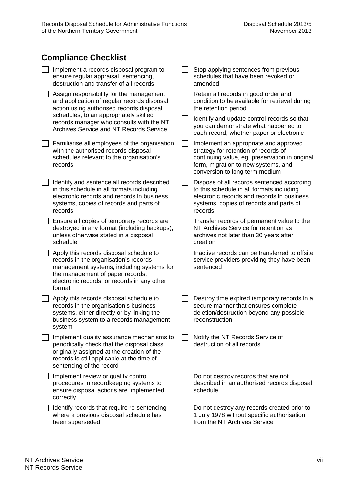## **Compliance Checklist**

| Implement a records disposal program to<br>ensure regular appraisal, sentencing,<br>destruction and transfer of all records                                                                                                | Stop applying sentences from previous<br>schedules that have been revoked or<br>amended                                                                                                                  |
|----------------------------------------------------------------------------------------------------------------------------------------------------------------------------------------------------------------------------|----------------------------------------------------------------------------------------------------------------------------------------------------------------------------------------------------------|
| Assign responsibility for the management<br>and application of regular records disposal<br>action using authorised records disposal                                                                                        | Retain all records in good order and<br>condition to be available for retrieval during<br>the retention period.                                                                                          |
| schedules, to an appropriately skilled<br>records manager who consults with the NT<br>Archives Service and NT Records Service                                                                                              | Identify and update control records so that<br>you can demonstrate what happened to<br>each record, whether paper or electronic                                                                          |
| Familiarise all employees of the organisation<br>with the authorised records disposal<br>schedules relevant to the organisation's<br>records                                                                               | Implement an appropriate and approved<br>strategy for retention of records of<br>continuing value, eg. preservation in original<br>form, migration to new systems, and<br>conversion to long term medium |
| Identify and sentence all records described<br>in this schedule in all formats including<br>electronic records and records in business<br>systems, copies of records and parts of<br>records                               | Dispose of all records sentenced according<br>to this schedule in all formats including<br>electronic records and records in business<br>systems, copies of records and parts of<br>records              |
| Ensure all copies of temporary records are<br>destroyed in any format (including backups),<br>unless otherwise stated in a disposal<br>schedule                                                                            | Transfer records of permanent value to the<br>NT Archives Service for retention as<br>archives not later than 30 years after<br>creation                                                                 |
| Apply this records disposal schedule to<br>records in the organisation's records<br>management systems, including systems for<br>the management of paper records,<br>electronic records, or records in any other<br>format | Inactive records can be transferred to offsite<br>service providers providing they have been<br>sentenced                                                                                                |
| Apply this records disposal schedule to<br>records in the organisation's business<br>systems, either directly or by linking the<br>business system to a records management<br>system                                       | Destroy time expired temporary records in a<br>secure manner that ensures complete<br>deletion/destruction beyond any possible<br>reconstruction                                                         |
| Implement quality assurance mechanisms to<br>periodically check that the disposal class<br>originally assigned at the creation of the<br>records is still applicable at the time of<br>sentencing of the record            | Notify the NT Records Service of<br>destruction of all records                                                                                                                                           |
| Implement review or quality control<br>procedures in recordkeeping systems to<br>ensure disposal actions are implemented<br>correctly                                                                                      | Do not destroy records that are not<br>described in an authorised records disposal<br>schedule.                                                                                                          |
| Identify records that require re-sentencing<br>where a previous disposal schedule has<br>been superseded                                                                                                                   | Do not destroy any records created prior to<br>1 July 1978 without specific authorisation<br>from the NT Archives Service                                                                                |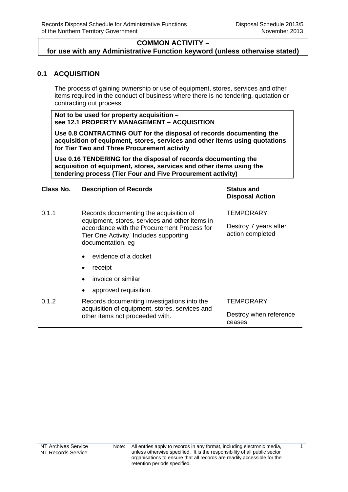## <span id="page-14-0"></span>**0.1 ACQUISITION**

The process of gaining ownership or use of equipment, stores, services and other items required in the conduct of business where there is no tendering, quotation or contracting out process.

**Not to be used for property acquisition – see 12.1 PROPERTY MANAGEMENT – ACQUISITION** 

**Use 0.8 CONTRACTING OUT for the disposal of records documenting the acquisition of equipment, stores, services and other items using quotations for Tier Two and Three Procurement activity** 

**Use 0.16 TENDERING for the disposal of records documenting the acquisition of equipment, stores, services and other items using the tendering process (Tier Four and Five Procurement activity)** 

### **Class No. Description of Records Status and**

**Disposal Action**

| 0.1.1           | Records documenting the acquisition of<br>equipment, stores, services and other items in<br>accordance with the Procurement Process for<br>Tier One Activity. Includes supporting<br>documentation, eg | <b>TEMPORARY</b><br>Destroy 7 years after<br>action completed |
|-----------------|--------------------------------------------------------------------------------------------------------------------------------------------------------------------------------------------------------|---------------------------------------------------------------|
|                 | evidence of a docket<br>$\bullet$                                                                                                                                                                      |                                                               |
|                 | receipt<br>$\bullet$                                                                                                                                                                                   |                                                               |
|                 | invoice or similar<br>$\bullet$                                                                                                                                                                        |                                                               |
|                 | approved requisition.<br>$\bullet$                                                                                                                                                                     |                                                               |
| $\sim$ 4 $\sim$ | Desarda desumenting investigations into the                                                                                                                                                            | TEMD∆D∧DV                                                     |

| 0.1.2 | Records documenting investigations into the    | <b>TEMPORARY</b>       |
|-------|------------------------------------------------|------------------------|
|       | acquisition of equipment, stores, services and |                        |
|       | other items not proceeded with.                | Destroy when reference |
|       |                                                | ceases                 |

 $\overline{1}$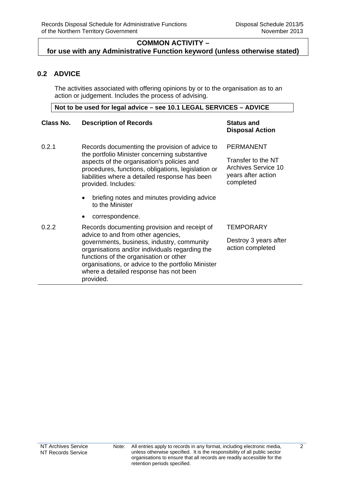## <span id="page-15-0"></span>**0.2 ADVICE**

The activities associated with offering opinions by or to the organisation as to an action or judgement. Includes the process of advising.

**Not to be used for legal advice – see 10.1 LEGAL SERVICES – ADVICE** 

#### **Class No. Description of Records Status and**

# **Disposal Action**

PERMANENT

0.2.1 Records documenting the provision of advice to the portfolio Minister concerning substantive aspects of the organisation's policies and procedures, functions, obligations, legislation or liabilities where a detailed response has been provided. Includes: briefing notes and minutes providing advice to the Minister correspondence. Transfer to the NT Archives Service 10 years after action completed 0.2.2 Records documenting provision and receipt of advice to and from other agencies, governments, business, industry, community **TEMPORARY** Destroy 3 years after action completed

organisations and/or individuals regarding the functions of the organisation or other organisations, or advice to the portfolio Minister where a detailed response has not been provided.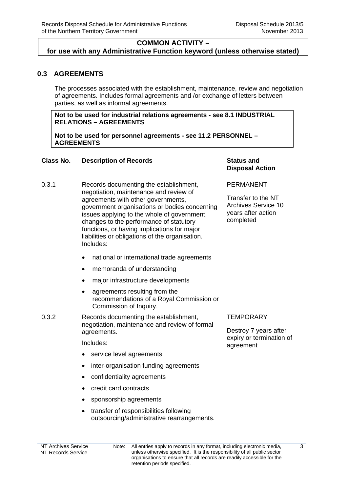## **COMMON ACTIVITY –**

#### <span id="page-16-0"></span>**for use with any Administrative Function keyword (unless otherwise stated)**

## **0.3 AGREEMENTS**

The processes associated with the establishment, maintenance, review and negotiation of agreements. Includes formal agreements and /or exchange of letters between parties, as well as informal agreements.

#### **Not to be used for industrial relations agreements - see 8.1 INDUSTRIAL RELATIONS – AGREEMENTS**

**Not to be used for personnel agreements - see 11.2 PERSONNEL – AGREEMENTS** 

#### **Class No. Description of Records The Class Status and Status and**

- 0.3.1 Records documenting the establishment, negotiation, maintenance and review of agreements with other governments, government organisations or bodies concerning issues applying to the whole of government, changes to the performance of statutory functions, or having implications for major liabilities or obligations of the organisation. Includes:
	- national or international trade agreements
	- memoranda of understanding
	- major infrastructure developments
	- agreements resulting from the recommendations of a Royal Commission or Commission of Inquiry.
- 0.3.2 Records documenting the establishment, negotiation, maintenance and review of formal agreements.

Includes:

- service level agreements
- inter-organisation funding agreements
- confidentiality agreements
- credit card contracts
- sponsorship agreements
- transfer of responsibilities following outsourcing/administrative rearrangements.

## **Disposal Action**

#### PERMANENT

Transfer to the NT Archives Service 10 years after action completed

#### **TEMPORARY**

Destroy 7 years after expiry or termination of agreement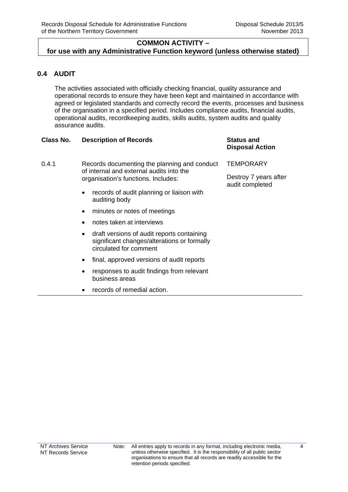## <span id="page-17-0"></span>**0.4 AUDIT**

The activities associated with officially checking financial, quality assurance and operational records to ensure they have been kept and maintained in accordance with agreed or legislated standards and correctly record the events, processes and business of the organisation in a specified period. Includes compliance audits, financial audits, operational audits, recordkeeping audits, skills audits, system audits and quality assurance audits.

## **Class No. Description of Records <b>Status** and **Status** and

## **Disposal Action**

0.4.1 Records documenting the planning and conduct of internal and external audits into the organisation's functions. Includes:

- records of audit planning or liaison with auditing body
- minutes or notes of meetings
- notes taken at interviews
- draft versions of audit reports containing significant changes/alterations or formally circulated for comment
- final, approved versions of audit reports
- responses to audit findings from relevant business areas
- records of remedial action.

**TEMPORARY** 

Destroy 7 years after audit completed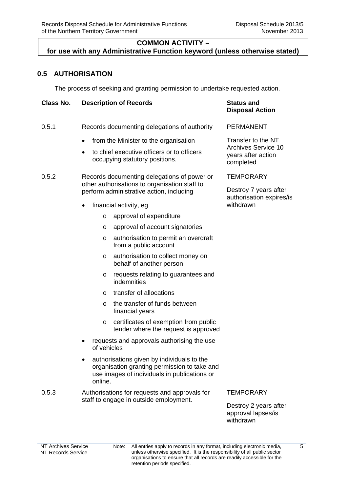## <span id="page-18-0"></span>**0.5 AUTHORISATION**

The process of seeking and granting permission to undertake requested action.

| Class No. | <b>Description of Records</b>                                                                                                                         | <b>Status and</b><br><b>Disposal Action</b>                                         |
|-----------|-------------------------------------------------------------------------------------------------------------------------------------------------------|-------------------------------------------------------------------------------------|
| 0.5.1     | Records documenting delegations of authority                                                                                                          | <b>PERMANENT</b>                                                                    |
|           | from the Minister to the organisation<br>$\bullet$                                                                                                    | Transfer to the NT<br><b>Archives Service 10</b><br>years after action<br>completed |
|           | to chief executive officers or to officers<br>$\bullet$<br>occupying statutory positions.                                                             |                                                                                     |
| 0.5.2     | Records documenting delegations of power or<br>other authorisations to organisation staff to                                                          | <b>TEMPORARY</b><br>Destroy 7 years after<br>authorisation expires/is               |
|           | perform administrative action, including                                                                                                              |                                                                                     |
|           | financial activity, eg<br>$\bullet$                                                                                                                   | withdrawn                                                                           |
|           | approval of expenditure<br>$\circ$                                                                                                                    |                                                                                     |
|           | approval of account signatories<br>$\circ$                                                                                                            |                                                                                     |
|           | authorisation to permit an overdraft<br>$\circ$<br>from a public account                                                                              |                                                                                     |
|           | authorisation to collect money on<br>$\circ$<br>behalf of another person                                                                              |                                                                                     |
|           | requests relating to guarantees and<br>$\circ$<br>indemnities                                                                                         |                                                                                     |
|           | transfer of allocations<br>$\circ$                                                                                                                    |                                                                                     |
|           | the transfer of funds between<br>$\circ$<br>financial years                                                                                           |                                                                                     |
|           | certificates of exemption from public<br>$\circ$<br>tender where the request is approved                                                              |                                                                                     |
|           | requests and approvals authorising the use<br>٠<br>of vehicles                                                                                        |                                                                                     |
|           | authorisations given by individuals to the<br>organisation granting permission to take and<br>use images of individuals in publications or<br>online. |                                                                                     |
| 0.5.3     | Authorisations for requests and approvals for                                                                                                         | <b>TEMPORARY</b>                                                                    |
|           | staff to engage in outside employment.                                                                                                                | Destroy 2 years after<br>approval lapses/is<br>withdrawn                            |

j.

Note: All entries apply to records in any format, including electronic media, unless otherwise specified. It is the responsibility of all public sector organisations to ensure that all records are readily accessible for the retention periods specified.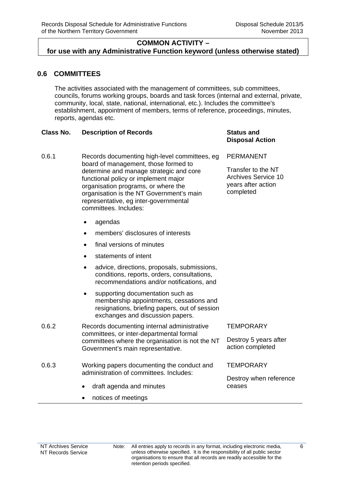## <span id="page-19-0"></span>**0.6 COMMITTEES**

The activities associated with the management of committees, sub committees, councils, forums working groups, boards and task forces (internal and external, private, community, local, state, national, international, etc.). Includes the committee's establishment, appointment of members, terms of reference, proceedings, minutes, reports, agendas etc.

### **Class No. Description of Records Status and**

# **Disposal Action**

0.6.1 Records documenting high-level committees, eg board of management, those formed to determine and manage strategic and core functional policy or implement major organisation programs, or where the organisation is the NT Government's main representative, eg inter-governmental committees. Includes: PERMANENT Transfer to the NT Archives Service 10 years after action completed

- agendas
- members' disclosures of interests
- final versions of minutes
- statements of intent
- advice, directions, proposals, submissions, conditions, reports, orders, consultations, recommendations and/or notifications, and
- supporting documentation such as membership appointments, cessations and resignations, briefing papers, out of session exchanges and discussion papers.
- 0.6.2 Records documenting internal administrative committees, or inter-departmental formal committees where the organisation is not the NT Government's main representative.
- 0.6.3 Working papers documenting the conduct and administration of committees. Includes:
	- draft agenda and minutes
	- notices of meetings

#### **TEMPORARY**

Destroy 5 years after action completed

**TEMPORARY** 

Destroy when reference ceases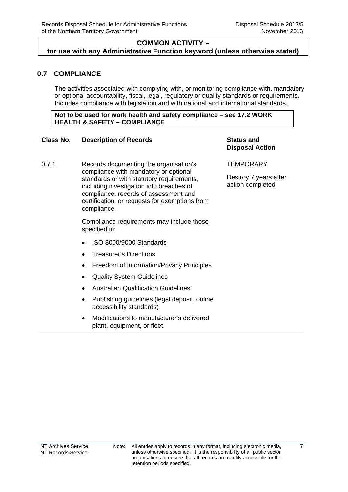## <span id="page-20-0"></span>**0.7 COMPLIANCE**

The activities associated with complying with, or monitoring compliance with, mandatory or optional accountability, fiscal, legal, regulatory or quality standards or requirements. Includes compliance with legislation and with national and international standards.

**Not to be used for work health and safety compliance – see 17.2 WORK HEALTH & SAFETY – COMPLIANCE** 

### **Class No. Description of Records Status and**

## **Disposal Action**

0.7.1 Records documenting the organisation's compliance with mandatory or optional standards or with statutory requirements, including investigation into breaches of compliance, records of assessment and certification, or requests for exemptions from compliance.

> Compliance requirements may include those specified in:

- ISO 8000/9000 Standards
- Treasurer's Directions
- Freedom of Information/Privacy Principles
- Quality System Guidelines
- Australian Qualification Guidelines
- Publishing quidelines (legal deposit, online accessibility standards)
- Modifications to manufacturer's delivered plant, equipment, or fleet.

**TEMPORARY** 

Destroy 7 years after action completed

 $\overline{7}$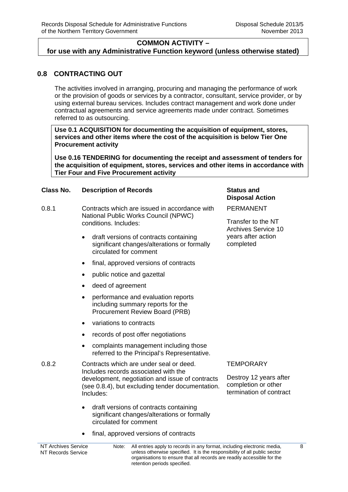## <span id="page-21-0"></span>**0.8 CONTRACTING OUT**

The activities involved in arranging, procuring and managing the performance of work or the provision of goods or services by a contractor, consultant, service provider, or by using external bureau services. Includes contract management and work done under contractual agreements and service agreements made under contract. Sometimes referred to as outsourcing.

**Use 0.1 ACQUISITION for documenting the acquisition of equipment, stores, services and other items where the cost of the acquisition is below Tier One Procurement activity** 

**Use 0.16 TENDERING for documenting the receipt and assessment of tenders for the acquisition of equipment, stores, services and other items in accordance with Tier Four and Five Procurement activity** 

#### **Class No. Description of Records Status and**

- 0.8.1 Contracts which are issued in accordance with National Public Works Council (NPWC) conditions. Includes:
	- draft versions of contracts containing significant changes/alterations or formally circulated for comment
	- final, approved versions of contracts
	- public notice and gazettal
	- deed of agreement
	- performance and evaluation reports including summary reports for the Procurement Review Board (PRB)
	- variations to contracts
	- records of post offer negotiations
	- complaints management including those referred to the Principal's Representative.
- 0.8.2 Contracts which are under seal or deed. Includes records associated with the development, negotiation and issue of contracts (see 0.8.4), but excluding tender documentation. Includes:
	- draft versions of contracts containing significant changes/alterations or formally circulated for comment
	- final, approved versions of contracts

# **Disposal Action**

PERMANENT

Transfer to the NT Archives Service 10 years after action completed

#### **TEMPORARY**

Destroy 12 years after completion or other termination of contract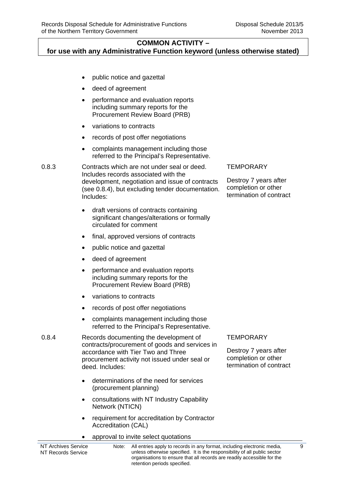## **COMMON ACTIVITY –**

**for use with any Administrative Function keyword (unless otherwise stated)**

- public notice and gazettal
- deed of agreement
- performance and evaluation reports including summary reports for the Procurement Review Board (PRB)
- variations to contracts
- records of post offer negotiations
- complaints management including those referred to the Principal's Representative.

0.8.3 Contracts which are not under seal or deed. Includes records associated with the development, negotiation and issue of contracts (see 0.8.4), but excluding tender documentation. Includes:

- draft versions of contracts containing significant changes/alterations or formally circulated for comment
- final, approved versions of contracts
- public notice and gazettal
- deed of agreement
- performance and evaluation reports including summary reports for the Procurement Review Board (PRB)
- variations to contracts
- records of post offer negotiations
- complaints management including those referred to the Principal's Representative.
- 0.8.4 Records documenting the development of contracts/procurement of goods and services in accordance with Tier Two and Three procurement activity not issued under seal or deed. Includes:
	- determinations of the need for services (procurement planning)
	- consultations with NT Industry Capability Network (NTICN)
	- requirement for accreditation by Contractor Accreditation (CAL)
	- approval to invite select quotations

#### **TEMPORARY**

Destroy 7 years after completion or other termination of contract

#### **TEMPORARY**

Destroy 7 years after completion or other termination of contract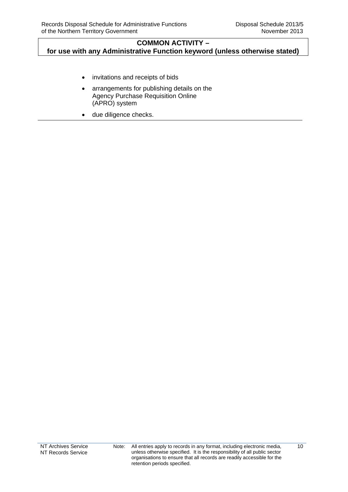- invitations and receipts of bids
- arrangements for publishing details on the Agency Purchase Requisition Online (APRO) system
- due diligence checks.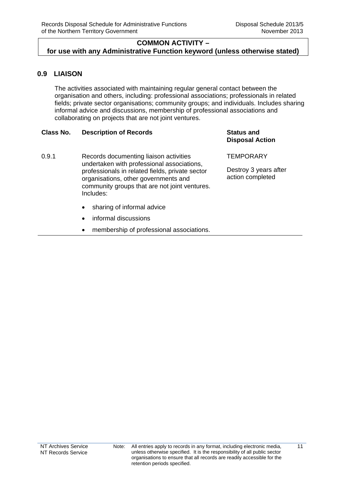## <span id="page-24-0"></span>**0.9 LIAISON**

The activities associated with maintaining regular general contact between the organisation and others, including: professional associations; professionals in related fields; private sector organisations; community groups; and individuals. Includes sharing informal advice and discussions, membership of professional associations and collaborating on projects that are not joint ventures.

### **Class No. Description of Records Status and**

- 0.9.1 Records documenting liaison activities undertaken with professional associations, professionals in related fields, private sector organisations, other governments and community groups that are not joint ventures. Includes:
	- sharing of informal advice
	- informal discussions
	- membership of professional associations.

# **Disposal Action**

**TEMPORARY** 

Destroy 3 years after action completed

 $\overline{11}$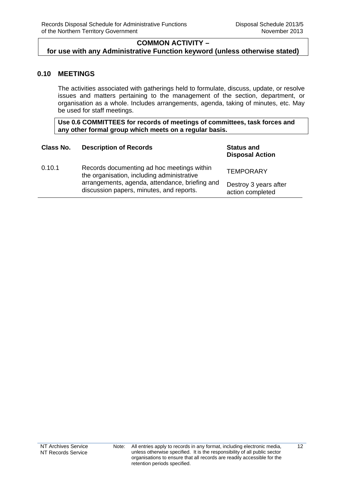## <span id="page-25-0"></span>**0.10 MEETINGS**

The activities associated with gatherings held to formulate, discuss, update, or resolve issues and matters pertaining to the management of the section, department, or organisation as a whole. Includes arrangements, agenda, taking of minutes, etc. May be used for staff meetings.

**Use 0.6 COMMITTEES for records of meetings of committees, task forces and any other formal group which meets on a regular basis.** 

| Class No. | <b>Description of Records</b>                                                                                                                                                          | <b>Status and</b><br><b>Disposal Action</b> |
|-----------|----------------------------------------------------------------------------------------------------------------------------------------------------------------------------------------|---------------------------------------------|
| 0.10.1    | Records documenting ad hoc meetings within<br>the organisation, including administrative<br>arrangements, agenda, attendance, briefing and<br>discussion papers, minutes, and reports. | <b>TEMPORARY</b>                            |
|           |                                                                                                                                                                                        | Destroy 3 years after<br>action completed   |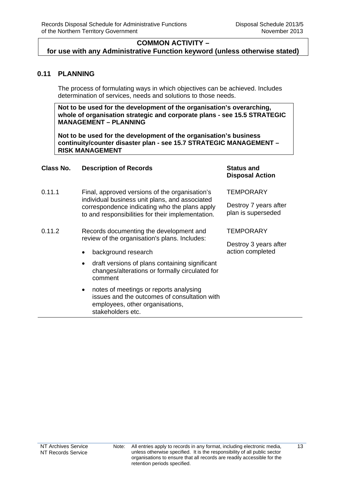## **COMMON ACTIVITY –**

<span id="page-26-0"></span>**for use with any Administrative Function keyword (unless otherwise stated)**

## **0.11 PLANNING**

The process of formulating ways in which objectives can be achieved. Includes determination of services, needs and solutions to those needs.

**Not to be used for the development of the organisation's overarching, whole of organisation strategic and corporate plans - see 15.5 STRATEGIC MANAGEMENT – PLANNING** 

**Not to be used for the development of the organisation's business continuity/counter disaster plan - see 15.7 STRATEGIC MANAGEMENT – RISK MANAGEMENT** 

#### **Class No. Description of Records Status and**

- 0.11.1 Final, approved versions of the organisation's individual business unit plans, and associated correspondence indicating who the plans apply to and responsibilities for their implementation.
- 0.11.2 Records documenting the development and review of the organisation's plans. Includes:
	- background research
	- draft versions of plans containing significant changes/alterations or formally circulated for comment
	- notes of meetings or reports analysing issues and the outcomes of consultation with employees, other organisations, stakeholders etc.

## **Disposal Action**

**TEMPORARY** 

Destroy 7 years after plan is superseded

**TEMPORARY** 

Destroy 3 years after action completed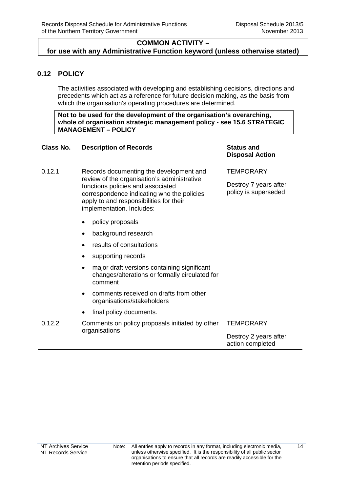## <span id="page-27-0"></span>**0.12 POLICY**

The activities associated with developing and establishing decisions, directions and precedents which act as a reference for future decision making, as the basis from which the organisation's operating procedures are determined.

**Not to be used for the development of the organisation's overarching, whole of organisation strategic management policy - see 15.6 STRATEGIC MANAGEMENT – POLICY** 

#### **Class No. Description of Records Status and**

## **Disposal Action**

Destroy 7 years after policy is superseded

**TEMPORARY** 

- 0.12.1 Records documenting the development and review of the organisation's administrative functions policies and associated correspondence indicating who the policies apply to and responsibilities for their implementation. Includes:
	- policy proposals
	- background research
	- results of consultations
	- supporting records
	- major draft versions containing significant changes/alterations or formally circulated for comment
	- comments received on drafts from other organisations/stakeholders
	- final policy documents.

| 0.12.2 | Comments on policy proposals initiated by other<br>organisations | TEMPORARY                                 |
|--------|------------------------------------------------------------------|-------------------------------------------|
|        |                                                                  | Destroy 2 years after<br>action completed |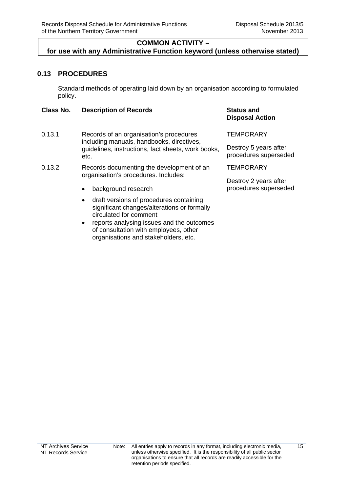## **COMMON ACTIVITY –**

## <span id="page-28-0"></span>**for use with any Administrative Function keyword (unless otherwise stated)**

## **0.13 PROCEDURES**

Standard methods of operating laid down by an organisation according to formulated policy.

| Class No. | <b>Description of Records</b>                                                                                                                                                                                                                                            | <b>Status and</b><br><b>Disposal Action</b>    |
|-----------|--------------------------------------------------------------------------------------------------------------------------------------------------------------------------------------------------------------------------------------------------------------------------|------------------------------------------------|
| 0.13.1    | Records of an organisation's procedures<br>including manuals, handbooks, directives,<br>guidelines, instructions, fact sheets, work books,<br>etc.                                                                                                                       | <b>TEMPORARY</b>                               |
|           |                                                                                                                                                                                                                                                                          | Destroy 5 years after<br>procedures superseded |
| 0.13.2    | Records documenting the development of an                                                                                                                                                                                                                                | <b>TEMPORARY</b>                               |
|           | organisation's procedures. Includes:                                                                                                                                                                                                                                     | Destroy 2 years after                          |
|           | background research<br>٠                                                                                                                                                                                                                                                 | procedures superseded                          |
|           | draft versions of procedures containing<br>$\bullet$<br>significant changes/alterations or formally<br>circulated for comment<br>reports analysing issues and the outcomes<br>$\bullet$<br>of consultation with employees, other<br>organisations and stakeholders, etc. |                                                |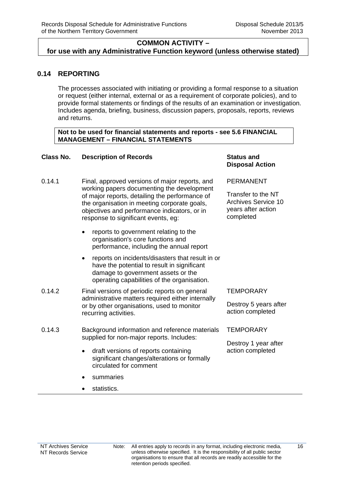## <span id="page-29-0"></span>**0.14 REPORTING**

The processes associated with initiating or providing a formal response to a situation or request (either internal, external or as a requirement of corporate policies), and to provide formal statements or findings of the results of an examination or investigation. Includes agenda, briefing, business, discussion papers, proposals, reports, reviews and returns.

#### **Not to be used for financial statements and reports - see 5.6 FINANCIAL MANAGEMENT – FINANCIAL STATEMENTS**

## **Class No. Description of Records Status and**

- 0.14.1 Final, approved versions of major reports, and working papers documenting the development of major reports, detailing the performance of the organisation in meeting corporate goals, objectives and performance indicators, or in response to significant events, eg:
	- reports to government relating to the organisation's core functions and performance, including the annual report
	- reports on incidents/disasters that result in or have the potential to result in significant damage to government assets or the operating capabilities of the organisation.
- 0.14.2 Final versions of periodic reports on general administrative matters required either internally or by other organisations, used to monitor recurring activities.
- 0.14.3 Background information and reference materials supplied for non-major reports. Includes:
	- draft versions of reports containing significant changes/alterations or formally circulated for comment
	- summaries
	- statistics.

# **Disposal Action**

PERMANENT

Transfer to the NT Archives Service 10 years after action completed

#### **TEMPORARY**

Destroy 5 years after action completed

#### **TEMPORARY**

Destroy 1 year after action completed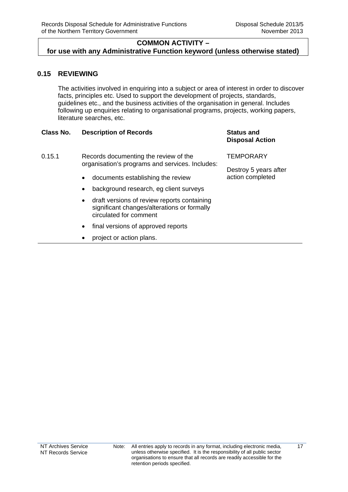## <span id="page-30-0"></span>**0.15 REVIEWING**

The activities involved in enquiring into a subject or area of interest in order to discover facts, principles etc. Used to support the development of projects, standards, guidelines etc., and the business activities of the organisation in general. Includes following up enquiries relating to organisational programs, projects, working papers, literature searches, etc.

### **Class No. Description of Records Status and**

# **Disposal Action**

- 0.15.1 Records documenting the review of the organisation's programs and services. Includes:
	- documents establishing the review
	- background research, eg client surveys
	- draft versions of review reports containing significant changes/alterations or formally circulated for comment
	- final versions of approved reports
	- project or action plans.

**TEMPORARY** 

Destroy 5 years after action completed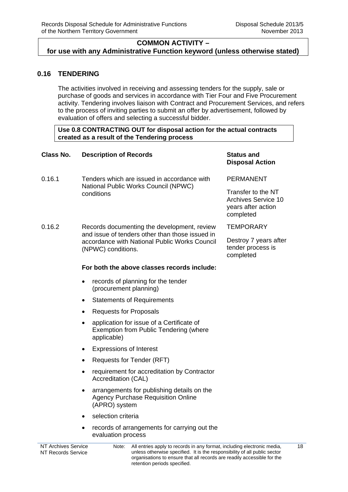## <span id="page-31-0"></span>**0.16 TENDERING**

The activities involved in receiving and assessing tenders for the supply, sale or purchase of goods and services in accordance with Tier Four and Five Procurement activity. Tendering involves liaison with Contract and Procurement Services, and refers to the process of inviting parties to submit an offer by advertisement, followed by evaluation of offers and selecting a successful bidder.

### **Use 0.8 CONTRACTING OUT for disposal action for the actual contracts created as a result of the Tendering process**

| Class No.           | <b>Description of Records</b>                                                                                                                                         | <b>Status and</b><br><b>Disposal Action</b>                                         |
|---------------------|-----------------------------------------------------------------------------------------------------------------------------------------------------------------------|-------------------------------------------------------------------------------------|
| 0.16.1              | Tenders which are issued in accordance with<br>National Public Works Council (NPWC)<br>conditions                                                                     | <b>PERMANENT</b>                                                                    |
|                     |                                                                                                                                                                       | Transfer to the NT<br><b>Archives Service 10</b><br>years after action<br>completed |
| 0.16.2              | Records documenting the development, review<br>and issue of tenders other than those issued in<br>accordance with National Public Works Council<br>(NPWC) conditions. | <b>TEMPORARY</b>                                                                    |
|                     |                                                                                                                                                                       | Destroy 7 years after<br>tender process is<br>completed                             |
|                     | For both the above classes records include:                                                                                                                           |                                                                                     |
|                     | records of planning for the tender<br>$\bullet$<br>(procurement planning)                                                                                             |                                                                                     |
|                     | <b>Statements of Requirements</b><br>$\bullet$                                                                                                                        |                                                                                     |
|                     | <b>Requests for Proposals</b><br>$\bullet$                                                                                                                            |                                                                                     |
|                     | application for issue of a Certificate of<br>$\bullet$<br><b>Exemption from Public Tendering (where</b><br>applicable)                                                |                                                                                     |
|                     | <b>Expressions of Interest</b><br>$\bullet$                                                                                                                           |                                                                                     |
|                     | Requests for Tender (RFT)<br>$\bullet$                                                                                                                                |                                                                                     |
|                     | requirement for accreditation by Contractor<br>$\bullet$<br>Accreditation (CAL)                                                                                       |                                                                                     |
|                     | arrangements for publishing details on the<br>$\bullet$<br><b>Agency Purchase Requisition Online</b><br>(APRO) system                                                 |                                                                                     |
|                     | selection criteria<br>$\bullet$                                                                                                                                       |                                                                                     |
|                     | records of arrangements for carrying out the<br>٠<br>evaluation process                                                                                               |                                                                                     |
| NT Archives Service | All entries apply to records in any format lincluding electronic media<br>Note: ∴                                                                                     |                                                                                     |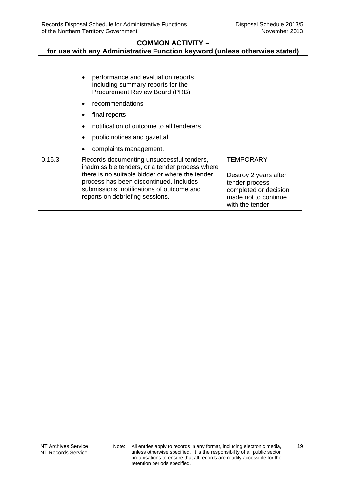| $\bullet$ | performance and evaluation reports    |
|-----------|---------------------------------------|
|           | including summary reports for the     |
|           | <b>Procurement Review Board (PRB)</b> |

- recommendations
- final reports
- notification of outcome to all tenderers
- public notices and gazettal
- complaints management.
- 0.16.3 Records documenting unsuccessful tenders, inadmissible tenders, or a tender process where there is no suitable bidder or where the tender process has been discontinued. Includes submissions, notifications of outcome and reports on debriefing sessions.

**TEMPORARY** 

Destroy 2 years after tender process completed or decision made not to continue with the tender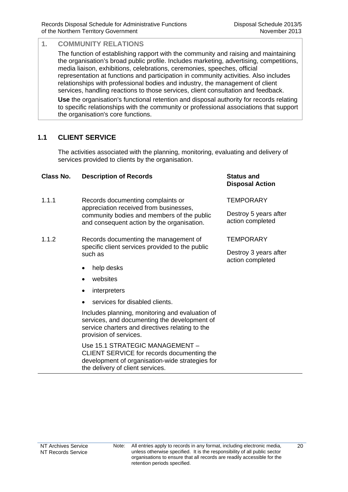## <span id="page-33-0"></span>**1. COMMUNITY RELATIONS**

The function of establishing rapport with the community and raising and maintaining the organisation's broad public profile. Includes marketing, advertising, competitions, media liaison, exhibitions, celebrations, ceremonies, speeches, official representation at functions and participation in community activities. Also includes relationships with professional bodies and industry, the management of client services, handling reactions to those services, client consultation and feedback.

**Use** the organisation's functional retention and disposal authority for records relating to specific relationships with the community or professional associations that support the organisation's core functions.

## **1.1 CLIENT SERVICE**

The activities associated with the planning, monitoring, evaluating and delivery of services provided to clients by the organisation.

#### **Class No. Description of Records Status and**

- 1.1.1 Records documenting complaints or appreciation received from businesses, community bodies and members of the public and consequent action by the organisation.
- 1.1.2 Records documenting the management of specific client services provided to the public such as
	- help desks
	- websites
	- interpreters
	- services for disabled clients.

Includes planning, monitoring and evaluation of services, and documenting the development of service charters and directives relating to the provision of services.

Use 15.1 STRATEGIC MANAGEMENT – CLIENT SERVICE for records documenting the development of organisation-wide strategies for the delivery of client services.

# **Disposal Action**

#### **TEMPORARY**

Destroy 5 years after action completed

#### **TEMPORARY**

Destroy 3 years after action completed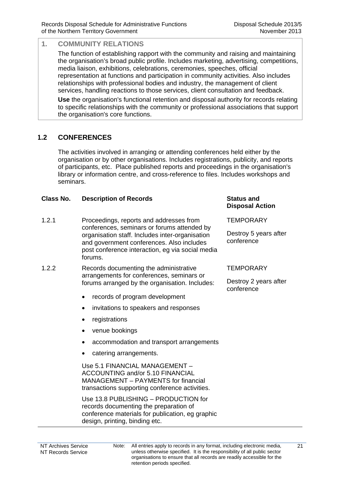## <span id="page-34-0"></span>**1. COMMUNITY RELATIONS**

The function of establishing rapport with the community and raising and maintaining the organisation's broad public profile. Includes marketing, advertising, competitions, media liaison, exhibitions, celebrations, ceremonies, speeches, official representation at functions and participation in community activities. Also includes relationships with professional bodies and industry, the management of client services, handling reactions to those services, client consultation and feedback.

**Use** the organisation's functional retention and disposal authority for records relating to specific relationships with the community or professional associations that support the organisation's core functions.

## **1.2 CONFERENCES**

The activities involved in arranging or attending conferences held either by the organisation or by other organisations. Includes registrations, publicity, and reports of participants, etc. Place published reports and proceedings in the organisation's library or information centre, and cross-reference to files. Includes workshops and seminars.

### **Class No. Description of Records Status and**

- 1.2.1 Proceedings, reports and addresses from conferences, seminars or forums attended by organisation staff. Includes inter-organisation and government conferences. Also includes post conference interaction, eg via social media forums.
- 1.2.2 Records documenting the administrative arrangements for conferences, seminars or forums arranged by the organisation. Includes:
	- records of program development
	- invitations to speakers and responses
	- registrations
	- venue bookings
	- accommodation and transport arrangements
	- catering arrangements.

 Use 5.1 FINANCIAL MANAGEMENT – ACCOUNTING and/or 5.10 FINANCIAL MANAGEMENT – PAYMENTS for financial transactions supporting conference activities.

 Use 13.8 PUBLISHING – PRODUCTION for records documenting the preparation of conference materials for publication, eg graphic design, printing, binding etc.

## **Disposal Action**

**TEMPORARY** 

Destroy 5 years after conference

#### **TEMPORARY**

Destroy 2 years after conference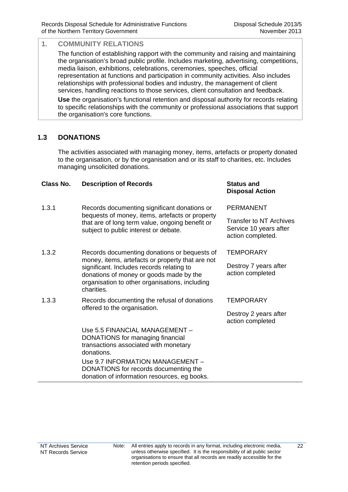## <span id="page-35-0"></span>**1. COMMUNITY RELATIONS**

The function of establishing rapport with the community and raising and maintaining the organisation's broad public profile. Includes marketing, advertising, competitions, media liaison, exhibitions, celebrations, ceremonies, speeches, official representation at functions and participation in community activities. Also includes relationships with professional bodies and industry, the management of client services, handling reactions to those services, client consultation and feedback.

**Use** the organisation's functional retention and disposal authority for records relating to specific relationships with the community or professional associations that support the organisation's core functions.

## **1.3 DONATIONS**

The activities associated with managing money, items, artefacts or property donated to the organisation, or by the organisation and or its staff to charities, etc. Includes managing unsolicited donations.

#### **Class No. Description of Records Status and**

- 1.3.1 Records documenting significant donations or bequests of money, items, artefacts or property that are of long term value, ongoing benefit or subject to public interest or debate.
- 1.3.2 Records documenting donations or bequests of money, items, artefacts or property that are not significant. Includes records relating to donations of money or goods made by the organisation to other organisations, including charities.
- 1.3.3 Records documenting the refusal of donations offered to the organisation.

Use 5.5 FINANCIAL MANAGEMENT – DONATIONS for managing financial transactions associated with monetary donations.

Use 9.7 INFORMATION MANAGEMENT – DONATIONS for records documenting the

donation of information resources, eg books.

## **Disposal Action**

PERMANENT

Transfer to NT Archives Service 10 years after action completed.

**TEMPORARY** 

Destroy 7 years after action completed

## **TFMPORARY**

Destroy 2 years after action completed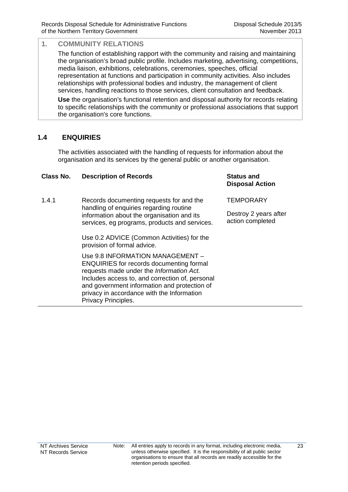The function of establishing rapport with the community and raising and maintaining the organisation's broad public profile. Includes marketing, advertising, competitions, media liaison, exhibitions, celebrations, ceremonies, speeches, official representation at functions and participation in community activities. Also includes relationships with professional bodies and industry, the management of client services, handling reactions to those services, client consultation and feedback.

**Use** the organisation's functional retention and disposal authority for records relating to specific relationships with the community or professional associations that support the organisation's core functions.

#### **1.4 ENQUIRIES**

The activities associated with the handling of requests for information about the organisation and its services by the general public or another organisation.

#### **Class No. Description of Records Status and**

1.4.1 Records documenting requests for and the handling of enquiries regarding routine information about the organisation and its services, eg programs, products and services.

> Use 0.2 ADVICE (Common Activities) for the provision of formal advice.

Use 9.8 INFORMATION MANAGEMENT – ENQUIRIES for records documenting formal requests made under the *Information Act.* Includes access to, and correction of, personal and government information and protection of privacy in accordance with the Information Privacy Principles.

## **Disposal Action**

**TEMPORARY**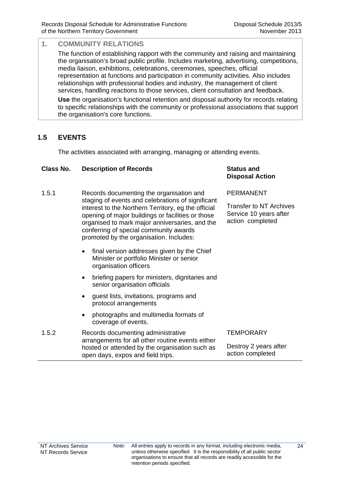The function of establishing rapport with the community and raising and maintaining the organisation's broad public profile. Includes marketing, advertising, competitions, media liaison, exhibitions, celebrations, ceremonies, speeches, official representation at functions and participation in community activities. Also includes relationships with professional bodies and industry, the management of client services, handling reactions to those services, client consultation and feedback.

**Use** the organisation's functional retention and disposal authority for records relating to specific relationships with the community or professional associations that support the organisation's core functions.

### **1.5 EVENTS**

The activities associated with arranging, managing or attending events.

#### **Class No. Description of Records Status and**

- 1.5.1 Records documenting the organisation and staging of events and celebrations of significant interest to the Northern Territory, eg the official opening of major buildings or facilities or those organised to mark major anniversaries, and the conferring of special community awards promoted by the organisation. Includes:
	- final version addresses given by the Chief Minister or portfolio Minister or senior organisation officers
	- briefing papers for ministers, dignitaries and senior organisation officials
	- guest lists, invitations, programs and protocol arrangements
	- photographs and multimedia formats of coverage of events.
- 1.5.2 Records documenting administrative arrangements for all other routine events either hosted or attended by the organisation such as open days, expos and field trips.

## **Disposal Action**

PERMANENT

Transfer to NT Archives Service 10 years after action completed

**TEMPORARY**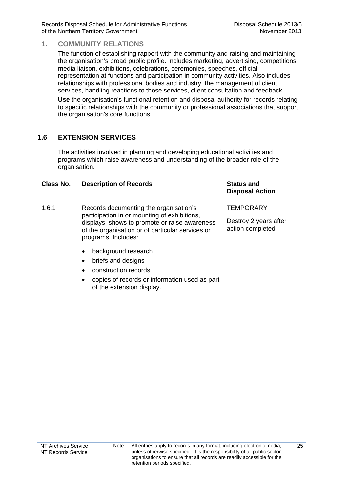The function of establishing rapport with the community and raising and maintaining the organisation's broad public profile. Includes marketing, advertising, competitions, media liaison, exhibitions, celebrations, ceremonies, speeches, official representation at functions and participation in community activities. Also includes relationships with professional bodies and industry, the management of client services, handling reactions to those services, client consultation and feedback.

**Use** the organisation's functional retention and disposal authority for records relating to specific relationships with the community or professional associations that support the organisation's core functions.

### **1.6 EXTENSION SERVICES**

The activities involved in planning and developing educational activities and programs which raise awareness and understanding of the broader role of the organisation.

#### **Class No. Description of Records Status and**

- 1.6.1 Records documenting the organisation's participation in or mounting of exhibitions, displays, shows to promote or raise awareness of the organisation or of particular services or programs. Includes:
	- background research
	- briefs and designs
	- construction records
	- copies of records or information used as part of the extension display.

## **Disposal Action**

**TEMPORARY**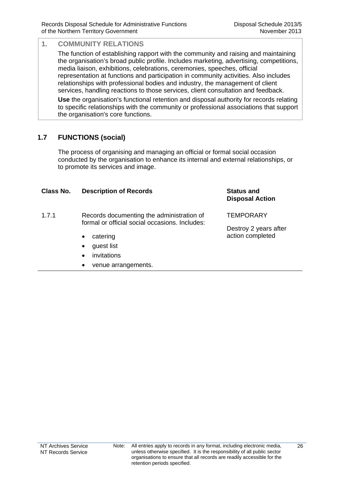The function of establishing rapport with the community and raising and maintaining the organisation's broad public profile. Includes marketing, advertising, competitions, media liaison, exhibitions, celebrations, ceremonies, speeches, official representation at functions and participation in community activities. Also includes relationships with professional bodies and industry, the management of client services, handling reactions to those services, client consultation and feedback.

**Use** the organisation's functional retention and disposal authority for records relating to specific relationships with the community or professional associations that support the organisation's core functions.

## **1.7 FUNCTIONS (social)**

The process of organising and managing an official or formal social occasion conducted by the organisation to enhance its internal and external relationships, or to promote its services and image.

| Class No. | <b>Description of Records</b>                                                               | <b>Status and</b><br><b>Disposal Action</b> |
|-----------|---------------------------------------------------------------------------------------------|---------------------------------------------|
| 1.7.1     | Records documenting the administration of<br>formal or official social occasions. Includes: | <b>TEMPORARY</b>                            |
|           |                                                                                             | Destroy 2 years after                       |
|           | catering<br>$\bullet$                                                                       | action completed                            |
|           | guest list<br>$\bullet$                                                                     |                                             |
|           | invitations<br>$\bullet$                                                                    |                                             |
|           | venue arrangements.<br>$\bullet$                                                            |                                             |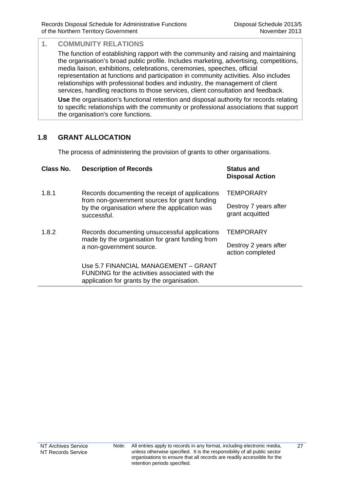The function of establishing rapport with the community and raising and maintaining the organisation's broad public profile. Includes marketing, advertising, competitions, media liaison, exhibitions, celebrations, ceremonies, speeches, official representation at functions and participation in community activities. Also includes relationships with professional bodies and industry, the management of client services, handling reactions to those services, client consultation and feedback.

**Use** the organisation's functional retention and disposal authority for records relating to specific relationships with the community or professional associations that support the organisation's core functions.

### **1.8 GRANT ALLOCATION**

The process of administering the provision of grants to other organisations.

| Class No. | <b>Description of Records</b>                                                                                                                                    | <b>Status and</b><br><b>Disposal Action</b> |
|-----------|------------------------------------------------------------------------------------------------------------------------------------------------------------------|---------------------------------------------|
| 1.8.1     | Records documenting the receipt of applications<br>from non-government sources for grant funding<br>by the organisation where the application was<br>successful. | <b>TEMPORARY</b>                            |
|           |                                                                                                                                                                  | Destroy 7 years after<br>grant acquitted    |
| 1.8.2     | Records documenting unsuccessful applications<br>made by the organisation for grant funding from<br>a non-government source.                                     | <b>TEMPORARY</b>                            |
|           |                                                                                                                                                                  | Destroy 2 years after<br>action completed   |
|           | Use 5.7 FINANCIAL MANAGEMENT - GRANT<br>FUNDING for the activities associated with the<br>application for grants by the organisation.                            |                                             |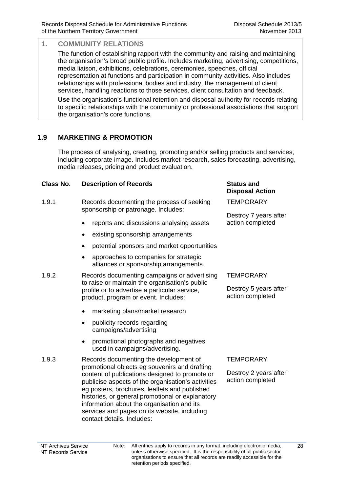The function of establishing rapport with the community and raising and maintaining the organisation's broad public profile. Includes marketing, advertising, competitions, media liaison, exhibitions, celebrations, ceremonies, speeches, official representation at functions and participation in community activities. Also includes relationships with professional bodies and industry, the management of client services, handling reactions to those services, client consultation and feedback.

**Use** the organisation's functional retention and disposal authority for records relating to specific relationships with the community or professional associations that support the organisation's core functions.

### **1.9 MARKETING & PROMOTION**

The process of analysing, creating, promoting and/or selling products and services, including corporate image. Includes market research, sales forecasting, advertising, media releases, pricing and product evaluation.

#### **Class No. Description of Records Status and**

- 1.9.1 Records documenting the process of seeking sponsorship or patronage. Includes:
	- reports and discussions analysing assets
	- existing sponsorship arrangements
	- potential sponsors and market opportunities
	- approaches to companies for strategic alliances or sponsorship arrangements.
- 1.9.2 Records documenting campaigns or advertising to raise or maintain the organisation's public profile or to advertise a particular service, product, program or event. Includes:
	- marketing plans/market research
	- publicity records regarding campaigns/advertising
	- promotional photographs and negatives used in campaigns/advertising.
- 1.9.3 Records documenting the development of promotional objects eg souvenirs and drafting content of publications designed to promote or publicise aspects of the organisation's activities eg posters, brochures, leaflets and published histories, or general promotional or explanatory information about the organisation and its services and pages on its website, including contact details. Includes:

# **Disposal Action**

**TEMPORARY** 

Destroy 7 years after action completed

#### **TEMPORARY**

Destroy 5 years after action completed

#### **TEMPORARY**

Destroy 2 years after action completed

Note: All entries apply to records in any format, including electronic media, unless otherwise specified. It is the responsibility of all public sector organisations to ensure that all records are readily accessible for the retention periods specified.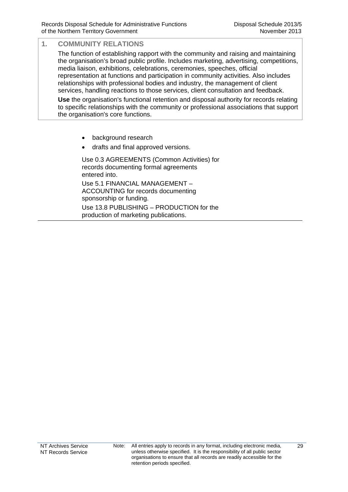The function of establishing rapport with the community and raising and maintaining the organisation's broad public profile. Includes marketing, advertising, competitions, media liaison, exhibitions, celebrations, ceremonies, speeches, official representation at functions and participation in community activities. Also includes relationships with professional bodies and industry, the management of client services, handling reactions to those services, client consultation and feedback.

**Use** the organisation's functional retention and disposal authority for records relating to specific relationships with the community or professional associations that support the organisation's core functions.

- background research
- drafts and final approved versions.

 Use 0.3 AGREEMENTS (Common Activities) for records documenting formal agreements entered into. Use 5.1 FINANCIAL MANAGEMENT –

ACCOUNTING for records documenting sponsorship or funding.

Use 13.8 PUBLISHING – PRODUCTION for the production of marketing publications.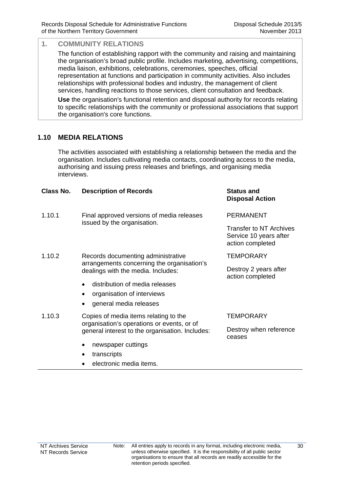The function of establishing rapport with the community and raising and maintaining the organisation's broad public profile. Includes marketing, advertising, competitions, media liaison, exhibitions, celebrations, ceremonies, speeches, official representation at functions and participation in community activities. Also includes relationships with professional bodies and industry, the management of client services, handling reactions to those services, client consultation and feedback.

**Use** the organisation's functional retention and disposal authority for records relating to specific relationships with the community or professional associations that support the organisation's core functions.

### **1.10 MEDIA RELATIONS**

The activities associated with establishing a relationship between the media and the organisation. Includes cultivating media contacts, coordinating access to the media, authorising and issuing press releases and briefings, and organising media interviews.

| Class No. | <b>Description of Records</b>                                                                                                          | <b>Status and</b><br><b>Disposal Action</b>                                  |
|-----------|----------------------------------------------------------------------------------------------------------------------------------------|------------------------------------------------------------------------------|
| 1.10.1    | Final approved versions of media releases<br>issued by the organisation.                                                               | <b>PERMANENT</b>                                                             |
|           |                                                                                                                                        | <b>Transfer to NT Archives</b><br>Service 10 years after<br>action completed |
| 1.10.2    | Records documenting administrative<br>arrangements concerning the organisation's<br>dealings with the media. Includes:                 | TEMPORARY                                                                    |
|           |                                                                                                                                        | Destroy 2 years after<br>action completed                                    |
|           | distribution of media releases                                                                                                         |                                                                              |
|           | organisation of interviews<br>٠                                                                                                        |                                                                              |
|           | general media releases<br>$\bullet$                                                                                                    |                                                                              |
| 1.10.3    | Copies of media items relating to the<br>organisation's operations or events, or of<br>general interest to the organisation. Includes: | <b>TEMPORARY</b>                                                             |
|           |                                                                                                                                        | Destroy when reference<br>ceases                                             |
|           | newspaper cuttings                                                                                                                     |                                                                              |
|           | transcripts                                                                                                                            |                                                                              |
|           | electronic media items.                                                                                                                |                                                                              |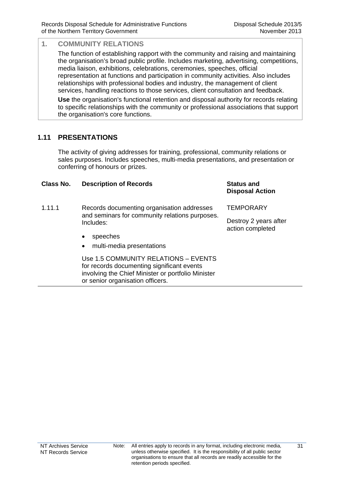The function of establishing rapport with the community and raising and maintaining the organisation's broad public profile. Includes marketing, advertising, competitions, media liaison, exhibitions, celebrations, ceremonies, speeches, official representation at functions and participation in community activities. Also includes relationships with professional bodies and industry, the management of client services, handling reactions to those services, client consultation and feedback.

**Use** the organisation's functional retention and disposal authority for records relating to specific relationships with the community or professional associations that support the organisation's core functions.

#### **1.11 PRESENTATIONS**

The activity of giving addresses for training, professional, community relations or sales purposes. Includes speeches, multi-media presentations, and presentation or conferring of honours or prizes.

| Class No. | <b>Description of Records</b>                                                                                                                                                | <b>Status and</b><br><b>Disposal Action</b> |
|-----------|------------------------------------------------------------------------------------------------------------------------------------------------------------------------------|---------------------------------------------|
| 1.11.1    | Records documenting organisation addresses<br>and seminars for community relations purposes.<br>Includes:                                                                    | TEMPORARY                                   |
|           |                                                                                                                                                                              | Destroy 2 years after<br>action completed   |
|           | speeches<br>$\bullet$                                                                                                                                                        |                                             |
|           | multi-media presentations<br>$\bullet$                                                                                                                                       |                                             |
|           | Use 1.5 COMMUNITY RELATIONS - EVENTS<br>for records documenting significant events<br>involving the Chief Minister or portfolio Minister<br>or senior organisation officers. |                                             |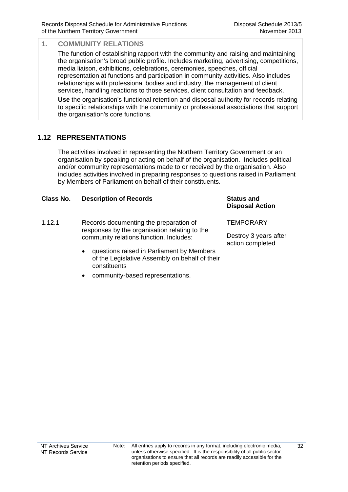The function of establishing rapport with the community and raising and maintaining the organisation's broad public profile. Includes marketing, advertising, competitions, media liaison, exhibitions, celebrations, ceremonies, speeches, official representation at functions and participation in community activities. Also includes relationships with professional bodies and industry, the management of client services, handling reactions to those services, client consultation and feedback.

**Use** the organisation's functional retention and disposal authority for records relating to specific relationships with the community or professional associations that support the organisation's core functions.

## **1.12 REPRESENTATIONS**

The activities involved in representing the Northern Territory Government or an organisation by speaking or acting on behalf of the organisation. Includes political and/or community representations made to or received by the organisation. Also includes activities involved in preparing responses to questions raised in Parliament by Members of Parliament on behalf of their constituents.

| Class No. | <b>Description of Records</b>                                                                                            | <b>Status and</b><br><b>Disposal Action</b> |
|-----------|--------------------------------------------------------------------------------------------------------------------------|---------------------------------------------|
| 1.12.1    | Records documenting the preparation of<br>responses by the organisation relating to the                                  | <b>TEMPORARY</b>                            |
|           | community relations function. Includes:                                                                                  | Destroy 3 years after<br>action completed   |
|           | questions raised in Parliament by Members<br>$\bullet$<br>of the Legislative Assembly on behalf of their<br>constituents |                                             |
|           | community-based representations.<br>٠                                                                                    |                                             |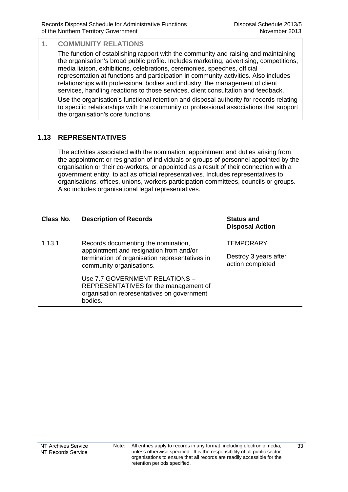The function of establishing rapport with the community and raising and maintaining the organisation's broad public profile. Includes marketing, advertising, competitions, media liaison, exhibitions, celebrations, ceremonies, speeches, official representation at functions and participation in community activities. Also includes relationships with professional bodies and industry, the management of client services, handling reactions to those services, client consultation and feedback.

**Use** the organisation's functional retention and disposal authority for records relating to specific relationships with the community or professional associations that support the organisation's core functions.

### **1.13 REPRESENTATIVES**

The activities associated with the nomination, appointment and duties arising from the appointment or resignation of individuals or groups of personnel appointed by the organisation or their co-workers, or appointed as a result of their connection with a government entity, to act as official representatives. Includes representatives to organisations, offices, unions, workers participation committees, councils or groups. Also includes organisational legal representatives.

#### **Class No. Description of Records Status and**

1.13.1 Records documenting the nomination, appointment and resignation from and/or termination of organisation representatives in community organisations.

> Use 7.7 GOVERNMENT RELATIONS – REPRESENTATIVES for the management of organisation representatives on government bodies.

**Disposal Action**

**TEMPORARY**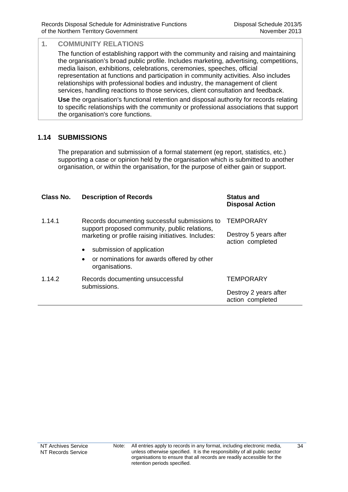The function of establishing rapport with the community and raising and maintaining the organisation's broad public profile. Includes marketing, advertising, competitions, media liaison, exhibitions, celebrations, ceremonies, speeches, official representation at functions and participation in community activities. Also includes relationships with professional bodies and industry, the management of client services, handling reactions to those services, client consultation and feedback.

**Use** the organisation's functional retention and disposal authority for records relating to specific relationships with the community or professional associations that support the organisation's core functions.

### **1.14 SUBMISSIONS**

The preparation and submission of a formal statement (eg report, statistics, etc.) supporting a case or opinion held by the organisation which is submitted to another organisation, or within the organisation, for the purpose of either gain or support.

| Class No. | <b>Description of Records</b>                                                                                                                         | <b>Status and</b><br><b>Disposal Action</b> |
|-----------|-------------------------------------------------------------------------------------------------------------------------------------------------------|---------------------------------------------|
| 1.14.1    | Records documenting successful submissions to<br>support proposed community, public relations,<br>marketing or profile raising initiatives. Includes: | <b>TEMPORARY</b><br>Destroy 5 years after   |
|           |                                                                                                                                                       | action completed                            |
|           | submission of application<br>$\bullet$                                                                                                                |                                             |
|           | or nominations for awards offered by other<br>$\bullet$<br>organisations.                                                                             |                                             |
| 1.14.2    | Records documenting unsuccessful<br>submissions.                                                                                                      | TEMPORARY                                   |
|           |                                                                                                                                                       | Destroy 2 years after<br>action completed   |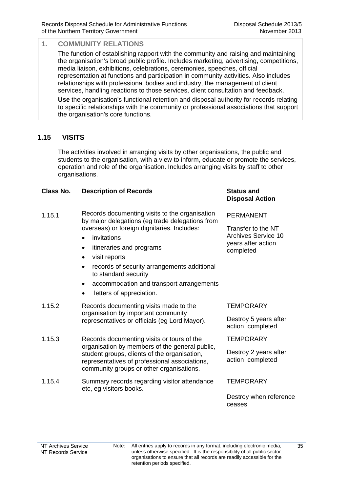The function of establishing rapport with the community and raising and maintaining the organisation's broad public profile. Includes marketing, advertising, competitions, media liaison, exhibitions, celebrations, ceremonies, speeches, official representation at functions and participation in community activities. Also includes relationships with professional bodies and industry, the management of client services, handling reactions to those services, client consultation and feedback.

**Use** the organisation's functional retention and disposal authority for records relating to specific relationships with the community or professional associations that support the organisation's core functions.

#### **1.15 VISITS**

The activities involved in arranging visits by other organisations, the public and students to the organisation, with a view to inform, educate or promote the services, operation and role of the organisation. Includes arranging visits by staff to other organisations.

#### **Class No. Description of Records Status and**

| 1.15.1 | Records documenting visits to the organisation  |
|--------|-------------------------------------------------|
|        | by major delegations (eg trade delegations from |
|        | overseas) or foreign dignitaries. Includes:     |

- invitations
- itineraries and programs
- visit reports
- records of security arrangements additional to standard security
- accommodation and transport arrangements
- letters of appreciation.

## 1.15.2 Records documenting visits made to the organisation by important community representatives or officials (eg Lord Mayor). 1.15.3 Records documenting visits or tours of the

- organisation by members of the general public, student groups, clients of the organisation, representatives of professional associations, community groups or other organisations.
- 1.15.4 Summary records regarding visitor attendance etc, eg visitors books.

## **Disposal Action**

PERMANENT

Transfer to the NT Archives Service 10 years after action completed

#### **TFMPORARY**

Destroy 5 years after action completed

**TEMPORARY** 

Destroy 2 years after action completed

**TEMPORARY** 

Destroy when reference ceases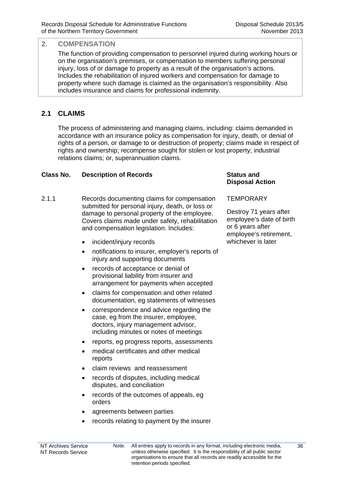#### **2. COMPENSATION**

The function of providing compensation to personnel injured during working hours or on the organisation's premises, or compensation to members suffering personal injury, loss of or damage to property as a result of the organisation's actions. Includes the rehabilitation of injured workers and compensation for damage to property where such damage is claimed as the organisation's responsibility. Also includes insurance and claims for professional indemnity.

## **2.1 CLAIMS**

The process of administering and managing claims, including: claims demanded in accordance with an insurance policy as compensation for injury, death, or denial of rights of a person, or damage to or destruction of property; claims made in respect of rights and ownership; recompense sought for stolen or lost property; industrial relations claims; or, superannuation claims.

#### **Class No. Description of Records Status and**

- 2.1.1 Records documenting claims for compensation submitted for personal injury, death, or loss or damage to personal property of the employee. Covers claims made under safety, rehabilitation and compensation legislation. Includes:
	- incident/injury records
	- notifications to insurer, employer's reports of injury and supporting documents
	- records of acceptance or denial of provisional liability from insurer and arrangement for payments when accepted
	- claims for compensation and other related documentation, eg statements of witnesses
	- correspondence and advice regarding the case, eg from the insurer, employee, doctors, injury management advisor, including minutes or notes of meetings
	- reports, eg progress reports, assessments
	- medical certificates and other medical reports
	- claim reviews and reassessment
	- records of disputes, including medical disputes, and conciliation
	- records of the outcomes of appeals, eg orders
	- agreements between parties
	- records relating to payment by the insurer

## **Disposal Action**

#### **TEMPORARY**

Destroy 71 years after employee's date of birth or 6 years after employee's retirement, whichever is later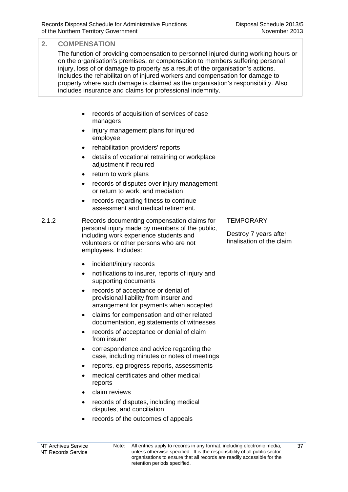#### **2. COMPENSATION**

The function of providing compensation to personnel injured during working hours or on the organisation's premises, or compensation to members suffering personal injury, loss of or damage to property as a result of the organisation's actions. Includes the rehabilitation of injured workers and compensation for damage to property where such damage is claimed as the organisation's responsibility. Also includes insurance and claims for professional indemnity.

- records of acquisition of services of case managers
- injury management plans for injured employee
- rehabilitation providers' reports
- details of vocational retraining or workplace adjustment if required
- return to work plans
- records of disputes over injury management or return to work, and mediation
- records regarding fitness to continue assessment and medical retirement.

2.1.2 Records documenting compensation claims for personal injury made by members of the public, including work experience students and volunteers or other persons who are not employees. Includes:

- incident/injury records
- notifications to insurer, reports of injury and supporting documents
- records of acceptance or denial of provisional liability from insurer and arrangement for payments when accepted
- claims for compensation and other related documentation, eg statements of witnesses
- records of acceptance or denial of claim from insurer
- correspondence and advice regarding the case, including minutes or notes of meetings
- reports, eg progress reports, assessments
- medical certificates and other medical reports
- claim reviews
- records of disputes, including medical disputes, and conciliation
- records of the outcomes of appeals

#### **TEMPORARY**

Destroy 7 years after finalisation of the claim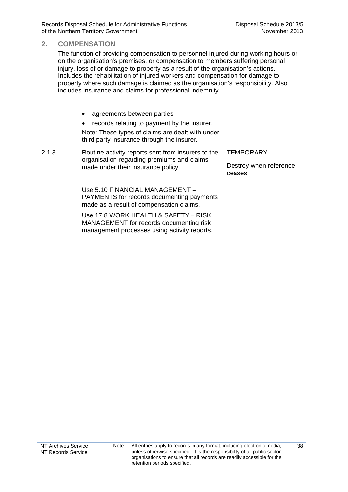### **2. COMPENSATION**  The function of providing compensation to personnel injured during working hours or on the organisation's premises, or compensation to members suffering personal injury, loss of or damage to property as a result of the organisation's actions. Includes the rehabilitation of injured workers and compensation for damage to property where such damage is claimed as the organisation's responsibility. Also includes insurance and claims for professional indemnity. • agreements between parties • records relating to payment by the insurer. Note: These types of claims are dealt with under third party insurance through the insurer. 2.1.3 Routine activity reports sent from insurers to the organisation regarding premiums and claims made under their insurance policy. **TEMPORARY** Destroy when reference ceases Use 5.10 FINANCIAL MANAGEMENT – PAYMENTS for records documenting payments made as a result of compensation claims. Use 17.8 WORK HEALTH & SAFETY – RISK MANAGEMENT for records documenting risk management processes using activity reports.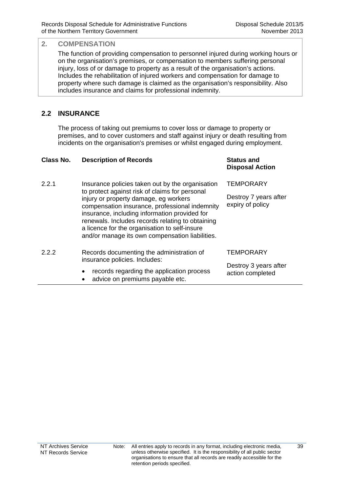#### **2. COMPENSATION**

The function of providing compensation to personnel injured during working hours or on the organisation's premises, or compensation to members suffering personal injury, loss of or damage to property as a result of the organisation's actions. Includes the rehabilitation of injured workers and compensation for damage to property where such damage is claimed as the organisation's responsibility. Also includes insurance and claims for professional indemnity.

## **2.2 INSURANCE**

The process of taking out premiums to cover loss or damage to property or premises, and to cover customers and staff against injury or death resulting from incidents on the organisation's premises or whilst engaged during employment.

| Class No. | <b>Description of Records</b>                                                                                                                                                                                                                                                                                                                                                                          | <b>Status and</b><br><b>Disposal Action</b>                   |
|-----------|--------------------------------------------------------------------------------------------------------------------------------------------------------------------------------------------------------------------------------------------------------------------------------------------------------------------------------------------------------------------------------------------------------|---------------------------------------------------------------|
| 2.2.1     | Insurance policies taken out by the organisation<br>to protect against risk of claims for personal<br>injury or property damage, eg workers<br>compensation insurance, professional indemnity<br>insurance, including information provided for<br>renewals. Includes records relating to obtaining<br>a licence for the organisation to self-insure<br>and/or manage its own compensation liabilities. | <b>TEMPORARY</b><br>Destroy 7 years after<br>expiry of policy |
| 2.2.2     | Records documenting the administration of<br>insurance policies. Includes:<br>records regarding the application process<br>٠<br>advice on premiums payable etc.                                                                                                                                                                                                                                        | <b>TEMPORARY</b><br>Destroy 3 years after<br>action completed |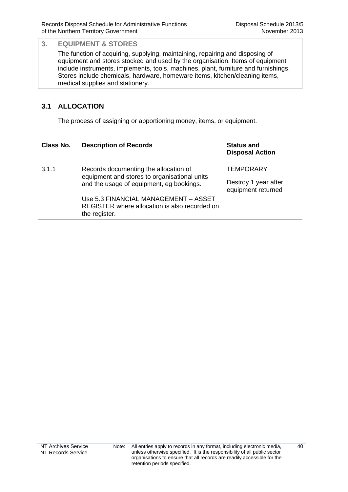The function of acquiring, supplying, maintaining, repairing and disposing of equipment and stores stocked and used by the organisation. Items of equipment include instruments, implements, tools, machines, plant, furniture and furnishings. Stores include chemicals, hardware, homeware items, kitchen/cleaning items, medical supplies and stationery.

## **3.1 ALLOCATION**

The process of assigning or apportioning money, items, or equipment.

#### **Class No. Description of Records Status and**

the register.

**Disposal Action**

3.1.1 Records documenting the allocation of equipment and stores to organisational units and the usage of equipment, eg bookings. **TEMPORARY** Destroy 1 year after equipment returned Use 5.3 FINANCIAL MANAGEMENT – ASSET REGISTER where allocation is also recorded on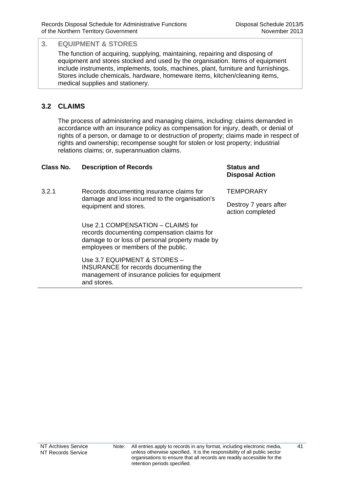The function of acquiring, supplying, maintaining, repairing and disposing of equipment and stores stocked and used by the organisation. Items of equipment include instruments, implements, tools, machines, plant, furniture and furnishings. Stores include chemicals, hardware, homeware items, kitchen/cleaning items, medical supplies and stationery.

## **3.2 CLAIMS**

The process of administering and managing claims, including: claims demanded in accordance with an insurance policy as compensation for injury, death, or denial of rights of a person, or damage to or destruction of property; claims made in respect of rights and ownership; recompense sought for stolen or lost property; industrial relations claims; or, superannuation claims.

| <b>Class No.</b> | <b>Description of Records</b>                                                                                                                                             | <b>Status and</b><br><b>Disposal Action</b> |
|------------------|---------------------------------------------------------------------------------------------------------------------------------------------------------------------------|---------------------------------------------|
| 3.2.1            | Records documenting insurance claims for<br>damage and loss incurred to the organisation's<br>equipment and stores.                                                       | <b>TEMPORARY</b>                            |
|                  |                                                                                                                                                                           | Destroy 7 years after<br>action completed   |
|                  | Use 2.1 COMPENSATION – CLAIMS for<br>records documenting compensation claims for<br>damage to or loss of personal property made by<br>employees or members of the public. |                                             |
|                  | Use 3.7 EQUIPMENT & STORES -<br>INSURANCE for records documenting the<br>management of insurance policies for equipment<br>and stores.                                    |                                             |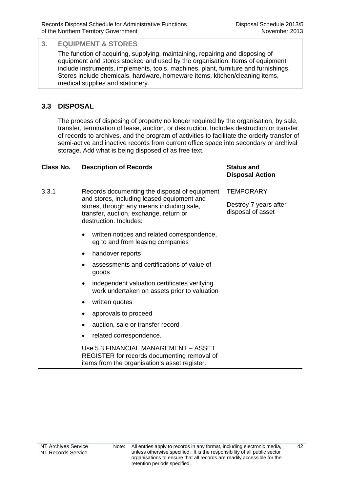The function of acquiring, supplying, maintaining, repairing and disposing of equipment and stores stocked and used by the organisation. Items of equipment include instruments, implements, tools, machines, plant, furniture and furnishings. Stores include chemicals, hardware, homeware items, kitchen/cleaning items, medical supplies and stationery.

## **3.3 DISPOSAL**

The process of disposing of property no longer required by the organisation, by sale, transfer, termination of lease, auction, or destruction. Includes destruction or transfer of records to archives, and the program of activities to facilitate the orderly transfer of semi-active and inactive records from current office space into secondary or archival storage. Add what is being disposed of as free text.

#### **Class No. Description of Records Status and**

- 3.3.1 Records documenting the disposal of equipment and stores, including leased equipment and stores, through any means including sale, transfer, auction, exchange, return or destruction. Includes: **TEMPORARY** disposal of asset
	- written notices and related correspondence, eg to and from leasing companies
	- handover reports
	- assessments and certifications of value of goods
	- independent valuation certificates verifying work undertaken on assets prior to valuation
	- written quotes
	- approvals to proceed
	- auction, sale or transfer record
	- related correspondence.

 Use 5.3 FINANCIAL MANAGEMENT – ASSET REGISTER for records documenting removal of items from the organisation's asset register.

**Disposal Action**

Destroy 7 years after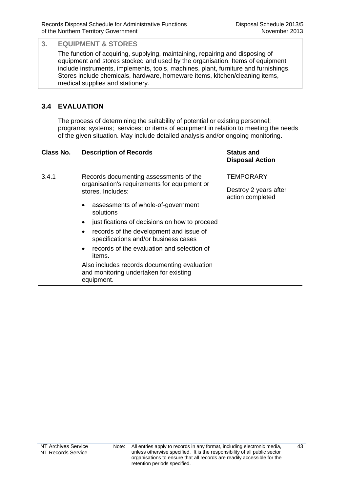equipment.

The function of acquiring, supplying, maintaining, repairing and disposing of equipment and stores stocked and used by the organisation. Items of equipment include instruments, implements, tools, machines, plant, furniture and furnishings. Stores include chemicals, hardware, homeware items, kitchen/cleaning items, medical supplies and stationery.

## **3.4 EVALUATION**

The process of determining the suitability of potential or existing personnel; programs; systems; services; or items of equipment in relation to meeting the needs of the given situation. May include detailed analysis and/or ongoing monitoring.

| Class No. | <b>Description of Records</b>                                                                               | <b>Status and</b><br><b>Disposal Action</b> |
|-----------|-------------------------------------------------------------------------------------------------------------|---------------------------------------------|
| 3.4.1     | Records documenting assessments of the<br>organisation's requirements for equipment or<br>stores. Includes: | <b>TEMPORARY</b>                            |
|           |                                                                                                             | Destroy 2 years after<br>action completed   |
|           | assessments of whole-of-government<br>$\bullet$<br>solutions                                                |                                             |
|           | justifications of decisions on how to proceed<br>$\bullet$                                                  |                                             |
|           | records of the development and issue of<br>$\bullet$<br>specifications and/or business cases                |                                             |
|           | records of the evaluation and selection of<br>$\bullet$<br>items.                                           |                                             |
|           | Also includes records documenting evaluation<br>and monitoring undertaken for existing                      |                                             |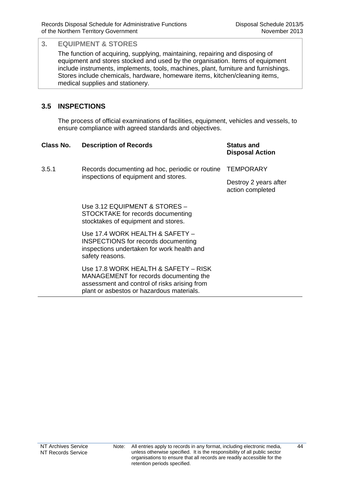The function of acquiring, supplying, maintaining, repairing and disposing of equipment and stores stocked and used by the organisation. Items of equipment include instruments, implements, tools, machines, plant, furniture and furnishings. Stores include chemicals, hardware, homeware items, kitchen/cleaning items, medical supplies and stationery.

## **3.5 INSPECTIONS**

The process of official examinations of facilities, equipment, vehicles and vessels, to ensure compliance with agreed standards and objectives.

| Class No. | <b>Description of Records</b>                                                                                                                                               | <b>Status and</b><br><b>Disposal Action</b> |
|-----------|-----------------------------------------------------------------------------------------------------------------------------------------------------------------------------|---------------------------------------------|
| 3.5.1     | Records documenting ad hoc, periodic or routine<br>inspections of equipment and stores.                                                                                     | TEMPORARY                                   |
|           |                                                                                                                                                                             | Destroy 2 years after<br>action completed   |
|           | Use 3.12 EQUIPMENT & STORES -<br>STOCKTAKE for records documenting<br>stocktakes of equipment and stores.                                                                   |                                             |
|           | Use 17.4 WORK HEALTH & SAFETY -<br><b>INSPECTIONS</b> for records documenting<br>inspections undertaken for work health and<br>safety reasons.                              |                                             |
|           | Use 17.8 WORK HEALTH & SAFETY – RISK<br>MANAGEMENT for records documenting the<br>assessment and control of risks arising from<br>plant or asbestos or hazardous materials. |                                             |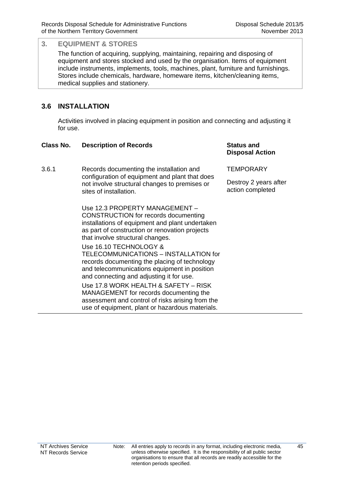The function of acquiring, supplying, maintaining, repairing and disposing of equipment and stores stocked and used by the organisation. Items of equipment include instruments, implements, tools, machines, plant, furniture and furnishings. Stores include chemicals, hardware, homeware items, kitchen/cleaning items, medical supplies and stationery.

## **3.6 INSTALLATION**

Activities involved in placing equipment in position and connecting and adjusting it for use.

#### **Class No. Description of Records Status and**

**Disposal Action**

3.6.1 Records documenting the installation and configuration of equipment and plant that does not involve structural changes to premises or sites of installation.

> Use 12.3 PROPERTY MANAGEMENT – CONSTRUCTION for records documenting installations of equipment and plant undertaken as part of construction or renovation projects that involve structural changes.

Use 16.10 TECHNOLOGY & TELECOMMUNICATIONS – INSTALLATION for records documenting the placing of technology and telecommunications equipment in position and connecting and adjusting it for use.

Use 17.8 WORK HEALTH & SAFETY – RISK MANAGEMENT for records documenting the assessment and control of risks arising from the use of equipment, plant or hazardous materials.

**TEMPORARY**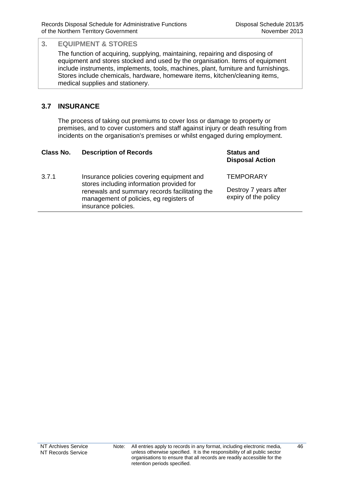The function of acquiring, supplying, maintaining, repairing and disposing of equipment and stores stocked and used by the organisation. Items of equipment include instruments, implements, tools, machines, plant, furniture and furnishings. Stores include chemicals, hardware, homeware items, kitchen/cleaning items, medical supplies and stationery.

## **3.7 INSURANCE**

The process of taking out premiums to cover loss or damage to property or premises, and to cover customers and staff against injury or death resulting from incidents on the organisation's premises or whilst engaged during employment.

| Class No. | <b>Description of Records</b>                                                                                                                                                                             | <b>Status and</b><br><b>Disposal Action</b>                       |
|-----------|-----------------------------------------------------------------------------------------------------------------------------------------------------------------------------------------------------------|-------------------------------------------------------------------|
| 3.7.1     | Insurance policies covering equipment and<br>stores including information provided for<br>renewals and summary records facilitating the<br>management of policies, eg registers of<br>insurance policies. | <b>TEMPORARY</b><br>Destroy 7 years after<br>expiry of the policy |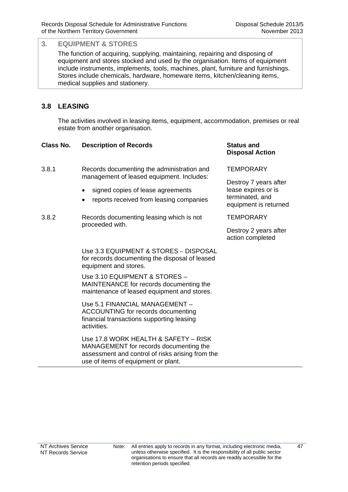The function of acquiring, supplying, maintaining, repairing and disposing of equipment and stores stocked and used by the organisation. Items of equipment include instruments, implements, tools, machines, plant, furniture and furnishings. Stores include chemicals, hardware, homeware items, kitchen/cleaning items, medical supplies and stationery.

## **3.8 LEASING**

The activities involved in leasing items, equipment, accommodation, premises or real estate from another organisation.

#### **Class No. Description of Records Status and**

- 3.8.1 Records documenting the administration and management of leased equipment. Includes:
	- signed copies of lease agreements
	- reports received from leasing companies
- 3.8.2 Records documenting leasing which is not proceeded with.

Use 3.3 EQUIPMENT & STORES – DISPOSAL for records documenting the disposal of leased equipment and stores.

 Use 3.10 EQUIPMENT & STORES – MAINTENANCE for records documenting the maintenance of leased equipment and stores.

 Use 5.1 FINANCIAL MANAGEMENT – ACCOUNTING for records documenting financial transactions supporting leasing activities.

 Use 17.8 WORK HEALTH & SAFETY – RISK MANAGEMENT for records documenting the assessment and control of risks arising from the use of items of equipment or plant.

# **Disposal Action**

**TEMPORARY** 

Destroy 7 years after lease expires or is terminated, and equipment is returned

**TEMPORARY**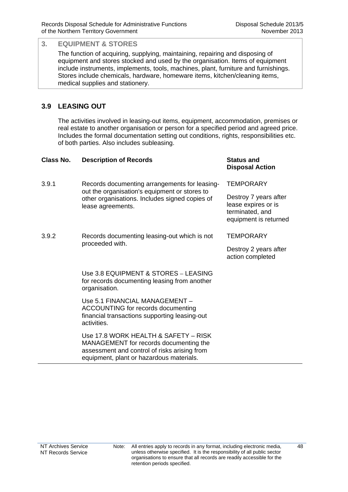The function of acquiring, supplying, maintaining, repairing and disposing of equipment and stores stocked and used by the organisation. Items of equipment include instruments, implements, tools, machines, plant, furniture and furnishings. Stores include chemicals, hardware, homeware items, kitchen/cleaning items, medical supplies and stationery.

## **3.9 LEASING OUT**

The activities involved in leasing-out items, equipment, accommodation, premises or real estate to another organisation or person for a specified period and agreed price. Includes the formal documentation setting out conditions, rights, responsibilities etc. of both parties. Also includes subleasing.

| Class No. | <b>Description of Records</b>                                                                                                                                              | <b>Status and</b><br><b>Disposal Action</b>                                              |
|-----------|----------------------------------------------------------------------------------------------------------------------------------------------------------------------------|------------------------------------------------------------------------------------------|
| 3.9.1     | Records documenting arrangements for leasing-<br>out the organisation's equipment or stores to<br>other organisations. Includes signed copies of<br>lease agreements.      | <b>TEMPORARY</b>                                                                         |
|           |                                                                                                                                                                            | Destroy 7 years after<br>lease expires or is<br>terminated, and<br>equipment is returned |
| 3.9.2     | Records documenting leasing-out which is not<br>proceeded with.                                                                                                            | <b>TEMPORARY</b>                                                                         |
|           |                                                                                                                                                                            | Destroy 2 years after<br>action completed                                                |
|           | Use 3.8 EQUIPMENT & STORES - LEASING<br>for records documenting leasing from another<br>organisation.                                                                      |                                                                                          |
|           | Use 5.1 FINANCIAL MANAGEMENT -<br>ACCOUNTING for records documenting<br>financial transactions supporting leasing-out<br>activities.                                       |                                                                                          |
|           | Use 17.8 WORK HEALTH & SAFETY - RISK<br>MANAGEMENT for records documenting the<br>assessment and control of risks arising from<br>equipment, plant or hazardous materials. |                                                                                          |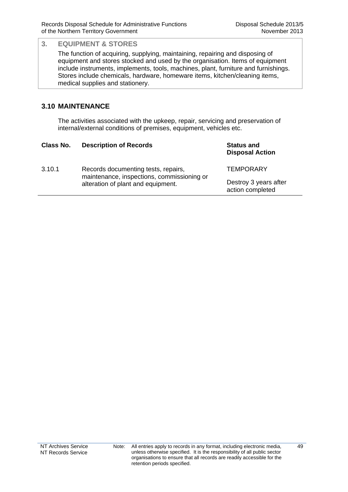The function of acquiring, supplying, maintaining, repairing and disposing of equipment and stores stocked and used by the organisation. Items of equipment include instruments, implements, tools, machines, plant, furniture and furnishings. Stores include chemicals, hardware, homeware items, kitchen/cleaning items, medical supplies and stationery.

### **3.10 MAINTENANCE**

The activities associated with the upkeep, repair, servicing and preservation of internal/external conditions of premises, equipment, vehicles etc.

| Class No. | <b>Description of Records</b>                                                                                           | <b>Status and</b><br><b>Disposal Action</b> |
|-----------|-------------------------------------------------------------------------------------------------------------------------|---------------------------------------------|
| 3.10.1    | Records documenting tests, repairs,<br>maintenance, inspections, commissioning or<br>alteration of plant and equipment. | <b>TEMPORARY</b>                            |
|           |                                                                                                                         | Destroy 3 years after<br>action completed   |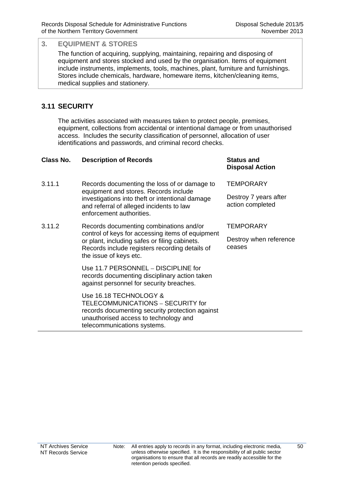The function of acquiring, supplying, maintaining, repairing and disposing of equipment and stores stocked and used by the organisation. Items of equipment include instruments, implements, tools, machines, plant, furniture and furnishings. Stores include chemicals, hardware, homeware items, kitchen/cleaning items, medical supplies and stationery.

## **3.11 SECURITY**

The activities associated with measures taken to protect people, premises, equipment, collections from accidental or intentional damage or from unauthorised access. Includes the security classification of personnel, allocation of user identifications and passwords, and criminal record checks.

| Class No. | <b>Description of Records</b>                                                                                                                                                                                            | <b>Status and</b><br><b>Disposal Action</b> |
|-----------|--------------------------------------------------------------------------------------------------------------------------------------------------------------------------------------------------------------------------|---------------------------------------------|
| 3.11.1    | Records documenting the loss of or damage to<br>equipment and stores. Records include<br>investigations into theft or intentional damage<br>and referral of alleged incidents to law<br>enforcement authorities.         | <b>TEMPORARY</b>                            |
|           |                                                                                                                                                                                                                          | Destroy 7 years after<br>action completed   |
| 3.11.2    | Records documenting combinations and/or<br>control of keys for accessing items of equipment<br>or plant, including safes or filing cabinets.<br>Records include registers recording details of<br>the issue of keys etc. | <b>TEMPORARY</b>                            |
|           |                                                                                                                                                                                                                          | Destroy when reference<br>ceases            |
|           | Use 11.7 PERSONNEL - DISCIPLINE for<br>records documenting disciplinary action taken<br>against personnel for security breaches.                                                                                         |                                             |
|           | Use 16.18 TECHNOLOGY &<br>TELECOMMUNICATIONS - SECURITY for<br>records documenting security protection against<br>unauthorised access to technology and<br>telecommunications systems.                                   |                                             |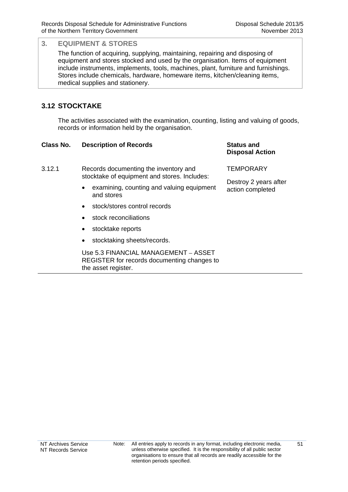The function of acquiring, supplying, maintaining, repairing and disposing of equipment and stores stocked and used by the organisation. Items of equipment include instruments, implements, tools, machines, plant, furniture and furnishings. Stores include chemicals, hardware, homeware items, kitchen/cleaning items, medical supplies and stationery.

## **3.12 STOCKTAKE**

The activities associated with the examination, counting, listing and valuing of goods, records or information held by the organisation.

#### **Class No. Description of Records Status and**

**Disposal Action**

action completed

#### 3.12.1 Records documenting the inventory and stocktake of equipment and stores. Includes: **TEMPORARY** Destroy 2 years after

- examining, counting and valuing equipment and stores
- stock/stores control records
- stock reconciliations
- stocktake reports
- stocktaking sheets/records.

 Use 5.3 FINANCIAL MANAGEMENT – ASSET REGISTER for records documenting changes to the asset register.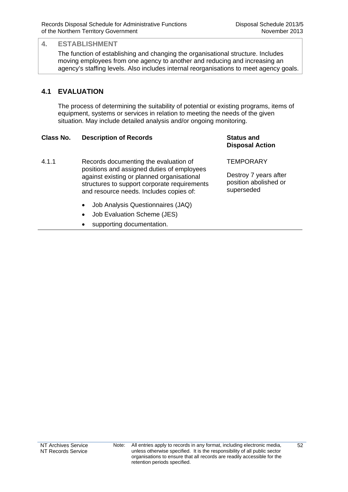#### **4. ESTABLISHMENT**

The function of establishing and changing the organisational structure. Includes moving employees from one agency to another and reducing and increasing an agency's staffing levels. Also includes internal reorganisations to meet agency goals.

### **4.1 EVALUATION**

The process of determining the suitability of potential or existing programs, items of equipment, systems or services in relation to meeting the needs of the given situation. May include detailed analysis and/or ongoing monitoring.

#### **Class No. Description of Records Status and**

4.1.1 Records documenting the evaluation of positions and assigned duties of employees against existing or planned organisational structures to support corporate requirements and resource needs. Includes copies of:

- Job Analysis Questionnaires (JAQ)
- Job Evaluation Scheme (JES)
- supporting documentation.

**Disposal Action**

**TEMPORARY** 

Destroy 7 years after position abolished or superseded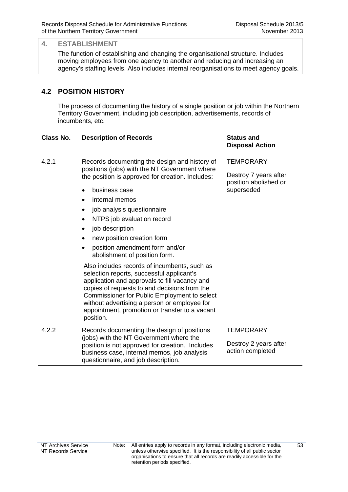#### **4. ESTABLISHMENT**

The function of establishing and changing the organisational structure. Includes moving employees from one agency to another and reducing and increasing an agency's staffing levels. Also includes internal reorganisations to meet agency goals.

## **4.2 POSITION HISTORY**

The process of documenting the history of a single position or job within the Northern Territory Government, including job description, advertisements, records of incumbents, etc.

#### **Class No. Description of Records <b>Status and Status and**  Status and

4.2.1 Records documenting the design and history of positions (jobs) with the NT Government where the position is approved for creation. Includes:

- business case
- internal memos
- job analysis questionnaire
- NTPS job evaluation record
- job description
- new position creation form
- position amendment form and/or abolishment of position form.

Also includes records of incumbents, such as selection reports, successful applicant's application and approvals to fill vacancy and copies of requests to and decisions from the Commissioner for Public Employment to select without advertising a person or employee for appointment, promotion or transfer to a vacant position.

4.2.2 Records documenting the design of positions (jobs) with the NT Government where the position is not approved for creation. Includes business case, internal memos, job analysis questionnaire, and job description.

# **Disposal Action**

**TEMPORARY** 

Destroy 7 years after position abolished or superseded

#### **TFMPORARY**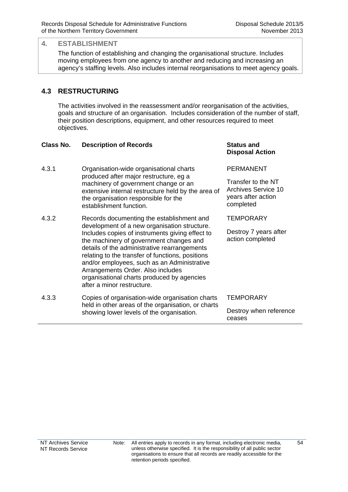#### **4. ESTABLISHMENT**

The function of establishing and changing the organisational structure. Includes moving employees from one agency to another and reducing and increasing an agency's staffing levels. Also includes internal reorganisations to meet agency goals.

## **4.3 RESTRUCTURING**

The activities involved in the reassessment and/or reorganisation of the activities, goals and structure of an organisation. Includes consideration of the number of staff, their position descriptions, equipment, and other resources required to meet objectives.

#### **Class No. Description of Records Status and**

**Disposal Action**

Transfer to the NT Archives Service 10 years after action

PERMANENT

completed

4.3.1 Organisation-wide organisational charts produced after major restructure, eg a machinery of government change or an extensive internal restructure held by the area of the organisation responsible for the establishment function.

- 4.3.2 Records documenting the establishment and development of a new organisation structure. Includes copies of instruments giving effect to the machinery of government changes and details of the administrative rearrangements relating to the transfer of functions, positions and/or employees, such as an Administrative Arrangements Order. Also includes organisational charts produced by agencies after a minor restructure. **TEMPORARY** Destroy 7 years after action completed
- 4.3.3 Copies of organisation-wide organisation charts held in other areas of the organisation, or charts showing lower levels of the organisation. **TEMPORARY** Destroy when reference ceases

Note: All entries apply to records in any format, including electronic media, unless otherwise specified. It is the responsibility of all public sector organisations to ensure that all records are readily accessible for the retention periods specified.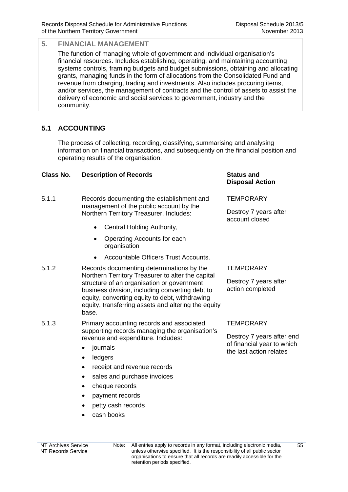The function of managing whole of government and individual organisation's financial resources. Includes establishing, operating, and maintaining accounting systems controls, framing budgets and budget submissions, obtaining and allocating grants, managing funds in the form of allocations from the Consolidated Fund and revenue from charging, trading and investments. Also includes procuring items, and/or services, the management of contracts and the control of assets to assist the delivery of economic and social services to government, industry and the community.

## **5.1 ACCOUNTING**

The process of collecting, recording, classifying, summarising and analysing information on financial transactions, and subsequently on the financial position and operating results of the organisation.

#### **Class No. Description of Records Status and**

- 5.1.1 Records documenting the establishment and management of the public account by the Northern Territory Treasurer. Includes:
	- Central Holding Authority,
	- Operating Accounts for each organisation
	- Accountable Officers Trust Accounts.
- 5.1.2 Records documenting determinations by the Northern Territory Treasurer to alter the capital structure of an organisation or government business division, including converting debt to equity, converting equity to debt, withdrawing equity, transferring assets and altering the equity base.
- 5.1.3 Primary accounting records and associated supporting records managing the organisation's revenue and expenditure. Includes:
	- journals
	- ledgers
	- receipt and revenue records
	- sales and purchase invoices
	- cheque records
	- payment records
	- petty cash records
	- cash books

# **Disposal Action**

**TEMPORARY** 

Destroy 7 years after account closed

#### **TFMPORARY**

Destroy 7 years after action completed

#### **TEMPORARY**

Destroy 7 years after end of financial year to which the last action relates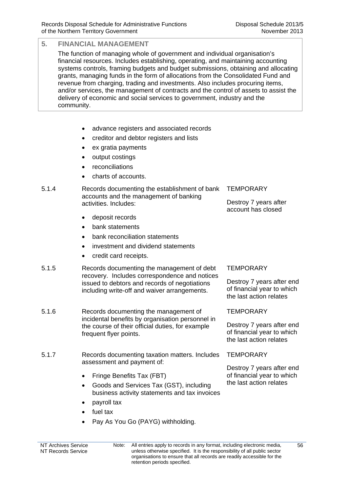The function of managing whole of government and individual organisation's financial resources. Includes establishing, operating, and maintaining accounting systems controls, framing budgets and budget submissions, obtaining and allocating grants, managing funds in the form of allocations from the Consolidated Fund and revenue from charging, trading and investments. Also includes procuring items, and/or services, the management of contracts and the control of assets to assist the delivery of economic and social services to government, industry and the community.

- advance registers and associated records
- creditor and debtor registers and lists
- ex gratia payments
- output costings
- reconciliations
- charts of accounts.

#### 5.1.4 Records documenting the establishment of bank accounts and the management of banking activities. Includes:

- deposit records
- bank statements
- bank reconciliation statements
- investment and dividend statements
- credit card receipts.
- 5.1.5 Records documenting the management of debt recovery. Includes correspondence and notices issued to debtors and records of negotiations including write-off and waiver arrangements.
- 5.1.6 Records documenting the management of incidental benefits by organisation personnel in the course of their official duties, for example frequent flyer points.
- 5.1.7 Records documenting taxation matters. Includes assessment and payment of:
	- Fringe Benefits Tax (FBT)
	- Goods and Services Tax (GST), including business activity statements and tax invoices
	- payroll tax
	- fuel tax
	- Pay As You Go (PAYG) withholding.

#### NT Archives Service NT Records Service

Note: All entries apply to records in any format, including electronic media, unless otherwise specified. It is the responsibility of all public sector organisations to ensure that all records are readily accessible for the retention periods specified.

**TEMPORARY** 

Destroy 7 years after account has closed

#### **TEMPORARY**

Destroy 7 years after end of financial year to which the last action relates

**TFMPORARY** 

Destroy 7 years after end of financial year to which the last action relates

#### **TEMPORARY**

Destroy 7 years after end of financial year to which the last action relates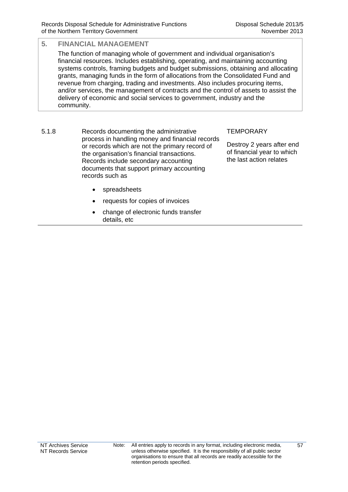The function of managing whole of government and individual organisation's financial resources. Includes establishing, operating, and maintaining accounting systems controls, framing budgets and budget submissions, obtaining and allocating grants, managing funds in the form of allocations from the Consolidated Fund and revenue from charging, trading and investments. Also includes procuring items, and/or services, the management of contracts and the control of assets to assist the delivery of economic and social services to government, industry and the community.

5.1.8 Records documenting the administrative process in handling money and financial records or records which are not the primary record of the organisation's financial transactions. Records include secondary accounting documents that support primary accounting records such as

#### **TEMPORARY**

Destroy 2 years after end of financial year to which the last action relates

- spreadsheets
- requests for copies of invoices
- change of electronic funds transfer details, etc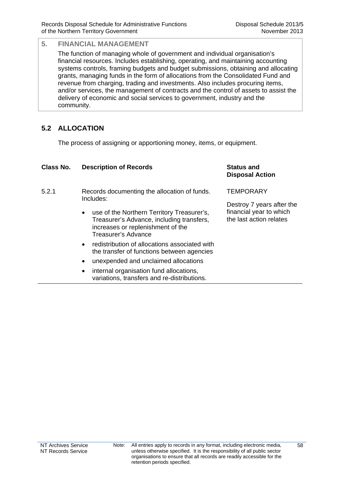The function of managing whole of government and individual organisation's financial resources. Includes establishing, operating, and maintaining accounting systems controls, framing budgets and budget submissions, obtaining and allocating grants, managing funds in the form of allocations from the Consolidated Fund and revenue from charging, trading and investments. Also includes procuring items, and/or services, the management of contracts and the control of assets to assist the delivery of economic and social services to government, industry and the community.

## **5.2 ALLOCATION**

The process of assigning or apportioning money, items, or equipment.

| Class No. | <b>Description of Records</b>                                                                                                                            | <b>Status and</b><br><b>Disposal Action</b>                                     |
|-----------|----------------------------------------------------------------------------------------------------------------------------------------------------------|---------------------------------------------------------------------------------|
| 5.2.1     | Records documenting the allocation of funds.<br>Includes:                                                                                                | <b>TEMPORARY</b>                                                                |
|           | use of the Northern Territory Treasurer's,<br>٠<br>Treasurer's Advance, including transfers,<br>increases or replenishment of the<br>Treasurer's Advance | Destroy 7 years after the<br>financial year to which<br>the last action relates |
|           | redistribution of allocations associated with<br>$\bullet$<br>the transfer of functions between agencies                                                 |                                                                                 |
|           | unexpended and unclaimed allocations<br>$\bullet$                                                                                                        |                                                                                 |
|           | internal organisation fund allocations,<br>٠<br>variations, transfers and re-distributions.                                                              |                                                                                 |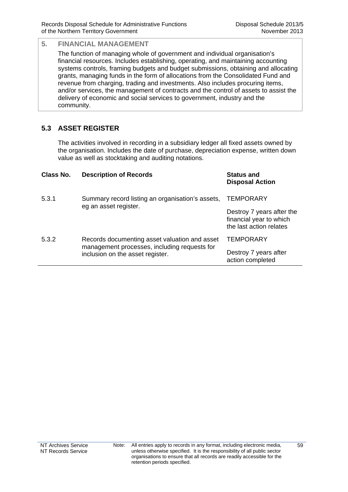The function of managing whole of government and individual organisation's financial resources. Includes establishing, operating, and maintaining accounting systems controls, framing budgets and budget submissions, obtaining and allocating grants, managing funds in the form of allocations from the Consolidated Fund and revenue from charging, trading and investments. Also includes procuring items, and/or services, the management of contracts and the control of assets to assist the delivery of economic and social services to government, industry and the community.

## **5.3 ASSET REGISTER**

The activities involved in recording in a subsidiary ledger all fixed assets owned by the organisation. Includes the date of purchase, depreciation expense, written down value as well as stocktaking and auditing notations.

| Class No. | <b>Description of Records</b>                                                                                                     | <b>Status and</b><br><b>Disposal Action</b>                                     |
|-----------|-----------------------------------------------------------------------------------------------------------------------------------|---------------------------------------------------------------------------------|
| 5.3.1     | Summary record listing an organisation's assets,<br>eg an asset register.                                                         | <b>TEMPORARY</b>                                                                |
|           |                                                                                                                                   | Destroy 7 years after the<br>financial year to which<br>the last action relates |
| 5.3.2     | Records documenting asset valuation and asset<br>management processes, including requests for<br>inclusion on the asset register. | <b>TEMPORARY</b>                                                                |
|           |                                                                                                                                   | Destroy 7 years after<br>action completed                                       |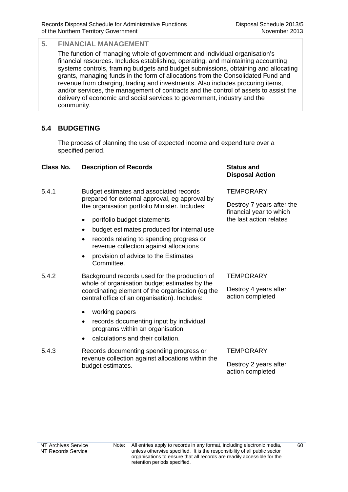The function of managing whole of government and individual organisation's financial resources. Includes establishing, operating, and maintaining accounting systems controls, framing budgets and budget submissions, obtaining and allocating grants, managing funds in the form of allocations from the Consolidated Fund and revenue from charging, trading and investments. Also includes procuring items, and/or services, the management of contracts and the control of assets to assist the delivery of economic and social services to government, industry and the community.

## **5.4 BUDGETING**

The process of planning the use of expected income and expenditure over a specified period.

#### **Class No. Description of Records Status and**

| 5.4.1 | Budget estimates and associated records        |
|-------|------------------------------------------------|
|       | prepared for external approval, eg approval by |
|       | the organisation portfolio Minister. Includes: |

- portfolio budget statements
- budget estimates produced for internal use
- records relating to spending progress or revenue collection against allocations
- provision of advice to the Estimates Committee.
- 5.4.2 Background records used for the production of whole of organisation budget estimates by the coordinating element of the organisation (eg the central office of an organisation). Includes:
	- working papers
	- records documenting input by individual programs within an organisation
	- calculations and their collation.
- 5.4.3 Records documenting spending progress or revenue collection against allocations within the budget estimates.

## **Disposal Action**

**TEMPORARY** 

Destroy 7 years after the financial year to which the last action relates

#### **TEMPORARY**

Destroy 4 years after action completed

#### **TEMPORARY**

Destroy 2 years after action completed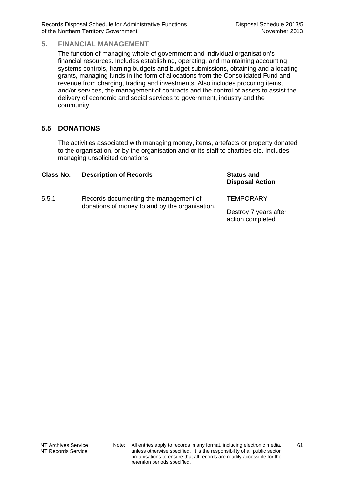The function of managing whole of government and individual organisation's financial resources. Includes establishing, operating, and maintaining accounting systems controls, framing budgets and budget submissions, obtaining and allocating grants, managing funds in the form of allocations from the Consolidated Fund and revenue from charging, trading and investments. Also includes procuring items, and/or services, the management of contracts and the control of assets to assist the delivery of economic and social services to government, industry and the community.

## **5.5 DONATIONS**

The activities associated with managing money, items, artefacts or property donated to the organisation, or by the organisation and or its staff to charities etc. Includes managing unsolicited donations.

| Class No. | <b>Description of Records</b>                                                           | <b>Status and</b><br><b>Disposal Action</b> |
|-----------|-----------------------------------------------------------------------------------------|---------------------------------------------|
| 5.5.1     | Records documenting the management of<br>donations of money to and by the organisation. | <b>TEMPORARY</b>                            |
|           |                                                                                         | Destroy 7 years after<br>action completed   |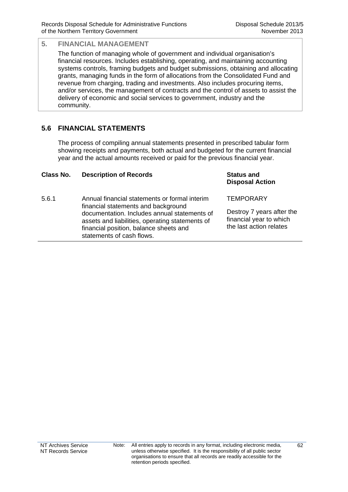**Disposal Action**

### **5. FINANCIAL MANAGEMENT**

The function of managing whole of government and individual organisation's financial resources. Includes establishing, operating, and maintaining accounting systems controls, framing budgets and budget submissions, obtaining and allocating grants, managing funds in the form of allocations from the Consolidated Fund and revenue from charging, trading and investments. Also includes procuring items, and/or services, the management of contracts and the control of assets to assist the delivery of economic and social services to government, industry and the community.

## **5.6 FINANCIAL STATEMENTS**

The process of compiling annual statements presented in prescribed tabular form showing receipts and payments, both actual and budgeted for the current financial year and the actual amounts received or paid for the previous financial year.

#### **Class No. Description of Records Status and**

5.6.1 Annual financial statements or formal interim financial statements and background documentation. Includes annual statements of assets and liabilities, operating statements of financial position, balance sheets and statements of cash flows. **TEMPORARY** Destroy 7 years after the financial year to which the last action relates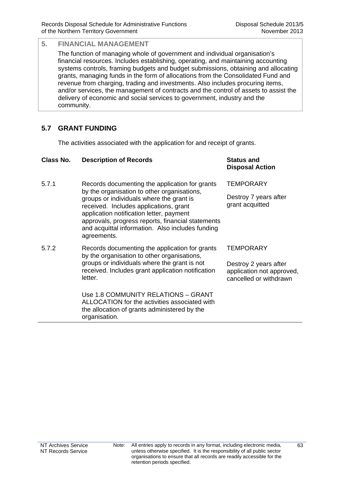The function of managing whole of government and individual organisation's financial resources. Includes establishing, operating, and maintaining accounting systems controls, framing budgets and budget submissions, obtaining and allocating grants, managing funds in the form of allocations from the Consolidated Fund and revenue from charging, trading and investments. Also includes procuring items, and/or services, the management of contracts and the control of assets to assist the delivery of economic and social services to government, industry and the community.

## **5.7 GRANT FUNDING**

The activities associated with the application for and receipt of grants.

| Class No. | <b>Description of Records</b>                                                                                                                                                                                                                                                                                                                           | <b>Status and</b><br><b>Disposal Action</b>                                  |
|-----------|---------------------------------------------------------------------------------------------------------------------------------------------------------------------------------------------------------------------------------------------------------------------------------------------------------------------------------------------------------|------------------------------------------------------------------------------|
| 5.7.1     | Records documenting the application for grants<br>by the organisation to other organisations,<br>groups or individuals where the grant is<br>received. Includes applications, grant<br>application notification letter, payment<br>approvals, progress reports, financial statements<br>and acquittal information. Also includes funding<br>agreements. | <b>TEMPORARY</b>                                                             |
|           |                                                                                                                                                                                                                                                                                                                                                         | Destroy 7 years after<br>grant acquitted                                     |
| 5.7.2     | Records documenting the application for grants<br>by the organisation to other organisations,<br>groups or individuals where the grant is not<br>received. Includes grant application notification<br>letter.                                                                                                                                           | <b>TEMPORARY</b>                                                             |
|           |                                                                                                                                                                                                                                                                                                                                                         | Destroy 2 years after<br>application not approved,<br>cancelled or withdrawn |
|           | Use 1.8 COMMUNITY RELATIONS - GRANT<br>ALLOCATION for the activities associated with<br>the allocation of grants administered by the<br>organisation.                                                                                                                                                                                                   |                                                                              |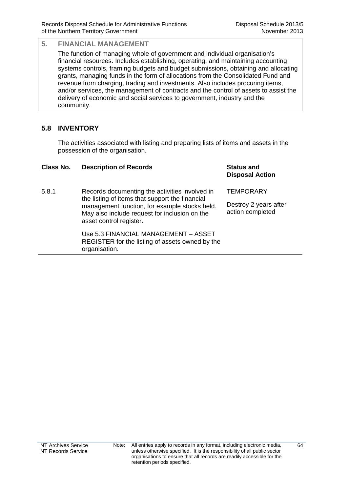The function of managing whole of government and individual organisation's financial resources. Includes establishing, operating, and maintaining accounting systems controls, framing budgets and budget submissions, obtaining and allocating grants, managing funds in the form of allocations from the Consolidated Fund and revenue from charging, trading and investments. Also includes procuring items, and/or services, the management of contracts and the control of assets to assist the delivery of economic and social services to government, industry and the community.

## **5.8 INVENTORY**

The activities associated with listing and preparing lists of items and assets in the possession of the organisation.

| Class No. | <b>Description of Records</b>                                                                                             | <b>Status and</b><br><b>Disposal Action</b> |
|-----------|---------------------------------------------------------------------------------------------------------------------------|---------------------------------------------|
| 5.8.1     | Records documenting the activities involved in<br>the listing of items that support the financial                         | <b>TEMPORARY</b>                            |
|           | management function, for example stocks held.<br>May also include request for inclusion on the<br>asset control register. | Destroy 2 years after<br>action completed   |
|           | Use 5.3 FINANCIAL MANAGEMENT – ASSET<br>REGISTER for the listing of assets owned by the<br>organisation.                  |                                             |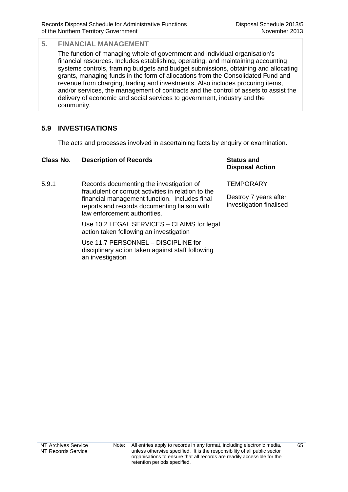The function of managing whole of government and individual organisation's financial resources. Includes establishing, operating, and maintaining accounting systems controls, framing budgets and budget submissions, obtaining and allocating grants, managing funds in the form of allocations from the Consolidated Fund and revenue from charging, trading and investments. Also includes procuring items, and/or services, the management of contracts and the control of assets to assist the delivery of economic and social services to government, industry and the community.

## **5.9 INVESTIGATIONS**

The acts and processes involved in ascertaining facts by enquiry or examination.

| Class No. | <b>Description of Records</b>                                                                                                                                                                                                    | <b>Status and</b><br><b>Disposal Action</b>                          |
|-----------|----------------------------------------------------------------------------------------------------------------------------------------------------------------------------------------------------------------------------------|----------------------------------------------------------------------|
| 5.9.1     | Records documenting the investigation of<br>fraudulent or corrupt activities in relation to the<br>financial management function. Includes final<br>reports and records documenting liaison with<br>law enforcement authorities. | <b>TEMPORARY</b><br>Destroy 7 years after<br>investigation finalised |
|           | Use 10.2 LEGAL SERVICES - CLAIMS for legal<br>action taken following an investigation                                                                                                                                            |                                                                      |
|           | Use 11.7 PERSONNEL - DISCIPLINE for<br>disciplinary action taken against staff following<br>an investigation                                                                                                                     |                                                                      |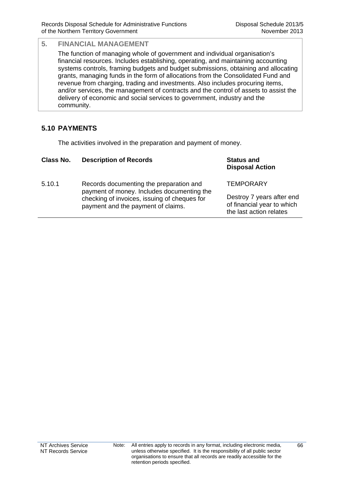The function of managing whole of government and individual organisation's financial resources. Includes establishing, operating, and maintaining accounting systems controls, framing budgets and budget submissions, obtaining and allocating grants, managing funds in the form of allocations from the Consolidated Fund and revenue from charging, trading and investments. Also includes procuring items, and/or services, the management of contracts and the control of assets to assist the delivery of economic and social services to government, industry and the community.

## **5.10 PAYMENTS**

The activities involved in the preparation and payment of money.

| Class No. | <b>Description of Records</b>                                                         | <b>Status and</b><br><b>Disposal Action</b>                                        |
|-----------|---------------------------------------------------------------------------------------|------------------------------------------------------------------------------------|
| 5.10.1    | Records documenting the preparation and<br>payment of money. Includes documenting the | <b>TEMPORARY</b>                                                                   |
|           | checking of invoices, issuing of cheques for<br>payment and the payment of claims.    | Destroy 7 years after end<br>of financial year to which<br>the last action relates |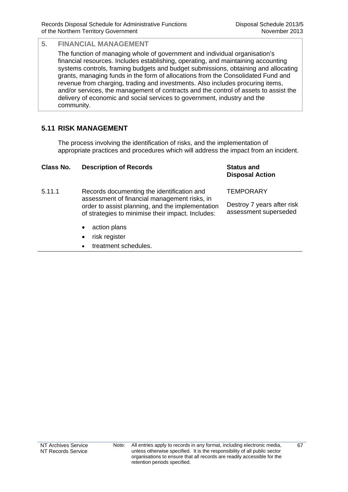The function of managing whole of government and individual organisation's financial resources. Includes establishing, operating, and maintaining accounting systems controls, framing budgets and budget submissions, obtaining and allocating grants, managing funds in the form of allocations from the Consolidated Fund and revenue from charging, trading and investments. Also includes procuring items, and/or services, the management of contracts and the control of assets to assist the delivery of economic and social services to government, industry and the community.

## **5.11 RISK MANAGEMENT**

The process involving the identification of risks, and the implementation of appropriate practices and procedures which will address the impact from an incident.

| Class No. | <b>Description of Records</b>                                                                                                                                                                       | <b>Status and</b><br><b>Disposal Action</b>         |
|-----------|-----------------------------------------------------------------------------------------------------------------------------------------------------------------------------------------------------|-----------------------------------------------------|
| 5.11.1    | Records documenting the identification and<br>assessment of financial management risks, in<br>order to assist planning, and the implementation<br>of strategies to minimise their impact. Includes: | <b>TEMPORARY</b>                                    |
|           |                                                                                                                                                                                                     | Destroy 7 years after risk<br>assessment superseded |
|           | المستملس سملكمات                                                                                                                                                                                    |                                                     |

- action plans
- risk register
- treatment schedules.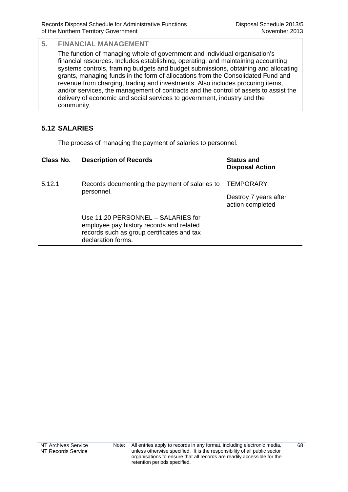The function of managing whole of government and individual organisation's financial resources. Includes establishing, operating, and maintaining accounting systems controls, framing budgets and budget submissions, obtaining and allocating grants, managing funds in the form of allocations from the Consolidated Fund and revenue from charging, trading and investments. Also includes procuring items, and/or services, the management of contracts and the control of assets to assist the delivery of economic and social services to government, industry and the community.

## **5.12 SALARIES**

The process of managing the payment of salaries to personnel.

| Class No. | <b>Description of Records</b>                                                                                                                      | <b>Status and</b><br><b>Disposal Action</b> |
|-----------|----------------------------------------------------------------------------------------------------------------------------------------------------|---------------------------------------------|
| 5.12.1    | Records documenting the payment of salaries to<br>personnel.                                                                                       | <b>TEMPORARY</b>                            |
|           |                                                                                                                                                    | Destroy 7 years after<br>action completed   |
|           | Use 11.20 PERSONNEL - SALARIES for<br>employee pay history records and related<br>records such as group certificates and tax<br>declaration forms. |                                             |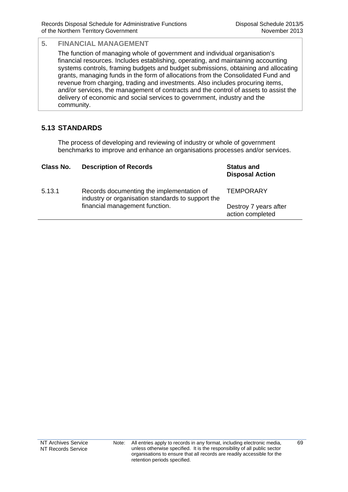The function of managing whole of government and individual organisation's financial resources. Includes establishing, operating, and maintaining accounting systems controls, framing budgets and budget submissions, obtaining and allocating grants, managing funds in the form of allocations from the Consolidated Fund and revenue from charging, trading and investments. Also includes procuring items, and/or services, the management of contracts and the control of assets to assist the delivery of economic and social services to government, industry and the community.

## **5.13 STANDARDS**

The process of developing and reviewing of industry or whole of government benchmarks to improve and enhance an organisations processes and/or services.

| Class No. | <b>Description of Records</b>                                                                  | <b>Status and</b><br><b>Disposal Action</b> |
|-----------|------------------------------------------------------------------------------------------------|---------------------------------------------|
| 5.13.1    | Records documenting the implementation of<br>industry or organisation standards to support the | <b>TEMPORARY</b>                            |
|           | financial management function.                                                                 | Destroy 7 years after<br>action completed   |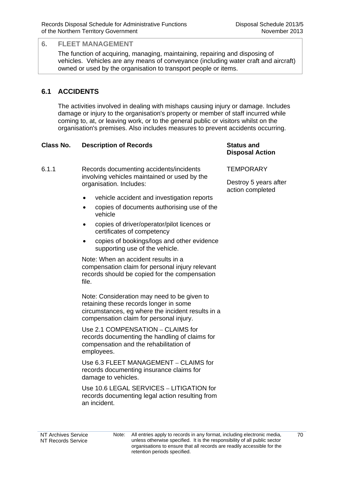The function of acquiring, managing, maintaining, repairing and disposing of vehicles. Vehicles are any means of conveyance (including water craft and aircraft) owned or used by the organisation to transport people or items.

## **6.1 ACCIDENTS**

The activities involved in dealing with mishaps causing injury or damage. Includes damage or injury to the organisation's property or member of staff incurred while coming to, at, or leaving work, or to the general public or visitors whilst on the organisation's premises. Also includes measures to prevent accidents occurring.

#### **Class No. Description of Records Status and**

6.1.1 Records documenting accidents/incidents involving vehicles maintained or used by the organisation. Includes:

- vehicle accident and investigation reports
- copies of documents authorising use of the vehicle
- copies of driver/operator/pilot licences or certificates of competency
- copies of bookings/logs and other evidence supporting use of the vehicle.

Note: When an accident results in a compensation claim for personal injury relevant records should be copied for the compensation file.

Note: Consideration may need to be given to retaining these records longer in some circumstances, eg where the incident results in a compensation claim for personal injury.

 Use 2.1 COMPENSATION – CLAIMS for records documenting the handling of claims for compensation and the rehabilitation of employees.

 Use 6.3 FLEET MANAGEMENT – CLAIMS for records documenting insurance claims for damage to vehicles.

 Use 10.6 LEGAL SERVICES – LITIGATION for records documenting legal action resulting from an incident.

# **Disposal Action**

#### **TEMPORARY**

Destroy 5 years after action completed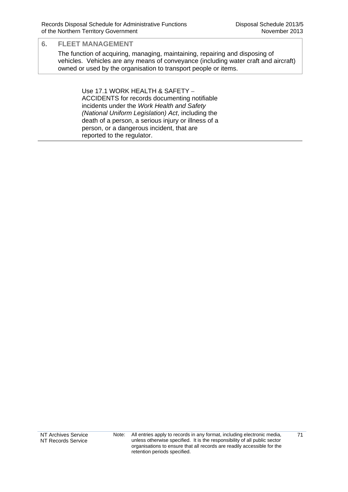The function of acquiring, managing, maintaining, repairing and disposing of vehicles. Vehicles are any means of conveyance (including water craft and aircraft) owned or used by the organisation to transport people or items.

> Use 17.1 WORK HEALTH & SAFETY – ACCIDENTS for records documenting notifiable incidents under the *Work Health and Safety (National Uniform Legislation) Act*, including the death of a person, a serious injury or illness of a person, or a dangerous incident, that are reported to the regulator.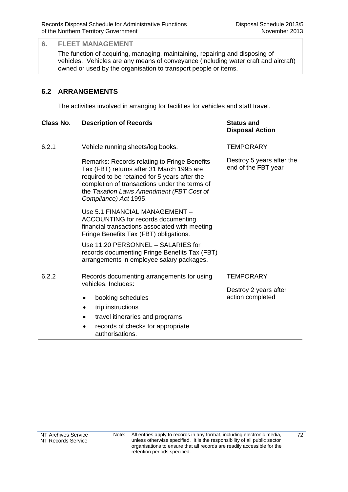The function of acquiring, managing, maintaining, repairing and disposing of vehicles. Vehicles are any means of conveyance (including water craft and aircraft) owned or used by the organisation to transport people or items.

## **6.2 ARRANGEMENTS**

The activities involved in arranging for facilities for vehicles and staff travel.

| Class No. | <b>Description of Records</b>                                                                                                                                                                                                                                    | <b>Status and</b><br><b>Disposal Action</b>      |
|-----------|------------------------------------------------------------------------------------------------------------------------------------------------------------------------------------------------------------------------------------------------------------------|--------------------------------------------------|
| 6.2.1     | Vehicle running sheets/log books.                                                                                                                                                                                                                                | <b>TEMPORARY</b>                                 |
|           | Remarks: Records relating to Fringe Benefits<br>Tax (FBT) returns after 31 March 1995 are<br>required to be retained for 5 years after the<br>completion of transactions under the terms of<br>the Taxation Laws Amendment (FBT Cost of<br>Compliance) Act 1995. | Destroy 5 years after the<br>end of the FBT year |
|           | Use 5.1 FINANCIAL MANAGEMENT -<br>ACCOUNTING for records documenting<br>financial transactions associated with meeting<br>Fringe Benefits Tax (FBT) obligations.                                                                                                 |                                                  |
|           | Use 11.20 PERSONNEL - SALARIES for<br>records documenting Fringe Benefits Tax (FBT)<br>arrangements in employee salary packages.                                                                                                                                 |                                                  |
| 6.2.2     | Records documenting arrangements for using<br>vehicles. Includes:                                                                                                                                                                                                | TEMPORARY                                        |
|           |                                                                                                                                                                                                                                                                  | Destroy 2 years after                            |
|           | booking schedules<br>$\bullet$                                                                                                                                                                                                                                   | action completed                                 |
|           | trip instructions<br>$\bullet$                                                                                                                                                                                                                                   |                                                  |
|           | travel itineraries and programs<br>$\bullet$                                                                                                                                                                                                                     |                                                  |
|           | records of checks for appropriate<br>authorisations.                                                                                                                                                                                                             |                                                  |

72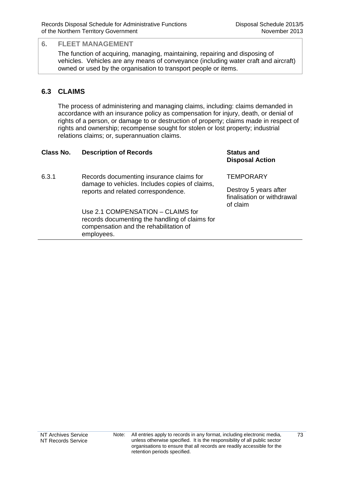The function of acquiring, managing, maintaining, repairing and disposing of vehicles. Vehicles are any means of conveyance (including water craft and aircraft) owned or used by the organisation to transport people or items.

## **6.3 CLAIMS**

The process of administering and managing claims, including: claims demanded in accordance with an insurance policy as compensation for injury, death, or denial of rights of a person, or damage to or destruction of property; claims made in respect of rights and ownership; recompense sought for stolen or lost property; industrial relations claims; or, superannuation claims.

| Class No. | <b>Description of Records</b>                                                                                                               | <b>Status and</b><br><b>Disposal Action</b>                     |
|-----------|---------------------------------------------------------------------------------------------------------------------------------------------|-----------------------------------------------------------------|
| 6.3.1     | Records documenting insurance claims for<br>damage to vehicles. Includes copies of claims,<br>reports and related correspondence.           | <b>TEMPORARY</b>                                                |
|           |                                                                                                                                             | Destroy 5 years after<br>finalisation or withdrawal<br>of claim |
|           | Use 2.1 COMPENSATION - CLAIMS for<br>records documenting the handling of claims for<br>compensation and the rehabilitation of<br>employees. |                                                                 |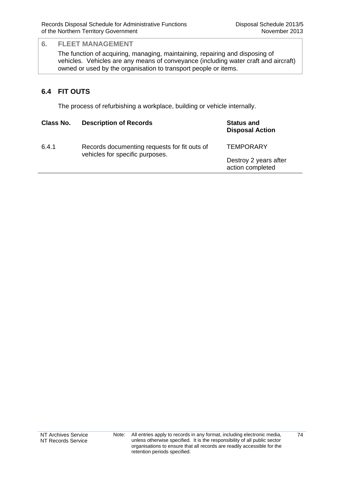The function of acquiring, managing, maintaining, repairing and disposing of vehicles. Vehicles are any means of conveyance (including water craft and aircraft) owned or used by the organisation to transport people or items.

## **6.4 FIT OUTS**

The process of refurbishing a workplace, building or vehicle internally.

| Class No. | <b>Description of Records</b>                                                   | <b>Status and</b><br><b>Disposal Action</b> |
|-----------|---------------------------------------------------------------------------------|---------------------------------------------|
| 6.4.1     | Records documenting requests for fit outs of<br>vehicles for specific purposes. | <b>TEMPORARY</b>                            |
|           |                                                                                 | Destroy 2 years after<br>action completed   |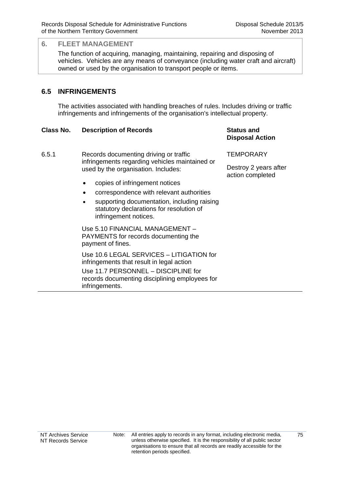The function of acquiring, managing, maintaining, repairing and disposing of vehicles. Vehicles are any means of conveyance (including water craft and aircraft) owned or used by the organisation to transport people or items.

## **6.5 INFRINGEMENTS**

The activities associated with handling breaches of rules. Includes driving or traffic infringements and infringements of the organisation's intellectual property.

#### **Class No. Description of Records Status and**

- 6.5.1 Records documenting driving or traffic infringements regarding vehicles maintained or used by the organisation. Includes:
	- copies of infringement notices
	- correspondence with relevant authorities
	- supporting documentation, including raising statutory declarations for resolution of infringement notices.

 Use 5.10 FINANCIAL MANAGEMENT – PAYMENTS for records documenting the payment of fines.

Use 10.6 LEGAL SERVICES – LITIGATION for infringements that result in legal action Use 11.7 PERSONNEL – DISCIPLINE for records documenting disciplining employees for infringements.

## **Disposal Action**

**TEMPORARY** 

Destroy 2 years after action completed

75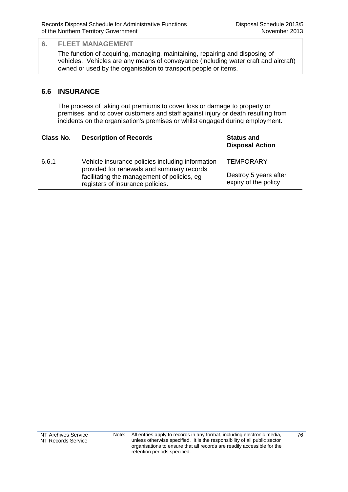The function of acquiring, managing, maintaining, repairing and disposing of vehicles. Vehicles are any means of conveyance (including water craft and aircraft) owned or used by the organisation to transport people or items.

## **6.6 INSURANCE**

The process of taking out premiums to cover loss or damage to property or premises, and to cover customers and staff against injury or death resulting from incidents on the organisation's premises or whilst engaged during employment.

| Class No. | <b>Description of Records</b>                                                                 | <b>Status and</b><br><b>Disposal Action</b>   |
|-----------|-----------------------------------------------------------------------------------------------|-----------------------------------------------|
| 6.6.1     | Vehicle insurance policies including information<br>provided for renewals and summary records | <b>TEMPORARY</b>                              |
|           | facilitating the management of policies, eg<br>registers of insurance policies.               | Destroy 5 years after<br>expiry of the policy |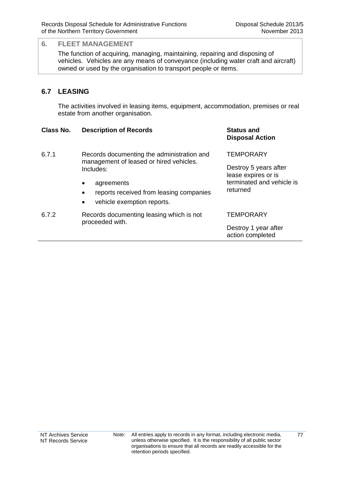The function of acquiring, managing, maintaining, repairing and disposing of vehicles. Vehicles are any means of conveyance (including water craft and aircraft) owned or used by the organisation to transport people or items.

## **6.7 LEASING**

The activities involved in leasing items, equipment, accommodation, premises or real estate from another organisation.

#### **Class No. Description of Records Status and Disposal Action** 6.7.1 Records documenting the administration and management of leased or hired vehicles. Includes: • agreements reports received from leasing companies vehicle exemption reports. **TEMPORARY** Destroy 5 years after lease expires or is terminated and vehicle is returned 6.7.2 Records documenting leasing which is not proceeded with. **TEMPORARY** Destroy 1 year after action completed

77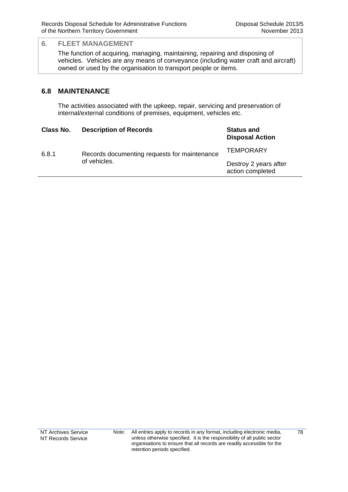The function of acquiring, managing, maintaining, repairing and disposing of vehicles. Vehicles are any means of conveyance (including water craft and aircraft) owned or used by the organisation to transport people or items.

#### **6.8 MAINTENANCE**

The activities associated with the upkeep, repair, servicing and preservation of internal/external conditions of premises, equipment, vehicles etc.

| Class No. | <b>Description of Records</b>                                | <b>Status and</b><br><b>Disposal Action</b> |
|-----------|--------------------------------------------------------------|---------------------------------------------|
| 6.8.1     | Records documenting requests for maintenance<br>of vehicles. | <b>TEMPORARY</b>                            |
|           |                                                              | Destroy 2 years after<br>action completed   |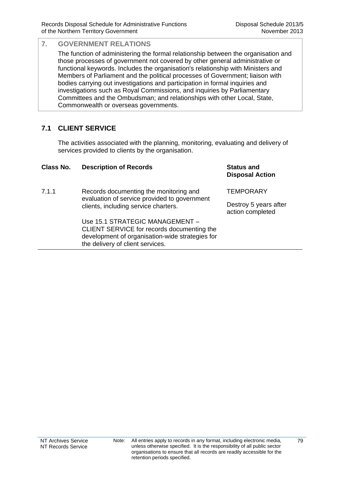The function of administering the formal relationship between the organisation and those processes of government not covered by other general administrative or functional keywords. Includes the organisation's relationship with Ministers and Members of Parliament and the political processes of Government; liaison with bodies carrying out investigations and participation in formal inquiries and investigations such as Royal Commissions, and inquiries by Parliamentary Committees and the Ombudsman; and relationships with other Local, State, Commonwealth or overseas governments.

## **7.1 CLIENT SERVICE**

The activities associated with the planning, monitoring, evaluating and delivery of services provided to clients by the organisation.

| Class No. | <b>Description of Records</b>                                                                                                                                        | <b>Status and</b><br><b>Disposal Action</b> |
|-----------|----------------------------------------------------------------------------------------------------------------------------------------------------------------------|---------------------------------------------|
| 7.1.1     | Records documenting the monitoring and<br>evaluation of service provided to government<br>clients, including service charters.                                       | <b>TEMPORARY</b>                            |
|           |                                                                                                                                                                      | Destroy 5 years after<br>action completed   |
|           | Use 15.1 STRATEGIC MANAGEMENT -<br>CLIENT SERVICE for records documenting the<br>development of organisation-wide strategies for<br>the delivery of client services. |                                             |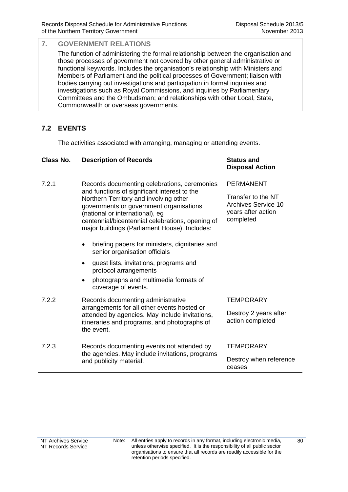The function of administering the formal relationship between the organisation and those processes of government not covered by other general administrative or functional keywords. Includes the organisation's relationship with Ministers and Members of Parliament and the political processes of Government; liaison with bodies carrying out investigations and participation in formal inquiries and investigations such as Royal Commissions, and inquiries by Parliamentary Committees and the Ombudsman; and relationships with other Local, State, Commonwealth or overseas governments.

## **7.2 EVENTS**

The activities associated with arranging, managing or attending events.

| Class No. | <b>Description of Records</b>                                                                                                                                                                                                                                                                                                                                                                                                                                                                                                                                  | <b>Status and</b><br><b>Disposal Action</b>                                                      |
|-----------|----------------------------------------------------------------------------------------------------------------------------------------------------------------------------------------------------------------------------------------------------------------------------------------------------------------------------------------------------------------------------------------------------------------------------------------------------------------------------------------------------------------------------------------------------------------|--------------------------------------------------------------------------------------------------|
| 7.2.1     | Records documenting celebrations, ceremonies<br>and functions of significant interest to the<br>Northern Territory and involving other<br>governments or government organisations<br>(national or international), eg<br>centennial/bicentennial celebrations, opening of<br>major buildings (Parliament House). Includes:<br>briefing papers for ministers, dignitaries and<br>٠<br>senior organisation officials<br>guest lists, invitations, programs and<br>٠<br>protocol arrangements<br>photographs and multimedia formats of<br>٠<br>coverage of events. | <b>PERMANENT</b><br>Transfer to the NT<br>Archives Service 10<br>years after action<br>completed |
| 7.2.2     | Records documenting administrative<br>arrangements for all other events hosted or<br>attended by agencies. May include invitations,<br>itineraries and programs, and photographs of<br>the event.                                                                                                                                                                                                                                                                                                                                                              | <b>TEMPORARY</b><br>Destroy 2 years after<br>action completed                                    |
| 7.2.3     | Records documenting events not attended by<br>the agencies. May include invitations, programs<br>and publicity material.                                                                                                                                                                                                                                                                                                                                                                                                                                       | <b>TEMPORARY</b><br>Destroy when reference<br>ceases                                             |

80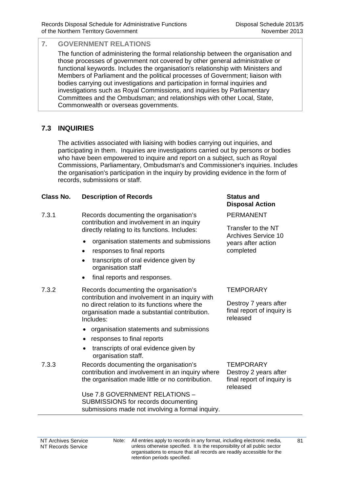The function of administering the formal relationship between the organisation and those processes of government not covered by other general administrative or functional keywords. Includes the organisation's relationship with Ministers and Members of Parliament and the political processes of Government; liaison with bodies carrying out investigations and participation in formal inquiries and investigations such as Royal Commissions, and inquiries by Parliamentary Committees and the Ombudsman; and relationships with other Local, State, Commonwealth or overseas governments.

## **7.3 INQUIRIES**

The activities associated with liaising with bodies carrying out inquiries, and participating in them. Inquiries are investigations carried out by persons or bodies who have been empowered to inquire and report on a subject, such as Royal Commissions, Parliamentary, Ombudsman's and Commissioner's inquiries. Includes the organisation's participation in the inquiry by providing evidence in the form of records, submissions or staff.

#### **Class No. Description of Records Status and**

- 7.3.1 Records documenting the organisation's contribution and involvement in an inquiry directly relating to its functions. Includes:
	- organisation statements and submissions
	- responses to final reports
	- transcripts of oral evidence given by organisation staff
	- final reports and responses.
- 7.3.2 Records documenting the organisation's contribution and involvement in an inquiry with no direct relation to its functions where the organisation made a substantial contribution. Includes:
	- organisation statements and submissions
	- responses to final reports
	- transcripts of oral evidence given by organisation staff.

#### 7.3.3 Records documenting the organisation's contribution and involvement in an inquiry where the organisation made little or no contribution.

 Use 7.8 GOVERNMENT RELATIONS – SUBMISSIONS for records documenting submissions made not involving a formal inquiry.

# **Disposal Action**

PERMANENT

Transfer to the NT Archives Service 10 years after action completed

### **TEMPORARY**

Destroy 7 years after final report of inquiry is released

**TEMPORARY** Destroy 2 years after final report of inquiry is released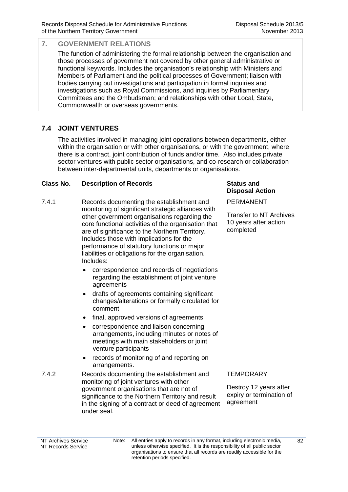The function of administering the formal relationship between the organisation and those processes of government not covered by other general administrative or functional keywords. Includes the organisation's relationship with Ministers and Members of Parliament and the political processes of Government; liaison with bodies carrying out investigations and participation in formal inquiries and investigations such as Royal Commissions, and inquiries by Parliamentary Committees and the Ombudsman; and relationships with other Local, State, Commonwealth or overseas governments.

## **7.4 JOINT VENTURES**

The activities involved in managing joint operations between departments, either within the organisation or with other organisations, or with the government, where there is a contract, joint contribution of funds and/or time. Also includes private sector ventures with public sector organisations, and co-research or collaboration between inter-departmental units, departments or organisations.

#### **Class No. Description of Records <b>Status** and **Status** and

- 7.4.1 Records documenting the establishment and monitoring of significant strategic alliances with other government organisations regarding the core functional activities of the organisation that are of significance to the Northern Territory. Includes those with implications for the performance of statutory functions or major liabilities or obligations for the organisation. Includes:
	- correspondence and records of negotiations regarding the establishment of joint venture agreements
	- drafts of agreements containing significant changes/alterations or formally circulated for comment
	- final, approved versions of agreements
	- correspondence and liaison concerning arrangements, including minutes or notes of meetings with main stakeholders or joint venture participants
	- records of monitoring of and reporting on arrangements.
- 7.4.2 Records documenting the establishment and monitoring of joint ventures with other government organisations that are not of significance to the Northern Territory and result in the signing of a contract or deed of agreement under seal.

#### **TEMPORARY**

**Disposal Action**

Transfer to NT Archives 10 years after action

PERMANENT

completed

Destroy 12 years after expiry or termination of agreement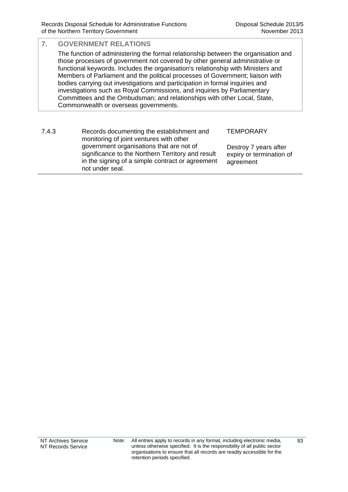## **7. GOVERNMENT RELATIONS**  The function of administering the formal relationship between the organisation and those processes of government not covered by other general administrative or functional keywords. Includes the organisation's relationship with Ministers and Members of Parliament and the political processes of Government; liaison with bodies carrying out investigations and participation in formal inquiries and investigations such as Royal Commissions, and inquiries by Parliamentary Committees and the Ombudsman; and relationships with other Local, State, Commonwealth or overseas governments.

| 7.4.3 | Records documenting the establishment and<br>monitoring of joint ventures with other                                                                                 | <b>TEMPORARY</b>                                               |
|-------|----------------------------------------------------------------------------------------------------------------------------------------------------------------------|----------------------------------------------------------------|
|       | government organisations that are not of<br>significance to the Northern Territory and result<br>in the signing of a simple contract or agreement<br>not under seal. | Destroy 7 years after<br>expiry or termination of<br>agreement |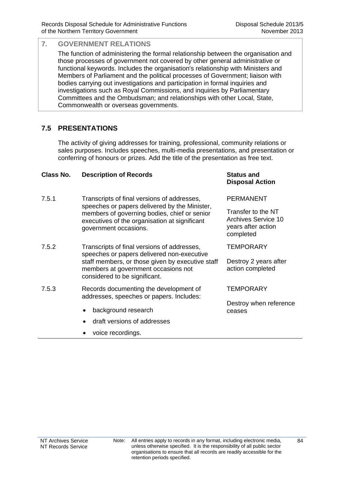The function of administering the formal relationship between the organisation and those processes of government not covered by other general administrative or functional keywords. Includes the organisation's relationship with Ministers and Members of Parliament and the political processes of Government; liaison with bodies carrying out investigations and participation in formal inquiries and investigations such as Royal Commissions, and inquiries by Parliamentary Committees and the Ombudsman; and relationships with other Local, State, Commonwealth or overseas governments.

## **7.5 PRESENTATIONS**

The activity of giving addresses for training, professional, community relations or sales purposes. Includes speeches, multi-media presentations, and presentation or conferring of honours or prizes. Add the title of the presentation as free text.

#### **Class No. Description of Records Status and**

- 7.5.1 Transcripts of final versions of addresses, speeches or papers delivered by the Minister, members of governing bodies, chief or senior executives of the organisation at significant government occasions.
- 7.5.2 Transcripts of final versions of addresses, speeches or papers delivered non-executive staff members, or those given by executive staff members at government occasions not considered to be significant.
- 7.5.3 Records documenting the development of addresses, speeches or papers. Includes:
	- background research
	- draft versions of addresses
	- voice recordings.

## **Disposal Action**

#### PERMANENT

Transfer to the NT Archives Service 10 years after action completed

**TEMPORARY** 

Destroy 2 years after action completed

#### **TEMPORARY**

Destroy when reference ceases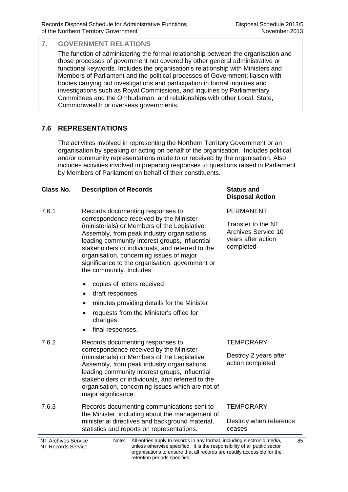The function of administering the formal relationship between the organisation and those processes of government not covered by other general administrative or functional keywords. Includes the organisation's relationship with Ministers and Members of Parliament and the political processes of Government; liaison with bodies carrying out investigations and participation in formal inquiries and investigations such as Royal Commissions, and inquiries by Parliamentary Committees and the Ombudsman; and relationships with other Local, State, Commonwealth or overseas governments.

## **7.6 REPRESENTATIONS**

The activities involved in representing the Northern Territory Government or an organisation by speaking or acting on behalf of the organisation. Includes political and/or community representations made to or received by the organisation. Also includes activities involved in preparing responses to questions raised in Parliament by Members of Parliament on behalf of their constituents.

#### **Class No. Description of Records Status and**

- 7.6.1 Records documenting responses to correspondence received by the Minister (ministerials) or Members of the Legislative Assembly, from peak industry organisations, leading community interest groups, influential stakeholders or individuals, and referred to the organisation, concerning issues of major significance to the organisation, government or the community. Includes:
	- copies of letters received
	- draft responses
	- minutes providing details for the Minister
	- requests from the Minister's office for changes
	- final responses.
- 7.6.2 Records documenting responses to correspondence received by the Minister (ministerials) or Members of the Legislative Assembly, from peak industry organisations, leading community interest groups, influential stakeholders or individuals, and referred to the organisation, concerning issues which are not of major significance.
- 7.6.3 Records documenting communications sent to the Minister, including about the management of ministerial directives and background material, statistics and reports on representations.

## **Disposal Action**

PERMANENT

Transfer to the NT Archives Service 10 years after action completed

## **TEMPORARY**

Destroy 2 years after action completed

#### **TEMPORARY**

#### Destroy when reference ceases

NT Archives Service NT Records Service Note: All entries apply to records in any format, including electronic media, unless otherwise specified. It is the responsibility of all public sector organisations to ensure that all records are readily accessible for the retention periods specified.

85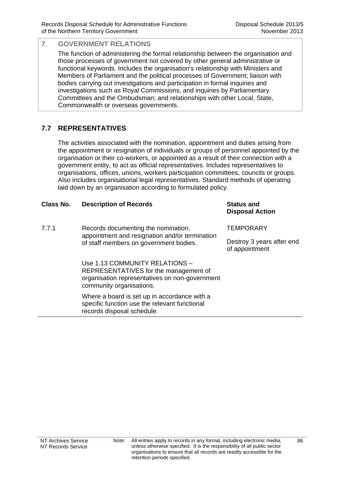The function of administering the formal relationship between the organisation and those processes of government not covered by other general administrative or functional keywords. Includes the organisation's relationship with Ministers and Members of Parliament and the political processes of Government; liaison with bodies carrying out investigations and participation in formal inquiries and investigations such as Royal Commissions, and inquiries by Parliamentary Committees and the Ombudsman; and relationships with other Local, State, Commonwealth or overseas governments.

## **7.7 REPRESENTATIVES**

The activities associated with the nomination, appointment and duties arising from the appointment or resignation of individuals or groups of personnel appointed by the organisation or their co-workers, or appointed as a result of their connection with a government entity, to act as official representatives. Includes representatives to organisations, offices, unions, workers participation committees, councils or groups. Also includes organisational legal representatives. Standard methods of operating laid down by an organisation according to formulated policy.

### **Class No. Description of Records Status and**

7.7.1 Records documenting the nomination, appointment and resignation and/or termination of staff members on government bodies.

> Use 1.13 COMMUNITY RELATIONS – REPRESENTATIVES for the management of organisation representatives on non-government community organisations.

Where a board is set up in accordance with a specific function use the relevant functional records disposal schedule.

**Disposal Action**

**TFMPORARY** 

Destroy 3 years after end of appointment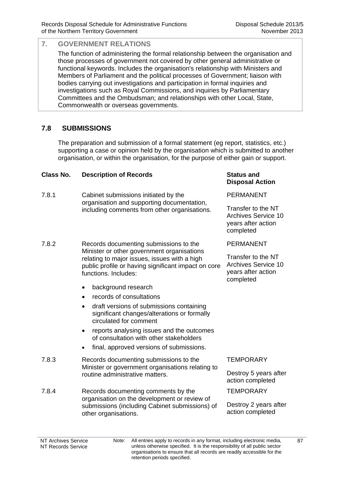The function of administering the formal relationship between the organisation and those processes of government not covered by other general administrative or functional keywords. Includes the organisation's relationship with Ministers and Members of Parliament and the political processes of Government; liaison with bodies carrying out investigations and participation in formal inquiries and investigations such as Royal Commissions, and inquiries by Parliamentary Committees and the Ombudsman; and relationships with other Local, State, Commonwealth or overseas governments.

## **7.8 SUBMISSIONS**

The preparation and submission of a formal statement (eg report, statistics, etc.) supporting a case or opinion held by the organisation which is submitted to another organisation, or within the organisation, for the purpose of either gain or support.

#### **Class No. Description of Records Status and**

- 7.8.1 Cabinet submissions initiated by the organisation and supporting documentation, including comments from other organisations.
- 7.8.2 Records documenting submissions to the Minister or other government organisations relating to major issues, issues with a high public profile or having significant impact on core functions. Includes:
	- background research
	- records of consultations
	- draft versions of submissions containing significant changes/alterations or formally circulated for comment
	- reports analysing issues and the outcomes of consultation with other stakeholders
	- final, approved versions of submissions.
- 7.8.3 Records documenting submissions to the Minister or government organisations relating to routine administrative matters.
- 7.8.4 Records documenting comments by the organisation on the development or review of submissions (including Cabinet submissions) of other organisations.

## **Disposal Action**

#### PERMANENT

Transfer to the NT Archives Service 10 years after action completed

#### PERMANENT

Transfer to the NT Archives Service 10 years after action completed

#### **TFMPORARY**

Destroy 5 years after action completed

**TEMPORARY** 

Destroy 2 years after action completed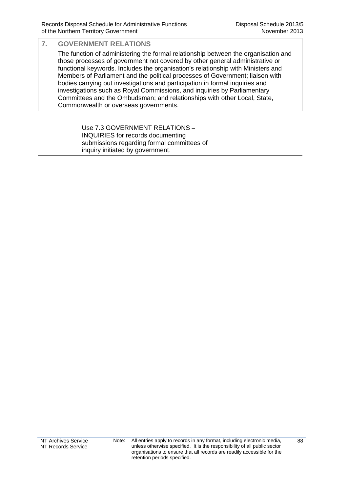The function of administering the formal relationship between the organisation and those processes of government not covered by other general administrative or functional keywords. Includes the organisation's relationship with Ministers and Members of Parliament and the political processes of Government; liaison with bodies carrying out investigations and participation in formal inquiries and investigations such as Royal Commissions, and inquiries by Parliamentary Committees and the Ombudsman; and relationships with other Local, State, Commonwealth or overseas governments.

> Use 7.3 GOVERNMENT RELATIONS – INQUIRIES for records documenting submissions regarding formal committees of inquiry initiated by government.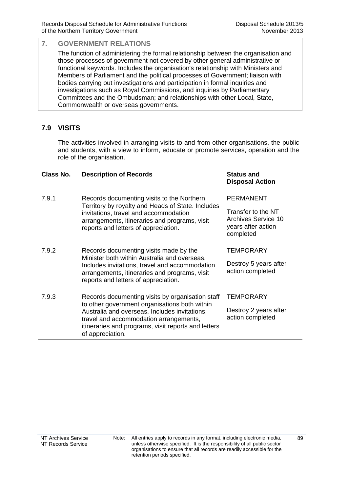The function of administering the formal relationship between the organisation and those processes of government not covered by other general administrative or functional keywords. Includes the organisation's relationship with Ministers and Members of Parliament and the political processes of Government; liaison with bodies carrying out investigations and participation in formal inquiries and investigations such as Royal Commissions, and inquiries by Parliamentary Committees and the Ombudsman; and relationships with other Local, State, Commonwealth or overseas governments.

## **7.9 VISITS**

The activities involved in arranging visits to and from other organisations, the public and students, with a view to inform, educate or promote services, operation and the role of the organisation.

#### **Class No. Description of Records Status and**

- 7.9.1 Records documenting visits to the Northern Territory by royalty and Heads of State. Includes invitations, travel and accommodation arrangements, itineraries and programs, visit reports and letters of appreciation.
- 7.9.2 Records documenting visits made by the Minister both within Australia and overseas. Includes invitations, travel and accommodation arrangements, itineraries and programs, visit reports and letters of appreciation.
- 7.9.3 Records documenting visits by organisation staff to other government organisations both within Australia and overseas. Includes invitations, travel and accommodation arrangements, itineraries and programs, visit reports and letters of appreciation.

## **Disposal Action**

#### PERMANENT

Transfer to the NT Archives Service 10 years after action completed

#### **TEMPORARY**

Destroy 5 years after action completed

#### **TEMPORARY**

Destroy 2 years after action completed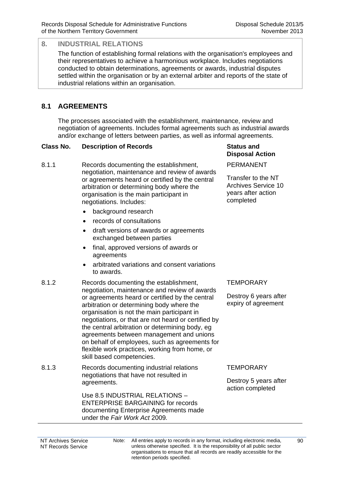The function of establishing formal relations with the organisation's employees and their representatives to achieve a harmonious workplace. Includes negotiations conducted to obtain determinations, agreements or awards, industrial disputes settled within the organisation or by an external arbiter and reports of the state of industrial relations within an organisation.

## **8.1 AGREEMENTS**

The processes associated with the establishment, maintenance, review and negotiation of agreements. Includes formal agreements such as industrial awards and/or exchange of letters between parties, as well as informal agreements.

#### **Class No. Description of Records Status and**

- 8.1.1 Records documenting the establishment, negotiation, maintenance and review of awards or agreements heard or certified by the central arbitration or determining body where the organisation is the main participant in negotiations. Includes:
	- background research
	- records of consultations
	- draft versions of awards or agreements exchanged between parties
	- final, approved versions of awards or agreements
	- arbitrated variations and consent variations to awards.
- 8.1.2 Records documenting the establishment, negotiation, maintenance and review of awards or agreements heard or certified by the central arbitration or determining body where the organisation is not the main participant in negotiations, or that are not heard or certified by the central arbitration or determining body, eg agreements between management and unions on behalf of employees, such as agreements for flexible work practices, working from home, or skill based competencies.
- 8.1.3 Records documenting industrial relations negotiations that have not resulted in agreements.

Use 8.5 INDUSTRIAL RELATIONS – ENTERPRISE BARGAINING for records documenting Enterprise Agreements made under the *Fair Work Act* 2009*.*

# **Disposal Action**

PERMANENT

Transfer to the NT Archives Service 10 years after action completed

#### **TEMPORARY**

Destroy 6 years after expiry of agreement

**TEMPORARY** 

Destroy 5 years after action completed

NT Archives Service NT Records Service Note: All entries apply to records in any format, including electronic media, unless otherwise specified. It is the responsibility of all public sector organisations to ensure that all records are readily accessible for the retention periods specified.

 $90$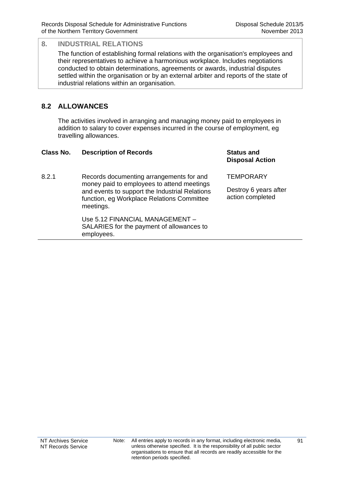The function of establishing formal relations with the organisation's employees and their representatives to achieve a harmonious workplace. Includes negotiations conducted to obtain determinations, agreements or awards, industrial disputes settled within the organisation or by an external arbiter and reports of the state of industrial relations within an organisation.

## **8.2 ALLOWANCES**

The activities involved in arranging and managing money paid to employees in addition to salary to cover expenses incurred in the course of employment, eg travelling allowances.

| Class No. | <b>Description of Records</b>            | <b>Status and</b><br>Disposal A |
|-----------|------------------------------------------|---------------------------------|
| 8.2.1     | Records documenting arrangements for and | <b>TEMPORAF</b>                 |

money paid to employees to attend meetings and events to support the Industrial Relations function, eg Workplace Relations Committee meetings.

> Use 5.12 FINANCIAL MANAGEMENT – SALARIES for the payment of allowances to employees.

**Disposal Action**

**TEMPORARY** 

Destroy 6 years after action completed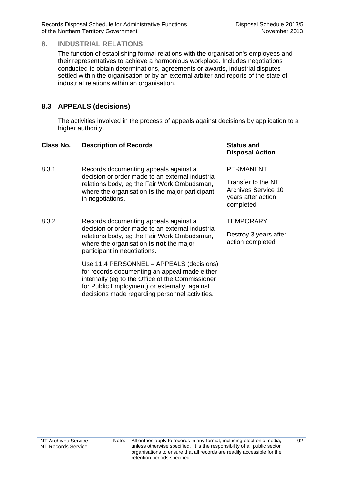The function of establishing formal relations with the organisation's employees and their representatives to achieve a harmonious workplace. Includes negotiations conducted to obtain determinations, agreements or awards, industrial disputes settled within the organisation or by an external arbiter and reports of the state of industrial relations within an organisation.

## **8.3 APPEALS (decisions)**

The activities involved in the process of appeals against decisions by application to a higher authority.

#### **Class No. Description of Records Status and**

- 8.3.1 Records documenting appeals against a decision or order made to an external industrial relations body, eg the Fair Work Ombudsman, where the organisation **is** the major participant in negotiations.
- 8.3.2 Records documenting appeals against a decision or order made to an external industrial relations body, eg the Fair Work Ombudsman, where the organisation **is not** the major participant in negotiations.

Use 11.4 PERSONNEL – APPEALS (decisions) for records documenting an appeal made either internally (eg to the Office of the Commissioner for Public Employment) or externally, against decisions made regarding personnel activities.

## **Disposal Action**

PERMANENT

Transfer to the NT Archives Service 10 years after action completed

**TEMPORARY** 

Destroy 3 years after action completed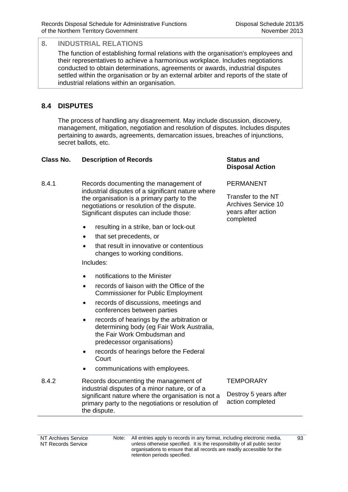The function of establishing formal relations with the organisation's employees and their representatives to achieve a harmonious workplace. Includes negotiations conducted to obtain determinations, agreements or awards, industrial disputes settled within the organisation or by an external arbiter and reports of the state of industrial relations within an organisation.

## **8.4 DISPUTES**

The process of handling any disagreement. May include discussion, discovery, management, mitigation, negotiation and resolution of disputes. Includes disputes pertaining to awards, agreements, demarcation issues, breaches of injunctions, secret ballots, etc.

#### **Class No. Description of Records <b>Status** and **Status** and

- 8.4.1 Records documenting the management of industrial disputes of a significant nature where the organisation is a primary party to the negotiations or resolution of the dispute. Significant disputes can include those:
	- resulting in a strike, ban or lock-out
	- that set precedents, or
	- that result in innovative or contentious changes to working conditions.

Includes:

- notifications to the Minister
- records of liaison with the Office of the Commissioner for Public Employment
- records of discussions, meetings and conferences between parties
- records of hearings by the arbitration or determining body (eg Fair Work Australia, the Fair Work Ombudsman and predecessor organisations)
- records of hearings before the Federal **Court**
- communications with employees.
- 8.4.2 Records documenting the management of industrial disputes of a minor nature, or of a significant nature where the organisation is not a primary party to the negotiations or resolution of the dispute.

**TEMPORARY** 

**Disposal Action**

Transfer to the NT Archives Service 10 years after action

PERMANENT

completed

Destroy 5 years after action completed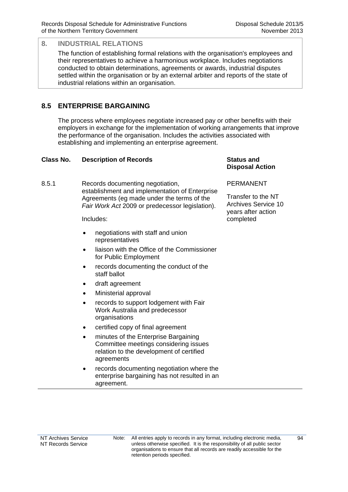The function of establishing formal relations with the organisation's employees and their representatives to achieve a harmonious workplace. Includes negotiations conducted to obtain determinations, agreements or awards, industrial disputes settled within the organisation or by an external arbiter and reports of the state of industrial relations within an organisation.

## **8.5 ENTERPRISE BARGAINING**

The process where employees negotiate increased pay or other benefits with their employers in exchange for the implementation of working arrangements that improve the performance of the organisation. Includes the activities associated with establishing and implementing an enterprise agreement.

#### **Class No. Description of Records <b>Status** and **Status** and

8.5.1 Records documenting negotiation, establishment and implementation of Enterprise Agreements (eg made under the terms of the *Fair Work Act* 2009 or predecessor legislation).

Includes:

- negotiations with staff and union representatives
- liaison with the Office of the Commissioner for Public Employment
- records documenting the conduct of the staff ballot
- draft agreement
- Ministerial approval
- records to support lodgement with Fair Work Australia and predecessor organisations
- certified copy of final agreement
- minutes of the Enterprise Bargaining Committee meetings considering issues relation to the development of certified agreements
- records documenting negotiation where the enterprise bargaining has not resulted in an agreement.

# **Disposal Action**

PERMANENT

Transfer to the NT Archives Service 10 years after action completed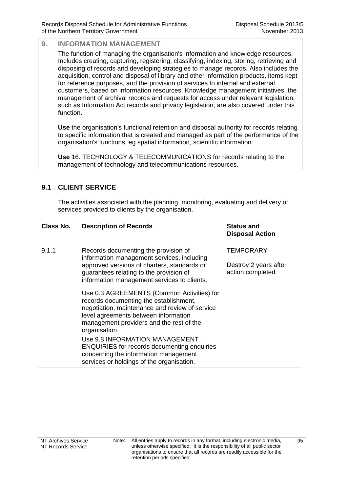The function of managing the organisation's information and knowledge resources. Includes creating, capturing, registering, classifying, indexing, storing, retrieving and disposing of records and developing strategies to manage records. Also includes the acquisition, control and disposal of library and other information products, items kept for reference purposes, and the provision of services to internal and external customers, based on information resources. Knowledge management initiatives, the management of archival records and requests for access under relevant legislation, such as Information Act records and privacy legislation, are also covered under this function.

**Use** the organisation's functional retention and disposal authority for records relating to specific information that is created and managed as part of the performance of the organisation's functions, eg spatial information, scientific information.

**Use** 16. TECHNOLOGY & TELECOMMUNICATIONS for records relating to the management of technology and telecommunications resources.

## **9.1 CLIENT SERVICE**

The activities associated with the planning, monitoring, evaluating and delivery of services provided to clients by the organisation.

| Class No. | <b>Description of Records</b>                                                                                                                                                                                                               | <b>Status and</b><br><b>Disposal Action</b>            |
|-----------|---------------------------------------------------------------------------------------------------------------------------------------------------------------------------------------------------------------------------------------------|--------------------------------------------------------|
| 9.1.1     | Records documenting the provision of<br>information management services, including<br>approved versions of charters, standards or<br>guarantees relating to the provision of<br>information management services to clients.                 | TEMPORARY<br>Destroy 2 years after<br>action completed |
|           | Use 0.3 AGREEMENTS (Common Activities) for<br>records documenting the establishment,<br>negotiation, maintenance and review of service<br>level agreements between information<br>management providers and the rest of the<br>organisation. |                                                        |
|           | Use 9.8 INFORMATION MANAGEMENT -<br><b>ENQUIRIES</b> for records documenting enquiries<br>concerning the information management<br>services or holdings of the organisation.                                                                |                                                        |

95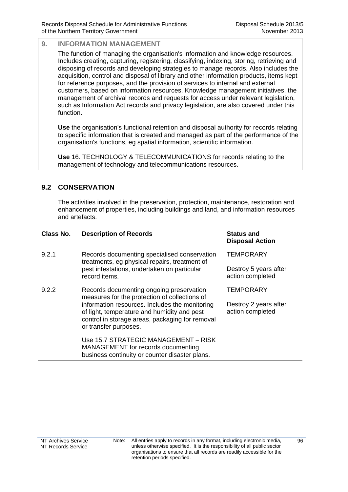The function of managing the organisation's information and knowledge resources. Includes creating, capturing, registering, classifying, indexing, storing, retrieving and disposing of records and developing strategies to manage records. Also includes the acquisition, control and disposal of library and other information products, items kept for reference purposes, and the provision of services to internal and external customers, based on information resources. Knowledge management initiatives, the management of archival records and requests for access under relevant legislation, such as Information Act records and privacy legislation, are also covered under this function.

**Use** the organisation's functional retention and disposal authority for records relating to specific information that is created and managed as part of the performance of the organisation's functions, eg spatial information, scientific information.

**Use** 16. TECHNOLOGY & TELECOMMUNICATIONS for records relating to the management of technology and telecommunications resources.

## **9.2 CONSERVATION**

The activities involved in the preservation, protection, maintenance, restoration and enhancement of properties, including buildings and land, and information resources and artefacts.

| Class No. | <b>Description of Records</b>                                                                                                                                                                                                                                          | <b>Status and</b><br><b>Disposal Action</b> |
|-----------|------------------------------------------------------------------------------------------------------------------------------------------------------------------------------------------------------------------------------------------------------------------------|---------------------------------------------|
| 9.2.1     | Records documenting specialised conservation<br>treatments, eg physical repairs, treatment of<br>pest infestations, undertaken on particular<br>record items.                                                                                                          | <b>TEMPORARY</b>                            |
|           |                                                                                                                                                                                                                                                                        | Destroy 5 years after<br>action completed   |
| 9.2.2     | Records documenting ongoing preservation<br>measures for the protection of collections of<br>information resources. Includes the monitoring<br>of light, temperature and humidity and pest<br>control in storage areas, packaging for removal<br>or transfer purposes. | <b>TEMPORARY</b>                            |
|           |                                                                                                                                                                                                                                                                        | Destroy 2 years after<br>action completed   |
|           | Use 15.7 STRATEGIC MANAGEMENT - RISK<br>MANAGEMENT for records documenting<br>business continuity or counter disaster plans.                                                                                                                                           |                                             |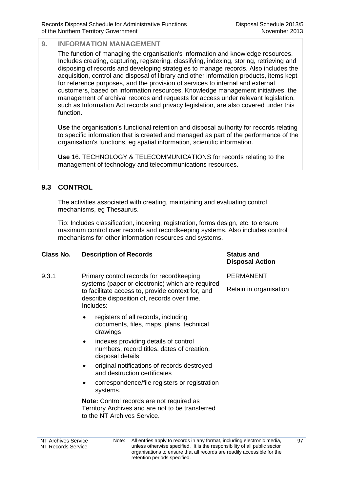The function of managing the organisation's information and knowledge resources. Includes creating, capturing, registering, classifying, indexing, storing, retrieving and disposing of records and developing strategies to manage records. Also includes the acquisition, control and disposal of library and other information products, items kept for reference purposes, and the provision of services to internal and external customers, based on information resources. Knowledge management initiatives, the management of archival records and requests for access under relevant legislation, such as Information Act records and privacy legislation, are also covered under this function.

**Use** the organisation's functional retention and disposal authority for records relating to specific information that is created and managed as part of the performance of the organisation's functions, eg spatial information, scientific information.

**Use** 16. TECHNOLOGY & TELECOMMUNICATIONS for records relating to the management of technology and telecommunications resources.

## **9.3 CONTROL**

The activities associated with creating, maintaining and evaluating control mechanisms, eg Thesaurus.

Tip: Includes classification, indexing, registration, forms design, etc. to ensure maximum control over records and recordkeeping systems. Also includes control mechanisms for other information resources and systems.

#### **Class No. Description of Records Status and Disposal Action** 9.3.1 Primary control records for recordkeeping systems (paper or electronic) which are required to facilitate access to, provide context for, and describe disposition of, records over time. Includes: registers of all records, including documents, files, maps, plans, technical drawings • indexes providing details of control numbers, record titles, dates of creation, PERMANENT Retain in organisation

- disposal details original notifications of records destroyed and destruction certificates
- correspondence/file registers or registration systems.

**Note:** Control records are not required as Territory Archives and are not to be transferred to the NT Archives Service.

#### NT Archives Service NT Records Service Note: All entries apply to records in any format, including electronic media, unless otherwise specified. It is the responsibility of all public sector organisations to ensure that all records are readily accessible for the retention periods specified.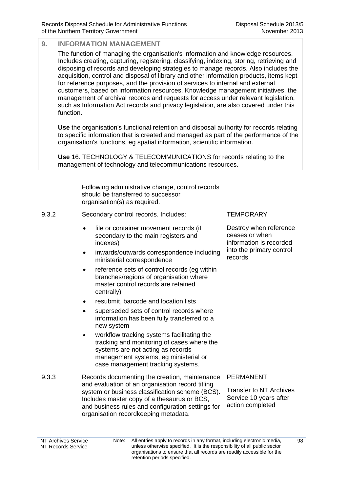The function of managing the organisation's information and knowledge resources. Includes creating, capturing, registering, classifying, indexing, storing, retrieving and disposing of records and developing strategies to manage records. Also includes the acquisition, control and disposal of library and other information products, items kept for reference purposes, and the provision of services to internal and external customers, based on information resources. Knowledge management initiatives, the management of archival records and requests for access under relevant legislation, such as Information Act records and privacy legislation, are also covered under this function.

**Use** the organisation's functional retention and disposal authority for records relating to specific information that is created and managed as part of the performance of the organisation's functions, eg spatial information, scientific information.

**Use** 16. TECHNOLOGY & TELECOMMUNICATIONS for records relating to the management of technology and telecommunications resources.

> Following administrative change, control records should be transferred to successor organisation(s) as required.

#### 9.3.2 Secondary control records. Includes:

- file or container movement records (if secondary to the main registers and indexes)
- inwards/outwards correspondence including ministerial correspondence
- reference sets of control records (eg within branches/regions of organisation where master control records are retained centrally)
- resubmit, barcode and location lists
- superseded sets of control records where information has been fully transferred to a new system
- workflow tracking systems facilitating the tracking and monitoring of cases where the systems are not acting as records management systems, eg ministerial or case management tracking systems.
- 9.3.3 Records documenting the creation, maintenance and evaluation of an organisation record titling system or business classification scheme (BCS). Includes master copy of a thesaurus or BCS, and business rules and configuration settings for organisation recordkeeping metadata.

**TEMPORARY** 

Destroy when reference ceases or when information is recorded into the primary control records

#### PERMANENT

Transfer to NT Archives Service 10 years after action completed

 $98$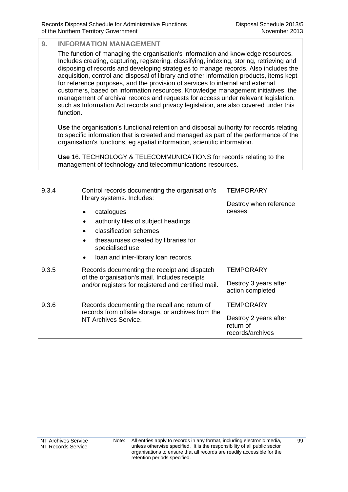The function of managing the organisation's information and knowledge resources. Includes creating, capturing, registering, classifying, indexing, storing, retrieving and disposing of records and developing strategies to manage records. Also includes the acquisition, control and disposal of library and other information products, items kept for reference purposes, and the provision of services to internal and external customers, based on information resources. Knowledge management initiatives, the management of archival records and requests for access under relevant legislation, such as Information Act records and privacy legislation, are also covered under this function.

**Use** the organisation's functional retention and disposal authority for records relating to specific information that is created and managed as part of the performance of the organisation's functions, eg spatial information, scientific information.

**Use** 16. TECHNOLOGY & TELECOMMUNICATIONS for records relating to the management of technology and telecommunications resources.

| 9.3.4 | Control records documenting the organisation's<br>library systems. Includes:                                                                         | TEMPORARY                                              |
|-------|------------------------------------------------------------------------------------------------------------------------------------------------------|--------------------------------------------------------|
|       |                                                                                                                                                      | Destroy when reference                                 |
|       | catalogues                                                                                                                                           | ceases                                                 |
|       | authority files of subject headings                                                                                                                  |                                                        |
|       | classification schemes                                                                                                                               |                                                        |
|       | thesauruses created by libraries for<br>٠<br>specialised use                                                                                         |                                                        |
|       | loan and inter-library loan records.<br>٠                                                                                                            |                                                        |
| 9.3.5 | Records documenting the receipt and dispatch<br>of the organisation's mail. Includes receipts<br>and/or registers for registered and certified mail. | <b>TEMPORARY</b>                                       |
|       |                                                                                                                                                      | Destroy 3 years after<br>action completed              |
| 9.3.6 | Records documenting the recall and return of                                                                                                         | TEMPORARY                                              |
|       | records from offsite storage, or archives from the<br>NT Archives Service.                                                                           | Destroy 2 years after<br>return of<br>records/archives |
|       |                                                                                                                                                      |                                                        |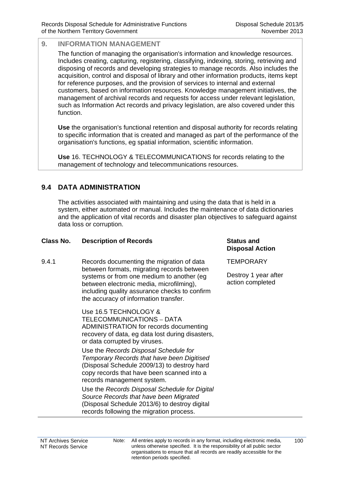The function of managing the organisation's information and knowledge resources. Includes creating, capturing, registering, classifying, indexing, storing, retrieving and disposing of records and developing strategies to manage records. Also includes the acquisition, control and disposal of library and other information products, items kept for reference purposes, and the provision of services to internal and external customers, based on information resources. Knowledge management initiatives, the management of archival records and requests for access under relevant legislation, such as Information Act records and privacy legislation, are also covered under this function.

**Use** the organisation's functional retention and disposal authority for records relating to specific information that is created and managed as part of the performance of the organisation's functions, eg spatial information, scientific information.

**Use** 16. TECHNOLOGY & TELECOMMUNICATIONS for records relating to the management of technology and telecommunications resources.

## **9.4 DATA ADMINISTRATION**

The activities associated with maintaining and using the data that is held in a system, either automated or manual. Includes the maintenance of data dictionaries and the application of vital records and disaster plan objectives to safeguard against data loss or corruption.

## **Class No. Description of Records Status and**

9.4.1 Records documenting the migration of data between formats, migrating records between systems or from one medium to another (eg between electronic media, microfilming), including quality assurance checks to confirm the accuracy of information transfer.

> Use 16.5 TECHNOLOGY & TELECOMMUNICATIONS – DATA ADMINISTRATION for records documenting recovery of data, eg data lost during disasters, or data corrupted by viruses.

Use the *Records Disposal Schedule for Temporary Records that have been Digitised* (Disposal Schedule 2009/13) to destroy hard copy records that have been scanned into a records management system.

Use the *Records Disposal Schedule for Digital Source Records that have been Migrated* (Disposal Schedule 2013/6) to destroy digital records following the migration process.

**Disposal Action**

**TEMPORARY** 

Destroy 1 year after action completed

NT Archives Service NT Records Service Note: All entries apply to records in any format, including electronic media, unless otherwise specified. It is the responsibility of all public sector organisations to ensure that all records are readily accessible for the retention periods specified.

100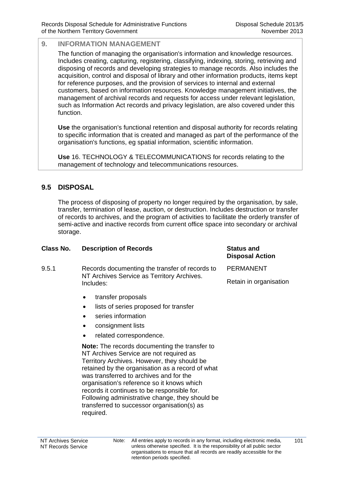The function of managing the organisation's information and knowledge resources. Includes creating, capturing, registering, classifying, indexing, storing, retrieving and disposing of records and developing strategies to manage records. Also includes the acquisition, control and disposal of library and other information products, items kept for reference purposes, and the provision of services to internal and external customers, based on information resources. Knowledge management initiatives, the management of archival records and requests for access under relevant legislation, such as Information Act records and privacy legislation, are also covered under this function.

**Use** the organisation's functional retention and disposal authority for records relating to specific information that is created and managed as part of the performance of the organisation's functions, eg spatial information, scientific information.

**Use** 16. TECHNOLOGY & TELECOMMUNICATIONS for records relating to the management of technology and telecommunications resources.

## **9.5 DISPOSAL**

The process of disposing of property no longer required by the organisation, by sale, transfer, termination of lease, auction, or destruction. Includes destruction or transfer of records to archives, and the program of activities to facilitate the orderly transfer of semi-active and inactive records from current office space into secondary or archival storage.

| Class No. | <b>Description of Records</b>                                                                                                                                                                                                                                                                                                                                                                                                                                                                                                                                                                                                              | <b>Status and</b><br><b>Disposal Action</b> |
|-----------|--------------------------------------------------------------------------------------------------------------------------------------------------------------------------------------------------------------------------------------------------------------------------------------------------------------------------------------------------------------------------------------------------------------------------------------------------------------------------------------------------------------------------------------------------------------------------------------------------------------------------------------------|---------------------------------------------|
| 9.5.1     | Records documenting the transfer of records to<br>NT Archives Service as Territory Archives.<br>Includes:                                                                                                                                                                                                                                                                                                                                                                                                                                                                                                                                  | <b>PERMANENT</b>                            |
|           |                                                                                                                                                                                                                                                                                                                                                                                                                                                                                                                                                                                                                                            | Retain in organisation                      |
|           | transfer proposals<br>$\bullet$<br>lists of series proposed for transfer<br>$\bullet$<br>series information<br>$\bullet$<br>consignment lists<br>٠<br>related correspondence.<br><b>Note:</b> The records documenting the transfer to<br>NT Archives Service are not required as<br>Territory Archives. However, they should be<br>retained by the organisation as a record of what<br>was transferred to archives and for the<br>organisation's reference so it knows which<br>records it continues to be responsible for.<br>Following administrative change, they should be<br>transferred to successor organisation(s) as<br>required. |                                             |
|           |                                                                                                                                                                                                                                                                                                                                                                                                                                                                                                                                                                                                                                            |                                             |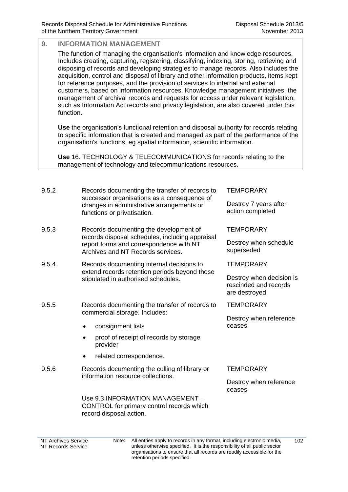#### **9. INFORMATION MANAGEMENT**  The function of managing the organisation's information and knowledge resources. Includes creating, capturing, registering, classifying, indexing, storing, retrieving and disposing of records and developing strategies to manage records. Also includes the acquisition, control and disposal of library and other information products, items kept for reference purposes, and the provision of services to internal and external customers, based on information resources. Knowledge management initiatives, the management of archival records and requests for access under relevant legislation, such as Information Act records and privacy legislation, are also covered under this function. **Use** the organisation's functional retention and disposal authority for records relating to specific information that is created and managed as part of the performance of the organisation's functions, eg spatial information, scientific information. **Use** 16. TECHNOLOGY & TELECOMMUNICATIONS for records relating to the management of technology and telecommunications resources. 9.5.2 Records documenting the transfer of records to successor organisations as a consequence of changes in administrative arrangements or functions or privatisation. **TFMPORARY** Destroy 7 years after action completed 9.5.3 Records documenting the development of records disposal schedules, including appraisal report forms and correspondence with NT Archives and NT Records services. **TEMPORARY** Destroy when schedule superseded 9.5.4 Records documenting internal decisions to extend records retention periods beyond those stipulated in authorised schedules. **TEMPORARY** Destroy when decision is rescinded and records are destroyed

- 9.5.5 Records documenting the transfer of records to commercial storage. Includes:
	- consignment lists
	- proof of receipt of records by storage provider
	- related correspondence.
- 9.5.6 Records documenting the culling of library or information resource collections.

Use 9.3 INFORMATION MANAGEMENT – CONTROL for primary control records which record disposal action.

Destroy when reference

**TEMPORARY** 

ceases

## **TEMPORARY**

Destroy when reference ceases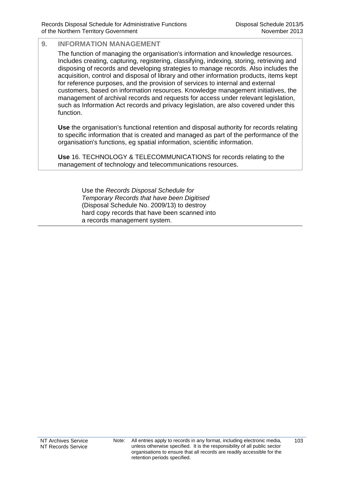The function of managing the organisation's information and knowledge resources. Includes creating, capturing, registering, classifying, indexing, storing, retrieving and disposing of records and developing strategies to manage records. Also includes the acquisition, control and disposal of library and other information products, items kept for reference purposes, and the provision of services to internal and external customers, based on information resources. Knowledge management initiatives, the management of archival records and requests for access under relevant legislation, such as Information Act records and privacy legislation, are also covered under this function.

**Use** the organisation's functional retention and disposal authority for records relating to specific information that is created and managed as part of the performance of the organisation's functions, eg spatial information, scientific information.

**Use** 16. TECHNOLOGY & TELECOMMUNICATIONS for records relating to the management of technology and telecommunications resources.

> Use the *Records Disposal Schedule for Temporary Records that have been Digitised* (Disposal Schedule No. 2009/13) to destroy hard copy records that have been scanned into a records management system.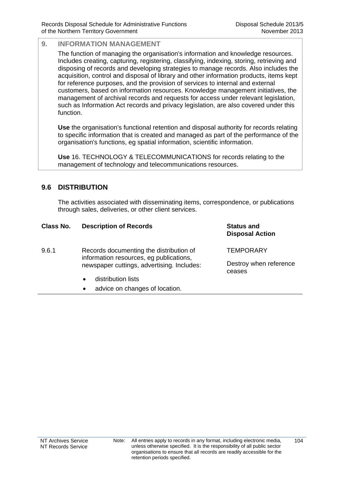The function of managing the organisation's information and knowledge resources. Includes creating, capturing, registering, classifying, indexing, storing, retrieving and disposing of records and developing strategies to manage records. Also includes the acquisition, control and disposal of library and other information products, items kept for reference purposes, and the provision of services to internal and external customers, based on information resources. Knowledge management initiatives, the management of archival records and requests for access under relevant legislation, such as Information Act records and privacy legislation, are also covered under this function.

**Use** the organisation's functional retention and disposal authority for records relating to specific information that is created and managed as part of the performance of the organisation's functions, eg spatial information, scientific information.

**Use** 16. TECHNOLOGY & TELECOMMUNICATIONS for records relating to the management of technology and telecommunications resources.

## **9.6 DISTRIBUTION**

The activities associated with disseminating items, correspondence, or publications through sales, deliveries, or other client services.

| Class No. | <b>Description of Records</b>                                                                                                    | <b>Status and</b><br><b>Disposal Action</b> |
|-----------|----------------------------------------------------------------------------------------------------------------------------------|---------------------------------------------|
| 9.6.1     | Records documenting the distribution of<br>information resources, eg publications,<br>newspaper cuttings, advertising. Includes: | TEMPORARY                                   |
|           |                                                                                                                                  | Destroy when reference<br>ceases            |
|           | distribution lists<br>$\bullet$                                                                                                  |                                             |

• advice on changes of location.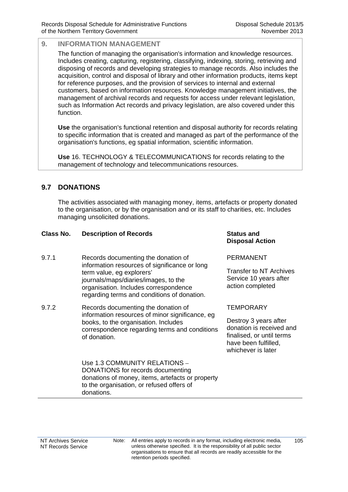The function of managing the organisation's information and knowledge resources. Includes creating, capturing, registering, classifying, indexing, storing, retrieving and disposing of records and developing strategies to manage records. Also includes the acquisition, control and disposal of library and other information products, items kept for reference purposes, and the provision of services to internal and external customers, based on information resources. Knowledge management initiatives, the management of archival records and requests for access under relevant legislation, such as Information Act records and privacy legislation, are also covered under this function.

**Use** the organisation's functional retention and disposal authority for records relating to specific information that is created and managed as part of the performance of the organisation's functions, eg spatial information, scientific information.

**Use** 16. TECHNOLOGY & TELECOMMUNICATIONS for records relating to the management of technology and telecommunications resources.

## **9.7 DONATIONS**

The activities associated with managing money, items, artefacts or property donated to the organisation, or by the organisation and or its staff to charities, etc. Includes managing unsolicited donations.

## **Class No. Description of Records <b>Status** and **Status** and

- 9.7.1 Records documenting the donation of information resources of significance or long term value, eg explorers' journals/maps/diaries/images, to the organisation. Includes correspondence regarding terms and conditions of donation.
- 9.7.2 Records documenting the donation of information resources of minor significance, eg books, to the organisation. Includes correspondence regarding terms and conditions of donation.

## **Disposal Action**

PERMANENT

Transfer to NT Archives Service 10 years after action completed

## **TEMPORARY**

Destroy 3 years after donation is received and finalised, or until terms have been fulfilled, whichever is later

 Use 1.3 COMMUNITY RELATIONS – DONATIONS for records documenting donations of money, items, artefacts or property to the organisation, or refused offers of donations.

 $105$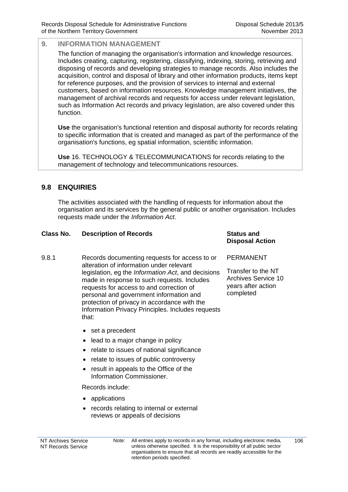The function of managing the organisation's information and knowledge resources. Includes creating, capturing, registering, classifying, indexing, storing, retrieving and disposing of records and developing strategies to manage records. Also includes the acquisition, control and disposal of library and other information products, items kept for reference purposes, and the provision of services to internal and external customers, based on information resources. Knowledge management initiatives, the management of archival records and requests for access under relevant legislation, such as Information Act records and privacy legislation, are also covered under this function.

**Use** the organisation's functional retention and disposal authority for records relating to specific information that is created and managed as part of the performance of the organisation's functions, eg spatial information, scientific information.

**Use** 16. TECHNOLOGY & TELECOMMUNICATIONS for records relating to the management of technology and telecommunications resources.

## **9.8 ENQUIRIES**

The activities associated with the handling of requests for information about the organisation and its services by the general public or another organisation. Includes requests made under the *Information Act*.

## **Class No. Description of Records <b>Status** and **Status** and

- 9.8.1 Records documenting requests for access to or alteration of information under relevant legislation, eg the *Information Act*, and decisions made in response to such requests. Includes requests for access to and correction of personal and government information and protection of privacy in accordance with the Information Privacy Principles. Includes requests that:
	- set a precedent
	- lead to a major change in policy
	- relate to issues of national significance
	- relate to issues of public controversy
	- result in appeals to the Office of the Information Commissioner.

Records include:

- applications
- records relating to internal or external reviews or appeals of decisions

## **Disposal Action**

#### PERMANENT

Transfer to the NT Archives Service 10 years after action completed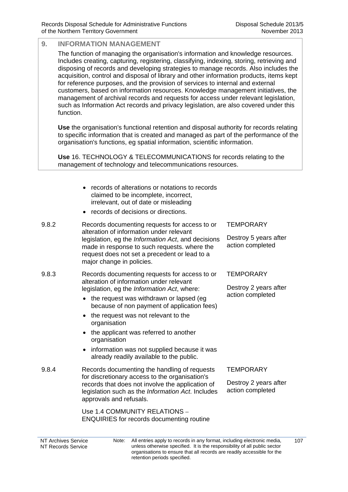The function of managing the organisation's information and knowledge resources. Includes creating, capturing, registering, classifying, indexing, storing, retrieving and disposing of records and developing strategies to manage records. Also includes the acquisition, control and disposal of library and other information products, items kept for reference purposes, and the provision of services to internal and external customers, based on information resources. Knowledge management initiatives, the management of archival records and requests for access under relevant legislation, such as Information Act records and privacy legislation, are also covered under this function.

**Use** the organisation's functional retention and disposal authority for records relating to specific information that is created and managed as part of the performance of the organisation's functions, eg spatial information, scientific information.

**Use** 16. TECHNOLOGY & TELECOMMUNICATIONS for records relating to the management of technology and telecommunications resources.

- records of alterations or notations to records claimed to be incomplete, incorrect, irrelevant, out of date or misleading
- records of decisions or directions.
- 9.8.2 Records documenting requests for access to or alteration of information under relevant legislation, eg the *Information Act*, and decisions made in response to such requests. where the request does not set a precedent or lead to a major change in policies.
- 9.8.3 Records documenting requests for access to or alteration of information under relevant legislation, eg the *Information Act*, where:
	- the request was withdrawn or lapsed (eg because of non payment of application fees)
	- the request was not relevant to the organisation
	- the applicant was referred to another organisation
	- information was not supplied because it was already readily available to the public.
- 9.8.4 Records documenting the handling of requests for discretionary access to the organisation's records that does not involve the application of legislation such as the *Information Act*. Includes approvals and refusals.

 Use 1.4 COMMUNITY RELATIONS – ENQUIRIES for records documenting routine **TEMPORARY** 

Destroy 5 years after action completed

**TFMPORARY** 

Destroy 2 years after action completed

#### **TEMPORARY**

Destroy 2 years after action completed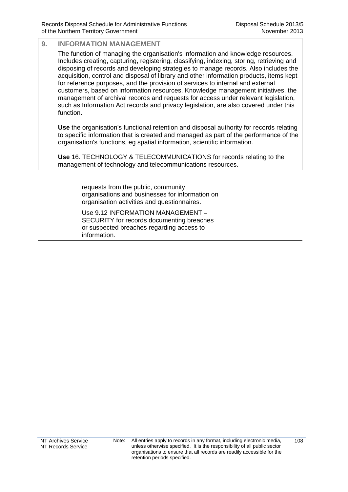The function of managing the organisation's information and knowledge resources. Includes creating, capturing, registering, classifying, indexing, storing, retrieving and disposing of records and developing strategies to manage records. Also includes the acquisition, control and disposal of library and other information products, items kept for reference purposes, and the provision of services to internal and external customers, based on information resources. Knowledge management initiatives, the management of archival records and requests for access under relevant legislation, such as Information Act records and privacy legislation, are also covered under this function.

**Use** the organisation's functional retention and disposal authority for records relating to specific information that is created and managed as part of the performance of the organisation's functions, eg spatial information, scientific information.

**Use** 16. TECHNOLOGY & TELECOMMUNICATIONS for records relating to the management of technology and telecommunications resources.

> requests from the public, community organisations and businesses for information on organisation activities and questionnaires.

Use 9.12 INFORMATION MANAGEMENT – SECURITY for records documenting breaches or suspected breaches regarding access to information.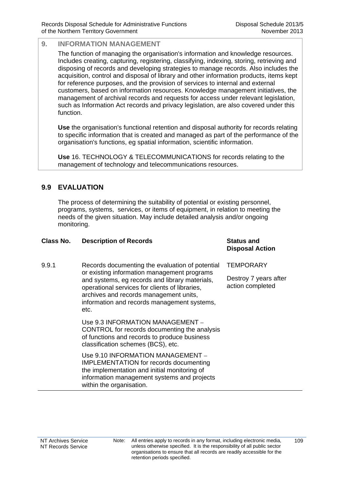The function of managing the organisation's information and knowledge resources. Includes creating, capturing, registering, classifying, indexing, storing, retrieving and disposing of records and developing strategies to manage records. Also includes the acquisition, control and disposal of library and other information products, items kept for reference purposes, and the provision of services to internal and external customers, based on information resources. Knowledge management initiatives, the management of archival records and requests for access under relevant legislation, such as Information Act records and privacy legislation, are also covered under this function.

**Use** the organisation's functional retention and disposal authority for records relating to specific information that is created and managed as part of the performance of the organisation's functions, eg spatial information, scientific information.

**Use** 16. TECHNOLOGY & TELECOMMUNICATIONS for records relating to the management of technology and telecommunications resources.

## **9.9 EVALUATION**

The process of determining the suitability of potential or existing personnel, programs, systems, services, or items of equipment, in relation to meeting the needs of the given situation. May include detailed analysis and/or ongoing monitoring.

| <b>Class No.</b> | <b>Description of Records</b>                                                                                                                                                                                                                                                                       | <b>Status and</b><br><b>Disposal Action</b> |
|------------------|-----------------------------------------------------------------------------------------------------------------------------------------------------------------------------------------------------------------------------------------------------------------------------------------------------|---------------------------------------------|
| 9.9.1            | Records documenting the evaluation of potential<br>or existing information management programs<br>and systems, eg records and library materials,<br>operational services for clients of libraries,<br>archives and records management units,<br>information and records management systems,<br>etc. | <b>TEMPORARY</b>                            |
|                  |                                                                                                                                                                                                                                                                                                     | Destroy 7 years after<br>action completed   |
|                  | Use 9.3 INFORMATION MANAGEMENT -<br>CONTROL for records documenting the analysis<br>of functions and records to produce business<br>classification schemes (BCS), etc.                                                                                                                              |                                             |
|                  | Use 9.10 INFORMATION MANAGEMENT -<br><b>IMPLEMENTATION for records documenting</b><br>the implementation and initial monitoring of<br>information management systems and projects<br>within the organisation.                                                                                       |                                             |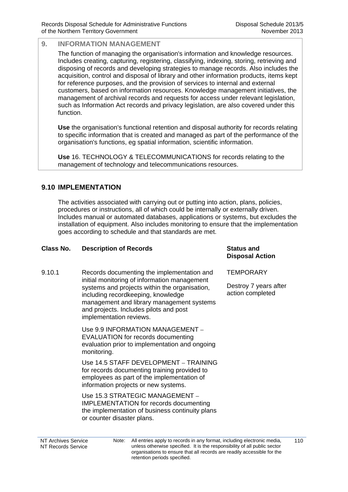The function of managing the organisation's information and knowledge resources. Includes creating, capturing, registering, classifying, indexing, storing, retrieving and disposing of records and developing strategies to manage records. Also includes the acquisition, control and disposal of library and other information products, items kept for reference purposes, and the provision of services to internal and external customers, based on information resources. Knowledge management initiatives, the management of archival records and requests for access under relevant legislation, such as Information Act records and privacy legislation, are also covered under this function.

**Use** the organisation's functional retention and disposal authority for records relating to specific information that is created and managed as part of the performance of the organisation's functions, eg spatial information, scientific information.

**Use** 16. TECHNOLOGY & TELECOMMUNICATIONS for records relating to the management of technology and telecommunications resources.

## **9.10 IMPLEMENTATION**

The activities associated with carrying out or putting into action, plans, policies, procedures or instructions, all of which could be internally or externally driven. Includes manual or automated databases, applications or systems, but excludes the installation of equipment. Also includes monitoring to ensure that the implementation goes according to schedule and that standards are met.

## **Class No. Description of Records Status and**

9.10.1 Records documenting the implementation and initial monitoring of information management systems and projects within the organisation, including recordkeeping, knowledge management and library management systems and projects. Includes pilots and post implementation reviews.

> Use 9.9 INFORMATION MANAGEMENT – EVALUATION for records documenting evaluation prior to implementation and ongoing monitoring.

 Use 14.5 STAFF DEVELOPMENT – TRAINING for records documenting training provided to employees as part of the implementation of information projects or new systems.

 Use 15.3 STRATEGIC MANAGEMENT – IMPLEMENTATION for records documenting the implementation of business continuity plans or counter disaster plans.

## **Disposal Action**

**TEMPORARY** 

Destroy 7 years after action completed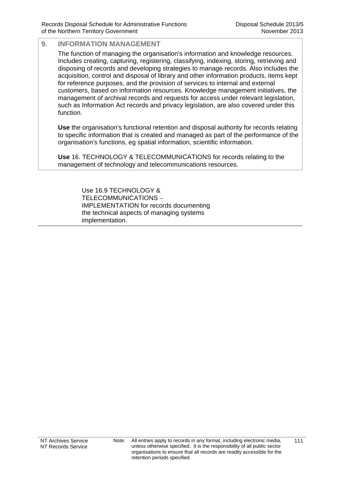The function of managing the organisation's information and knowledge resources. Includes creating, capturing, registering, classifying, indexing, storing, retrieving and disposing of records and developing strategies to manage records. Also includes the acquisition, control and disposal of library and other information products, items kept for reference purposes, and the provision of services to internal and external customers, based on information resources. Knowledge management initiatives, the management of archival records and requests for access under relevant legislation, such as Information Act records and privacy legislation, are also covered under this function.

**Use** the organisation's functional retention and disposal authority for records relating to specific information that is created and managed as part of the performance of the organisation's functions, eg spatial information, scientific information.

**Use** 16. TECHNOLOGY & TELECOMMUNICATIONS for records relating to the management of technology and telecommunications resources.

> Use 16.9 TECHNOLOGY & TELECOMMUNICATIONS – IMPLEMENTATION for records documenting the technical aspects of managing systems implementation.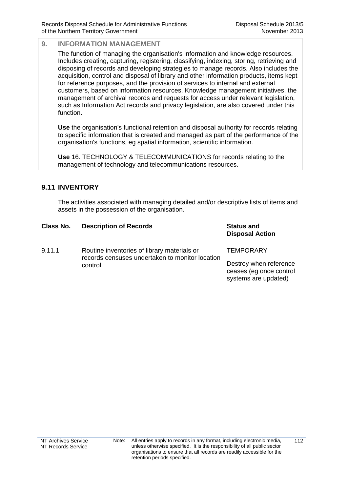The function of managing the organisation's information and knowledge resources. Includes creating, capturing, registering, classifying, indexing, storing, retrieving and disposing of records and developing strategies to manage records. Also includes the acquisition, control and disposal of library and other information products, items kept for reference purposes, and the provision of services to internal and external customers, based on information resources. Knowledge management initiatives, the management of archival records and requests for access under relevant legislation, such as Information Act records and privacy legislation, are also covered under this function.

**Use** the organisation's functional retention and disposal authority for records relating to specific information that is created and managed as part of the performance of the organisation's functions, eg spatial information, scientific information.

**Use** 16. TECHNOLOGY & TELECOMMUNICATIONS for records relating to the management of technology and telecommunications resources.

## **9.11 INVENTORY**

The activities associated with managing detailed and/or descriptive lists of items and assets in the possession of the organisation.

| Class No. | <b>Description of Records</b>                                                                              | <b>Status and</b><br><b>Disposal Action</b>                               |
|-----------|------------------------------------------------------------------------------------------------------------|---------------------------------------------------------------------------|
| 9.11.1    | Routine inventories of library materials or<br>records censuses undertaken to monitor location<br>control. | <b>TEMPORARY</b>                                                          |
|           |                                                                                                            | Destroy when reference<br>ceases (eg once control<br>systems are updated) |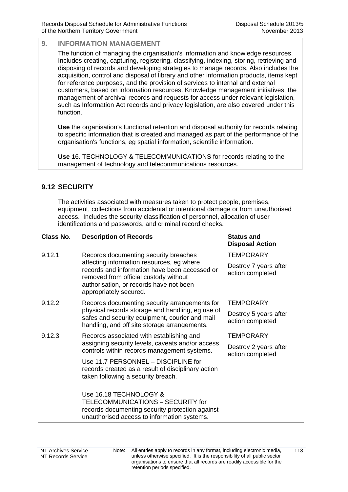The function of managing the organisation's information and knowledge resources. Includes creating, capturing, registering, classifying, indexing, storing, retrieving and disposing of records and developing strategies to manage records. Also includes the acquisition, control and disposal of library and other information products, items kept for reference purposes, and the provision of services to internal and external customers, based on information resources. Knowledge management initiatives, the management of archival records and requests for access under relevant legislation, such as Information Act records and privacy legislation, are also covered under this function.

**Use** the organisation's functional retention and disposal authority for records relating to specific information that is created and managed as part of the performance of the organisation's functions, eg spatial information, scientific information.

**Use** 16. TECHNOLOGY & TELECOMMUNICATIONS for records relating to the management of technology and telecommunications resources.

## **9.12 SECURITY**

The activities associated with measures taken to protect people, premises, equipment, collections from accidental or intentional damage or from unauthorised access. Includes the security classification of personnel, allocation of user identifications and passwords, and criminal record checks.

## **Class No. Description of Records <b>Status** and **Status** and

- 9.12.1 Records documenting security breaches affecting information resources, eg where records and information have been accessed or removed from official custody without authorisation, or records have not been appropriately secured.
- 9.12.2 Records documenting security arrangements for physical records storage and handling, eg use of safes and security equipment, courier and mail handling, and off site storage arrangements.
- 9.12.3 Records associated with establishing and assigning security levels, caveats and/or access controls within records management systems.

Use 11.7 PERSONNEL – DISCIPLINE for records created as a result of disciplinary action taken following a security breach.

Use 16.18 TECHNOLOGY & TELECOMMUNICATIONS – SECURITY for records documenting security protection against unauthorised access to information systems.

## **Disposal Action**

**TEMPORARY** 

Destroy 7 years after action completed

#### **TEMPORARY**

Destroy 5 years after action completed

**TEMPORARY** 

Destroy 2 years after action completed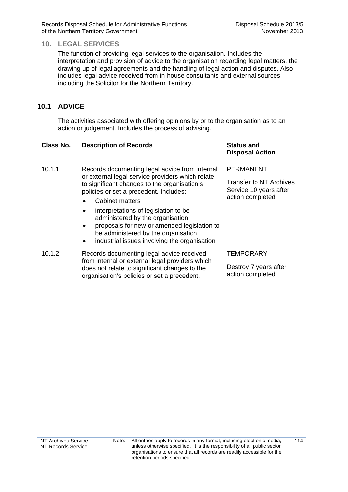The function of providing legal services to the organisation. Includes the interpretation and provision of advice to the organisation regarding legal matters, the drawing up of legal agreements and the handling of legal action and disputes. Also includes legal advice received from in-house consultants and external sources including the Solicitor for the Northern Territory.

## **10.1 ADVICE**

The activities associated with offering opinions by or to the organisation as to an action or judgement. Includes the process of advising.

#### **Class No. Description of Records Status and Disposal Action** 10.1.1 Records documenting legal advice from internal or external legal service providers which relate to significant changes to the organisation's policies or set a precedent. Includes: Cabinet matters • interpretations of legislation to be administered by the organisation proposals for new or amended legislation to be administered by the organisation industrial issues involving the organisation. PERMANENT Transfer to NT Archives Service 10 years after action completed 10.1.2 Records documenting legal advice received from internal or external legal providers which does not relate to significant changes to the organisation's policies or set a precedent. **TEMPORARY** Destroy 7 years after action completed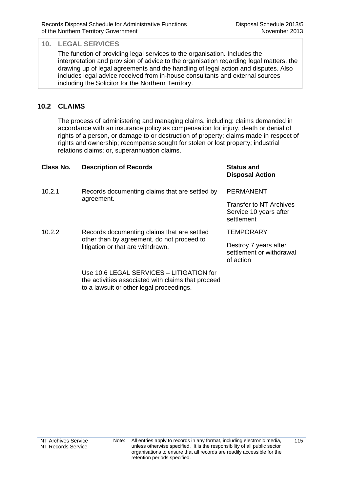The function of providing legal services to the organisation. Includes the interpretation and provision of advice to the organisation regarding legal matters, the drawing up of legal agreements and the handling of legal action and disputes. Also includes legal advice received from in-house consultants and external sources including the Solicitor for the Northern Territory.

## **10.2 CLAIMS**

The process of administering and managing claims, including: claims demanded in accordance with an insurance policy as compensation for injury, death or denial of rights of a person, or damage to or destruction of property; claims made in respect of rights and ownership; recompense sought for stolen or lost property; industrial relations claims; or, superannuation claims.

| Class No. | <b>Description of Records</b>                                                                                                              | <b>Status and</b><br><b>Disposal Action</b>                            |
|-----------|--------------------------------------------------------------------------------------------------------------------------------------------|------------------------------------------------------------------------|
| 10.2.1    | Records documenting claims that are settled by<br>agreement.                                                                               | <b>PERMANENT</b>                                                       |
|           |                                                                                                                                            | <b>Transfer to NT Archives</b><br>Service 10 years after<br>settlement |
| 10.2.2    | Records documenting claims that are settled<br>other than by agreement, do not proceed to<br>litigation or that are withdrawn.             | <b>TEMPORARY</b>                                                       |
|           |                                                                                                                                            | Destroy 7 years after<br>settlement or withdrawal<br>of action         |
|           | Use 10.6 LEGAL SERVICES - LITIGATION for<br>the activities associated with claims that proceed<br>to a lawsuit or other legal proceedings. |                                                                        |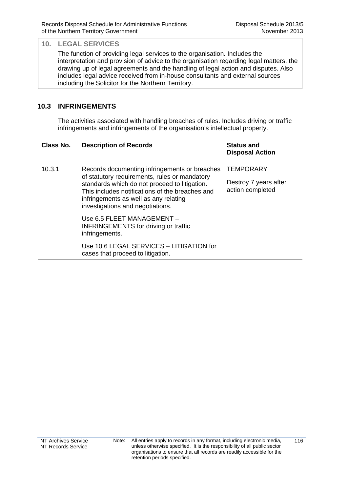The function of providing legal services to the organisation. Includes the interpretation and provision of advice to the organisation regarding legal matters, the drawing up of legal agreements and the handling of legal action and disputes. Also includes legal advice received from in-house consultants and external sources including the Solicitor for the Northern Territory.

## **10.3 INFRINGEMENTS**

The activities associated with handling breaches of rules. Includes driving or traffic infringements and infringements of the organisation's intellectual property.

#### **Class No. Description of Records Status and**

# **Disposal Action**

10.3.1 Records documenting infringements or breaches of statutory requirements, rules or mandatory standards which do not proceed to litigation. This includes notifications of the breaches and infringements as well as any relating investigations and negotiations. **TEMPORARY** action completed Use 6.5 FLEET MANAGEMENT – INFRINGEMENTS for driving or traffic

> infringements. Use 10.6 LEGAL SERVICES – LITIGATION for cases that proceed to litigation.

Destroy 7 years after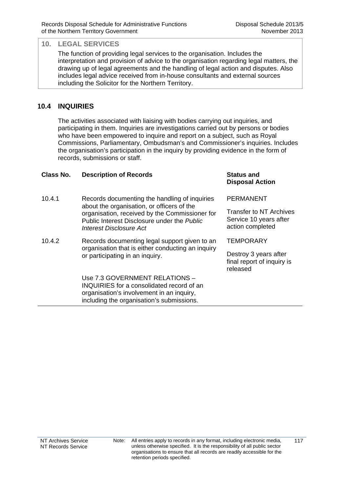The function of providing legal services to the organisation. Includes the interpretation and provision of advice to the organisation regarding legal matters, the drawing up of legal agreements and the handling of legal action and disputes. Also includes legal advice received from in-house consultants and external sources including the Solicitor for the Northern Territory.

## **10.4 INQUIRIES**

The activities associated with liaising with bodies carrying out inquiries, and participating in them. Inquiries are investigations carried out by persons or bodies who have been empowered to inquire and report on a subject, such as Royal Commissions, Parliamentary, Ombudsman's and Commissioner's inquiries. Includes the organisation's participation in the inquiry by providing evidence in the form of records, submissions or staff.

#### **Class No. Description of Records Status and**

- 10.4.1 Records documenting the handling of inquiries about the organisation, or officers of the organisation, received by the Commissioner for Public Interest Disclosure under the *Public Interest Disclosure Act*
- 10.4.2 Records documenting legal support given to an organisation that is either conducting an inquiry or participating in an inquiry.

Use 7.3 GOVERNMENT RELATIONS – INQUIRIES for a consolidated record of an organisation's involvement in an inquiry, including the organisation's submissions.

## **Disposal Action**

PERMANENT

Transfer to NT Archives Service 10 years after action completed

**TFMPORARY** 

Destroy 3 years after final report of inquiry is released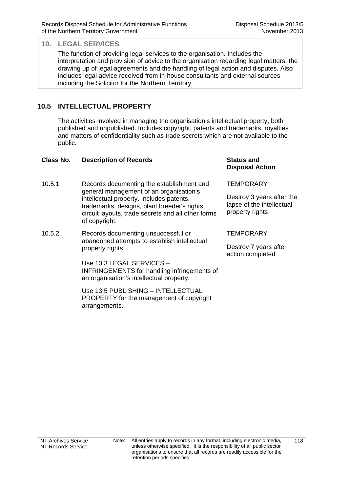The function of providing legal services to the organisation. Includes the interpretation and provision of advice to the organisation regarding legal matters, the drawing up of legal agreements and the handling of legal action and disputes. Also includes legal advice received from in-house consultants and external sources including the Solicitor for the Northern Territory.

## **10.5 INTELLECTUAL PROPERTY**

The activities involved in managing the organisation's intellectual property, both published and unpublished. Includes copyright, patents and trademarks, royalties and matters of confidentiality such as trade secrets which are not available to the public.

| <b>Class No.</b> | <b>Description of Records</b>                                                                                                                                                                                                                           | <b>Status and</b><br><b>Disposal Action</b>                               |
|------------------|---------------------------------------------------------------------------------------------------------------------------------------------------------------------------------------------------------------------------------------------------------|---------------------------------------------------------------------------|
| 10.5.1           | Records documenting the establishment and<br>general management of an organisation's<br>intellectual property. Includes patents,<br>trademarks, designs, plant breeder's rights,<br>circuit layouts, trade secrets and all other forms<br>of copyright. | <b>TEMPORARY</b>                                                          |
|                  |                                                                                                                                                                                                                                                         | Destroy 3 years after the<br>lapse of the intellectual<br>property rights |
| 10.5.2           | Records documenting unsuccessful or<br>abandoned attempts to establish intellectual<br>property rights.                                                                                                                                                 | <b>TEMPORARY</b>                                                          |
|                  |                                                                                                                                                                                                                                                         | Destroy 7 years after<br>action completed                                 |
|                  | Use 10.3 LEGAL SERVICES –<br><b>INFRINGEMENTS</b> for handling infringements of<br>an organisation's intellectual property.                                                                                                                             |                                                                           |
|                  | Use 13.5 PUBLISHING - INTELLECTUAL<br>PROPERTY for the management of copyright<br>arrangements.                                                                                                                                                         |                                                                           |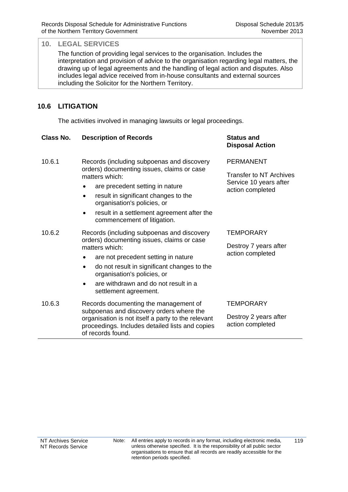The function of providing legal services to the organisation. Includes the interpretation and provision of advice to the organisation regarding legal matters, the drawing up of legal agreements and the handling of legal action and disputes. Also includes legal advice received from in-house consultants and external sources including the Solicitor for the Northern Territory.

## **10.6 LITIGATION**

The activities involved in managing lawsuits or legal proceedings.

| Class No. | <b>Description of Records</b>                                                                                                                                                                                                                                                                                      | <b>Status and</b><br><b>Disposal Action</b>                                               |
|-----------|--------------------------------------------------------------------------------------------------------------------------------------------------------------------------------------------------------------------------------------------------------------------------------------------------------------------|-------------------------------------------------------------------------------------------|
| 10.6.1    | Records (including subpoenas and discovery<br>orders) documenting issues, claims or case<br>matters which:<br>are precedent setting in nature<br>result in significant changes to the<br>organisation's policies, or<br>result in a settlement agreement after the<br>$\bullet$<br>commencement of litigation.     | <b>PERMANENT</b><br>Transfer to NT Archives<br>Service 10 years after<br>action completed |
| 10.6.2    | Records (including subpoenas and discovery<br>orders) documenting issues, claims or case<br>matters which:<br>are not precedent setting in nature<br>٠<br>do not result in significant changes to the<br>$\bullet$<br>organisation's policies, or<br>are withdrawn and do not result in a<br>settlement agreement. | TEMPORARY<br>Destroy 7 years after<br>action completed                                    |
| 10.6.3    | Records documenting the management of<br>subpoenas and discovery orders where the<br>organisation is not itself a party to the relevant<br>proceedings. Includes detailed lists and copies<br>of records found.                                                                                                    | TEMPORARY<br>Destroy 2 years after<br>action completed                                    |
|           |                                                                                                                                                                                                                                                                                                                    |                                                                                           |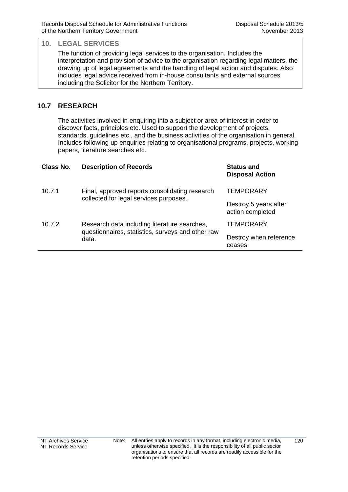The function of providing legal services to the organisation. Includes the interpretation and provision of advice to the organisation regarding legal matters, the drawing up of legal agreements and the handling of legal action and disputes. Also includes legal advice received from in-house consultants and external sources including the Solicitor for the Northern Territory.

## **10.7 RESEARCH**

The activities involved in enquiring into a subject or area of interest in order to discover facts, principles etc. Used to support the development of projects, standards, guidelines etc., and the business activities of the organisation in general. Includes following up enquiries relating to organisational programs, projects, working papers, literature searches etc.

| Class No. | <b>Description of Records</b>                                                                              | <b>Status and</b><br><b>Disposal Action</b> |
|-----------|------------------------------------------------------------------------------------------------------------|---------------------------------------------|
| 10.7.1    | Final, approved reports consolidating research<br>collected for legal services purposes.                   | TEMPORARY                                   |
|           |                                                                                                            | Destroy 5 years after<br>action completed   |
| 10.7.2    | Research data including literature searches,<br>questionnaires, statistics, surveys and other raw<br>data. | TEMPORARY                                   |
|           |                                                                                                            | Destroy when reference<br>ceases            |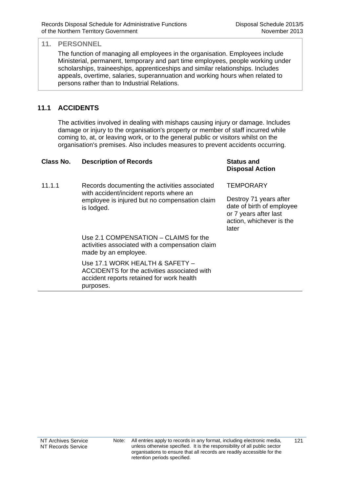The function of managing all employees in the organisation. Employees include Ministerial, permanent, temporary and part time employees, people working under scholarships, traineeships, apprenticeships and similar relationships. Includes appeals, overtime, salaries, superannuation and working hours when related to persons rather than to Industrial Relations.

## **11.1 ACCIDENTS**

The activities involved in dealing with mishaps causing injury or damage. Includes damage or injury to the organisation's property or member of staff incurred while coming to, at, or leaving work, or to the general public or visitors whilst on the organisation's premises. Also includes measures to prevent accidents occurring.

| Class No. | <b>Description of Records</b>                                                                                                                           | <b>Status and</b><br><b>Disposal Action</b>                                                                       |
|-----------|---------------------------------------------------------------------------------------------------------------------------------------------------------|-------------------------------------------------------------------------------------------------------------------|
| 11.1.1    | Records documenting the activities associated<br>with accident/incident reports where an<br>employee is injured but no compensation claim<br>is lodged. | <b>TEMPORARY</b>                                                                                                  |
|           |                                                                                                                                                         | Destroy 71 years after<br>date of birth of employee<br>or 7 years after last<br>action, whichever is the<br>later |
|           | Use 2.1 COMPENSATION - CLAIMS for the<br>activities associated with a compensation claim<br>made by an employee.                                        |                                                                                                                   |
|           | Use 17.1 WORK HEALTH & SAFETY -<br>ACCIDENTS for the activities associated with<br>accident reports retained for work health<br>purposes.               |                                                                                                                   |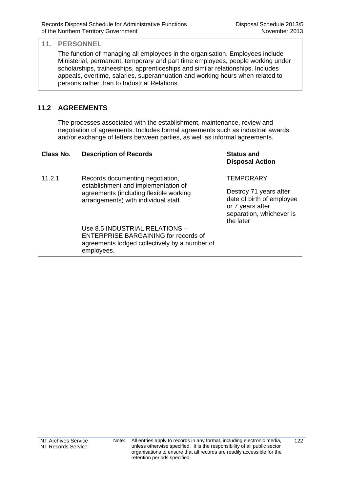The function of managing all employees in the organisation. Employees include Ministerial, permanent, temporary and part time employees, people working under scholarships, traineeships, apprenticeships and similar relationships. Includes appeals, overtime, salaries, superannuation and working hours when related to persons rather than to Industrial Relations.

## **11.2 AGREEMENTS**

The processes associated with the establishment, maintenance, review and negotiation of agreements. Includes formal agreements such as industrial awards and/or exchange of letters between parties, as well as informal agreements.

| <b>Description of Records</b>                                                                              | <b>Status and</b><br><b>Disposal Action</b>                                                                      |
|------------------------------------------------------------------------------------------------------------|------------------------------------------------------------------------------------------------------------------|
| Records documenting negotiation,                                                                           | <b>TEMPORARY</b>                                                                                                 |
| agreements (including flexible working<br>arrangements) with individual staff.                             | Destroy 71 years after<br>date of birth of employee<br>or 7 years after<br>separation, whichever is<br>the later |
| Use 8.5 INDUSTRIAL RELATIONS -                                                                             |                                                                                                                  |
| <b>ENTERPRISE BARGAINING for records of</b><br>agreements lodged collectively by a number of<br>employees. |                                                                                                                  |
|                                                                                                            | establishment and implementation of                                                                              |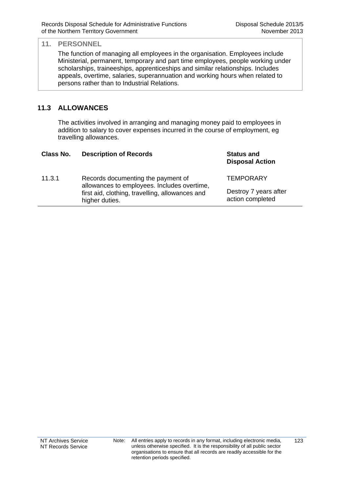The function of managing all employees in the organisation. Employees include Ministerial, permanent, temporary and part time employees, people working under scholarships, traineeships, apprenticeships and similar relationships. Includes appeals, overtime, salaries, superannuation and working hours when related to persons rather than to Industrial Relations.

## **11.3 ALLOWANCES**

The activities involved in arranging and managing money paid to employees in addition to salary to cover expenses incurred in the course of employment, eg travelling allowances.

| Class No. | <b>Description of Records</b>                                                     | <b>Status and</b><br><b>Disposal Action</b>                   |
|-----------|-----------------------------------------------------------------------------------|---------------------------------------------------------------|
| 11.3.1    | Records documenting the payment of<br>allowances to employees. Includes overtime, | <b>TEMPORARY</b><br>Destroy 7 years after<br>action completed |
|           | first aid, clothing, travelling, allowances and<br>higher duties.                 |                                                               |
|           |                                                                                   |                                                               |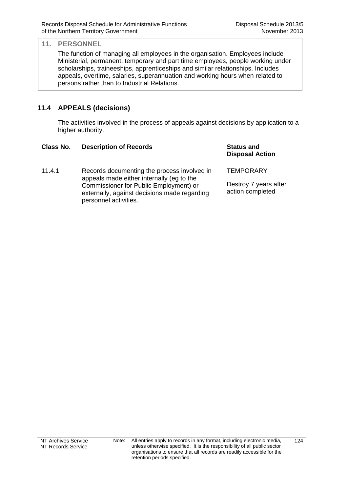The function of managing all employees in the organisation. Employees include Ministerial, permanent, temporary and part time employees, people working under scholarships, traineeships, apprenticeships and similar relationships. Includes appeals, overtime, salaries, superannuation and working hours when related to persons rather than to Industrial Relations.

## **11.4 APPEALS (decisions)**

The activities involved in the process of appeals against decisions by application to a higher authority.

| Class No. | <b>Description of Records</b>                                                                                   | <b>Status and</b><br><b>Disposal Action</b>                   |
|-----------|-----------------------------------------------------------------------------------------------------------------|---------------------------------------------------------------|
| 11.4.1    | Records documenting the process involved in<br>appeals made either internally (eg to the                        | <b>TEMPORARY</b><br>Destroy 7 years after<br>action completed |
|           | Commissioner for Public Employment) or<br>externally, against decisions made regarding<br>personnel activities. |                                                               |
|           |                                                                                                                 |                                                               |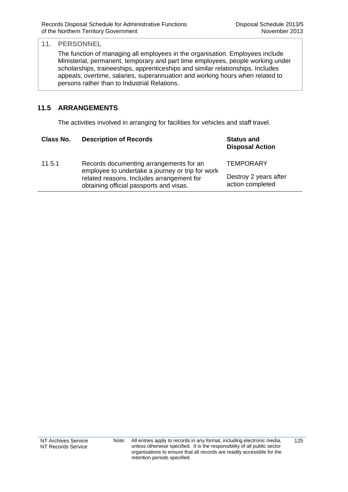The function of managing all employees in the organisation. Employees include Ministerial, permanent, temporary and part time employees, people working under scholarships, traineeships, apprenticeships and similar relationships. Includes appeals, overtime, salaries, superannuation and working hours when related to persons rather than to Industrial Relations.

## **11.5 ARRANGEMENTS**

The activities involved in arranging for facilities for vehicles and staff travel.

| Class No. | <b>Description of Records</b>                                                               | <b>Status and</b><br><b>Disposal Action</b>                   |
|-----------|---------------------------------------------------------------------------------------------|---------------------------------------------------------------|
| 11.5.1    | Records documenting arrangements for an<br>employee to undertake a journey or trip for work | <b>TEMPORARY</b><br>Destroy 2 years after<br>action completed |
|           | related reasons. Includes arrangement for<br>obtaining official passports and visas.        |                                                               |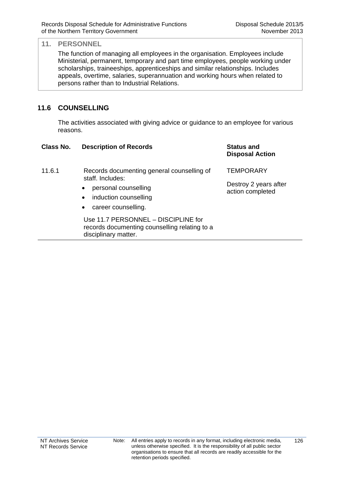126

#### **11. PERSONNEL**

The function of managing all employees in the organisation. Employees include Ministerial, permanent, temporary and part time employees, people working under scholarships, traineeships, apprenticeships and similar relationships. Includes appeals, overtime, salaries, superannuation and working hours when related to persons rather than to Industrial Relations.

## **11.6 COUNSELLING**

The activities associated with giving advice or guidance to an employee for various reasons.

| Class No. | <b>Description of Records</b>                                                                                | <b>Status and</b><br><b>Disposal Action</b> |
|-----------|--------------------------------------------------------------------------------------------------------------|---------------------------------------------|
| 11.6.1    | Records documenting general counselling of<br>staff. Includes:                                               | <b>TEMPORARY</b>                            |
|           | personal counselling<br>$\bullet$<br>induction counselling<br>$\bullet$<br>career counselling.<br>$\bullet$  | Destroy 2 years after<br>action completed   |
|           | Use 11.7 PERSONNEL - DISCIPLINE for<br>records documenting counselling relating to a<br>disciplinary matter. |                                             |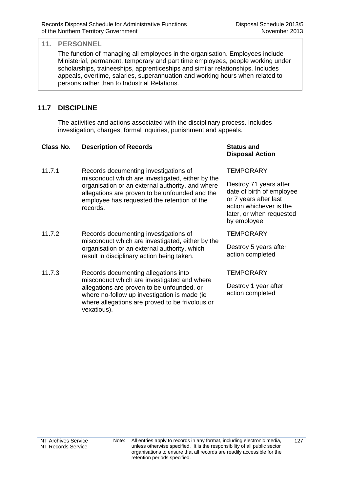The function of managing all employees in the organisation. Employees include Ministerial, permanent, temporary and part time employees, people working under scholarships, traineeships, apprenticeships and similar relationships. Includes appeals, overtime, salaries, superannuation and working hours when related to persons rather than to Industrial Relations.

## **11.7 DISCIPLINE**

The activities and actions associated with the disciplinary process. Includes investigation, charges, formal inquiries, punishment and appeals.

#### **Class No. Description of Records Status and**

- 11.7.1 Records documenting investigations of misconduct which are investigated, either by the organisation or an external authority, and where allegations are proven to be unfounded and the employee has requested the retention of the records.
- 11.7.2 Records documenting investigations of misconduct which are investigated, either by the organisation or an external authority, which result in disciplinary action being taken.
- 11.7.3 Records documenting allegations into misconduct which are investigated and where allegations are proven to be unfounded, or where no-follow up investigation is made (ie where allegations are proved to be frivolous or vexatious).

# **Disposal Action**

#### **TEMPORARY**

Destroy 71 years after date of birth of employee or 7 years after last action whichever is the later, or when requested by employee

**TEMPORARY** 

Destroy 5 years after action completed

**TEMPORARY** 

Destroy 1 year after action completed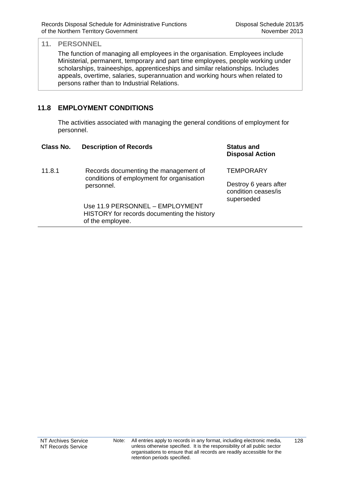The function of managing all employees in the organisation. Employees include Ministerial, permanent, temporary and part time employees, people working under scholarships, traineeships, apprenticeships and similar relationships. Includes appeals, overtime, salaries, superannuation and working hours when related to persons rather than to Industrial Relations.

## **11.8 EMPLOYMENT CONDITIONS**

The activities associated with managing the general conditions of employment for personnel.

| Class No. | <b>Description of Records</b>                                                                      | <b>Status and</b><br><b>Disposal Action</b>                |
|-----------|----------------------------------------------------------------------------------------------------|------------------------------------------------------------|
| 11.8.1    | Records documenting the management of                                                              | <b>TEMPORARY</b>                                           |
|           | conditions of employment for organisation<br>personnel.                                            | Destroy 6 years after<br>condition ceases/is<br>superseded |
|           | Use 11.9 PERSONNEL - EMPLOYMENT<br>HISTORY for records documenting the history<br>of the employee. |                                                            |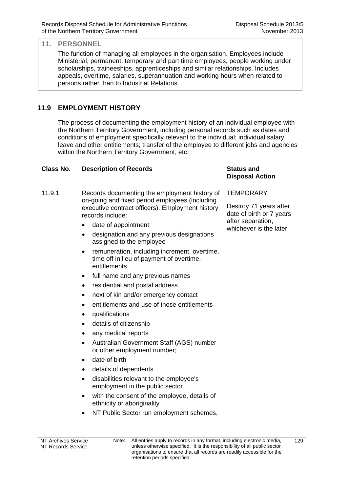The function of managing all employees in the organisation. Employees include Ministerial, permanent, temporary and part time employees, people working under scholarships, traineeships, apprenticeships and similar relationships. Includes appeals, overtime, salaries, superannuation and working hours when related to persons rather than to Industrial Relations.

## **11.9 EMPLOYMENT HISTORY**

The process of documenting the employment history of an individual employee with the Northern Territory Government, including personal records such as dates and conditions of employment specifically relevant to the individual; individual salary, leave and other entitlements; transfer of the employee to different jobs and agencies within the Northern Territory Government, etc.

## **Class No. Description of Records Status and**

- 11.9.1 Records documenting the employment history of on-going and fixed period employees (including executive contract officers). Employment history records include:
	- date of appointment
	- designation and any previous designations assigned to the employee
	- remuneration, including increment, overtime, time off in lieu of payment of overtime, entitlements
	- full name and any previous names
	- residential and postal address
	- next of kin and/or emergency contact
	- entitlements and use of those entitlements
	- qualifications
	- details of citizenship
	- any medical reports
	- Australian Government Staff (AGS) number or other employment number;
	- date of birth
	- details of dependents
	- disabilities relevant to the employee's employment in the public sector
	- with the consent of the employee, details of ethnicity or aboriginality
	- NT Public Sector run employment schemes,

#### NT Archives Service NT Records Service Note: All entries apply to records in any format, including electronic media, unless otherwise specified. It is the responsibility of all public sector organisations to ensure that all records are readily accessible for the retention periods specified.  $129$

# **Disposal Action**

**TEMPORARY** 

Destroy 71 years after date of birth or 7 years after separation, whichever is the later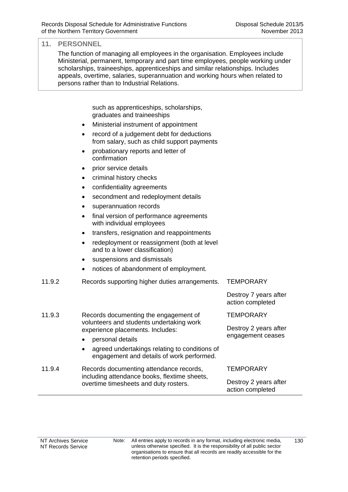The function of managing all employees in the organisation. Employees include Ministerial, permanent, temporary and part time employees, people working under scholarships, traineeships, apprenticeships and similar relationships. Includes appeals, overtime, salaries, superannuation and working hours when related to persons rather than to Industrial Relations.

> such as apprenticeships, scholarships, graduates and traineeships

- Ministerial instrument of appointment
- record of a judgement debt for deductions from salary, such as child support payments
- probationary reports and letter of confirmation
- prior service details
- criminal history checks
- confidentiality agreements
- secondment and redeployment details
- superannuation records
- final version of performance agreements with individual employees
- transfers, resignation and reappointments
- redeployment or reassignment (both at level and to a lower classification)
- suspensions and dismissals
- notices of abandonment of employment.

| 11.9.2 | Records supporting higher duties arrangements.                                                                                            | <b>TEMPORARY</b>                           |
|--------|-------------------------------------------------------------------------------------------------------------------------------------------|--------------------------------------------|
|        |                                                                                                                                           | Destroy 7 years after<br>action completed  |
| 11.9.3 | Records documenting the engagement of<br>volunteers and students undertaking work<br>experience placements. Includes:<br>personal details | <b>TEMPORARY</b>                           |
|        |                                                                                                                                           | Destroy 2 years after<br>engagement ceases |
|        |                                                                                                                                           |                                            |
|        | agreed undertakings relating to conditions of<br>engagement and details of work performed.                                                |                                            |
| 11.9.4 | Records documenting attendance records,<br>including attendance books, flextime sheets,<br>overtime timesheets and duty rosters.          | <b>TEMPORARY</b>                           |
|        |                                                                                                                                           | Destroy 2 years after<br>action completed  |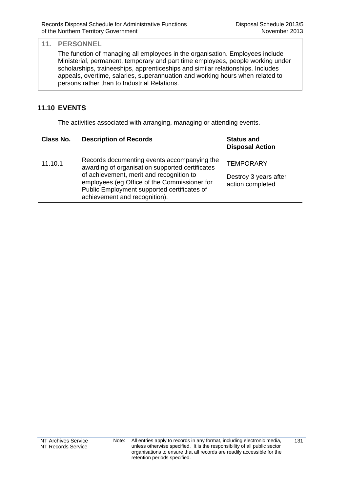The function of managing all employees in the organisation. Employees include Ministerial, permanent, temporary and part time employees, people working under scholarships, traineeships, apprenticeships and similar relationships. Includes appeals, overtime, salaries, superannuation and working hours when related to persons rather than to Industrial Relations.

## **11.10 EVENTS**

The activities associated with arranging, managing or attending events.

| Records documenting events accompanying the<br><b>TEMPORARY</b><br>11.10.1<br>awarding of organisation supported certificates<br>of achievement, merit and recognition to<br>Destroy 3 years after<br>employees (eg Office of the Commissioner for<br>action completed<br>Public Employment supported certificates of<br>achievement and recognition). | Class No. | <b>Description of Records</b> | <b>Status and</b><br><b>Disposal Action</b> |
|--------------------------------------------------------------------------------------------------------------------------------------------------------------------------------------------------------------------------------------------------------------------------------------------------------------------------------------------------------|-----------|-------------------------------|---------------------------------------------|
|                                                                                                                                                                                                                                                                                                                                                        |           |                               |                                             |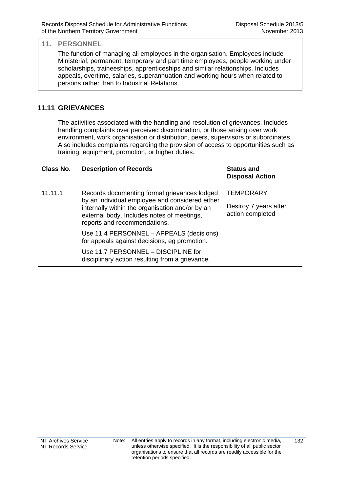The function of managing all employees in the organisation. Employees include Ministerial, permanent, temporary and part time employees, people working under scholarships, traineeships, apprenticeships and similar relationships. Includes appeals, overtime, salaries, superannuation and working hours when related to persons rather than to Industrial Relations.

### **11.11 GRIEVANCES**

The activities associated with the handling and resolution of grievances. Includes handling complaints over perceived discrimination, or those arising over work environment, work organisation or distribution, peers, supervisors or subordinates. Also includes complaints regarding the provision of access to opportunities such as training, equipment, promotion, or higher duties.

| Class No. | <b>Description of Records</b>                                                                                                 | <b>Status and</b><br><b>Disposal Action</b> |
|-----------|-------------------------------------------------------------------------------------------------------------------------------|---------------------------------------------|
| 11.11.1   | Records documenting formal grievances lodged<br>by an individual employee and considered either                               | <b>TEMPORARY</b>                            |
|           | internally within the organisation and/or by an<br>external body. Includes notes of meetings,<br>reports and recommendations. | Destroy 7 years after<br>action completed   |
|           | Use 11.4 PERSONNEL - APPEALS (decisions)<br>for appeals against decisions, eg promotion.                                      |                                             |
|           | Use 11.7 PERSONNEL - DISCIPLINE for<br>disciplinary action resulting from a grievance.                                        |                                             |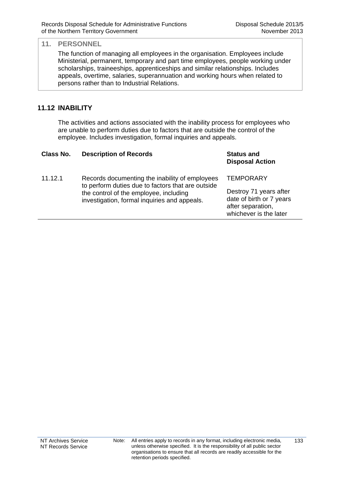The function of managing all employees in the organisation. Employees include Ministerial, permanent, temporary and part time employees, people working under scholarships, traineeships, apprenticeships and similar relationships. Includes appeals, overtime, salaries, superannuation and working hours when related to persons rather than to Industrial Relations.

## **11.12 INABILITY**

The activities and actions associated with the inability process for employees who are unable to perform duties due to factors that are outside the control of the employee. Includes investigation, formal inquiries and appeals.

| Class No. | <b>Description of Records</b>                                                                                                                                                                 | <b>Status and</b><br><b>Disposal Action</b>                                                                           |
|-----------|-----------------------------------------------------------------------------------------------------------------------------------------------------------------------------------------------|-----------------------------------------------------------------------------------------------------------------------|
| 11.12.1   | Records documenting the inability of employees<br>to perform duties due to factors that are outside<br>the control of the employee, including<br>investigation, formal inquiries and appeals. | <b>TEMPORARY</b><br>Destroy 71 years after<br>date of birth or 7 years<br>after separation,<br>whichever is the later |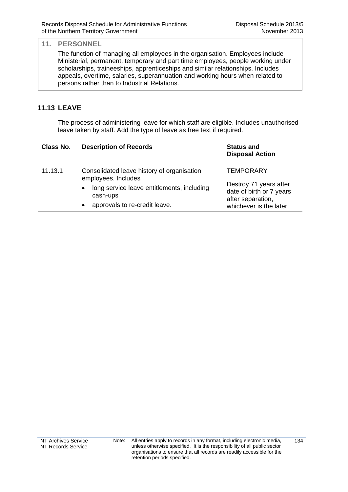The function of managing all employees in the organisation. Employees include Ministerial, permanent, temporary and part time employees, people working under scholarships, traineeships, apprenticeships and similar relationships. Includes appeals, overtime, salaries, superannuation and working hours when related to persons rather than to Industrial Relations.

## **11.13 LEAVE**

The process of administering leave for which staff are eligible. Includes unauthorised leave taken by staff. Add the type of leave as free text if required.

| Class No. | <b>Description of Records</b>                                       | <b>Status and</b><br><b>Disposal Action</b>                             |
|-----------|---------------------------------------------------------------------|-------------------------------------------------------------------------|
| 11.13.1   | Consolidated leave history of organisation<br>employees. Includes   | <b>TEMPORARY</b>                                                        |
|           | long service leave entitlements, including<br>$\bullet$<br>cash-ups | Destroy 71 years after<br>date of birth or 7 years<br>after separation, |
|           | approvals to re-credit leave.<br>$\bullet$                          | whichever is the later                                                  |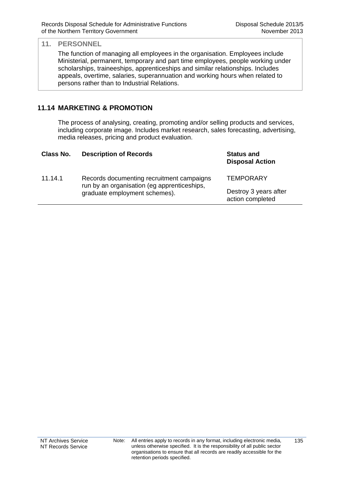The function of managing all employees in the organisation. Employees include Ministerial, permanent, temporary and part time employees, people working under scholarships, traineeships, apprenticeships and similar relationships. Includes appeals, overtime, salaries, superannuation and working hours when related to persons rather than to Industrial Relations.

## **11.14 MARKETING & PROMOTION**

The process of analysing, creating, promoting and/or selling products and services, including corporate image. Includes market research, sales forecasting, advertising, media releases, pricing and product evaluation.

| Class No. | <b>Description of Records</b>                                                                                             | <b>Status and</b><br><b>Disposal Action</b> |
|-----------|---------------------------------------------------------------------------------------------------------------------------|---------------------------------------------|
| 11.14.1   | Records documenting recruitment campaigns<br>run by an organisation (eg apprenticeships,<br>graduate employment schemes). | <b>TEMPORARY</b>                            |
|           |                                                                                                                           | Destroy 3 years after<br>action completed   |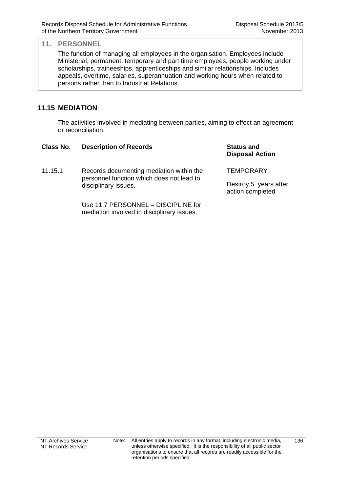The function of managing all employees in the organisation. Employees include Ministerial, permanent, temporary and part time employees, people working under scholarships, traineeships, apprenticeships and similar relationships. Includes appeals, overtime, salaries, superannuation and working hours when related to persons rather than to Industrial Relations.

### **11.15 MEDIATION**

The activities involved in mediating between parties, aiming to effect an agreement or reconciliation.

| Class No. | <b>Description of Records</b>                                                                                 | <b>Status and</b><br><b>Disposal Action</b> |
|-----------|---------------------------------------------------------------------------------------------------------------|---------------------------------------------|
| 11.15.1   | Records documenting mediation within the<br>personnel function which does not lead to<br>disciplinary issues. | <b>TEMPORARY</b>                            |
|           |                                                                                                               | Destroy 5 years after<br>action completed   |
|           | Use 11.7 PERSONNEL - DISCIPLINE for<br>mediation involved in disciplinary issues.                             |                                             |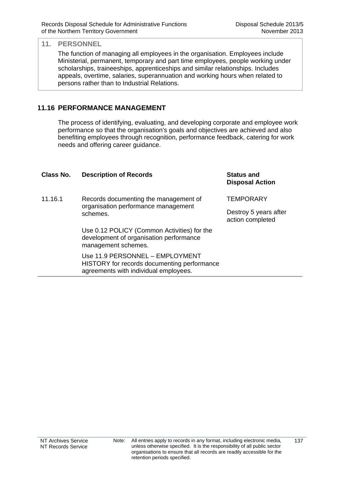The function of managing all employees in the organisation. Employees include Ministerial, permanent, temporary and part time employees, people working under scholarships, traineeships, apprenticeships and similar relationships. Includes appeals, overtime, salaries, superannuation and working hours when related to persons rather than to Industrial Relations.

### **11.16 PERFORMANCE MANAGEMENT**

The process of identifying, evaluating, and developing corporate and employee work performance so that the organisation's goals and objectives are achieved and also benefiting employees through recognition, performance feedback, catering for work needs and offering career guidance.

| Class No. | <b>Description of Records</b>                                                                                           | <b>Status and</b><br><b>Disposal Action</b> |
|-----------|-------------------------------------------------------------------------------------------------------------------------|---------------------------------------------|
| 11.16.1   | Records documenting the management of                                                                                   | <b>TEMPORARY</b>                            |
|           | organisation performance management<br>schemes.                                                                         | Destroy 5 years after<br>action completed   |
|           | Use 0.12 POLICY (Common Activities) for the<br>development of organisation performance<br>management schemes.           |                                             |
|           | Use 11.9 PERSONNEL - EMPLOYMENT<br>HISTORY for records documenting performance<br>agreements with individual employees. |                                             |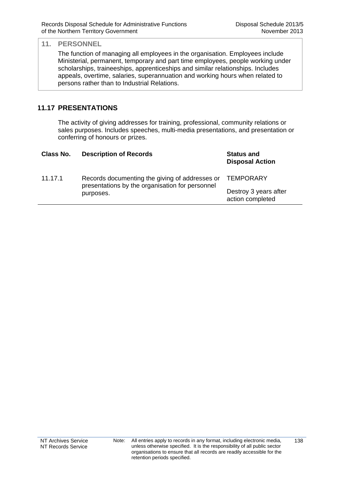The function of managing all employees in the organisation. Employees include Ministerial, permanent, temporary and part time employees, people working under scholarships, traineeships, apprenticeships and similar relationships. Includes appeals, overtime, salaries, superannuation and working hours when related to persons rather than to Industrial Relations.

## **11.17 PRESENTATIONS**

The activity of giving addresses for training, professional, community relations or sales purposes. Includes speeches, multi-media presentations, and presentation or conferring of honours or prizes.

| Class No. | <b>Description of Records</b>                                                                                  | <b>Status and</b><br><b>Disposal Action</b> |
|-----------|----------------------------------------------------------------------------------------------------------------|---------------------------------------------|
| 11.17.1   | Records documenting the giving of addresses or<br>presentations by the organisation for personnel<br>purposes. | <b>TEMPORARY</b>                            |
|           |                                                                                                                | Destroy 3 years after<br>action completed   |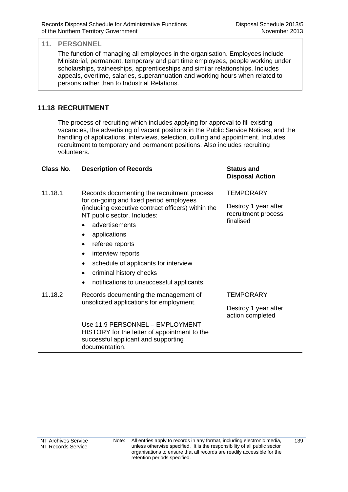The function of managing all employees in the organisation. Employees include Ministerial, permanent, temporary and part time employees, people working under scholarships, traineeships, apprenticeships and similar relationships. Includes appeals, overtime, salaries, superannuation and working hours when related to persons rather than to Industrial Relations.

### **11.18 RECRUITMENT**

The process of recruiting which includes applying for approval to fill existing vacancies, the advertising of vacant positions in the Public Service Notices, and the handling of applications, interviews, selection, culling and appointment. Includes recruitment to temporary and permanent positions. Also includes recruiting volunteers.

| Class No. | <b>Description of Records</b>                                                                                                            | <b>Status and</b><br><b>Disposal Action</b> |
|-----------|------------------------------------------------------------------------------------------------------------------------------------------|---------------------------------------------|
| 11.18.1   | Records documenting the recruitment process                                                                                              | <b>TEMPORARY</b>                            |
|           | for on-going and fixed period employees<br>(including executive contract officers) within the<br>NT public sector. Includes:             | Destroy 1 year after<br>recruitment process |
|           | advertisements                                                                                                                           | finalised                                   |
|           | applications                                                                                                                             |                                             |
|           | referee reports                                                                                                                          |                                             |
|           | interview reports<br>٠                                                                                                                   |                                             |
|           | schedule of applicants for interview<br>$\bullet$                                                                                        |                                             |
|           | criminal history checks<br>$\bullet$                                                                                                     |                                             |
|           | notifications to unsuccessful applicants.                                                                                                |                                             |
| 11.18.2   | Records documenting the management of<br>unsolicited applications for employment.                                                        | <b>TEMPORARY</b>                            |
|           |                                                                                                                                          | Destroy 1 year after<br>action completed    |
|           | Use 11.9 PERSONNEL - EMPLOYMENT<br>HISTORY for the letter of appointment to the<br>successful applicant and supporting<br>documentation. |                                             |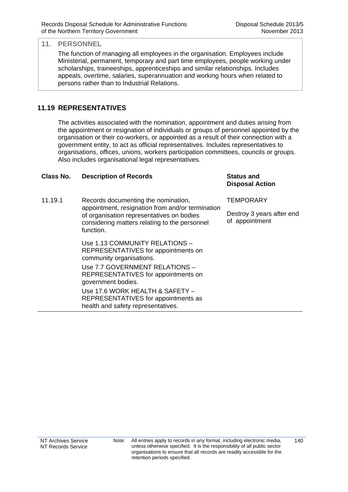The function of managing all employees in the organisation. Employees include Ministerial, permanent, temporary and part time employees, people working under scholarships, traineeships, apprenticeships and similar relationships. Includes appeals, overtime, salaries, superannuation and working hours when related to persons rather than to Industrial Relations.

## **11.19 REPRESENTATIVES**

The activities associated with the nomination, appointment and duties arising from the appointment or resignation of individuals or groups of personnel appointed by the organisation or their co-workers, or appointed as a result of their connection with a government entity, to act as official representatives. Includes representatives to organisations, offices, unions, workers participation committees, councils or groups. Also includes organisational legal representatives.

### **Class No. Description of Records Status and**

11.19.1 Records documenting the nomination, appointment, resignation from and/or termination of organisation representatives on bodies considering matters relating to the personnel function.

> Use 1.13 COMMUNITY RELATIONS – REPRESENTATIVES for appointments on community organisations.

> Use 7.7 GOVERNMENT RELATIONS – REPRESENTATIVES for appointments on government bodies.

> Use 17.6 WORK HEALTH & SAFETY – REPRESENTATIVES for appointments as health and safety representatives.

**Disposal Action**

**TEMPORARY** 

Destroy 3 years after end of appointment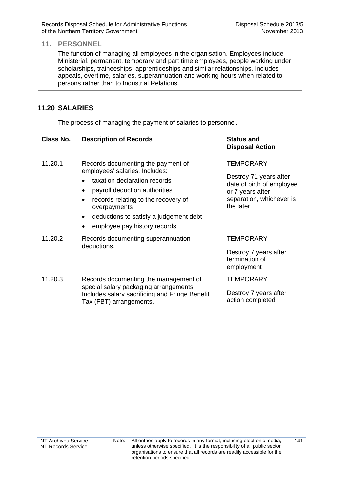The function of managing all employees in the organisation. Employees include Ministerial, permanent, temporary and part time employees, people working under scholarships, traineeships, apprenticeships and similar relationships. Includes appeals, overtime, salaries, superannuation and working hours when related to persons rather than to Industrial Relations.

### **11.20 SALARIES**

The process of managing the payment of salaries to personnel.

| Class No. | <b>Description of Records</b>                                                                                                                                                                                                                                                                                       | <b>Status and</b><br><b>Disposal Action</b>                                                                                          |
|-----------|---------------------------------------------------------------------------------------------------------------------------------------------------------------------------------------------------------------------------------------------------------------------------------------------------------------------|--------------------------------------------------------------------------------------------------------------------------------------|
| 11.20.1   | Records documenting the payment of<br>employees' salaries. Includes:<br>taxation declaration records<br>payroll deduction authorities<br>$\bullet$<br>records relating to the recovery of<br>$\bullet$<br>overpayments<br>deductions to satisfy a judgement debt<br>$\bullet$<br>employee pay history records.<br>٠ | <b>TEMPORARY</b><br>Destroy 71 years after<br>date of birth of employee<br>or 7 years after<br>separation, whichever is<br>the later |
| 11.20.2   | Records documenting superannuation<br>deductions.                                                                                                                                                                                                                                                                   | <b>TEMPORARY</b><br>Destroy 7 years after<br>termination of<br>employment                                                            |
| 11.20.3   | Records documenting the management of<br>special salary packaging arrangements.<br>Includes salary sacrificing and Fringe Benefit<br>Tax (FBT) arrangements.                                                                                                                                                        | <b>TEMPORARY</b><br>Destroy 7 years after<br>action completed                                                                        |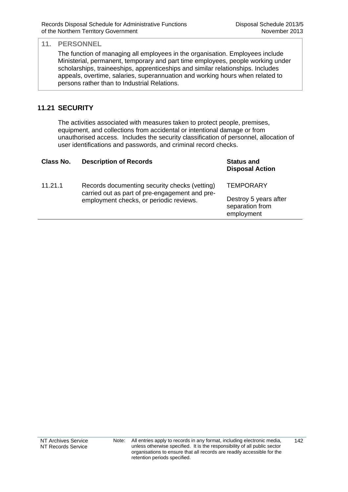The function of managing all employees in the organisation. Employees include Ministerial, permanent, temporary and part time employees, people working under scholarships, traineeships, apprenticeships and similar relationships. Includes appeals, overtime, salaries, superannuation and working hours when related to persons rather than to Industrial Relations.

### **11.21 SECURITY**

The activities associated with measures taken to protect people, premises, equipment, and collections from accidental or intentional damage or from unauthorised access. Includes the security classification of personnel, allocation of user identifications and passwords, and criminal record checks.

| Class No. | <b>Description of Records</b>                                                                                                              | <b>Status and</b><br><b>Disposal Action</b>            |
|-----------|--------------------------------------------------------------------------------------------------------------------------------------------|--------------------------------------------------------|
| 11.21.1   | Records documenting security checks (vetting)<br>carried out as part of pre-engagement and pre-<br>employment checks, or periodic reviews. | <b>TEMPORARY</b>                                       |
|           |                                                                                                                                            | Destroy 5 years after<br>separation from<br>employment |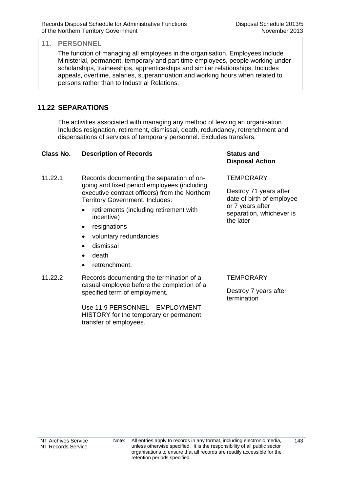The function of managing all employees in the organisation. Employees include Ministerial, permanent, temporary and part time employees, people working under scholarships, traineeships, apprenticeships and similar relationships. Includes appeals, overtime, salaries, superannuation and working hours when related to persons rather than to Industrial Relations.

## **11.22 SEPARATIONS**

The activities associated with managing any method of leaving an organisation. Includes resignation, retirement, dismissal, death, redundancy, retrenchment and dispensations of services of temporary personnel. Excludes transfers.

## **Class No. Description of Records Status and**  11.22.1 Records documenting the separation of ongoing and fixed period employees (including executive contract officers) from the Northern Territory Government. Includes: • retirements (including retirement with incentive) • resignations voluntary redundancies dismissal death • retrenchment. **TEMPORARY** the later

11.22.2 Records documenting the termination of a casual employee before the completion of a specified term of employment.

> Use 11.9 PERSONNEL – EMPLOYMENT HISTORY for the temporary or permanent transfer of employees.

**Disposal Action**

Destroy 71 years after date of birth of employee or 7 years after separation, whichever is

### **TFMPORARY**

Destroy 7 years after termination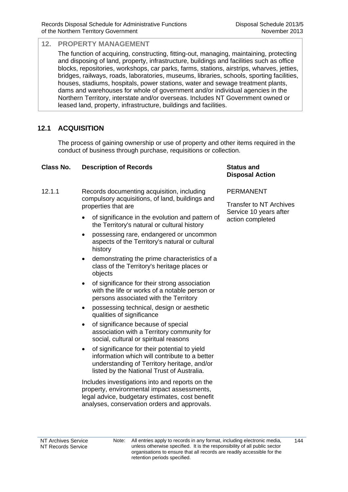The function of acquiring, constructing, fitting-out, managing, maintaining, protecting and disposing of land, property, infrastructure, buildings and facilities such as office blocks, repositories, workshops, car parks, farms, stations, airstrips, wharves, jetties, bridges, railways, roads, laboratories, museums, libraries, schools, sporting facilities, houses, stadiums, hospitals, power stations, water and sewage treatment plants, dams and warehouses for whole of government and/or individual agencies in the Northern Territory, interstate and/or overseas. Includes NT Government owned or leased land, property, infrastructure, buildings and facilities.

## **12.1 ACQUISITION**

The process of gaining ownership or use of property and other items required in the conduct of business through purchase, requisitions or collection.

#### **Class No. Description of Records Status and**

- 12.1.1 Records documenting acquisition, including compulsory acquisitions, of land, buildings and properties that are
	- of significance in the evolution and pattern of the Territory's natural or cultural history
	- possessing rare, endangered or uncommon aspects of the Territory's natural or cultural history
	- demonstrating the prime characteristics of a class of the Territory's heritage places or objects
	- of significance for their strong association with the life or works of a notable person or persons associated with the Territory
	- possessing technical, design or aesthetic qualities of significance
	- of significance because of special association with a Territory community for social, cultural or spiritual reasons
	- of significance for their potential to yield information which will contribute to a better understanding of Territory heritage, and/or listed by the National Trust of Australia.

Includes investigations into and reports on the property, environmental impact assessments, legal advice, budgetary estimates, cost benefit analyses, conservation orders and approvals.

## **Disposal Action**

#### PERMANENT

Transfer to NT Archives Service 10 years after action completed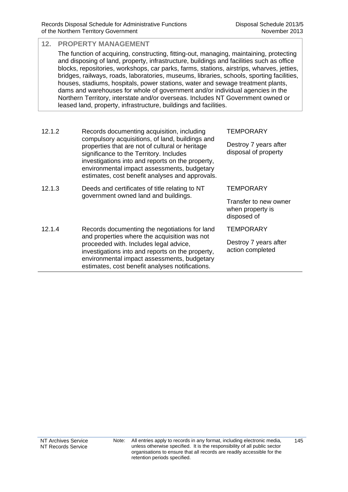#### **12. PROPERTY MANAGEMENT**  The function of acquiring, constructing, fitting-out, managing, maintaining, protecting and disposing of land, property, infrastructure, buildings and facilities such as office blocks, repositories, workshops, car parks, farms, stations, airstrips, wharves, jetties, bridges, railways, roads, laboratories, museums, libraries, schools, sporting facilities, houses, stadiums, hospitals, power stations, water and sewage treatment plants, dams and warehouses for whole of government and/or individual agencies in the Northern Territory, interstate and/or overseas. Includes NT Government owned or leased land, property, infrastructure, buildings and facilities. 12.1.2 Records documenting acquisition, including compulsory acquisitions, of land, buildings and properties that are not of cultural or heritage significance to the Territory. Includes **TEMPORARY** Destroy 7 years after disposal of property

|        | estimates, cost benefit analyses and approvals.                                        |                                                          |
|--------|----------------------------------------------------------------------------------------|----------------------------------------------------------|
| 12.1.3 | Deeds and certificates of title relating to NT<br>government owned land and buildings. | TEMPORARY                                                |
|        |                                                                                        | Transfer to new owner<br>when property is<br>disposed of |

12.1.4 Records documenting the negotiations for land and properties where the acquisition was not proceeded with. Includes legal advice, investigations into and reports on the property, environmental impact assessments, budgetary estimates, cost benefit analyses notifications. **TEMPORARY** Destroy 7 years after action completed

investigations into and reports on the property, environmental impact assessments, budgetary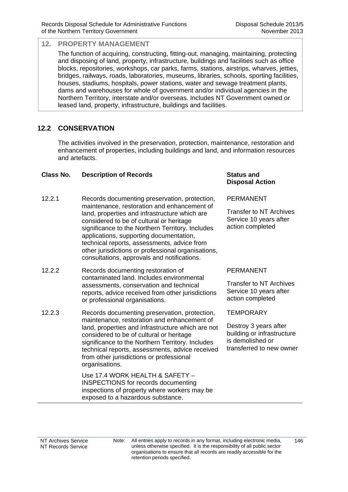The function of acquiring, constructing, fitting-out, managing, maintaining, protecting and disposing of land, property, infrastructure, buildings and facilities such as office blocks, repositories, workshops, car parks, farms, stations, airstrips, wharves, jetties, bridges, railways, roads, laboratories, museums, libraries, schools, sporting facilities, houses, stadiums, hospitals, power stations, water and sewage treatment plants, dams and warehouses for whole of government and/or individual agencies in the Northern Territory, interstate and/or overseas. Includes NT Government owned or leased land, property, infrastructure, buildings and facilities.

## **12.2 CONSERVATION**

The activities involved in the preservation, protection, maintenance, restoration and enhancement of properties, including buildings and land, and information resources and artefacts.

#### **Class No. Description of Records Status and**

- 12.2.1 Records documenting preservation, protection, maintenance, restoration and enhancement of land, properties and infrastructure which are considered to be of cultural or heritage significance to the Northern Territory. Includes applications, supporting documentation, technical reports, assessments, advice from other jurisdictions or professional organisations, consultations, approvals and notifications.
- 12.2.2 Records documenting restoration of contaminated land. Includes environmental assessments, conservation and technical reports, advice received from other jurisdictions or professional organisations.
- 12.2.3 Records documenting preservation, protection, maintenance, restoration and enhancement of land, properties and infrastructure which are not considered to be of cultural or heritage significance to the Northern Territory. Includes technical reports, assessments, advice received from other jurisdictions or professional organisations.

Use 17.4 WORK HEALTH & SAFETY – INSPECTIONS for records documenting inspections of property where workers may be exposed to a hazardous substance.

## **Disposal Action**

PERMANENT

Transfer to NT Archives Service 10 years after action completed

### PERMANENT

Transfer to NT Archives Service 10 years after action completed

**TEMPORARY** 

Destroy 3 years after building or infrastructure is demolished or transferred to new owner

Note: All entries apply to records in any format, including electronic media, unless otherwise specified. It is the responsibility of all public sector organisations to ensure that all records are readily accessible for the retention periods specified.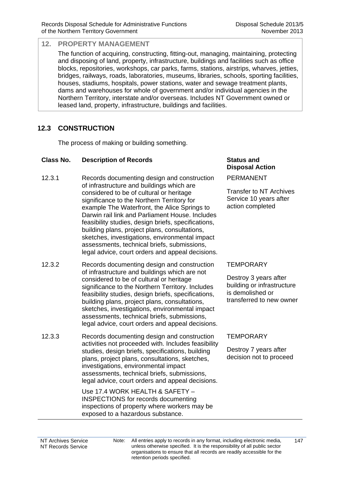The function of acquiring, constructing, fitting-out, managing, maintaining, protecting and disposing of land, property, infrastructure, buildings and facilities such as office blocks, repositories, workshops, car parks, farms, stations, airstrips, wharves, jetties, bridges, railways, roads, laboratories, museums, libraries, schools, sporting facilities, houses, stadiums, hospitals, power stations, water and sewage treatment plants, dams and warehouses for whole of government and/or individual agencies in the Northern Territory, interstate and/or overseas. Includes NT Government owned or leased land, property, infrastructure, buildings and facilities.

## **12.3 CONSTRUCTION**

The process of making or building something.

#### **Class No. Description of Records Status and**

- 12.3.1 Records documenting design and construction of infrastructure and buildings which are considered to be of cultural or heritage significance to the Northern Territory for example The Waterfront, the Alice Springs to Darwin rail link and Parliament House. Includes feasibility studies, design briefs, specifications, building plans, project plans, consultations, sketches, investigations, environmental impact assessments, technical briefs, submissions, legal advice, court orders and appeal decisions.
- 12.3.2 Records documenting design and construction of infrastructure and buildings which are not considered to be of cultural or heritage significance to the Northern Territory. Includes feasibility studies, design briefs, specifications, building plans, project plans, consultations, sketches, investigations, environmental impact assessments, technical briefs, submissions, legal advice, court orders and appeal decisions.
- 12.3.3 Records documenting design and construction activities not proceeded with. Includes feasibility studies, design briefs, specifications, building plans, project plans, consultations, sketches, investigations, environmental impact assessments, technical briefs, submissions, legal advice, court orders and appeal decisions.

Use 17.4 WORK HEALTH & SAFETY – INSPECTIONS for records documenting inspections of property where workers may be exposed to a hazardous substance.

# **Disposal Action**

PERMANENT

Transfer to NT Archives Service 10 years after action completed

### **TEMPORARY**

Destroy 3 years after building or infrastructure is demolished or transferred to new owner

### **TEMPORARY**

Destroy 7 years after decision not to proceed

NT Archives Service NT Records Service Note: All entries apply to records in any format, including electronic media, unless otherwise specified. It is the responsibility of all public sector organisations to ensure that all records are readily accessible for the retention periods specified.

147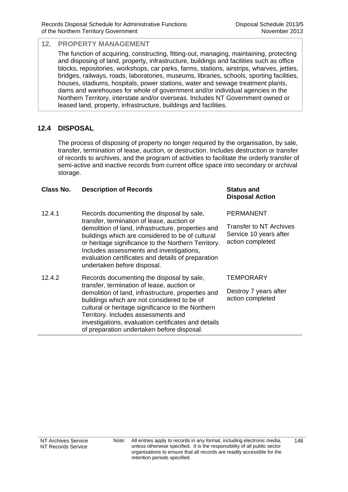**Disposal Action**

#### **12. PROPERTY MANAGEMENT**

The function of acquiring, constructing, fitting-out, managing, maintaining, protecting and disposing of land, property, infrastructure, buildings and facilities such as office blocks, repositories, workshops, car parks, farms, stations, airstrips, wharves, jetties, bridges, railways, roads, laboratories, museums, libraries, schools, sporting facilities, houses, stadiums, hospitals, power stations, water and sewage treatment plants, dams and warehouses for whole of government and/or individual agencies in the Northern Territory, interstate and/or overseas. Includes NT Government owned or leased land, property, infrastructure, buildings and facilities.

## **12.4 DISPOSAL**

The process of disposing of property no longer required by the organisation, by sale, transfer, termination of lease, auction, or destruction. Includes destruction or transfer of records to archives, and the program of activities to facilitate the orderly transfer of semi-active and inactive records from current office space into secondary or archival storage.

#### **Class No. Description of Records Status and**

| 12.4.1 | Records documenting the disposal by sale,                                                                                                                                                                                                                                                                                                    | PERMANENT                                                                    |
|--------|----------------------------------------------------------------------------------------------------------------------------------------------------------------------------------------------------------------------------------------------------------------------------------------------------------------------------------------------|------------------------------------------------------------------------------|
|        | transfer, termination of lease, auction or<br>demolition of land, infrastructure, properties and<br>buildings which are considered to be of cultural<br>or heritage significance to the Northern Territory.<br>Includes assessments and investigations,<br>evaluation certificates and details of preparation<br>undertaken before disposal. | <b>Transfer to NT Archives</b><br>Service 10 years after<br>action completed |
| 12.4.2 | Records documenting the disposal by sale,<br>transfer, termination of lease, auction or                                                                                                                                                                                                                                                      | <b>TEMPORARY</b>                                                             |
|        | demolition of land, infrastructure, properties and<br>buildings which are not considered to be of<br>cultural or heritage significance to the Northern<br>Territory. Includes assessments and<br>investigations, evaluation certificates and details<br>of preparation undertaken before disposal.                                           | Destroy 7 years after<br>action completed                                    |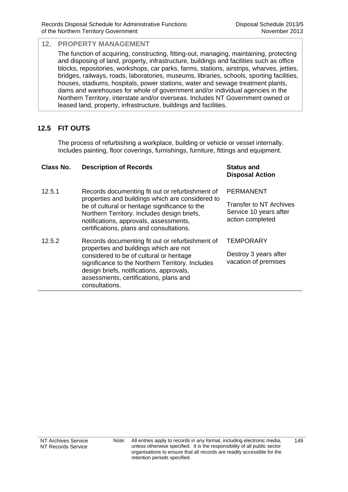The function of acquiring, constructing, fitting-out, managing, maintaining, protecting and disposing of land, property, infrastructure, buildings and facilities such as office blocks, repositories, workshops, car parks, farms, stations, airstrips, wharves, jetties, bridges, railways, roads, laboratories, museums, libraries, schools, sporting facilities, houses, stadiums, hospitals, power stations, water and sewage treatment plants, dams and warehouses for whole of government and/or individual agencies in the Northern Territory, interstate and/or overseas. Includes NT Government owned or leased land, property, infrastructure, buildings and facilities.

## **12.5 FIT OUTS**

The process of refurbishing a workplace, building or vehicle or vessel internally. Includes painting, floor coverings, furnishings, furniture, fittings and equipment.

| Class No. | <b>Description of Records</b>                                                                                                                                                                                                                                                                     | <b>Status and</b><br><b>Disposal Action</b>                                  |
|-----------|---------------------------------------------------------------------------------------------------------------------------------------------------------------------------------------------------------------------------------------------------------------------------------------------------|------------------------------------------------------------------------------|
| 12.5.1    | Records documenting fit out or refurbishment of                                                                                                                                                                                                                                                   | PERMANENT                                                                    |
|           | properties and buildings which are considered to<br>be of cultural or heritage significance to the<br>Northern Territory. Includes design briefs,<br>notifications, approvals, assessments,<br>certifications, plans and consultations.                                                           | <b>Transfer to NT Archives</b><br>Service 10 years after<br>action completed |
| 12.5.2    | Records documenting fit out or refurbishment of<br>properties and buildings which are not<br>considered to be of cultural or heritage<br>significance to the Northern Territory. Includes<br>design briefs, notifications, approvals,<br>assessments, certifications, plans and<br>consultations. | <b>TEMPORARY</b><br>Destroy 3 years after<br>vacation of premises            |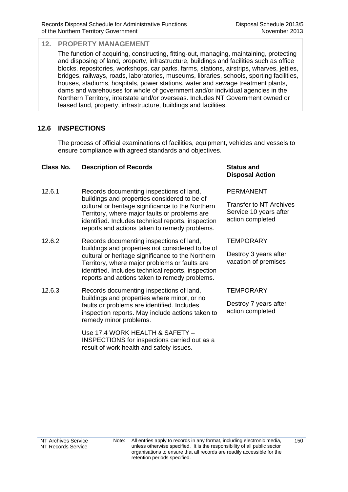The function of acquiring, constructing, fitting-out, managing, maintaining, protecting and disposing of land, property, infrastructure, buildings and facilities such as office blocks, repositories, workshops, car parks, farms, stations, airstrips, wharves, jetties, bridges, railways, roads, laboratories, museums, libraries, schools, sporting facilities, houses, stadiums, hospitals, power stations, water and sewage treatment plants, dams and warehouses for whole of government and/or individual agencies in the Northern Territory, interstate and/or overseas. Includes NT Government owned or leased land, property, infrastructure, buildings and facilities.

## **12.6 INSPECTIONS**

The process of official examinations of facilities, equipment, vehicles and vessels to ensure compliance with agreed standards and objectives.

#### **Class No. Description of Records Status and**

- 12.6.1 Records documenting inspections of land, buildings and properties considered to be of cultural or heritage significance to the Northern Territory, where major faults or problems are identified. Includes technical reports, inspection reports and actions taken to remedy problems.
- 12.6.2 Records documenting inspections of land, buildings and properties not considered to be of cultural or heritage significance to the Northern Territory, where major problems or faults are identified. Includes technical reports, inspection reports and actions taken to remedy problems.
- 12.6.3 Records documenting inspections of land, buildings and properties where minor, or no faults or problems are identified. Includes inspection reports. May include actions taken to remedy minor problems.

 Use 17.4 WORK HEALTH & SAFETY – INSPECTIONS for inspections carried out as a result of work health and safety issues.

## **Disposal Action**

#### PERMANENT

Transfer to NT Archives Service 10 years after action completed

### **TFMPORARY**

Destroy 3 years after vacation of premises

### **TEMPORARY**

Destroy 7 years after action completed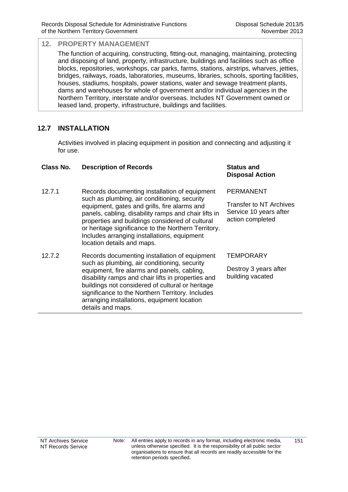The function of acquiring, constructing, fitting-out, managing, maintaining, protecting and disposing of land, property, infrastructure, buildings and facilities such as office blocks, repositories, workshops, car parks, farms, stations, airstrips, wharves, jetties, bridges, railways, roads, laboratories, museums, libraries, schools, sporting facilities, houses, stadiums, hospitals, power stations, water and sewage treatment plants, dams and warehouses for whole of government and/or individual agencies in the Northern Territory, interstate and/or overseas. Includes NT Government owned or leased land, property, infrastructure, buildings and facilities.

## **12.7 INSTALLATION**

Activities involved in placing equipment in position and connecting and adjusting it for use.

#### **Class No. Description of Records Status and**

- 12.7.1 Records documenting installation of equipment such as plumbing, air conditioning, security equipment, gates and grills, fire alarms and panels, cabling, disability ramps and chair lifts in properties and buildings considered of cultural or heritage significance to the Northern Territory. Includes arranging installations, equipment location details and maps.
- 12.7.2 Records documenting installation of equipment such as plumbing, air conditioning, security equipment, fire alarms and panels, cabling, disability ramps and chair lifts in properties and buildings not considered of cultural or heritage significance to the Northern Territory. Includes arranging installations, equipment location details and maps.

## **Disposal Action**

PERMANENT

Transfer to NT Archives Service 10 years after action completed

### **TEMPORARY**

Destroy 3 years after building vacated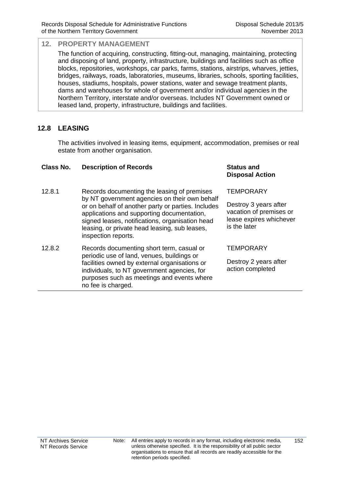The function of acquiring, constructing, fitting-out, managing, maintaining, protecting and disposing of land, property, infrastructure, buildings and facilities such as office blocks, repositories, workshops, car parks, farms, stations, airstrips, wharves, jetties, bridges, railways, roads, laboratories, museums, libraries, schools, sporting facilities, houses, stadiums, hospitals, power stations, water and sewage treatment plants, dams and warehouses for whole of government and/or individual agencies in the Northern Territory, interstate and/or overseas. Includes NT Government owned or leased land, property, infrastructure, buildings and facilities.

## **12.8 LEASING**

The activities involved in leasing items, equipment, accommodation, premises or real estate from another organisation.

#### **Class No. Description of Records Status and**

- 12.8.1 Records documenting the leasing of premises by NT government agencies on their own behalf or on behalf of another party or parties. Includes applications and supporting documentation, signed leases, notifications, organisation head leasing, or private head leasing, sub leases, inspection reports.
- 12.8.2 Records documenting short term, casual or periodic use of land, venues, buildings or facilities owned by external organisations or individuals, to NT government agencies, for purposes such as meetings and events where no fee is charged.

## **Disposal Action**

#### **TEMPORARY**

Destroy 3 years after vacation of premises or lease expires whichever is the later

#### **TFMPORARY**

Destroy 2 years after action completed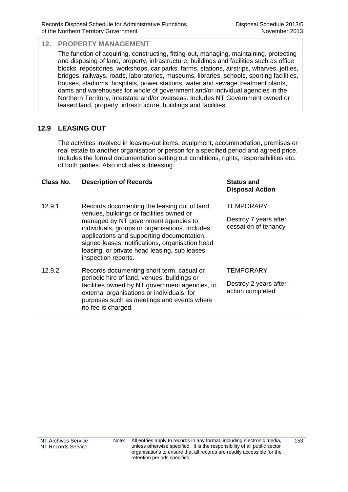The function of acquiring, constructing, fitting-out, managing, maintaining, protecting and disposing of land, property, infrastructure, buildings and facilities such as office blocks, repositories, workshops, car parks, farms, stations, airstrips, wharves, jetties, bridges, railways, roads, laboratories, museums, libraries, schools, sporting facilities, houses, stadiums, hospitals, power stations, water and sewage treatment plants, dams and warehouses for whole of government and/or individual agencies in the Northern Territory, interstate and/or overseas. Includes NT Government owned or leased land, property, infrastructure, buildings and facilities.

## **12.9 LEASING OUT**

The activities involved in leasing-out items, equipment, accommodation, premises or real estate to another organisation or person for a specified period and agreed price. Includes the formal documentation setting out conditions, rights, responsibilities etc. of both parties. Also includes subleasing.

#### **Class No. Description of Records Status and**

- 12.9.1 Records documenting the leasing out of land, venues, buildings or facilities owned or managed by NT government agencies to individuals, groups or organisations. Includes applications and supporting documentation, signed leases, notifications, organisation head leasing, or private head leasing, sub leases inspection reports. **TEMPORARY** Destroy 7 years after cessation of tenancy 12.9.2 Records documenting short term, casual or periodic hire of land, venues, buildings or **TEMPORARY**
- facilities owned by NT government agencies, to external organisations or individuals, for purposes such as meetings and events where no fee is charged.

**Disposal Action**

Destroy 2 years after action completed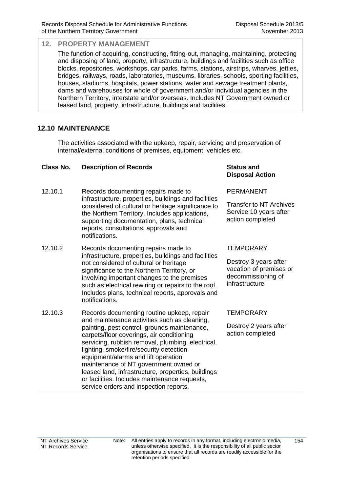The function of acquiring, constructing, fitting-out, managing, maintaining, protecting and disposing of land, property, infrastructure, buildings and facilities such as office blocks, repositories, workshops, car parks, farms, stations, airstrips, wharves, jetties, bridges, railways, roads, laboratories, museums, libraries, schools, sporting facilities, houses, stadiums, hospitals, power stations, water and sewage treatment plants, dams and warehouses for whole of government and/or individual agencies in the Northern Territory, interstate and/or overseas. Includes NT Government owned or leased land, property, infrastructure, buildings and facilities.

## **12.10 MAINTENANCE**

The activities associated with the upkeep, repair, servicing and preservation of internal/external conditions of premises, equipment, vehicles etc.

#### **Class No. Description of Records Status and**

- 12.10.1 Records documenting repairs made to infrastructure, properties, buildings and facilities considered of cultural or heritage significance to the Northern Territory. Includes applications, supporting documentation, plans, technical reports, consultations, approvals and notifications.
- 12.10.2 Records documenting repairs made to infrastructure, properties, buildings and facilities not considered of cultural or heritage significance to the Northern Territory, or involving important changes to the premises such as electrical rewiring or repairs to the roof. Includes plans, technical reports, approvals and notifications.
- 12.10.3 Records documenting routine upkeep, repair and maintenance activities such as cleaning, painting, pest control, grounds maintenance, carpets/floor coverings, air conditioning servicing, rubbish removal, plumbing, electrical, lighting, smoke/fire/security detection equipment/alarms and lift operation maintenance of NT government owned or leased land, infrastructure, properties, buildings or facilities. Includes maintenance requests, service orders and inspection reports.

## **Disposal Action**

#### PERMANENT

Transfer to NT Archives Service 10 years after action completed

#### **TFMPORARY**

Destroy 3 years after vacation of premises or decommissioning of infrastructure

#### **TEMPORARY**

Destroy 2 years after action completed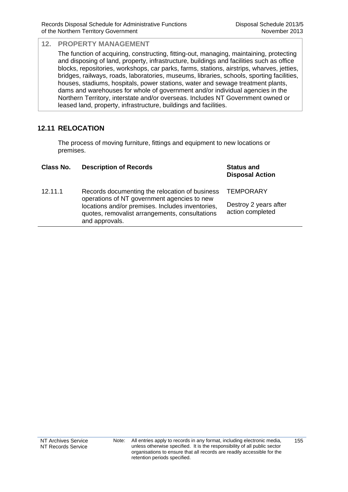The function of acquiring, constructing, fitting-out, managing, maintaining, protecting and disposing of land, property, infrastructure, buildings and facilities such as office blocks, repositories, workshops, car parks, farms, stations, airstrips, wharves, jetties, bridges, railways, roads, laboratories, museums, libraries, schools, sporting facilities, houses, stadiums, hospitals, power stations, water and sewage treatment plants, dams and warehouses for whole of government and/or individual agencies in the Northern Territory, interstate and/or overseas. Includes NT Government owned or leased land, property, infrastructure, buildings and facilities.

## **12.11 RELOCATION**

The process of moving furniture, fittings and equipment to new locations or premises.

| Class No. | <b>Description of Records</b>                                                                                                                                                                                         | <b>Status and</b><br><b>Disposal Action</b>                   |
|-----------|-----------------------------------------------------------------------------------------------------------------------------------------------------------------------------------------------------------------------|---------------------------------------------------------------|
| 12.11.1   | Records documenting the relocation of business<br>operations of NT government agencies to new<br>locations and/or premises. Includes inventories,<br>quotes, removalist arrangements, consultations<br>and approvals. | <b>TEMPORARY</b><br>Destroy 2 years after<br>action completed |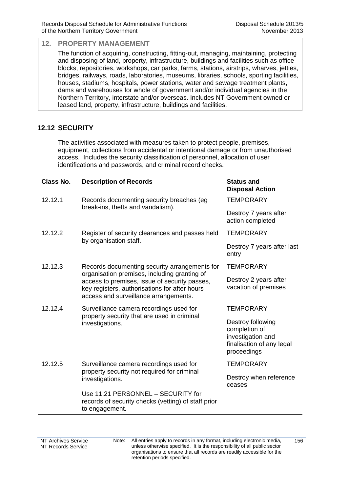The function of acquiring, constructing, fitting-out, managing, maintaining, protecting and disposing of land, property, infrastructure, buildings and facilities such as office blocks, repositories, workshops, car parks, farms, stations, airstrips, wharves, jetties, bridges, railways, roads, laboratories, museums, libraries, schools, sporting facilities, houses, stadiums, hospitals, power stations, water and sewage treatment plants, dams and warehouses for whole of government and/or individual agencies in the Northern Territory, interstate and/or overseas. Includes NT Government owned or leased land, property, infrastructure, buildings and facilities.

## **12.12 SECURITY**

The activities associated with measures taken to protect people, premises, equipment, collections from accidental or intentional damage or from unauthorised access. Includes the security classification of personnel, allocation of user identifications and passwords, and criminal record checks.

| <b>Class No.</b> | <b>Description of Records</b>                                                                                                                                                           | <b>Status and</b><br><b>Disposal Action</b>                                                         |
|------------------|-----------------------------------------------------------------------------------------------------------------------------------------------------------------------------------------|-----------------------------------------------------------------------------------------------------|
| 12.12.1          | Records documenting security breaches (eg                                                                                                                                               | <b>TEMPORARY</b>                                                                                    |
|                  | break-ins, thefts and vandalism).                                                                                                                                                       | Destroy 7 years after<br>action completed                                                           |
| 12.12.2          | Register of security clearances and passes held<br>by organisation staff.                                                                                                               | <b>TEMPORARY</b>                                                                                    |
|                  |                                                                                                                                                                                         | Destroy 7 years after last<br>entry                                                                 |
| 12.12.3          | Records documenting security arrangements for                                                                                                                                           | <b>TEMPORARY</b>                                                                                    |
|                  | organisation premises, including granting of<br>access to premises, issue of security passes,<br>key registers, authorisations for after hours<br>access and surveillance arrangements. | Destroy 2 years after<br>vacation of premises                                                       |
| 12.12.4          | Surveillance camera recordings used for<br>property security that are used in criminal<br>investigations.                                                                               | <b>TEMPORARY</b>                                                                                    |
|                  |                                                                                                                                                                                         | Destroy following<br>completion of<br>investigation and<br>finalisation of any legal<br>proceedings |
| 12.12.5          | Surveillance camera recordings used for<br>property security not required for criminal<br>investigations.                                                                               | <b>TEMPORARY</b>                                                                                    |
|                  |                                                                                                                                                                                         | Destroy when reference<br>ceases                                                                    |
|                  | Use 11.21 PERSONNEL - SECURITY for<br>records of security checks (vetting) of staff prior<br>to engagement.                                                                             |                                                                                                     |

156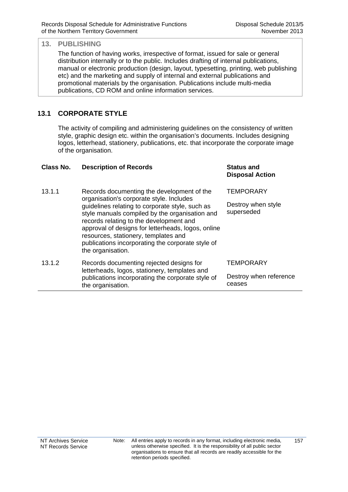The function of having works, irrespective of format, issued for sale or general distribution internally or to the public. Includes drafting of internal publications, manual or electronic production (design, layout, typesetting, printing, web publishing etc) and the marketing and supply of internal and external publications and promotional materials by the organisation. Publications include multi-media publications, CD ROM and online information services.

## **13.1 CORPORATE STYLE**

The activity of compiling and administering guidelines on the consistency of written style, graphic design etc. within the organisation's documents. Includes designing logos, letterhead, stationery, publications, etc. that incorporate the corporate image of the organisation.

| Class No. | <b>Description of Records</b>                                                                                                                                                                                                                                                                                                                                    | <b>Status and</b><br><b>Disposal Action</b> |
|-----------|------------------------------------------------------------------------------------------------------------------------------------------------------------------------------------------------------------------------------------------------------------------------------------------------------------------------------------------------------------------|---------------------------------------------|
| 13.1.1    | Records documenting the development of the                                                                                                                                                                                                                                                                                                                       | <b>TEMPORARY</b>                            |
|           | organisation's corporate style. Includes<br>guidelines relating to corporate style, such as<br>style manuals compiled by the organisation and<br>records relating to the development and<br>approval of designs for letterheads, logos, online<br>resources, stationery, templates and<br>publications incorporating the corporate style of<br>the organisation. | Destroy when style<br>superseded            |
| 13.1.2    | Records documenting rejected designs for<br>letterheads, logos, stationery, templates and<br>publications incorporating the corporate style of<br>the organisation.                                                                                                                                                                                              | <b>TEMPORARY</b>                            |
|           |                                                                                                                                                                                                                                                                                                                                                                  | Destroy when reference<br>ceases            |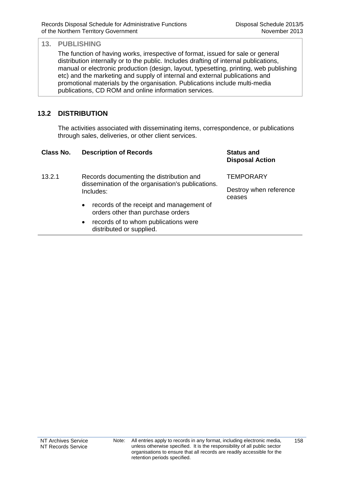The function of having works, irrespective of format, issued for sale or general distribution internally or to the public. Includes drafting of internal publications, manual or electronic production (design, layout, typesetting, printing, web publishing etc) and the marketing and supply of internal and external publications and promotional materials by the organisation. Publications include multi-media publications, CD ROM and online information services.

## **13.2 DISTRIBUTION**

The activities associated with disseminating items, correspondence, or publications through sales, deliveries, or other client services.

| Class No. | <b>Description of Records</b>                                                                              | <b>Status and</b><br><b>Disposal Action</b> |
|-----------|------------------------------------------------------------------------------------------------------------|---------------------------------------------|
| 13.2.1    | Records documenting the distribution and<br>dissemination of the organisation's publications.<br>Includes: | <b>TEMPORARY</b>                            |
|           |                                                                                                            | Destroy when reference<br>ceases            |
|           | records of the receipt and management of<br>$\bullet$<br>orders other than purchase orders                 |                                             |
|           | records of to whom publications were<br>$\bullet$<br>distributed or supplied.                              |                                             |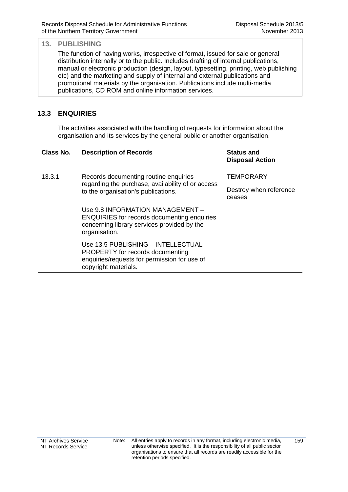The function of having works, irrespective of format, issued for sale or general distribution internally or to the public. Includes drafting of internal publications, manual or electronic production (design, layout, typesetting, printing, web publishing etc) and the marketing and supply of internal and external publications and promotional materials by the organisation. Publications include multi-media publications, CD ROM and online information services.

## **13.3 ENQUIRIES**

The activities associated with the handling of requests for information about the organisation and its services by the general public or another organisation.

| Class No. | <b>Description of Records</b>                                                                                                                          | <b>Status and</b><br><b>Disposal Action</b> |
|-----------|--------------------------------------------------------------------------------------------------------------------------------------------------------|---------------------------------------------|
| 13.3.1    | Records documenting routine enquiries<br>regarding the purchase, availability of or access<br>to the organisation's publications.                      | <b>TEMPORARY</b>                            |
|           |                                                                                                                                                        | Destroy when reference<br>ceases            |
|           | Use 9.8 INFORMATION MANAGEMENT -<br><b>ENQUIRIES</b> for records documenting enquiries<br>concerning library services provided by the<br>organisation. |                                             |
|           | Use 13.5 PUBLISHING - INTELLECTUAL<br>PROPERTY for records documenting<br>enquiries/requests for permission for use of<br>copyright materials.         |                                             |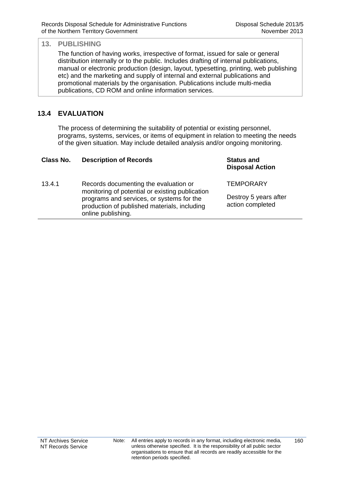The function of having works, irrespective of format, issued for sale or general distribution internally or to the public. Includes drafting of internal publications, manual or electronic production (design, layout, typesetting, printing, web publishing etc) and the marketing and supply of internal and external publications and promotional materials by the organisation. Publications include multi-media publications, CD ROM and online information services.

## **13.4 EVALUATION**

The process of determining the suitability of potential or existing personnel, programs, systems, services, or items of equipment in relation to meeting the needs of the given situation. May include detailed analysis and/or ongoing monitoring.

| Class No. | <b>Description of Records</b>                                                                                                                                                         | <b>Status and</b><br><b>Disposal Action</b>                   |
|-----------|---------------------------------------------------------------------------------------------------------------------------------------------------------------------------------------|---------------------------------------------------------------|
| 13.4.1    | Records documenting the evaluation or<br>monitoring of potential or existing publication<br>programs and services, or systems for the<br>production of published materials, including | <b>TEMPORARY</b><br>Destroy 5 years after<br>action completed |
|           | online publishing.                                                                                                                                                                    |                                                               |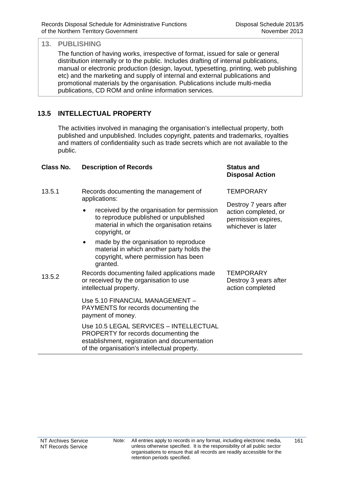The function of having works, irrespective of format, issued for sale or general distribution internally or to the public. Includes drafting of internal publications, manual or electronic production (design, layout, typesetting, printing, web publishing etc) and the marketing and supply of internal and external publications and promotional materials by the organisation. Publications include multi-media publications, CD ROM and online information services.

## **13.5 INTELLECTUAL PROPERTY**

The activities involved in managing the organisation's intellectual property, both published and unpublished. Includes copyright, patents and trademarks, royalties and matters of confidentiality such as trade secrets which are not available to the public.

| Class No. | <b>Description of Records</b>                                                                                                                                                   | <b>Status and</b><br><b>Disposal Action</b>                                                |
|-----------|---------------------------------------------------------------------------------------------------------------------------------------------------------------------------------|--------------------------------------------------------------------------------------------|
| 13.5.1    | Records documenting the management of<br>applications:                                                                                                                          | <b>TEMPORARY</b>                                                                           |
|           | received by the organisation for permission<br>to reproduce published or unpublished<br>material in which the organisation retains<br>copyright, or                             | Destroy 7 years after<br>action completed, or<br>permission expires,<br>whichever is later |
|           | made by the organisation to reproduce<br>٠<br>material in which another party holds the<br>copyright, where permission has been<br>granted.                                     |                                                                                            |
| 13.5.2    | Records documenting failed applications made<br>or received by the organisation to use<br>intellectual property.                                                                | <b>TEMPORARY</b><br>Destroy 3 years after<br>action completed                              |
|           | Use 5.10 FINANCIAL MANAGEMENT -<br>PAYMENTS for records documenting the<br>payment of money.                                                                                    |                                                                                            |
|           | Use 10.5 LEGAL SERVICES - INTELLECTUAL<br>PROPERTY for records documenting the<br>establishment, registration and documentation<br>of the organisation's intellectual property. |                                                                                            |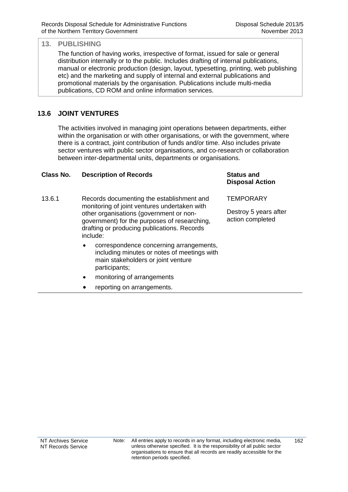The function of having works, irrespective of format, issued for sale or general distribution internally or to the public. Includes drafting of internal publications, manual or electronic production (design, layout, typesetting, printing, web publishing etc) and the marketing and supply of internal and external publications and promotional materials by the organisation. Publications include multi-media publications, CD ROM and online information services.

## **13.6 JOINT VENTURES**

The activities involved in managing joint operations between departments, either within the organisation or with other organisations, or with the government, where there is a contract, joint contribution of funds and/or time. Also includes private sector ventures with public sector organisations, and co-research or collaboration between inter-departmental units, departments or organisations.

#### **Class No. Description of Records Status and**

- 13.6.1 Records documenting the establishment and monitoring of joint ventures undertaken with other organisations (government or nongovernment) for the purposes of researching, drafting or producing publications. Records include:
	- correspondence concerning arrangements, including minutes or notes of meetings with main stakeholders or joint venture participants;
	- monitoring of arrangements
	- reporting on arrangements.

## **Disposal Action**

**TEMPORARY** 

Destroy 5 years after action completed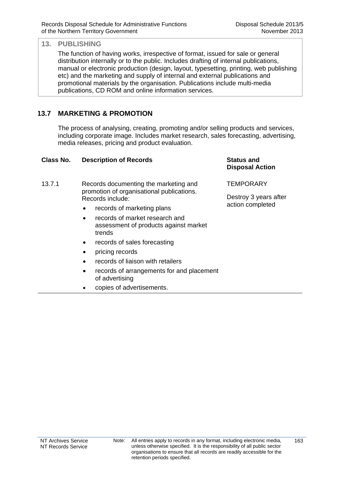The function of having works, irrespective of format, issued for sale or general distribution internally or to the public. Includes drafting of internal publications, manual or electronic production (design, layout, typesetting, printing, web publishing etc) and the marketing and supply of internal and external publications and promotional materials by the organisation. Publications include multi-media publications, CD ROM and online information services.

## **13.7 MARKETING & PROMOTION**

The process of analysing, creating, promoting and/or selling products and services, including corporate image. Includes market research, sales forecasting, advertising, media releases, pricing and product evaluation.

| TEMPORARY<br>13.7.1<br>Records documenting the marketing and<br>promotion of organisational publications.<br>Destroy 3 years after<br>Records include:<br>action completed<br>records of marketing plans<br>$\bullet$<br>records of market research and<br>assessment of products against market<br>trends<br>records of sales forecasting<br>$\bullet$<br>pricing records<br>$\bullet$<br>records of liaison with retailers<br>$\bullet$ |  |
|-------------------------------------------------------------------------------------------------------------------------------------------------------------------------------------------------------------------------------------------------------------------------------------------------------------------------------------------------------------------------------------------------------------------------------------------|--|
|                                                                                                                                                                                                                                                                                                                                                                                                                                           |  |
|                                                                                                                                                                                                                                                                                                                                                                                                                                           |  |
|                                                                                                                                                                                                                                                                                                                                                                                                                                           |  |
|                                                                                                                                                                                                                                                                                                                                                                                                                                           |  |
|                                                                                                                                                                                                                                                                                                                                                                                                                                           |  |
|                                                                                                                                                                                                                                                                                                                                                                                                                                           |  |
|                                                                                                                                                                                                                                                                                                                                                                                                                                           |  |
| records of arrangements for and placement<br>of advertising                                                                                                                                                                                                                                                                                                                                                                               |  |
| copies of advertisements.                                                                                                                                                                                                                                                                                                                                                                                                                 |  |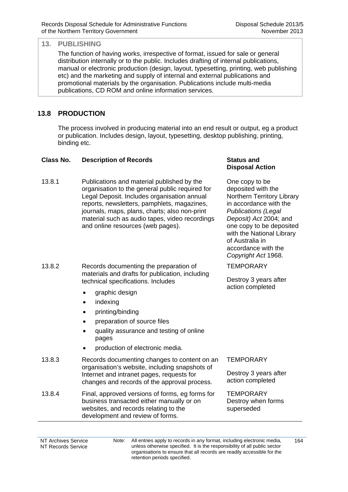The function of having works, irrespective of format, issued for sale or general distribution internally or to the public. Includes drafting of internal publications, manual or electronic production (design, layout, typesetting, printing, web publishing etc) and the marketing and supply of internal and external publications and promotional materials by the organisation. Publications include multi-media publications, CD ROM and online information services.

## **13.8 PRODUCTION**

The process involved in producing material into an end result or output, eg a product or publication. Includes design, layout, typesetting, desktop publishing, printing, binding etc.

#### **Class No. Description of Records Status and**

13.8.1 Publications and material published by the organisation to the general public required for Legal Deposit. Includes organisation annual reports, newsletters, pamphlets, magazines, journals, maps, plans, charts; also non-print material such as audio tapes, video recordings and online resources (web pages).

13.8.2 Records documenting the preparation of materials and drafts for publication, including technical specifications. Includes

- graphic design
- indexing
- printing/binding
- preparation of source files
- quality assurance and testing of online pages
- production of electronic media.
- 13.8.3 Records documenting changes to content on an organisation's website, including snapshots of Internet and intranet pages, requests for changes and records of the approval process.
- 13.8.4 Final, approved versions of forms, eg forms for business transacted either manually or on websites, and records relating to the development and review of forms.

# **Disposal Action**

One copy to be deposited with the Northern Territory Library in accordance with the *Publications (Legal Deposit) Act* 2004; and one copy to be deposited with the National Library of Australia in accordance with the *Copyright Act* 1968.

**TEMPORARY** 

Destroy 3 years after action completed

**TEMPORARY** 

Destroy 3 years after action completed

**TEMPORARY** Destroy when forms superseded

NT Archives Service NT Records Service Note: All entries apply to records in any format, including electronic media, unless otherwise specified. It is the responsibility of all public sector organisations to ensure that all records are readily accessible for the retention periods specified.

 $164$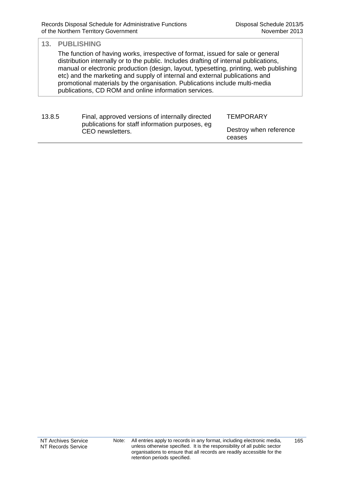The function of having works, irrespective of format, issued for sale or general distribution internally or to the public. Includes drafting of internal publications, manual or electronic production (design, layout, typesetting, printing, web publishing etc) and the marketing and supply of internal and external publications and promotional materials by the organisation. Publications include multi-media publications, CD ROM and online information services.

| 13.8.5 | Final, approved versions of internally directed                     | TEMPORARY                        |
|--------|---------------------------------------------------------------------|----------------------------------|
|        | publications for staff information purposes, eg<br>CEO newsletters. | Destroy when reference<br>ceases |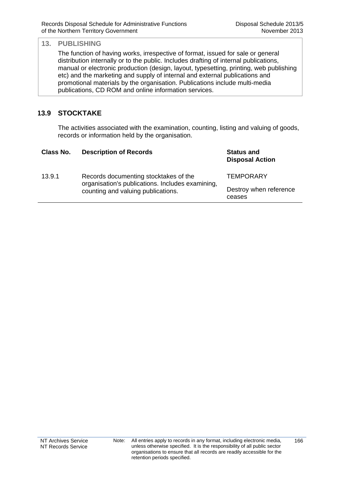The function of having works, irrespective of format, issued for sale or general distribution internally or to the public. Includes drafting of internal publications, manual or electronic production (design, layout, typesetting, printing, web publishing etc) and the marketing and supply of internal and external publications and promotional materials by the organisation. Publications include multi-media publications, CD ROM and online information services.

## **13.9 STOCKTAKE**

The activities associated with the examination, counting, listing and valuing of goods, records or information held by the organisation.

| Class No. | <b>Description of Records</b>                                                             | <b>Status and</b><br><b>Disposal Action</b> |
|-----------|-------------------------------------------------------------------------------------------|---------------------------------------------|
| 13.9.1    | Records documenting stocktakes of the<br>organisation's publications. Includes examining, | <b>TEMPORARY</b>                            |
|           | counting and valuing publications.                                                        | Destroy when reference<br>ceases            |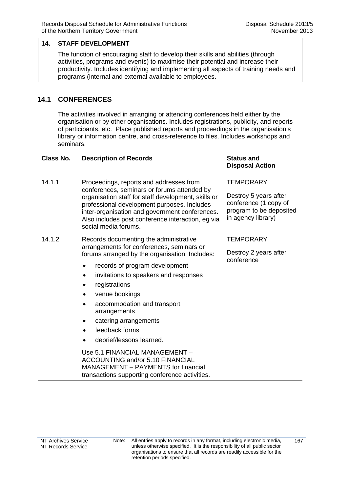The function of encouraging staff to develop their skills and abilities (through activities, programs and events) to maximise their potential and increase their productivity. Includes identifying and implementing all aspects of training needs and programs (internal and external available to employees.

### **14.1 CONFERENCES**

The activities involved in arranging or attending conferences held either by the organisation or by other organisations. Includes registrations, publicity, and reports of participants, etc. Place published reports and proceedings in the organisation's library or information centre, and cross-reference to files. Includes workshops and seminars.

### **Class No. Description of Records Class Status and Status and Records Class And Status and**

- 14.1.1 Proceedings, reports and addresses from conferences, seminars or forums attended by organisation staff for staff development, skills or professional development purposes. Includes inter-organisation and government conferences. Also includes post conference interaction, eg via social media forums.
- 14.1.2 Records documenting the administrative arrangements for conferences, seminars or forums arranged by the organisation. Includes:
	- records of program development
	- invitations to speakers and responses
	- registrations
	- venue bookings
	- accommodation and transport arrangements
	- catering arrangements
	- feedback forms
	- debrief/lessons learned.

 Use 5.1 FINANCIAL MANAGEMENT – ACCOUNTING and/or 5.10 FINANCIAL MANAGEMENT – PAYMENTS for financial transactions supporting conference activities.

# **Disposal Action**

### **TEMPORARY**

Destroy 5 years after conference (1 copy of program to be deposited in agency library)

### **TEMPORARY**

Destroy 2 years after conference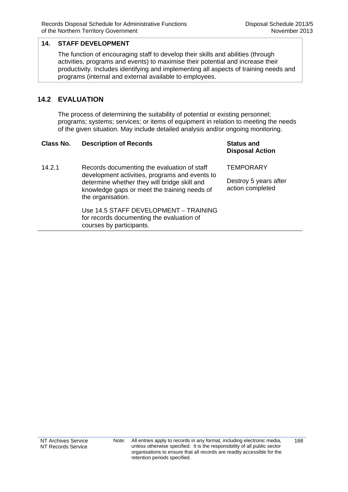The function of encouraging staff to develop their skills and abilities (through activities, programs and events) to maximise their potential and increase their productivity. Includes identifying and implementing all aspects of training needs and programs (internal and external available to employees.

### **14.2 EVALUATION**

The process of determining the suitability of potential or existing personnel; programs; systems; services; or items of equipment in relation to meeting the needs of the given situation. May include detailed analysis and/or ongoing monitoring.

#### **Class No. Description of Records Status and Status and Records Class Area Records**

# **Disposal Action**

14.2.1 Records documenting the evaluation of staff development activities, programs and events to determine whether they will bridge skill and knowledge gaps or meet the training needs of the organisation.

> Use 14.5 STAFF DEVELOPMENT – TRAINING for records documenting the evaluation of courses by participants.

**TEMPORARY** 

Destroy 5 years after action completed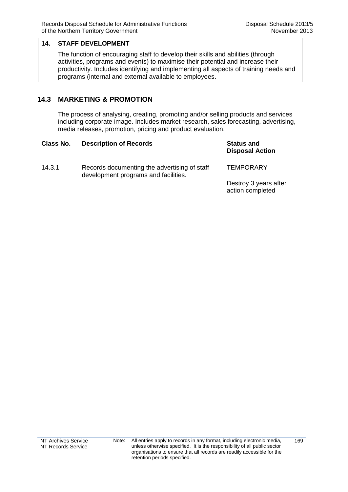The function of encouraging staff to develop their skills and abilities (through activities, programs and events) to maximise their potential and increase their productivity. Includes identifying and implementing all aspects of training needs and programs (internal and external available to employees.

### **14.3 MARKETING & PROMOTION**

The process of analysing, creating, promoting and/or selling products and services including corporate image. Includes market research, sales forecasting, advertising, media releases, promotion, pricing and product evaluation.

| Class No. | <b>Description of Records</b>                                                        | <b>Status and</b><br><b>Disposal Action</b> |
|-----------|--------------------------------------------------------------------------------------|---------------------------------------------|
| 14.3.1    | Records documenting the advertising of staff<br>development programs and facilities. | <b>TEMPORARY</b>                            |
|           |                                                                                      | Destroy 3 years after<br>action completed   |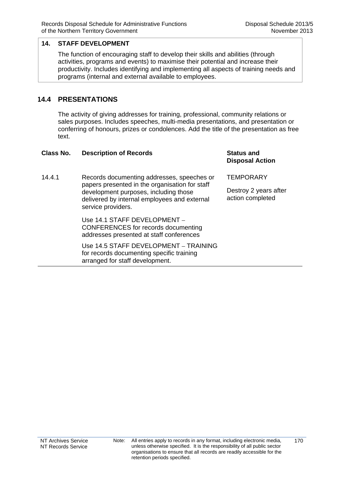The function of encouraging staff to develop their skills and abilities (through activities, programs and events) to maximise their potential and increase their productivity. Includes identifying and implementing all aspects of training needs and programs (internal and external available to employees.

### **14.4 PRESENTATIONS**

The activity of giving addresses for training, professional, community relations or sales purposes. Includes speeches, multi-media presentations, and presentation or conferring of honours, prizes or condolences. Add the title of the presentation as free text.

| Class No. | <b>Description of Records</b>                                                                                                                                                                               | <b>Status and</b><br><b>Disposal Action</b>                   |
|-----------|-------------------------------------------------------------------------------------------------------------------------------------------------------------------------------------------------------------|---------------------------------------------------------------|
| 14.4.1    | Records documenting addresses, speeches or<br>papers presented in the organisation for staff<br>development purposes, including those<br>delivered by internal employees and external<br>service providers. | <b>TEMPORARY</b><br>Destroy 2 years after<br>action completed |
|           | Use 14.1 STAFF DEVELOPMENT -<br>CONFERENCES for records documenting<br>addresses presented at staff conferences                                                                                             |                                                               |
|           | Use 14.5 STAFF DEVELOPMENT - TRAINING<br>for records documenting specific training<br>arranged for staff development.                                                                                       |                                                               |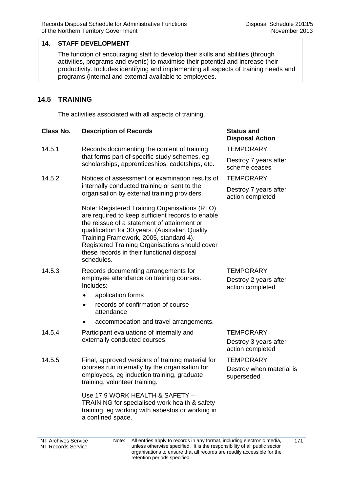The function of encouraging staff to develop their skills and abilities (through activities, programs and events) to maximise their potential and increase their productivity. Includes identifying and implementing all aspects of training needs and programs (internal and external available to employees.

### **14.5 TRAINING**

The activities associated with all aspects of training.

| Class No. | <b>Description of Records</b> | <b>Status and</b> |
|-----------|-------------------------------|-------------------|
|           |                               | Disnosal A        |

- 14.5.1 Records documenting the content of training that forms part of specific study schemes, eg scholarships, apprenticeships, cadetships, etc.
- 14.5.2 Notices of assessment or examination results of internally conducted training or sent to the organisation by external training providers.

Note: Registered Training Organisations (RTO) are required to keep sufficient records to enable the reissue of a statement of attainment or qualification for 30 years. (Australian Quality Training Framework, 2005, standard 4). Registered Training Organisations should cover these records in their functional disposal schedules.

- 14.5.3 Records documenting arrangements for employee attendance on training courses. Includes:
	- application forms
	- records of confirmation of course attendance
	- accommodation and travel arrangements.
- 14.5.4 Participant evaluations of internally and externally conducted courses.
- 14.5.5 Final, approved versions of training material for courses run internally by the organisation for employees, eg induction training, graduate training, volunteer training.

Use 17.9 WORK HEALTH & SAFETY – TRAINING for specialised work health & safety training, eg working with asbestos or working in a confined space.

# **Disposal Action**

**TEMPORARY** 

Destroy 7 years after scheme ceases

**TEMPORARY** 

Destroy 7 years after action completed

**TEMPORARY** Destroy 2 years after action completed

**TEMPORARY** Destroy 3 years after action completed

**TEMPORARY** Destroy when material is superseded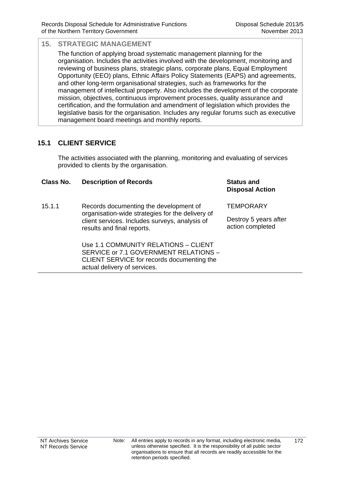The function of applying broad systematic management planning for the organisation. Includes the activities involved with the development, monitoring and reviewing of business plans, strategic plans, corporate plans, Equal Employment Opportunity (EEO) plans, Ethnic Affairs Policy Statements (EAPS) and agreements, and other long-term organisational strategies, such as frameworks for the management of intellectual property. Also includes the development of the corporate mission, objectives, continuous improvement processes, quality assurance and certification, and the formulation and amendment of legislation which provides the legislative basis for the organisation. Includes any regular forums such as executive management board meetings and monthly reports.

# **15.1 CLIENT SERVICE**

The activities associated with the planning, monitoring and evaluating of services provided to clients by the organisation.

### **Class No. Description of Records Status and**

15.1.1 Records documenting the development of organisation-wide strategies for the delivery of client services. Includes surveys, analysis of results and final reports.

> Use 1.1 COMMUNITY RELATIONS – CLIENT SERVICE or 7.1 GOVERNMENT RELATIONS – CLIENT SERVICE for records documenting the actual delivery of services.

# **Disposal Action**

**TEMPORARY** 

Destroy 5 years after action completed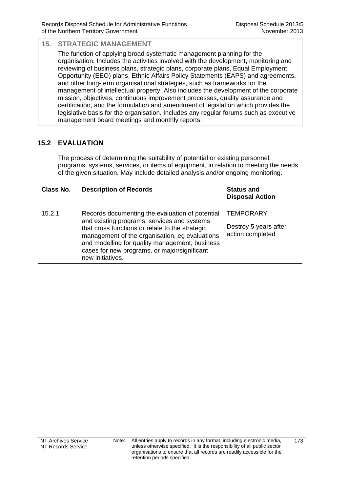The function of applying broad systematic management planning for the organisation. Includes the activities involved with the development, monitoring and reviewing of business plans, strategic plans, corporate plans, Equal Employment Opportunity (EEO) plans, Ethnic Affairs Policy Statements (EAPS) and agreements, and other long-term organisational strategies, such as frameworks for the management of intellectual property. Also includes the development of the corporate mission, objectives, continuous improvement processes, quality assurance and certification, and the formulation and amendment of legislation which provides the legislative basis for the organisation. Includes any regular forums such as executive management board meetings and monthly reports.

# **15.2 EVALUATION**

The process of determining the suitability of potential or existing personnel, programs, systems, services, or items of equipment, in relation to meeting the needs of the given situation. May include detailed analysis and/or ongoing monitoring.

| Class No. | <b>Description of Records</b>                                                                                                                                                                                                                                                                                             | <b>Status and</b><br><b>Disposal Action</b>                   |
|-----------|---------------------------------------------------------------------------------------------------------------------------------------------------------------------------------------------------------------------------------------------------------------------------------------------------------------------------|---------------------------------------------------------------|
| 15.2.1    | Records documenting the evaluation of potential<br>and existing programs, services and systems<br>that cross functions or relate to the strategic<br>management of the organisation, eg evaluations<br>and modelling for quality management, business<br>cases for new programs, or major/significant<br>new initiatives. | <b>TEMPORARY</b><br>Destroy 5 years after<br>action completed |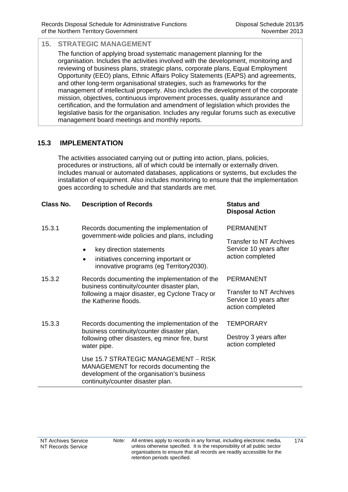The function of applying broad systematic management planning for the organisation. Includes the activities involved with the development, monitoring and reviewing of business plans, strategic plans, corporate plans, Equal Employment Opportunity (EEO) plans, Ethnic Affairs Policy Statements (EAPS) and agreements, and other long-term organisational strategies, such as frameworks for the management of intellectual property. Also includes the development of the corporate mission, objectives, continuous improvement processes, quality assurance and certification, and the formulation and amendment of legislation which provides the legislative basis for the organisation. Includes any regular forums such as executive management board meetings and monthly reports.

### **15.3 IMPLEMENTATION**

The activities associated carrying out or putting into action, plans, policies, procedures or instructions, all of which could be internally or externally driven. Includes manual or automated databases, applications or systems, but excludes the installation of equipment. Also includes monitoring to ensure that the implementation goes according to schedule and that standards are met.

### **Class No. Description of Records Status and**

| 15.3.1 | Records documenting the implementation of     |
|--------|-----------------------------------------------|
|        | government-wide policies and plans, including |

- key direction statements
- initiatives concerning important or innovative programs (eg Territory2030).
- 15.3.2 Records documenting the implementation of the business continuity/counter disaster plan, following a major disaster, eg Cyclone Tracy or the Katherine floods.
- 15.3.3 Records documenting the implementation of the business continuity/counter disaster plan, following other disasters, eg minor fire, burst water pipe.

Use 15.7 STRATEGIC MANAGEMENT – RISK MANAGEMENT for records documenting the development of the organisation's business continuity/counter disaster plan.

# **Disposal Action**

PERMANENT

Transfer to NT Archives Service 10 years after action completed

PERMANENT

Transfer to NT Archives Service 10 years after action completed

**TEMPORARY** 

Destroy 3 years after action completed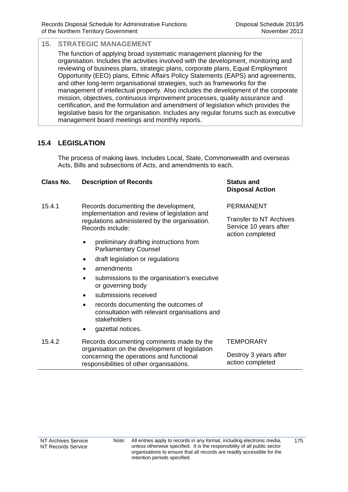**Disposal Action**

Transfer to NT Archives Service 10 years after action completed

PERMANENT

### **15. STRATEGIC MANAGEMENT**

The function of applying broad systematic management planning for the organisation. Includes the activities involved with the development, monitoring and reviewing of business plans, strategic plans, corporate plans, Equal Employment Opportunity (EEO) plans, Ethnic Affairs Policy Statements (EAPS) and agreements, and other long-term organisational strategies, such as frameworks for the management of intellectual property. Also includes the development of the corporate mission, objectives, continuous improvement processes, quality assurance and certification, and the formulation and amendment of legislation which provides the legislative basis for the organisation. Includes any regular forums such as executive management board meetings and monthly reports.

# **15.4 LEGISLATION**

The process of making laws. Includes Local, State, Commonwealth and overseas Acts, Bills and subsections of Acts, and amendments to each.

### **Class No. Description of Records Status and**

- 15.4.1 Records documenting the development, implementation and review of legislation and regulations administered by the organisation. Records include:
	- preliminary drafting instructions from Parliamentary Counsel
	- draft legislation or regulations
	- amendments
	- submissions to the organisation's executive or governing body
	- submissions received
	- records documenting the outcomes of consultation with relevant organisations and stakeholders
	- gazettal notices.
- 15.4.2 Records documenting comments made by the organisation on the development of legislation concerning the operations and functional responsibilities of other organisations. **TEMPORARY** Destroy 3 years after action completed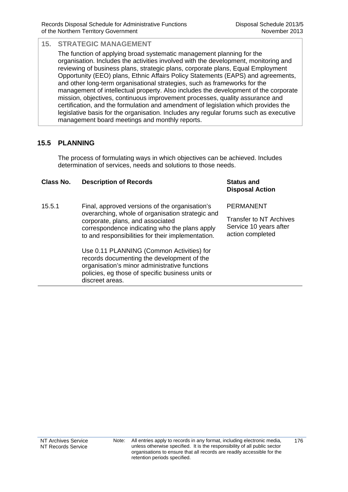The function of applying broad systematic management planning for the organisation. Includes the activities involved with the development, monitoring and reviewing of business plans, strategic plans, corporate plans, Equal Employment Opportunity (EEO) plans, Ethnic Affairs Policy Statements (EAPS) and agreements, and other long-term organisational strategies, such as frameworks for the management of intellectual property. Also includes the development of the corporate mission, objectives, continuous improvement processes, quality assurance and certification, and the formulation and amendment of legislation which provides the legislative basis for the organisation. Includes any regular forums such as executive management board meetings and monthly reports.

### **15.5 PLANNING**

The process of formulating ways in which objectives can be achieved. Includes determination of services, needs and solutions to those needs.

#### **Class No. Description of Records Status and Disposal Action** 15.5.1 Final, approved versions of the organisation's overarching, whole of organisation strategic and corporate, plans, and associated correspondence indicating who the plans apply to and responsibilities for their implementation. PERMANENT Transfer to NT Archives Service 10 years after action completed Use 0.11 PLANNING (Common Activities) for records documenting the development of the organisation's minor administrative functions policies, eg those of specific business units or discreet areas.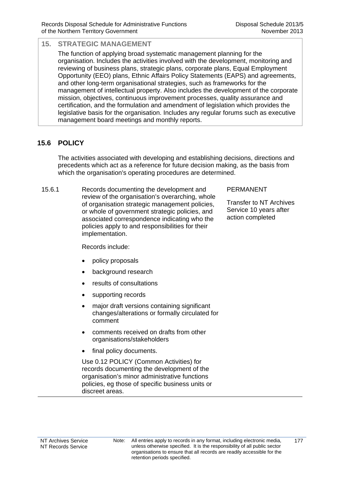The function of applying broad systematic management planning for the organisation. Includes the activities involved with the development, monitoring and reviewing of business plans, strategic plans, corporate plans, Equal Employment Opportunity (EEO) plans, Ethnic Affairs Policy Statements (EAPS) and agreements, and other long-term organisational strategies, such as frameworks for the management of intellectual property. Also includes the development of the corporate mission, objectives, continuous improvement processes, quality assurance and certification, and the formulation and amendment of legislation which provides the legislative basis for the organisation. Includes any regular forums such as executive management board meetings and monthly reports.

# **15.6 POLICY**

The activities associated with developing and establishing decisions, directions and precedents which act as a reference for future decision making, as the basis from which the organisation's operating procedures are determined.

15.6.1 Records documenting the development and review of the organisation's overarching, whole of organisation strategic management policies, or whole of government strategic policies, and associated correspondence indicating who the policies apply to and responsibilities for their implementation.

### PERMANENT

Transfer to NT Archives Service 10 years after action completed

Records include:

- policy proposals
- background research
- results of consultations
- supporting records
- major draft versions containing significant changes/alterations or formally circulated for comment
- comments received on drafts from other organisations/stakeholders
- final policy documents.

 Use 0.12 POLICY (Common Activities) for records documenting the development of the organisation's minor administrative functions policies, eg those of specific business units or discreet areas.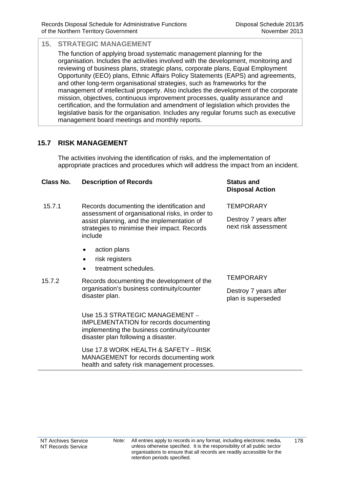The function of applying broad systematic management planning for the organisation. Includes the activities involved with the development, monitoring and reviewing of business plans, strategic plans, corporate plans, Equal Employment Opportunity (EEO) plans, Ethnic Affairs Policy Statements (EAPS) and agreements, and other long-term organisational strategies, such as frameworks for the management of intellectual property. Also includes the development of the corporate mission, objectives, continuous improvement processes, quality assurance and certification, and the formulation and amendment of legislation which provides the legislative basis for the organisation. Includes any regular forums such as executive management board meetings and monthly reports.

### **15.7 RISK MANAGEMENT**

The activities involving the identification of risks, and the implementation of appropriate practices and procedures which will address the impact from an incident.

#### **Class No. Description of Records Status and Disposal Action** 15.7.1 Records documenting the identification and assessment of organisational risks, in order to assist planning, and the implementation of strategies to minimise their impact. Records include • action plans • risk registers treatment schedules. **TEMPORARY** Destroy 7 years after next risk assessment 15.7.2 Records documenting the development of the organisation's business continuity/counter disaster plan. **TEMPORARY** Destroy 7 years after plan is superseded Use 15.3 STRATEGIC MANAGEMENT – IMPLEMENTATION for records documenting implementing the business continuity/counter disaster plan following a disaster. Use 17.8 WORK HEALTH & SAFETY – RISK MANAGEMENT for records documenting work health and safety risk management processes.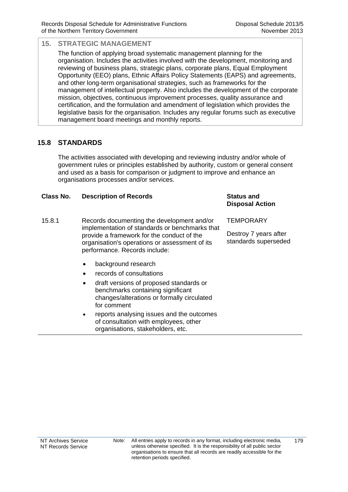The function of applying broad systematic management planning for the organisation. Includes the activities involved with the development, monitoring and reviewing of business plans, strategic plans, corporate plans, Equal Employment Opportunity (EEO) plans, Ethnic Affairs Policy Statements (EAPS) and agreements, and other long-term organisational strategies, such as frameworks for the management of intellectual property. Also includes the development of the corporate mission, objectives, continuous improvement processes, quality assurance and certification, and the formulation and amendment of legislation which provides the legislative basis for the organisation. Includes any regular forums such as executive management board meetings and monthly reports.

### **15.8 STANDARDS**

The activities associated with developing and reviewing industry and/or whole of government rules or principles established by authority, custom or general consent and used as a basis for comparison or judgment to improve and enhance an organisations processes and/or services.

#### **Class No. Description of Records <b>Status** and **Status** and

- 15.8.1 Records documenting the development and/or implementation of standards or benchmarks that provide a framework for the conduct of the organisation's operations or assessment of its performance. Records include:
	- background research
	- records of consultations
	- draft versions of proposed standards or benchmarks containing significant changes/alterations or formally circulated for comment
	- reports analysing issues and the outcomes of consultation with employees, other organisations, stakeholders, etc.

# **Disposal Action**

**TEMPORARY** 

Destroy 7 years after standards superseded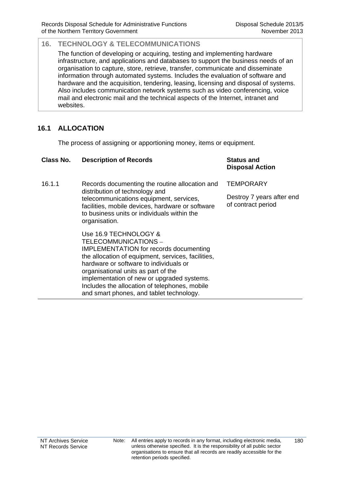The function of developing or acquiring, testing and implementing hardware infrastructure, and applications and databases to support the business needs of an organisation to capture, store, retrieve, transfer, communicate and disseminate information through automated systems. Includes the evaluation of software and hardware and the acquisition, tendering, leasing, licensing and disposal of systems. Also includes communication network systems such as video conferencing, voice mail and electronic mail and the technical aspects of the Internet, intranet and websites.

# **16.1 ALLOCATION**

The process of assigning or apportioning money, items or equipment.

| Class No. | <b>Description of Records</b>                                                                                                                                                                                                                                                                                                                                                    | <b>Status and</b><br><b>Disposal Action</b>                         |
|-----------|----------------------------------------------------------------------------------------------------------------------------------------------------------------------------------------------------------------------------------------------------------------------------------------------------------------------------------------------------------------------------------|---------------------------------------------------------------------|
| 16.1.1    | Records documenting the routine allocation and<br>distribution of technology and<br>telecommunications equipment, services,<br>facilities, mobile devices, hardware or software<br>to business units or individuals within the<br>organisation.                                                                                                                                  | <b>TEMPORARY</b><br>Destroy 7 years after end<br>of contract period |
|           | Use 16.9 TECHNOLOGY &<br>TELECOMMUNICATIONS -<br><b>IMPLEMENTATION for records documenting</b><br>the allocation of equipment, services, facilities,<br>hardware or software to individuals or<br>organisational units as part of the<br>implementation of new or upgraded systems.<br>Includes the allocation of telephones, mobile<br>and smart phones, and tablet technology. |                                                                     |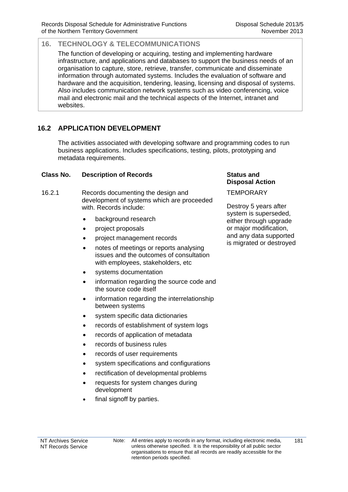The function of developing or acquiring, testing and implementing hardware infrastructure, and applications and databases to support the business needs of an organisation to capture, store, retrieve, transfer, communicate and disseminate information through automated systems. Includes the evaluation of software and hardware and the acquisition, tendering, leasing, licensing and disposal of systems. Also includes communication network systems such as video conferencing, voice mail and electronic mail and the technical aspects of the Internet, intranet and websites.

# **16.2 APPLICATION DEVELOPMENT**

The activities associated with developing software and programming codes to run business applications. Includes specifications, testing, pilots, prototyping and metadata requirements.

### **Class No. Description of Records Status and**

- 16.2.1 Records documenting the design and development of systems which are proceeded with. Records include:
	- background research
	- project proposals
	- project management records
	- notes of meetings or reports analysing issues and the outcomes of consultation with employees, stakeholders, etc
	- systems documentation
	- information regarding the source code and the source code itself
	- information regarding the interrelationship between systems
	- system specific data dictionaries
	- records of establishment of system logs
	- records of application of metadata
	- records of business rules
	- records of user requirements
	- system specifications and configurations
	- rectification of developmental problems
	- requests for system changes during development
	- final signoff by parties.

**Disposal Action**

**TEMPORARY** 

Destroy 5 years after system is superseded, either through upgrade or major modification, and any data supported is migrated or destroyed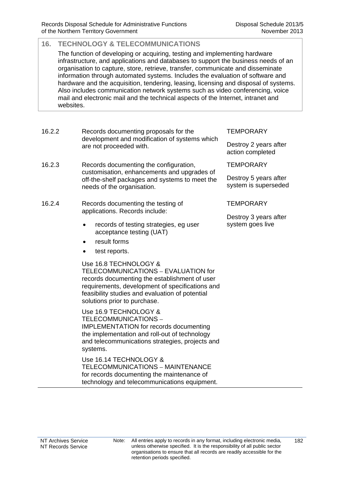The function of developing or acquiring, testing and implementing hardware infrastructure, and applications and databases to support the business needs of an organisation to capture, store, retrieve, transfer, communicate and disseminate information through automated systems. Includes the evaluation of software and hardware and the acquisition, tendering, leasing, licensing and disposal of systems. Also includes communication network systems such as video conferencing, voice mail and electronic mail and the technical aspects of the Internet, intranet and websites.

- 16.2.2 Records documenting proposals for the development and modification of systems which are not proceeded with.
- 16.2.3 Records documenting the configuration, customisation, enhancements and upgrades of off-the-shelf packages and systems to meet the needs of the organisation.
- 16.2.4 Records documenting the testing of applications. Records include:
	- records of testing strategies, eg user acceptance testing (UAT)
	- result forms
	- test reports.

 Use 16.8 TECHNOLOGY & TELECOMMUNICATIONS – EVALUATION for records documenting the establishment of user requirements, development of specifications and feasibility studies and evaluation of potential solutions prior to purchase.

 Use 16.9 TECHNOLOGY & TELECOMMUNICATIONS – IMPLEMENTATION for records documenting the implementation and roll-out of technology and telecommunications strategies, projects and systems.

 Use 16.14 TECHNOLOGY & TELECOMMUNICATIONS – MAINTENANCE for records documenting the maintenance of technology and telecommunications equipment.

### **TEMPORARY**

Destroy 2 years after action completed

**TEMPORARY** 

Destroy 5 years after system is superseded

**TFMPORARY** 

Destroy 3 years after system goes live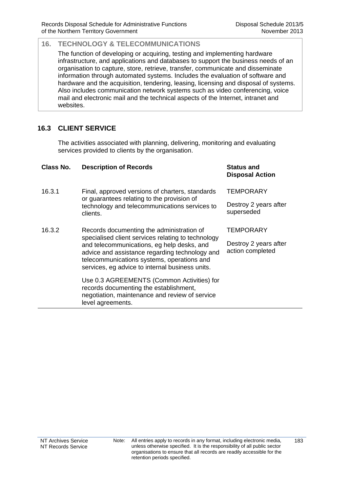The function of developing or acquiring, testing and implementing hardware infrastructure, and applications and databases to support the business needs of an organisation to capture, store, retrieve, transfer, communicate and disseminate information through automated systems. Includes the evaluation of software and hardware and the acquisition, tendering, leasing, licensing and disposal of systems. Also includes communication network systems such as video conferencing, voice mail and electronic mail and the technical aspects of the Internet, intranet and websites.

# **16.3 CLIENT SERVICE**

The activities associated with planning, delivering, monitoring and evaluating services provided to clients by the organisation.

| Class No. | <b>Description of Records</b>                                                                                                                                                                                                                                                                    | <b>Status and</b><br><b>Disposal Action</b>             |
|-----------|--------------------------------------------------------------------------------------------------------------------------------------------------------------------------------------------------------------------------------------------------------------------------------------------------|---------------------------------------------------------|
| 16.3.1    | Final, approved versions of charters, standards<br>or guarantees relating to the provision of<br>technology and telecommunications services to<br>clients.                                                                                                                                       | <b>TEMPORARY</b><br>Destroy 2 years after<br>superseded |
| 16.3.2    | Records documenting the administration of<br>specialised client services relating to technology<br>and telecommunications, eg help desks, and<br>advice and assistance regarding technology and<br>telecommunications systems, operations and<br>services, eg advice to internal business units. | TEMPORARY<br>Destroy 2 years after<br>action completed  |
|           | Use 0.3 AGREEMENTS (Common Activities) for<br>records documenting the establishment,<br>negotiation, maintenance and review of service<br>level agreements.                                                                                                                                      |                                                         |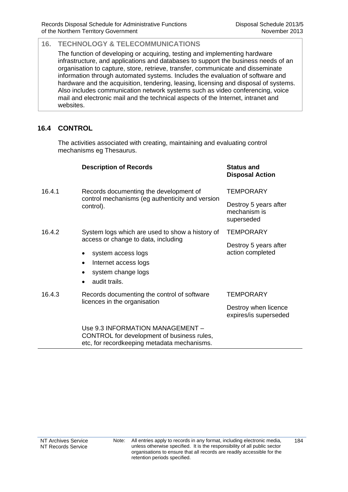The function of developing or acquiring, testing and implementing hardware infrastructure, and applications and databases to support the business needs of an organisation to capture, store, retrieve, transfer, communicate and disseminate information through automated systems. Includes the evaluation of software and hardware and the acquisition, tendering, leasing, licensing and disposal of systems. Also includes communication network systems such as video conferencing, voice mail and electronic mail and the technical aspects of the Internet, intranet and websites.

# **16.4 CONTROL**

The activities associated with creating, maintaining and evaluating control mechanisms eg Thesaurus.

|        | <b>Description of Records</b>                                                                                                              | <b>Status and</b><br><b>Disposal Action</b>         |
|--------|--------------------------------------------------------------------------------------------------------------------------------------------|-----------------------------------------------------|
| 16.4.1 | Records documenting the development of<br>control mechanisms (eg authenticity and version<br>control).                                     | <b>TEMPORARY</b>                                    |
|        |                                                                                                                                            | Destroy 5 years after<br>mechanism is<br>superseded |
| 16.4.2 | System logs which are used to show a history of                                                                                            | <b>TEMPORARY</b>                                    |
|        | access or change to data, including<br>system access logs<br>Internet access logs<br>٠<br>system change logs<br>audit trails.<br>$\bullet$ | Destroy 5 years after<br>action completed           |
| 16.4.3 | Records documenting the control of software<br>licences in the organisation                                                                | TEMPORARY                                           |
|        |                                                                                                                                            | Destroy when licence<br>expires/is superseded       |
|        | Use 9.3 INFORMATION MANAGEMENT -<br>CONTROL for development of business rules,<br>etc, for recordkeeping metadata mechanisms.              |                                                     |

retention periods specified.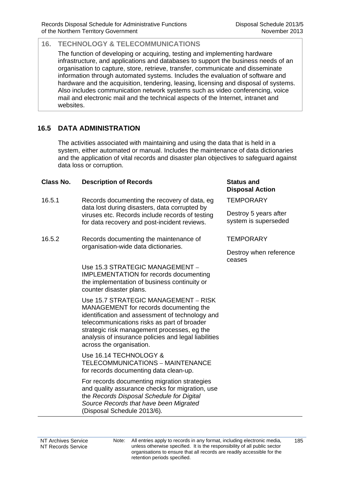The function of developing or acquiring, testing and implementing hardware infrastructure, and applications and databases to support the business needs of an organisation to capture, store, retrieve, transfer, communicate and disseminate information through automated systems. Includes the evaluation of software and hardware and the acquisition, tendering, leasing, licensing and disposal of systems. Also includes communication network systems such as video conferencing, voice mail and electronic mail and the technical aspects of the Internet, intranet and websites.

# **16.5 DATA ADMINISTRATION**

The activities associated with maintaining and using the data that is held in a system, either automated or manual. Includes the maintenance of data dictionaries and the application of vital records and disaster plan objectives to safeguard against data loss or corruption.

### **Class No. Description of Records Status and**

- 16.5.1 Records documenting the recovery of data, eg data lost during disasters, data corrupted by viruses etc. Records include records of testing for data recovery and post-incident reviews.
- 16.5.2 Records documenting the maintenance of organisation-wide data dictionaries.

Use 15.3 STRATEGIC MANAGEMENT – IMPLEMENTATION for records documenting the implementation of business continuity or counter disaster plans.

 Use 15.7 STRATEGIC MANAGEMENT – RISK MANAGEMENT for records documenting the identification and assessment of technology and telecommunications risks as part of broader strategic risk management processes, eg the analysis of insurance policies and legal liabilities across the organisation.

 Use 16.14 TECHNOLOGY & TELECOMMUNICATIONS – MAINTENANCE for records documenting data clean-up.

For records documenting migration strategies and quality assurance checks for migration, use the *Records Disposal Schedule for Digital Source Records that have been Migrated*  (Disposal Schedule 2013/6)*.*

# **Disposal Action**

**TEMPORARY** 

Destroy 5 years after system is superseded

**TEMPORARY** 

Destroy when reference ceases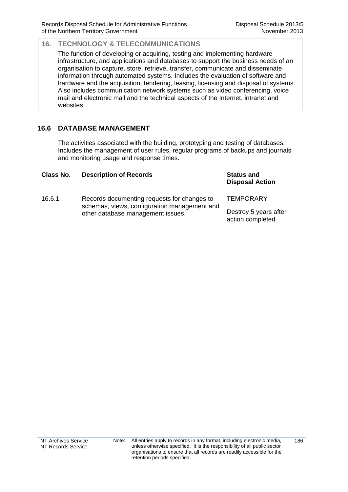The function of developing or acquiring, testing and implementing hardware infrastructure, and applications and databases to support the business needs of an organisation to capture, store, retrieve, transfer, communicate and disseminate information through automated systems. Includes the evaluation of software and hardware and the acquisition, tendering, leasing, licensing and disposal of systems. Also includes communication network systems such as video conferencing, voice mail and electronic mail and the technical aspects of the Internet, intranet and websites.

# **16.6 DATABASE MANAGEMENT**

The activities associated with the building, prototyping and testing of databases. Includes the management of user rules, regular programs of backups and journals and monitoring usage and response times.

| Class No. | <b>Description of Records</b>                                                                                                    | <b>Status and</b><br><b>Disposal Action</b> |
|-----------|----------------------------------------------------------------------------------------------------------------------------------|---------------------------------------------|
| 16.6.1    | Records documenting requests for changes to<br>schemas, views, configuration management and<br>other database management issues. | <b>TEMPORARY</b>                            |
|           |                                                                                                                                  | Destroy 5 years after<br>action completed   |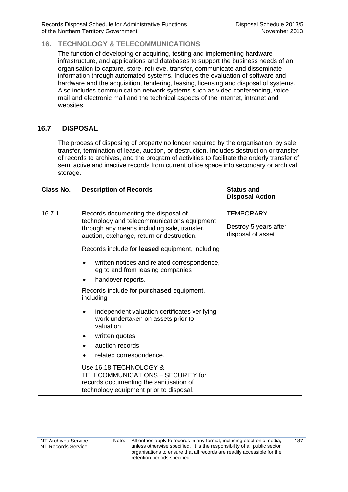The function of developing or acquiring, testing and implementing hardware infrastructure, and applications and databases to support the business needs of an organisation to capture, store, retrieve, transfer, communicate and disseminate information through automated systems. Includes the evaluation of software and hardware and the acquisition, tendering, leasing, licensing and disposal of systems. Also includes communication network systems such as video conferencing, voice mail and electronic mail and the technical aspects of the Internet, intranet and websites.

# **16.7 DISPOSAL**

The process of disposing of property no longer required by the organisation, by sale, transfer, termination of lease, auction, or destruction. Includes destruction or transfer of records to archives, and the program of activities to facilitate the orderly transfer of semi active and inactive records from current office space into secondary or archival storage.

### **Class No. Description of Records Status and**

16.7.1 Records documenting the disposal of technology and telecommunications equipment through any means including sale, transfer, auction, exchange, return or destruction.

Records include for **leased** equipment, including

- written notices and related correspondence, eg to and from leasing companies
- handover reports.

Records include for **purchased** equipment, including

- independent valuation certificates verifying work undertaken on assets prior to valuation
- written quotes
- auction records
- related correspondence.

 Use 16.18 TECHNOLOGY & TELECOMMUNICATIONS – SECURITY for records documenting the sanitisation of technology equipment prior to disposal.

# **Disposal Action**

**TEMPORARY** 

Destroy 5 years after disposal of asset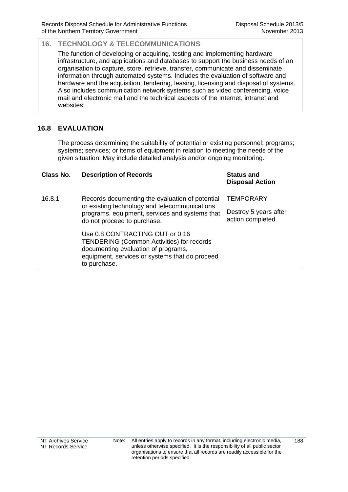The function of developing or acquiring, testing and implementing hardware infrastructure, and applications and databases to support the business needs of an organisation to capture, store, retrieve, transfer, communicate and disseminate information through automated systems. Includes the evaluation of software and hardware and the acquisition, tendering, leasing, licensing and disposal of systems. Also includes communication network systems such as video conferencing, voice mail and electronic mail and the technical aspects of the Internet, intranet and websites.

# **16.8 EVALUATION**

The process determining the suitability of potential or existing personnel; programs; systems; services; or items of equipment in relation to meeting the needs of the given situation. May include detailed analysis and/or ongoing monitoring.

| Class No. | <b>Description of Records</b>                                                                                                                                                                | <b>Status and</b><br><b>Disposal Action</b> |
|-----------|----------------------------------------------------------------------------------------------------------------------------------------------------------------------------------------------|---------------------------------------------|
| 16.8.1    | Records documenting the evaluation of potential<br>or existing technology and telecommunications<br>programs, equipment, services and systems that<br>do not proceed to purchase.            | <b>TEMPORARY</b>                            |
|           |                                                                                                                                                                                              | Destroy 5 years after<br>action completed   |
|           | Use 0.8 CONTRACTING OUT or 0.16<br><b>TENDERING (Common Activities) for records</b><br>documenting evaluation of programs,<br>equipment, services or systems that do proceed<br>to purchase. |                                             |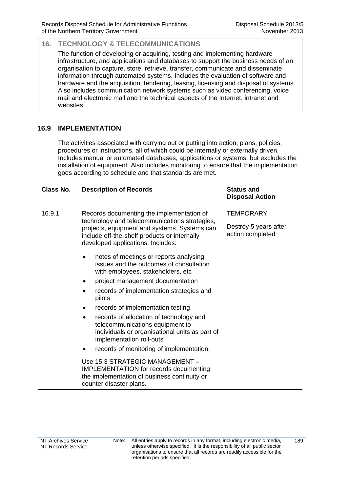The function of developing or acquiring, testing and implementing hardware infrastructure, and applications and databases to support the business needs of an organisation to capture, store, retrieve, transfer, communicate and disseminate information through automated systems. Includes the evaluation of software and hardware and the acquisition, tendering, leasing, licensing and disposal of systems. Also includes communication network systems such as video conferencing, voice mail and electronic mail and the technical aspects of the Internet, intranet and websites.

# **16.9 IMPLEMENTATION**

The activities associated with carrying out or putting into action, plans, policies, procedures or instructions, all of which could be internally or externally driven. Includes manual or automated databases, applications or systems, but excludes the installation of equipment. Also includes monitoring to ensure that the implementation goes according to schedule and that standards are met.

### **Class No. Description of Records Status and**

- 16.9.1 Records documenting the implementation of technology and telecommunications strategies, projects, equipment and systems. Systems can include off-the-shelf products or internally developed applications. Includes:
	- notes of meetings or reports analysing issues and the outcomes of consultation with employees, stakeholders, etc
	- project management documentation
	- records of implementation strategies and pilots
	- records of implementation testing
	- records of allocation of technology and telecommunications equipment to individuals or organisational units as part of implementation roll-outs
	- records of monitoring of implementation.

 Use 15.3 STRATEGIC MANAGEMENT – IMPLEMENTATION for records documenting the implementation of business continuity or counter disaster plans.

# **Disposal Action**

**TEMPORARY** 

Destroy 5 years after action completed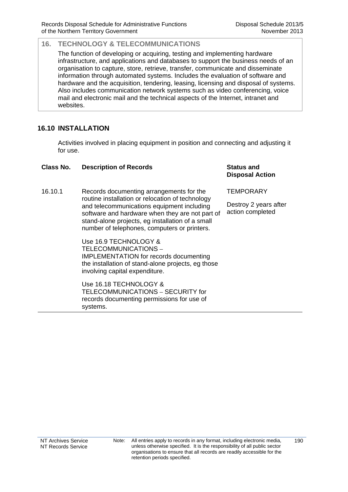The function of developing or acquiring, testing and implementing hardware infrastructure, and applications and databases to support the business needs of an organisation to capture, store, retrieve, transfer, communicate and disseminate information through automated systems. Includes the evaluation of software and hardware and the acquisition, tendering, leasing, licensing and disposal of systems. Also includes communication network systems such as video conferencing, voice mail and electronic mail and the technical aspects of the Internet, intranet and websites.

# **16.10 INSTALLATION**

Activities involved in placing equipment in position and connecting and adjusting it for use.

### **Class No. Description of Records Status and**

16.10.1 Records documenting arrangements for the routine installation or relocation of technology and telecommunications equipment including software and hardware when they are not part of stand-alone projects, eg installation of a small number of telephones, computers or printers.

> Use 16.9 TECHNOLOGY & TELECOMMUNICATIONS – IMPLEMENTATION for records documenting the installation of stand-alone projects, eg those involving capital expenditure.

Use 16.18 TECHNOLOGY & TELECOMMUNICATIONS – SECURITY for records documenting permissions for use of systems.

**Disposal Action**

**TEMPORARY** 

Destroy 2 years after action completed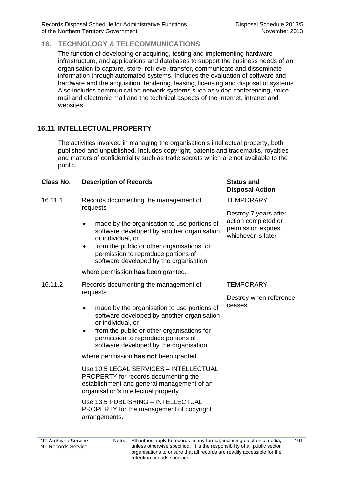The function of developing or acquiring, testing and implementing hardware infrastructure, and applications and databases to support the business needs of an organisation to capture, store, retrieve, transfer, communicate and disseminate information through automated systems. Includes the evaluation of software and hardware and the acquisition, tendering, leasing, licensing and disposal of systems. Also includes communication network systems such as video conferencing, voice mail and electronic mail and the technical aspects of the Internet, intranet and websites.

# **16.11 INTELLECTUAL PROPERTY**

The activities involved in managing the organisation's intellectual property, both published and unpublished. Includes copyright, patents and trademarks, royalties and matters of confidentiality such as trade secrets which are not available to the public.

#### **Class No. Description of Records Status and**

- 16.11.1 Records documenting the management of requests
	- made by the organisation to use portions of software developed by another organisation or individual, or
	- from the public or other organisations for permission to reproduce portions of software developed by the organisation.

where permission **has** been granted.

- 16.11.2 Records documenting the management of requests
	- made by the organisation to use portions of software developed by another organisation or individual, or
	- from the public or other organisations for permission to reproduce portions of software developed by the organisation.

where permission **has not** been granted.

 Use 10.5 LEGAL SERVICES – INTELLECTUAL PROPERTY for records documenting the establishment and general management of an organisation's intellectual property.

 Use 13.5 PUBLISHING – INTELLECTUAL PROPERTY for the management of copyright arrangements.

# **Disposal Action**

**TEMPORARY** 

Destroy 7 years after action completed or permission expires, whichever is later

### **TEMPORARY**

Destroy when reference ceases

NT Archives Service NT Records Service Note: All entries apply to records in any format, including electronic media, unless otherwise specified. It is the responsibility of all public sector organisations to ensure that all records are readily accessible for the retention periods specified.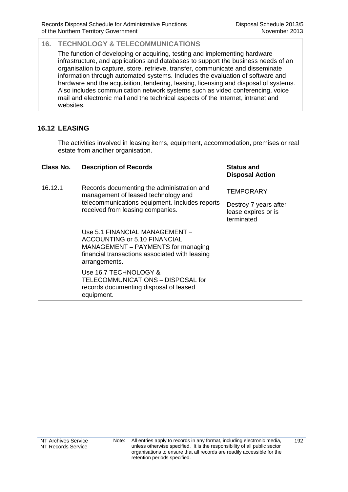The function of developing or acquiring, testing and implementing hardware infrastructure, and applications and databases to support the business needs of an organisation to capture, store, retrieve, transfer, communicate and disseminate information through automated systems. Includes the evaluation of software and hardware and the acquisition, tendering, leasing, licensing and disposal of systems. Also includes communication network systems such as video conferencing, voice mail and electronic mail and the technical aspects of the Internet, intranet and websites.

# **16.12 LEASING**

The activities involved in leasing items, equipment, accommodation, premises or real estate from another organisation.

| Class No. | <b>Description of Records</b>                                                                                                                                           | <b>Status and</b><br><b>Disposal Action</b>                                    |
|-----------|-------------------------------------------------------------------------------------------------------------------------------------------------------------------------|--------------------------------------------------------------------------------|
| 16.12.1   | Records documenting the administration and<br>management of leased technology and<br>telecommunications equipment. Includes reports<br>received from leasing companies. | <b>TEMPORARY</b><br>Destroy 7 years after<br>lease expires or is<br>terminated |
|           | Use 5.1 FINANCIAL MANAGEMENT -<br>ACCOUNTING or 5.10 FINANCIAL<br>MANAGEMENT – PAYMENTS for managing<br>financial transactions associated with leasing<br>arrangements. |                                                                                |
|           | Use 16.7 TECHNOLOGY &<br>TELECOMMUNICATIONS - DISPOSAL for<br>records documenting disposal of leased                                                                    |                                                                                |

equipment.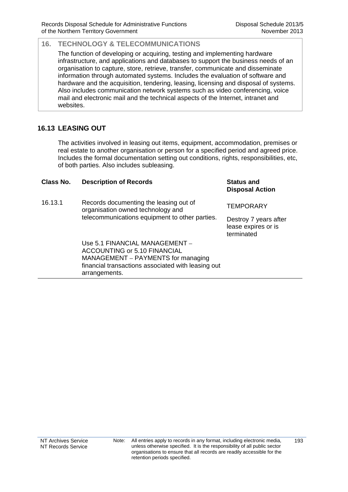The function of developing or acquiring, testing and implementing hardware infrastructure, and applications and databases to support the business needs of an organisation to capture, store, retrieve, transfer, communicate and disseminate information through automated systems. Includes the evaluation of software and hardware and the acquisition, tendering, leasing, licensing and disposal of systems. Also includes communication network systems such as video conferencing, voice mail and electronic mail and the technical aspects of the Internet, intranet and websites.

# **16.13 LEASING OUT**

The activities involved in leasing out items, equipment, accommodation, premises or real estate to another organisation or person for a specified period and agreed price. Includes the formal documentation setting out conditions, rights, responsibilities, etc, of both parties. Also includes subleasing.

| Class No. | <b>Description of Records</b>                                                                             | <b>Status and</b><br><b>Disposal Action</b>                |
|-----------|-----------------------------------------------------------------------------------------------------------|------------------------------------------------------------|
| 16.13.1   | Records documenting the leasing out of<br>organisation owned technology and                               | TEMPORARY                                                  |
|           | telecommunications equipment to other parties.                                                            | Destroy 7 years after<br>lease expires or is<br>terminated |
|           | Use 5.1 FINANCIAL MANAGEMENT -<br>ACCOUNTING or 5.10 FINANCIAL                                            |                                                            |
|           | MANAGEMENT – PAYMENTS for managing<br>financial transactions associated with leasing out<br>arrangements. |                                                            |
|           |                                                                                                           |                                                            |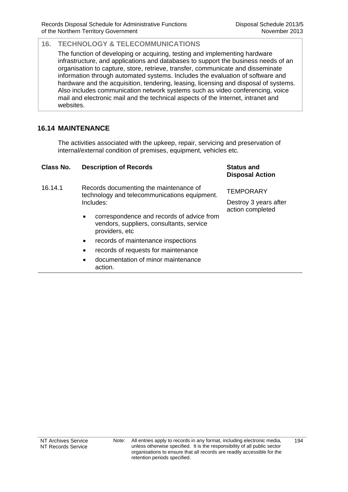The function of developing or acquiring, testing and implementing hardware infrastructure, and applications and databases to support the business needs of an organisation to capture, store, retrieve, transfer, communicate and disseminate information through automated systems. Includes the evaluation of software and hardware and the acquisition, tendering, leasing, licensing and disposal of systems. Also includes communication network systems such as video conferencing, voice mail and electronic mail and the technical aspects of the Internet, intranet and websites.

# **16.14 MAINTENANCE**

The activities associated with the upkeep, repair, servicing and preservation of internal/external condition of premises, equipment, vehicles etc.

| Class No. | <b>Description of Records</b>                                                                                        | <b>Status and</b><br><b>Disposal Action</b>                   |
|-----------|----------------------------------------------------------------------------------------------------------------------|---------------------------------------------------------------|
| 16.14.1   | Records documenting the maintenance of<br>technology and telecommunications equipment.<br>Includes:                  | <b>TEMPORARY</b><br>Destroy 3 years after<br>action completed |
|           | correspondence and records of advice from<br>$\bullet$<br>vendors, suppliers, consultants, service<br>providers, etc |                                                               |
|           | records of maintenance inspections<br>$\bullet$                                                                      |                                                               |
|           | records of requests for maintenance<br>$\bullet$                                                                     |                                                               |
|           | documentation of minor maintenance<br>$\bullet$<br>action.                                                           |                                                               |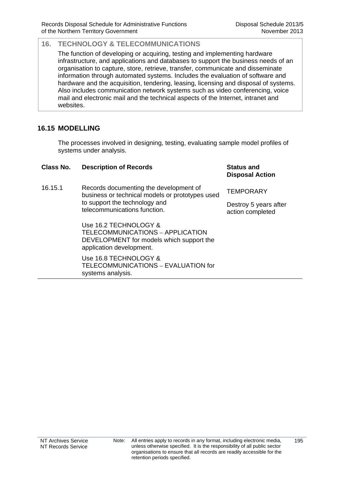The function of developing or acquiring, testing and implementing hardware infrastructure, and applications and databases to support the business needs of an organisation to capture, store, retrieve, transfer, communicate and disseminate information through automated systems. Includes the evaluation of software and hardware and the acquisition, tendering, leasing, licensing and disposal of systems. Also includes communication network systems such as video conferencing, voice mail and electronic mail and the technical aspects of the Internet, intranet and websites.

# **16.15 MODELLING**

The processes involved in designing, testing, evaluating sample model profiles of systems under analysis.

| Class No. | <b>Description of Records</b>                                                                                                                              | <b>Status and</b><br><b>Disposal Action</b> |
|-----------|------------------------------------------------------------------------------------------------------------------------------------------------------------|---------------------------------------------|
| 16.15.1   | Records documenting the development of<br>business or technical models or prototypes used<br>to support the technology and<br>telecommunications function. | <b>TEMPORARY</b>                            |
|           |                                                                                                                                                            | Destroy 5 years after<br>action completed   |
|           | Use 16.2 TECHNOLOGY &<br>TELECOMMUNICATIONS - APPLICATION<br>DEVELOPMENT for models which support the<br>application development.                          |                                             |
|           | Use 16.8 TECHNOLOGY &<br>TELECOMMUNICATIONS - EVALUATION for                                                                                               |                                             |

systems analysis.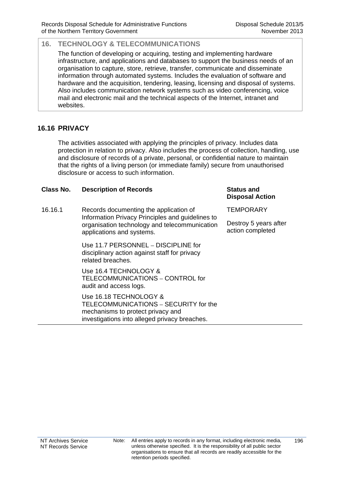The function of developing or acquiring, testing and implementing hardware infrastructure, and applications and databases to support the business needs of an organisation to capture, store, retrieve, transfer, communicate and disseminate information through automated systems. Includes the evaluation of software and hardware and the acquisition, tendering, leasing, licensing and disposal of systems. Also includes communication network systems such as video conferencing, voice mail and electronic mail and the technical aspects of the Internet, intranet and websites.

# **16.16 PRIVACY**

The activities associated with applying the principles of privacy. Includes data protection in relation to privacy. Also includes the process of collection, handling, use and disclosure of records of a private, personal, or confidential nature to maintain that the rights of a living person (or immediate family) secure from unauthorised disclosure or access to such information.

### **Class No. Description of Records Status and**

16.16.1 Records documenting the application of Information Privacy Principles and guidelines to organisation technology and telecommunication applications and systems.

> Use 11.7 PERSONNEL – DISCIPLINE for disciplinary action against staff for privacy related breaches.

Use 16.4 TECHNOLOGY & TELECOMMUNICATIONS – CONTROL for audit and access logs.

Use 16.18 TECHNOLOGY & TELECOMMUNICATIONS – SECURITY for the mechanisms to protect privacy and investigations into alleged privacy breaches.

# **Disposal Action**

**TEMPORARY** 

Destroy 5 years after action completed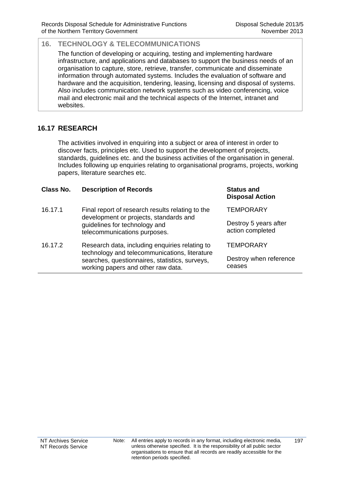The function of developing or acquiring, testing and implementing hardware infrastructure, and applications and databases to support the business needs of an organisation to capture, store, retrieve, transfer, communicate and disseminate information through automated systems. Includes the evaluation of software and hardware and the acquisition, tendering, leasing, licensing and disposal of systems. Also includes communication network systems such as video conferencing, voice mail and electronic mail and the technical aspects of the Internet, intranet and websites.

# **16.17 RESEARCH**

The activities involved in enquiring into a subject or area of interest in order to discover facts, principles etc. Used to support the development of projects, standards, guidelines etc. and the business activities of the organisation in general. Includes following up enquiries relating to organisational programs, projects, working papers, literature searches etc.

| Class No. | <b>Description of Records</b>                                                                                                                                                           | <b>Status and</b><br><b>Disposal Action</b> |
|-----------|-----------------------------------------------------------------------------------------------------------------------------------------------------------------------------------------|---------------------------------------------|
| 16.17.1   | Final report of research results relating to the<br>development or projects, standards and<br>guidelines for technology and<br>telecommunications purposes.                             | <b>TEMPORARY</b>                            |
|           |                                                                                                                                                                                         | Destroy 5 years after<br>action completed   |
| 16.17.2   | Research data, including enquiries relating to<br>technology and telecommunications, literature<br>searches, questionnaires, statistics, surveys,<br>working papers and other raw data. | <b>TEMPORARY</b>                            |
|           |                                                                                                                                                                                         | Destroy when reference<br>ceases            |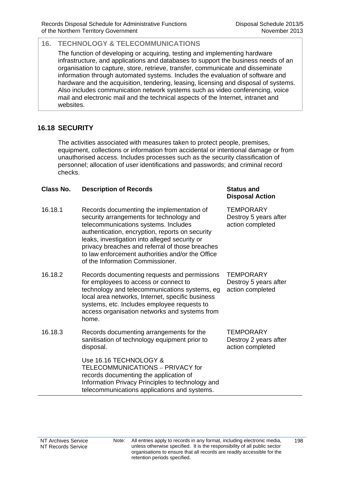The function of developing or acquiring, testing and implementing hardware infrastructure, and applications and databases to support the business needs of an organisation to capture, store, retrieve, transfer, communicate and disseminate information through automated systems. Includes the evaluation of software and hardware and the acquisition, tendering, leasing, licensing and disposal of systems. Also includes communication network systems such as video conferencing, voice mail and electronic mail and the technical aspects of the Internet, intranet and websites.

### **16.18 SECURITY**

The activities associated with measures taken to protect people, premises, equipment, collections or information from accidental or intentional damage or from unauthorised access. Includes processes such as the security classification of personnel; allocation of user identifications and passwords; and criminal record checks.

### **Class No. Description of Records Status and**

- 16.18.1 Records documenting the implementation of security arrangements for technology and telecommunications systems. Includes authentication, encryption, reports on security leaks, investigation into alleged security or privacy breaches and referral of those breaches to law enforcement authorities and/or the Office of the Information Commissioner.
- 16.18.2 Records documenting requests and permissions for employees to access or connect to technology and telecommunications systems, eg local area networks, Internet, specific business systems, etc. Includes employee requests to access organisation networks and systems from home.
- 16.18.3 Records documenting arrangements for the sanitisation of technology equipment prior to disposal.

 Use 16.16 TECHNOLOGY & TELECOMMUNICATIONS – PRIVACY for records documenting the application of Information Privacy Principles to technology and telecommunications applications and systems.

# **Disposal Action**

**TEMPORARY** Destroy 5 years after action completed

**TEMPORARY** Destroy 5 years after action completed

**TEMPORARY** Destroy 2 years after action completed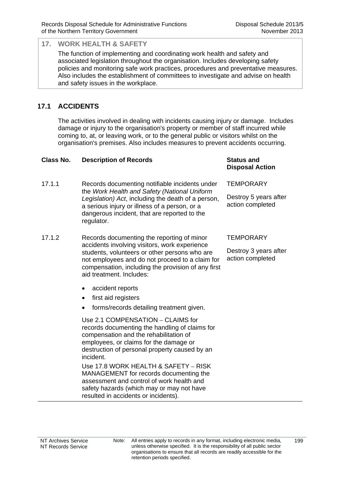The function of implementing and coordinating work health and safety and associated legislation throughout the organisation. Includes developing safety policies and monitoring safe work practices, procedures and preventative measures. Also includes the establishment of committees to investigate and advise on health and safety issues in the workplace.

# **17.1 ACCIDENTS**

The activities involved in dealing with incidents causing injury or damage. Includes damage or injury to the organisation's property or member of staff incurred while coming to, at, or leaving work, or to the general public or visitors whilst on the organisation's premises. Also includes measures to prevent accidents occurring.

| Class No. | <b>Description of Records</b>                                                                                                                                                                                                                                                     | <b>Status and</b><br><b>Disposal Action</b> |
|-----------|-----------------------------------------------------------------------------------------------------------------------------------------------------------------------------------------------------------------------------------------------------------------------------------|---------------------------------------------|
| 17.1.1    | Records documenting notifiable incidents under<br>the Work Health and Safety (National Uniform<br>Legislation) Act, including the death of a person,<br>a serious injury or illness of a person, or a<br>dangerous incident, that are reported to the<br>regulator.               | <b>TEMPORARY</b>                            |
|           |                                                                                                                                                                                                                                                                                   | Destroy 5 years after<br>action completed   |
| 17.1.2    | Records documenting the reporting of minor<br>accidents involving visitors, work experience<br>students, volunteers or other persons who are<br>not employees and do not proceed to a claim for<br>compensation, including the provision of any first<br>aid treatment. Includes: | <b>TEMPORARY</b>                            |
|           |                                                                                                                                                                                                                                                                                   | Destroy 3 years after<br>action completed   |
|           | accident reports<br>٠                                                                                                                                                                                                                                                             |                                             |
|           | first aid registers<br>$\bullet$                                                                                                                                                                                                                                                  |                                             |
|           | forms/records detailing treatment given.<br>$\bullet$                                                                                                                                                                                                                             |                                             |
|           | Use 2.1 COMPENSATION - CLAIMS for<br>records documenting the handling of claims for<br>compensation and the rehabilitation of<br>employees, or claims for the damage or<br>destruction of personal property caused by an<br>incident.                                             |                                             |
|           | Use 17.8 WORK HEALTH & SAFETY - RISK<br>MANAGEMENT for records documenting the<br>assessment and control of work health and<br>safety hazards (which may or may not have                                                                                                          |                                             |

resulted in accidents or incidents).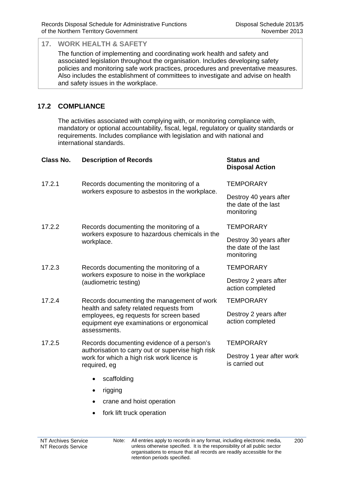The function of implementing and coordinating work health and safety and associated legislation throughout the organisation. Includes developing safety policies and monitoring safe work practices, procedures and preventative measures. Also includes the establishment of committees to investigate and advise on health and safety issues in the workplace.

# **17.2 COMPLIANCE**

The activities associated with complying with, or monitoring compliance with, mandatory or optional accountability, fiscal, legal, regulatory or quality standards or requirements. Includes compliance with legislation and with national and international standards.

| <b>Class No.</b> | <b>Description of Records</b>                                                                                                                                                                 | <b>Status and</b><br><b>Disposal Action</b>                  |
|------------------|-----------------------------------------------------------------------------------------------------------------------------------------------------------------------------------------------|--------------------------------------------------------------|
| 17.2.1           | Records documenting the monitoring of a<br>workers exposure to asbestos in the workplace.                                                                                                     | <b>TEMPORARY</b>                                             |
|                  |                                                                                                                                                                                               | Destroy 40 years after<br>the date of the last<br>monitoring |
| 17.2.2           | Records documenting the monitoring of a<br>workers exposure to hazardous chemicals in the<br>workplace.                                                                                       | <b>TEMPORARY</b>                                             |
|                  |                                                                                                                                                                                               | Destroy 30 years after<br>the date of the last<br>monitoring |
| 17.2.3           | Records documenting the monitoring of a<br>workers exposure to noise in the workplace<br>(audiometric testing)                                                                                | <b>TEMPORARY</b>                                             |
|                  |                                                                                                                                                                                               | Destroy 2 years after<br>action completed                    |
| 17.2.4           | Records documenting the management of work<br>health and safety related requests from<br>employees, eg requests for screen based<br>equipment eye examinations or ergonomical<br>assessments. | <b>TEMPORARY</b>                                             |
|                  |                                                                                                                                                                                               | Destroy 2 years after<br>action completed                    |
| 17.2.5           | Records documenting evidence of a person's<br>authorisation to carry out or supervise high risk<br>work for which a high risk work licence is<br>required, eg                                 | <b>TEMPORARY</b>                                             |
|                  |                                                                                                                                                                                               | Destroy 1 year after work<br>is carried out                  |
|                  | scaffolding                                                                                                                                                                                   |                                                              |
|                  | rigging                                                                                                                                                                                       |                                                              |
|                  | crane and hoist operation                                                                                                                                                                     |                                                              |

• fork lift truck operation

200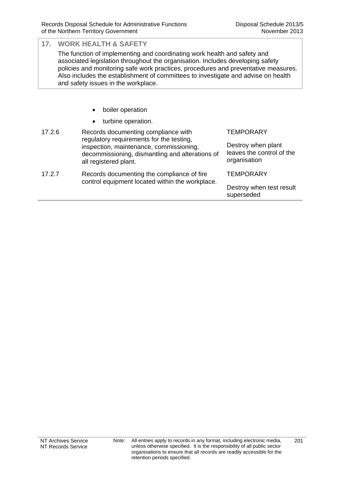The function of implementing and coordinating work health and safety and associated legislation throughout the organisation. Includes developing safety policies and monitoring safe work practices, procedures and preventative measures. Also includes the establishment of committees to investigate and advise on health and safety issues in the workplace.

- boiler operation
- turbine operation.

| 17.2.6 | Records documenting compliance with<br>regulatory requirements for the testing,<br>inspection, maintenance, commissioning,<br>decommissioning, dismantling and alterations of<br>all registered plant. | <b>TEMPORARY</b><br>Destroy when plant<br>leaves the control of the<br>organisation |
|--------|--------------------------------------------------------------------------------------------------------------------------------------------------------------------------------------------------------|-------------------------------------------------------------------------------------|
| 17.2.7 | Records documenting the compliance of fire<br>control equipment located within the workplace.                                                                                                          | <b>TEMPORARY</b>                                                                    |
|        |                                                                                                                                                                                                        | Destroy when test result<br>superseded                                              |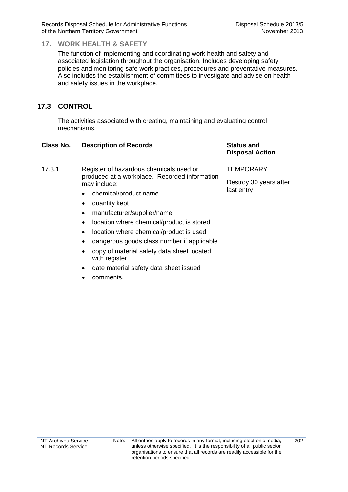The function of implementing and coordinating work health and safety and associated legislation throughout the organisation. Includes developing safety policies and monitoring safe work practices, procedures and preventative measures. Also includes the establishment of committees to investigate and advise on health and safety issues in the workplace.

# **17.3 CONTROL**

The activities associated with creating, maintaining and evaluating control mechanisms.

### **Class No. Description of Records Status and**

### 17.3.1 Register of hazardous chemicals used or produced at a workplace. Recorded information may include:

- chemical/product name
- quantity kept
- manufacturer/supplier/name
- location where chemical/product is stored
- location where chemical/product is used
- dangerous goods class number if applicable
- copy of material safety data sheet located with register
- date material safety data sheet issued
- comments.

# **Disposal Action**

**TEMPORARY** 

Destroy 30 years after last entry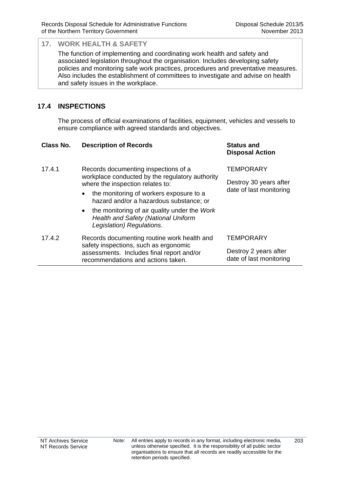The function of implementing and coordinating work health and safety and associated legislation throughout the organisation. Includes developing safety policies and monitoring safe work practices, procedures and preventative measures. Also includes the establishment of committees to investigate and advise on health and safety issues in the workplace.

## **17.4 INSPECTIONS**

The process of official examinations of facilities, equipment, vehicles and vessels to ensure compliance with agreed standards and objectives.

| Class No. | <b>Description of Records</b>                                                                                                                                           | <b>Status and</b><br><b>Disposal Action</b>       |
|-----------|-------------------------------------------------------------------------------------------------------------------------------------------------------------------------|---------------------------------------------------|
| 17.4.1    | Records documenting inspections of a                                                                                                                                    | <b>TEMPORARY</b>                                  |
|           | workplace conducted by the regulatory authority<br>where the inspection relates to:                                                                                     | Destroy 30 years after<br>date of last monitoring |
|           | the monitoring of workers exposure to a<br>٠<br>hazard and/or a hazardous substance; or                                                                                 |                                                   |
|           | the monitoring of air quality under the Work<br>$\bullet$<br><b>Health and Safety (National Uniform</b><br>Legislation) Regulations.                                    |                                                   |
| 17.4.2    | Records documenting routine work health and<br>safety inspections, such as ergonomic<br>assessments. Includes final report and/or<br>recommendations and actions taken. | <b>TEMPORARY</b>                                  |
|           |                                                                                                                                                                         | Destroy 2 years after<br>date of last monitoring  |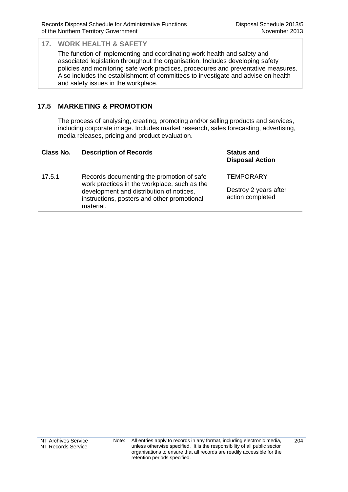The function of implementing and coordinating work health and safety and associated legislation throughout the organisation. Includes developing safety policies and monitoring safe work practices, procedures and preventative measures. Also includes the establishment of committees to investigate and advise on health and safety issues in the workplace.

## **17.5 MARKETING & PROMOTION**

The process of analysing, creating, promoting and/or selling products and services, including corporate image. Includes market research, sales forecasting, advertising, media releases, pricing and product evaluation.

| Class No. | <b>Description of Records</b>                                                                                                                                                                     | <b>Status and</b><br><b>Disposal Action</b>                   |
|-----------|---------------------------------------------------------------------------------------------------------------------------------------------------------------------------------------------------|---------------------------------------------------------------|
| 17.5.1    | Records documenting the promotion of safe<br>work practices in the workplace, such as the<br>development and distribution of notices,<br>instructions, posters and other promotional<br>material. | <b>TEMPORARY</b><br>Destroy 2 years after<br>action completed |
|           |                                                                                                                                                                                                   |                                                               |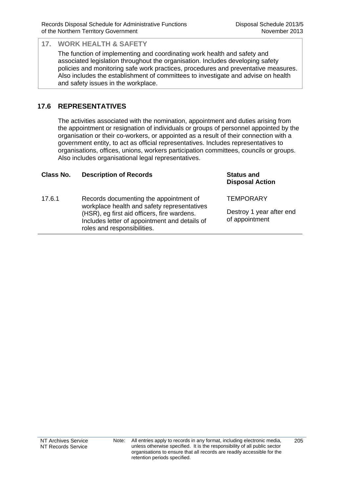The function of implementing and coordinating work health and safety and associated legislation throughout the organisation. Includes developing safety policies and monitoring safe work practices, procedures and preventative measures. Also includes the establishment of committees to investigate and advise on health and safety issues in the workplace.

## **17.6 REPRESENTATIVES**

The activities associated with the nomination, appointment and duties arising from the appointment or resignation of individuals or groups of personnel appointed by the organisation or their co-workers, or appointed as a result of their connection with a government entity, to act as official representatives. Includes representatives to organisations, offices, unions, workers participation committees, councils or groups. Also includes organisational legal representatives.

#### **Class No. Description of Records Status and**

17.6.1 Records documenting the appointment of workplace health and safety representatives (HSR), eg first aid officers, fire wardens. Includes letter of appointment and details of roles and responsibilities.

**Disposal Action**

**TEMPORARY** 

Destroy 1 year after end of appointment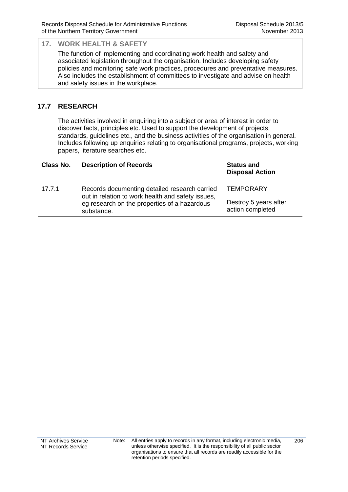The function of implementing and coordinating work health and safety and associated legislation throughout the organisation. Includes developing safety policies and monitoring safe work practices, procedures and preventative measures. Also includes the establishment of committees to investigate and advise on health and safety issues in the workplace.

## **17.7 RESEARCH**

The activities involved in enquiring into a subject or area of interest in order to discover facts, principles etc. Used to support the development of projects, standards, guidelines etc., and the business activities of the organisation in general. Includes following up enquiries relating to organisational programs, projects, working papers, literature searches etc.

| Class No. | <b>Description of Records</b>                                                                      | <b>Status and</b><br><b>Disposal Action</b> |
|-----------|----------------------------------------------------------------------------------------------------|---------------------------------------------|
| 17.7.1    | Records documenting detailed research carried<br>out in relation to work health and safety issues, | <b>TEMPORARY</b>                            |
|           | eg research on the properties of a hazardous<br>substance.                                         | Destroy 5 years after<br>action completed   |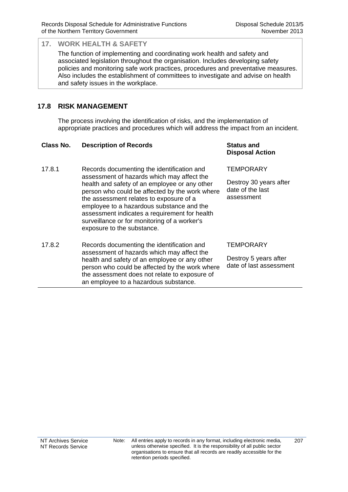The function of implementing and coordinating work health and safety and associated legislation throughout the organisation. Includes developing safety policies and monitoring safe work practices, procedures and preventative measures. Also includes the establishment of committees to investigate and advise on health and safety issues in the workplace.

### **17.8 RISK MANAGEMENT**

The process involving the identification of risks, and the implementation of appropriate practices and procedures which will address the impact from an incident.

#### **Class No. Description of Records Status and**

- 17.8.1 Records documenting the identification and assessment of hazards which may affect the health and safety of an employee or any other person who could be affected by the work where the assessment relates to exposure of a employee to a hazardous substance and the assessment indicates a requirement for health surveillance or for monitoring of a worker's exposure to the substance.
- 17.8.2 Records documenting the identification and assessment of hazards which may affect the health and safety of an employee or any other person who could be affected by the work where the assessment does not relate to exposure of an employee to a hazardous substance.

# **Disposal Action**

**TEMPORARY** 

Destroy 30 years after date of the last assessment

#### **TEMPORARY**

Destroy 5 years after date of last assessment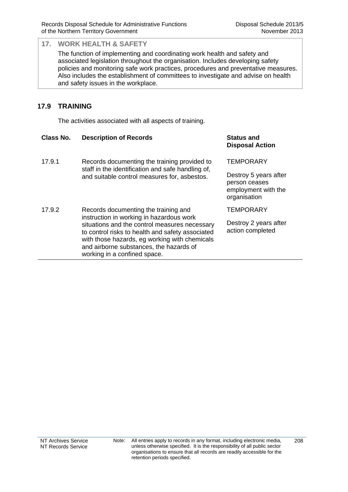The function of implementing and coordinating work health and safety and associated legislation throughout the organisation. Includes developing safety policies and monitoring safe work practices, procedures and preventative measures. Also includes the establishment of committees to investigate and advise on health and safety issues in the workplace.

## **17.9 TRAINING**

The activities associated with all aspects of training.

| Class No. | <b>Description of Records</b>                                                                                                                                                                                                                                                                                     | <b>Status and</b><br><b>Disposal Action</b>                                                       |
|-----------|-------------------------------------------------------------------------------------------------------------------------------------------------------------------------------------------------------------------------------------------------------------------------------------------------------------------|---------------------------------------------------------------------------------------------------|
| 17.9.1    | Records documenting the training provided to<br>staff in the identification and safe handling of,<br>and suitable control measures for, asbestos.                                                                                                                                                                 | <b>TEMPORARY</b><br>Destroy 5 years after<br>person ceases<br>employment with the<br>organisation |
| 17.9.2    | Records documenting the training and<br>instruction in working in hazardous work<br>situations and the control measures necessary<br>to control risks to health and safety associated<br>with those hazards, eg working with chemicals<br>and airborne substances, the hazards of<br>working in a confined space. | <b>TEMPORARY</b><br>Destroy 2 years after<br>action completed                                     |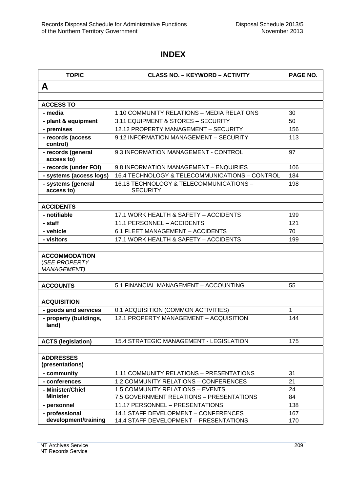## **INDEX**

| <b>TOPIC</b>                                                | <b>CLASS NO. - KEYWORD - ACTIVITY</b>                      | PAGE NO. |
|-------------------------------------------------------------|------------------------------------------------------------|----------|
| A                                                           |                                                            |          |
|                                                             |                                                            |          |
| <b>ACCESS TO</b>                                            |                                                            |          |
| - media                                                     | 1.10 COMMUNITY RELATIONS - MEDIA RELATIONS                 | 30       |
| - plant & equipment                                         | 3.11 EQUIPMENT & STORES - SECURITY                         | 50       |
| - premises                                                  | 12.12 PROPERTY MANAGEMENT - SECURITY                       | 156      |
| - records (access<br>control)                               | 9.12 INFORMATION MANAGEMENT - SECURITY                     | 113      |
| - records (general<br>access to)                            | 9.3 INFORMATION MANAGEMENT - CONTROL                       | 97       |
| - records (under FOI)                                       | 9.8 INFORMATION MANAGEMENT - ENQUIRIES                     | 106      |
| - systems (access logs)                                     | 16.4 TECHNOLOGY & TELECOMMUNICATIONS - CONTROL             | 184      |
| - systems (general<br>access to)                            | 16.18 TECHNOLOGY & TELECOMMUNICATIONS -<br><b>SECURITY</b> | 198      |
|                                                             |                                                            |          |
| <b>ACCIDENTS</b>                                            |                                                            |          |
| - notifiable                                                | 17.1 WORK HEALTH & SAFETY - ACCIDENTS                      | 199      |
| - staff                                                     | 11.1 PERSONNEL - ACCIDENTS                                 | 121      |
| - vehicle                                                   | 6.1 FLEET MANAGEMENT - ACCIDENTS                           | 70       |
| - visitors                                                  | 17.1 WORK HEALTH & SAFETY - ACCIDENTS                      | 199      |
| <b>ACCOMMODATION</b><br>(SEE PROPERTY<br><b>MANAGEMENT)</b> |                                                            |          |
| <b>ACCOUNTS</b>                                             | 5.1 FINANCIAL MANAGEMENT - ACCOUNTING                      | 55       |
| <b>ACQUISITION</b>                                          |                                                            |          |
| - goods and services                                        | 0.1 ACQUISITION (COMMON ACTIVITIES)                        | 1        |
| - property (buildings,<br>land)                             | 12.1 PROPERTY MANAGEMENT - ACQUISITION                     | 144      |
| <b>ACTS (legislation)</b>                                   | 15.4 STRATEGIC MANAGEMENT - LEGISLATION                    | 175      |
|                                                             |                                                            |          |
| <b>ADDRESSES</b><br>(presentations)                         |                                                            |          |
| - community                                                 | 1.11 COMMUNITY RELATIONS - PRESENTATIONS                   | 31       |
| - conferences                                               | 1.2 COMMUNITY RELATIONS - CONFERENCES                      | 21       |
| - Minister/Chief                                            | <b>1.5 COMMUNITY RELATIONS - EVENTS</b>                    | 24       |
| <b>Minister</b>                                             | 7.5 GOVERNMENT RELATIONS - PRESENTATIONS                   | 84       |
| - personnel                                                 | 11.17 PERSONNEL - PRESENTATIONS                            | 138      |
| - professional                                              | 14.1 STAFF DEVELOPMENT - CONFERENCES                       | 167      |
| development/training                                        | 14.4 STAFF DEVELOPMENT - PRESENTATIONS                     | 170      |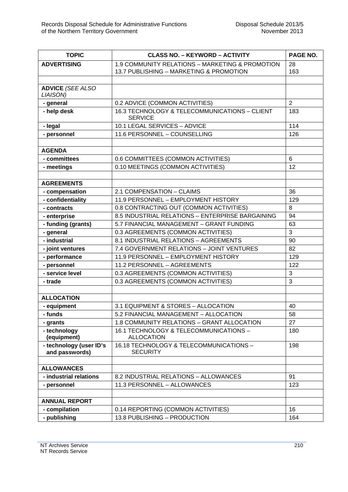| <b>TOPIC</b>                              | <b>CLASS NO. - KEYWORD - ACTIVITY</b>                           | PAGE NO.       |
|-------------------------------------------|-----------------------------------------------------------------|----------------|
| <b>ADVERTISING</b>                        | 1.9 COMMUNITY RELATIONS - MARKETING & PROMOTION                 | 28             |
|                                           | 13.7 PUBLISHING - MARKETING & PROMOTION                         | 163            |
|                                           |                                                                 |                |
| <b>ADVICE (SEE ALSO</b><br>LIAISON)       |                                                                 |                |
| - general                                 | 0.2 ADVICE (COMMON ACTIVITIES)                                  | $\overline{2}$ |
| - help desk                               | 16.3 TECHNOLOGY & TELECOMMUNICATIONS - CLIENT<br><b>SERVICE</b> | 183            |
| - legal                                   | 10.1 LEGAL SERVICES - ADVICE                                    | 114            |
| - personnel                               | 11.6 PERSONNEL - COUNSELLING                                    | 126            |
|                                           |                                                                 |                |
| <b>AGENDA</b>                             |                                                                 |                |
| - committees                              | 0.6 COMMITTEES (COMMON ACTIVITIES)                              | 6              |
| - meetings                                | 0.10 MEETINGS (COMMON ACTIVITIES)                               | 12             |
|                                           |                                                                 |                |
| <b>AGREEMENTS</b>                         |                                                                 |                |
| - compensation                            | 2.1 COMPENSATION - CLAIMS                                       | 36             |
| - confidentiality                         | 11.9 PERSONNEL - EMPLOYMENT HISTORY                             | 129            |
| - contracts                               | 0.8 CONTRACTING OUT (COMMON ACTIVITIES)                         | 8              |
| - enterprise                              | 8.5 INDUSTRIAL RELATIONS - ENTERPRISE BARGAINING                | 94             |
| - funding (grants)                        | 5.7 FINANCIAL MANAGEMENT - GRANT FUNDING                        | 63             |
| - general                                 | 0.3 AGREEMENTS (COMMON ACTIVITIES)                              | 3              |
| - industrial                              | 8.1 INDUSTRIAL RELATIONS - AGREEMENTS                           | 90             |
| - joint ventures                          | 7.4 GOVERNMENT RELATIONS - JOINT VENTURES                       | 82             |
| - performance                             | 11.9 PERSONNEL - EMPLOYMENT HISTORY                             | 129            |
| - personnel                               | 11.2 PERSONNEL - AGREEMENTS                                     | 122            |
| - service level                           | 0.3 AGREEMENTS (COMMON ACTIVITIES)                              | 3              |
| - trade                                   | 0.3 AGREEMENTS (COMMON ACTIVITIES)                              | 3              |
|                                           |                                                                 |                |
| <b>ALLOCATION</b>                         |                                                                 |                |
| - equipment                               | 3.1 EQUIPMENT & STORES - ALLOCATION                             | 40             |
| - funds                                   | 5.2 FINANCIAL MANAGEMENT - ALLOCATION                           | 58             |
| - grants                                  | 1.8 COMMUNITY RELATIONS - GRANT ALLOCATION                      | 27             |
| - technology<br>(equipment)               | 16.1 TECHNOLOGY & TELECOMMUNICATIONS -<br><b>ALLOCATION</b>     | 180            |
| - technology (user ID's<br>and passwords) | 16.18 TECHNOLOGY & TELECOMMUNICATIONS -<br><b>SECURITY</b>      | 198            |
|                                           |                                                                 |                |
| <b>ALLOWANCES</b>                         |                                                                 |                |
| - industrial relations                    | 8.2 INDUSTRIAL RELATIONS - ALLOWANCES                           | 91             |
| - personnel                               | 11.3 PERSONNEL - ALLOWANCES                                     | 123            |
|                                           |                                                                 |                |
| <b>ANNUAL REPORT</b>                      |                                                                 |                |
| - compilation                             | 0.14 REPORTING (COMMON ACTIVITIES)                              | 16             |
| - publishing                              | 13.8 PUBLISHING - PRODUCTION                                    | 164            |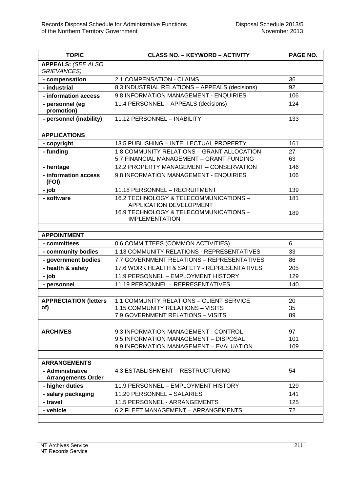| <b>TOPIC</b>                                    | <b>CLASS NO. - KEYWORD - ACTIVITY</b>                             | PAGE NO. |
|-------------------------------------------------|-------------------------------------------------------------------|----------|
| <b>APPEALS: (SEE ALSO</b><br><b>GRIEVANCES)</b> |                                                                   |          |
| - compensation                                  | 2.1 COMPENSATION - CLAIMS                                         | 36       |
| - industrial                                    | 8.3 INDUSTRIAL RELATIONS - APPEALS (decisions)                    | 92       |
| - information access                            | 9.8 INFORMATION MANAGEMENT - ENQUIRIES                            | 106      |
| - personnel (eg<br>promotion)                   | 11.4 PERSONNEL - APPEALS (decisions)                              | 124      |
| - personnel (inability)                         | 11.12 PERSONNEL - INABILITY                                       | 133      |
|                                                 |                                                                   |          |
| <b>APPLICATIONS</b>                             |                                                                   |          |
| - copyright                                     | 13.5 PUBLISHING - INTELLECTUAL PROPERTY                           | 161      |
| - funding                                       | 1.8 COMMUNITY RELATIONS - GRANT ALLOCATION                        | 27       |
|                                                 | 5.7 FINANCIAL MANAGEMENT - GRANT FUNDING                          | 63       |
| - heritage                                      | 12.2 PROPERTY MANAGEMENT - CONSERVATION                           | 146      |
| - information access<br>(FOI)                   | 9.8 INFORMATION MANAGEMENT - ENQUIRIES                            | 106      |
| - job                                           | 11.18 PERSONNEL - RECRUITMENT                                     | 139      |
| - software                                      | 16.2 TECHNOLOGY & TELECOMMUNICATIONS -<br>APPLICATION DEVELOPMENT | 181      |
|                                                 | 16.9 TECHNOLOGY & TELECOMMUNICATIONS -<br><b>IMPLEMENTATION</b>   | 189      |
|                                                 |                                                                   |          |
| <b>APPOINTMENT</b>                              |                                                                   |          |
| - committees                                    | 0.6 COMMITTEES (COMMON ACTIVITIES)                                | 6        |
| - community bodies                              | 1.13 COMMUNITY RELATIONS - REPRESENTATIVES                        | 33       |
| - government bodies                             | 7.7 GOVERNMENT RELATIONS - REPRESENTATIVES                        | 86       |
| - health & safety                               | 17.6 WORK HEALTH & SAFETY - REPRESENTATIVES                       | 205      |
| - job                                           | 11.9 PERSONNEL - EMPLOYMENT HISTORY                               | 129      |
| - personnel                                     | 11.19 PERSONNEL - REPRESENTATIVES                                 | 140      |
|                                                 |                                                                   |          |
| <b>APPRECIATION (letters)</b>                   | 1.1 COMMUNITY RELATIONS - CLIENT SERVICE                          | 20       |
| of)                                             | 1.15 COMMUNITY RELATIONS - VISITS                                 | 35       |
|                                                 | 7.9 GOVERNMENT RELATIONS - VISITS                                 | 89       |
|                                                 |                                                                   |          |
| <b>ARCHIVES</b>                                 | 9.3 INFORMATION MANAGEMENT - CONTROL                              | 97       |
|                                                 | 9.5 INFORMATION MANAGEMENT - DISPOSAL                             | 101      |
|                                                 | 9.9 INFORMATION MANAGEMENT - EVALUATION                           | 109      |
| <b>ARRANGEMENTS</b>                             |                                                                   |          |
| - Administrative<br><b>Arrangements Order</b>   | 4.3 ESTABLISHMENT - RESTRUCTURING                                 | 54       |
| - higher duties                                 | 11.9 PERSONNEL - EMPLOYMENT HISTORY                               | 129      |
| - salary packaging                              | 11.20 PERSONNEL - SALARIES                                        | 141      |
| - travel                                        | 11.5 PERSONNEL - ARRANGEMENTS                                     | 125      |
| - vehicle                                       | 6.2 FLEET MANAGEMENT - ARRANGEMENTS                               | 72       |
|                                                 |                                                                   |          |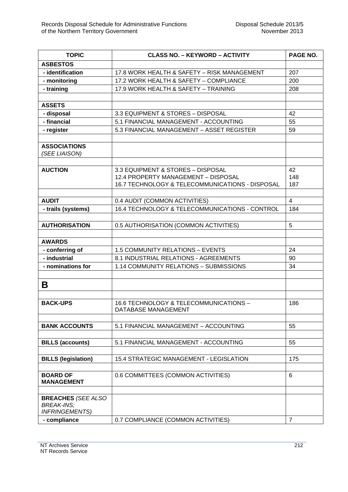| <b>TOPIC</b>               | <b>CLASS NO. - KEYWORD - ACTIVITY</b>                                           | PAGE NO.       |
|----------------------------|---------------------------------------------------------------------------------|----------------|
| <b>ASBESTOS</b>            |                                                                                 |                |
| - identification           | 17.8 WORK HEALTH & SAFETY - RISK MANAGEMENT                                     | 207            |
| - monitoring               | 17.2 WORK HEALTH & SAFETY - COMPLIANCE                                          | 200            |
| - training                 | 17.9 WORK HEALTH & SAFETY - TRAINING                                            | 208            |
|                            |                                                                                 |                |
| <b>ASSETS</b>              |                                                                                 |                |
| - disposal                 | 3.3 EQUIPMENT & STORES - DISPOSAL                                               | 42             |
| - financial                | 5.1 FINANCIAL MANAGEMENT - ACCOUNTING                                           | 55             |
| - register                 | 5.3 FINANCIAL MANAGEMENT - ASSET REGISTER                                       | 59             |
|                            |                                                                                 |                |
| <b>ASSOCIATIONS</b>        |                                                                                 |                |
| (SEE LIAISON)              |                                                                                 |                |
|                            |                                                                                 |                |
| <b>AUCTION</b>             | 3.3 EQUIPMENT & STORES - DISPOSAL                                               | 42             |
|                            | 12.4 PROPERTY MANAGEMENT - DISPOSAL                                             | 148            |
|                            | 16.7 TECHNOLOGY & TELECOMMUNICATIONS - DISPOSAL                                 | 187            |
|                            |                                                                                 | $\overline{4}$ |
| <b>AUDIT</b>               | 0.4 AUDIT (COMMON ACTIVITIES)<br>16.4 TECHNOLOGY & TELECOMMUNICATIONS - CONTROL |                |
| - trails (systems)         |                                                                                 | 184            |
| <b>AUTHORISATION</b>       |                                                                                 | 5              |
|                            | 0.5 AUTHORISATION (COMMON ACTIVITIES)                                           |                |
| <b>AWARDS</b>              |                                                                                 |                |
| - conferring of            | 1.5 COMMUNITY RELATIONS - EVENTS                                                | 24             |
| - industrial               | 8.1 INDUSTRIAL RELATIONS - AGREEMENTS                                           | 90             |
| - nominations for          | 1.14 COMMUNITY RELATIONS - SUBMISSIONS                                          | 34             |
|                            |                                                                                 |                |
|                            |                                                                                 |                |
| Β                          |                                                                                 |                |
|                            |                                                                                 |                |
| <b>BACK-UPS</b>            | 16.6 TECHNOLOGY & TELECOMMUNICATIONS -                                          | 186            |
|                            | DATABASE MANAGEMENT                                                             |                |
| <b>BANK ACCOUNTS</b>       | 5.1 FINANCIAL MANAGEMENT - ACCOUNTING                                           | 55             |
|                            |                                                                                 |                |
| <b>BILLS (accounts)</b>    | 5.1 FINANCIAL MANAGEMENT - ACCOUNTING                                           | 55             |
|                            |                                                                                 |                |
| <b>BILLS (legislation)</b> | 15.4 STRATEGIC MANAGEMENT - LEGISLATION                                         | 175            |
|                            |                                                                                 |                |
| <b>BOARD OF</b>            | 0.6 COMMITTEES (COMMON ACTIVITIES)                                              | 6              |
| <b>MANAGEMENT</b>          |                                                                                 |                |
|                            |                                                                                 |                |
| <b>BREACHES (SEE ALSO</b>  |                                                                                 |                |
| <b>BREAK-INS;</b>          |                                                                                 |                |
| <b>INFRINGEMENTS)</b>      |                                                                                 |                |
| - compliance               | 0.7 COMPLIANCE (COMMON ACTIVITIES)                                              | $\overline{7}$ |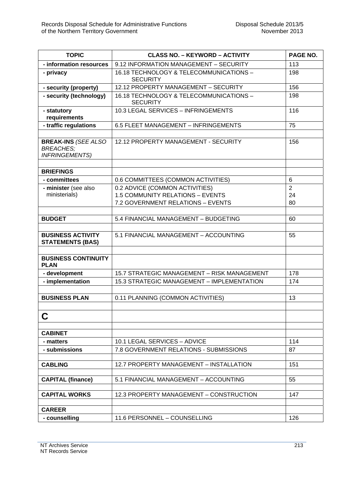| <b>TOPIC</b>                                                            | <b>CLASS NO. - KEYWORD - ACTIVITY</b>                                | PAGE NO.       |
|-------------------------------------------------------------------------|----------------------------------------------------------------------|----------------|
| - information resources                                                 | 9.12 INFORMATION MANAGEMENT - SECURITY                               | 113            |
| - privacy                                                               | 16.18 TECHNOLOGY & TELECOMMUNICATIONS -<br><b>SECURITY</b>           | 198            |
| - security (property)                                                   | 12.12 PROPERTY MANAGEMENT - SECURITY                                 | 156            |
| - security (technology)                                                 | 16.18 TECHNOLOGY & TELECOMMUNICATIONS -<br><b>SECURITY</b>           | 198            |
| - statutory<br>requirements                                             | 10.3 LEGAL SERVICES - INFRINGEMENTS                                  | 116            |
| - traffic regulations                                                   | 6.5 FLEET MANAGEMENT - INFRINGEMENTS                                 | 75             |
|                                                                         |                                                                      |                |
| <b>BREAK-INS (SEE ALSO</b><br><b>BREACHES;</b><br><b>INFRINGEMENTS)</b> | 12.12 PROPERTY MANAGEMENT - SECURITY                                 | 156            |
|                                                                         |                                                                      |                |
| <b>BRIEFINGS</b><br>- committees                                        |                                                                      | 6              |
|                                                                         | 0.6 COMMITTEES (COMMON ACTIVITIES)<br>0.2 ADVICE (COMMON ACTIVITIES) | $\overline{2}$ |
| - minister (see also<br>ministerials)                                   | <b>1.5 COMMUNITY RELATIONS - EVENTS</b>                              | 24             |
|                                                                         | 7.2 GOVERNMENT RELATIONS - EVENTS                                    | 80             |
|                                                                         |                                                                      |                |
| <b>BUDGET</b>                                                           | 5.4 FINANCIAL MANAGEMENT - BUDGETING                                 | 60             |
|                                                                         |                                                                      |                |
| <b>BUSINESS ACTIVITY</b><br><b>STATEMENTS (BAS)</b>                     | 5.1 FINANCIAL MANAGEMENT - ACCOUNTING                                | 55             |
| <b>BUSINESS CONTINUITY</b><br><b>PLAN</b>                               |                                                                      |                |
| - development                                                           | 15.7 STRATEGIC MANAGEMENT - RISK MANAGEMENT                          | 178            |
| - implementation                                                        | 15.3 STRATEGIC MANAGEMENT - IMPLEMENTATION                           | 174            |
|                                                                         |                                                                      |                |
| <b>BUSINESS PLAN</b>                                                    | 0.11 PLANNING (COMMON ACTIVITIES)                                    | 13             |
|                                                                         |                                                                      |                |
| C                                                                       |                                                                      |                |
|                                                                         |                                                                      |                |
| <b>CABINET</b>                                                          |                                                                      |                |
| - matters                                                               | 10.1 LEGAL SERVICES - ADVICE                                         | 114            |
| - submissions                                                           | 7.8 GOVERNMENT RELATIONS - SUBMISSIONS                               | 87             |
|                                                                         |                                                                      |                |
| <b>CABLING</b>                                                          | 12.7 PROPERTY MANAGEMENT - INSTALLATION                              | 151            |
| <b>CAPITAL (finance)</b>                                                | 5.1 FINANCIAL MANAGEMENT - ACCOUNTING                                | 55             |
| <b>CAPITAL WORKS</b>                                                    | 12.3 PROPERTY MANAGEMENT - CONSTRUCTION                              | 147            |
| <b>CAREER</b>                                                           |                                                                      |                |
| - counselling                                                           | 11.6 PERSONNEL - COUNSELLING                                         | 126            |
|                                                                         |                                                                      |                |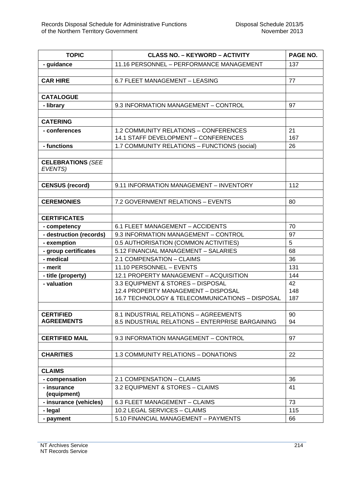| <b>TOPIC</b>             | <b>CLASS NO. - KEYWORD - ACTIVITY</b>            | PAGE NO. |
|--------------------------|--------------------------------------------------|----------|
| - guidance               | 11.16 PERSONNEL - PERFORMANCE MANAGEMENT         | 137      |
|                          |                                                  |          |
| <b>CAR HIRE</b>          | 6.7 FLEET MANAGEMENT - LEASING                   | 77       |
|                          |                                                  |          |
| <b>CATALOGUE</b>         |                                                  |          |
| - library                | 9.3 INFORMATION MANAGEMENT - CONTROL             | 97       |
|                          |                                                  |          |
| <b>CATERING</b>          |                                                  |          |
| - conferences            | <b>1.2 COMMUNITY RELATIONS - CONFERENCES</b>     | 21       |
|                          | 14.1 STAFF DEVELOPMENT - CONFERENCES             | 167      |
| - functions              | 1.7 COMMUNITY RELATIONS - FUNCTIONS (social)     | 26       |
|                          |                                                  |          |
| <b>CELEBRATIONS (SEE</b> |                                                  |          |
| EVENTS)                  |                                                  |          |
|                          |                                                  |          |
| <b>CENSUS (record)</b>   | 9.11 INFORMATION MANAGEMENT - INVENTORY          | 112      |
|                          |                                                  |          |
| <b>CEREMONIES</b>        | 7.2 GOVERNMENT RELATIONS - EVENTS                | 80       |
|                          |                                                  |          |
| <b>CERTIFICATES</b>      |                                                  |          |
| - competency             | 6.1 FLEET MANAGEMENT - ACCIDENTS                 | 70       |
| - destruction (records)  | 9.3 INFORMATION MANAGEMENT - CONTROL             | 97       |
| - exemption              | 0.5 AUTHORISATION (COMMON ACTIVITIES)            | 5        |
| - group certificates     | 5.12 FINANCIAL MANAGEMENT - SALARIES             | 68       |
| - medical                | 2.1 COMPENSATION - CLAIMS                        | 36       |
| - merit                  | 11.10 PERSONNEL - EVENTS                         | 131      |
| - title (property)       | 12.1 PROPERTY MANAGEMENT - ACQUISITION           | 144      |
| - valuation              | 3.3 EQUIPMENT & STORES - DISPOSAL                | 42       |
|                          | 12.4 PROPERTY MANAGEMENT - DISPOSAL              | 148      |
|                          | 16.7 TECHNOLOGY & TELECOMMUNICATIONS - DISPOSAL  | 187      |
|                          |                                                  |          |
| <b>CERTIFIED</b>         | 8.1 INDUSTRIAL RELATIONS - AGREEMENTS            | 90       |
| <b>AGREEMENTS</b>        | 8.5 INDUSTRIAL RELATIONS - ENTERPRISE BARGAINING | 94       |
|                          |                                                  |          |
| <b>CERTIFIED MAIL</b>    | 9.3 INFORMATION MANAGEMENT - CONTROL             | 97       |
|                          |                                                  |          |
| <b>CHARITIES</b>         | 1.3 COMMUNITY RELATIONS - DONATIONS              | 22       |
|                          |                                                  |          |
| <b>CLAIMS</b>            |                                                  |          |
| - compensation           | 2.1 COMPENSATION - CLAIMS                        | 36       |
| - insurance              | 3.2 EQUIPMENT & STORES - CLAIMS                  | 41       |
| (equipment)              |                                                  |          |
| - insurance (vehicles)   | 6.3 FLEET MANAGEMENT - CLAIMS                    | 73       |
| - legal                  | 10.2 LEGAL SERVICES - CLAIMS                     | 115      |
| - payment                | 5.10 FINANCIAL MANAGEMENT - PAYMENTS             | 66       |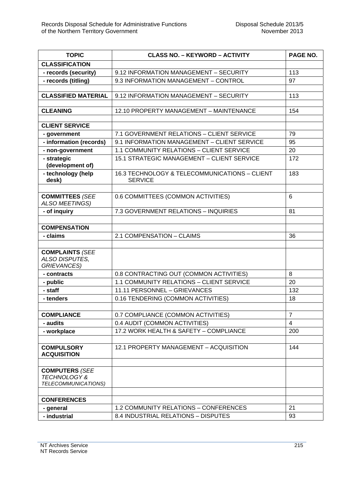| <b>TOPIC</b>                                                           | <b>CLASS NO. - KEYWORD - ACTIVITY</b>                           | PAGE NO.       |
|------------------------------------------------------------------------|-----------------------------------------------------------------|----------------|
| <b>CLASSIFICATION</b>                                                  |                                                                 |                |
| - records (security)                                                   | 9.12 INFORMATION MANAGEMENT - SECURITY                          | 113            |
| - records (titling)                                                    | 9.3 INFORMATION MANAGEMENT - CONTROL                            | 97             |
|                                                                        |                                                                 |                |
| <b>CLASSIFIED MATERIAL</b>                                             | 9.12 INFORMATION MANAGEMENT - SECURITY                          | 113            |
|                                                                        |                                                                 |                |
| <b>CLEANING</b>                                                        | 12.10 PROPERTY MANAGEMENT - MAINTENANCE                         | 154            |
|                                                                        |                                                                 |                |
| <b>CLIENT SERVICE</b>                                                  |                                                                 |                |
| - government                                                           | 7.1 GOVERNMENT RELATIONS - CLIENT SERVICE                       | 79             |
| - information (records)                                                | 9.1 INFORMATION MANAGEMENT - CLIENT SERVICE                     | 95             |
| - non-government                                                       | 1.1 COMMUNITY RELATIONS - CLIENT SERVICE                        | 20             |
| - strategic<br>(development of)                                        | 15.1 STRATEGIC MANAGEMENT - CLIENT SERVICE                      | 172            |
| - technology (help<br>desk)                                            | 16.3 TECHNOLOGY & TELECOMMUNICATIONS - CLIENT<br><b>SERVICE</b> | 183            |
|                                                                        |                                                                 |                |
| <b>COMMITTEES (SEE</b><br><b>ALSO MEETINGS)</b>                        | 0.6 COMMITTEES (COMMON ACTIVITIES)                              | 6              |
| - of inquiry                                                           | 7.3 GOVERNMENT RELATIONS - INQUIRIES                            | 81             |
|                                                                        |                                                                 |                |
| <b>COMPENSATION</b>                                                    |                                                                 |                |
| - claims                                                               | 2.1 COMPENSATION - CLAIMS                                       | 36             |
|                                                                        |                                                                 |                |
| <b>COMPLAINTS (SEE</b><br>ALSO DISPUTES,<br><b>GRIEVANCES)</b>         |                                                                 |                |
| - contracts                                                            | 0.8 CONTRACTING OUT (COMMON ACTIVITIES)                         | 8              |
| - public                                                               | 1.1 COMMUNITY RELATIONS - CLIENT SERVICE                        | 20             |
| - staff                                                                | 11.11 PERSONNEL - GRIEVANCES                                    | 132            |
| - tenders                                                              | 0.16 TENDERING (COMMON ACTIVITIES)                              | 18             |
|                                                                        |                                                                 |                |
| <b>COMPLIANCE</b>                                                      | 0.7 COMPLIANCE (COMMON ACTIVITIES)                              | $\overline{7}$ |
| - audits                                                               | 0.4 AUDIT (COMMON ACTIVITIES)                                   | $\overline{4}$ |
| - workplace                                                            | 17.2 WORK HEALTH & SAFETY - COMPLIANCE                          | 200            |
|                                                                        |                                                                 |                |
| <b>COMPULSORY</b><br><b>ACQUISITION</b>                                | 12.1 PROPERTY MANAGEMENT - ACQUISITION                          | 144            |
|                                                                        |                                                                 |                |
| <b>COMPUTERS (SEE</b><br><b>TECHNOLOGY&amp;</b><br>TELECOMMUNICATIONS) |                                                                 |                |
|                                                                        |                                                                 |                |
| <b>CONFERENCES</b>                                                     |                                                                 |                |
| - general                                                              | 1.2 COMMUNITY RELATIONS - CONFERENCES                           | 21             |
| - industrial                                                           | 8.4 INDUSTRIAL RELATIONS - DISPUTES                             | 93             |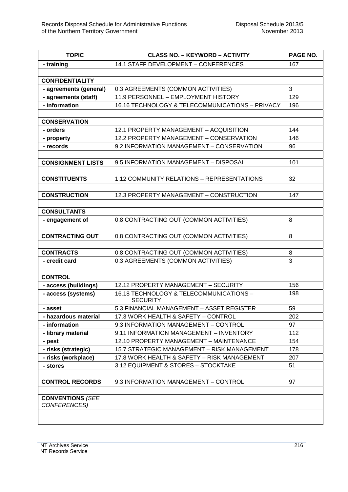| <b>TOPIC</b>             | <b>CLASS NO. - KEYWORD - ACTIVITY</b>           | PAGE NO. |
|--------------------------|-------------------------------------------------|----------|
| - training               | 14.1 STAFF DEVELOPMENT - CONFERENCES            | 167      |
|                          |                                                 |          |
| <b>CONFIDENTIALITY</b>   |                                                 |          |
| - agreements (general)   | 0.3 AGREEMENTS (COMMON ACTIVITIES)              | 3        |
| - agreements (staff)     | 11.9 PERSONNEL - EMPLOYMENT HISTORY             | 129      |
| - information            | 16.16 TECHNOLOGY & TELECOMMUNICATIONS - PRIVACY | 196      |
|                          |                                                 |          |
| <b>CONSERVATION</b>      |                                                 |          |
| - orders                 | 12.1 PROPERTY MANAGEMENT - ACQUISITION          | 144      |
| - property               | 12.2 PROPERTY MANAGEMENT - CONSERVATION         | 146      |
| - records                | 9.2 INFORMATION MANAGEMENT - CONSERVATION       | 96       |
|                          |                                                 |          |
| <b>CONSIGNMENT LISTS</b> | 9.5 INFORMATION MANAGEMENT - DISPOSAL           | 101      |
|                          |                                                 |          |
| <b>CONSTITUENTS</b>      | 1.12 COMMUNITY RELATIONS - REPRESENTATIONS      | 32       |
|                          |                                                 |          |
| <b>CONSTRUCTION</b>      | 12.3 PROPERTY MANAGEMENT - CONSTRUCTION         | 147      |
| <b>CONSULTANTS</b>       |                                                 |          |
| - engagement of          | 0.8 CONTRACTING OUT (COMMON ACTIVITIES)         | 8        |
|                          |                                                 |          |
| <b>CONTRACTING OUT</b>   | 0.8 CONTRACTING OUT (COMMON ACTIVITIES)         | 8        |
|                          |                                                 |          |
| <b>CONTRACTS</b>         | 0.8 CONTRACTING OUT (COMMON ACTIVITIES)         | 8        |
| - credit card            | 0.3 AGREEMENTS (COMMON ACTIVITIES)              | 3        |
|                          |                                                 |          |
| <b>CONTROL</b>           |                                                 |          |
| - access (buildings)     | 12.12 PROPERTY MANAGEMENT - SECURITY            | 156      |
| - access (systems)       | 16.18 TECHNOLOGY & TELECOMMUNICATIONS -         | 198      |
|                          | <b>SECURITY</b>                                 |          |
| - asset                  | 5.3 FINANCIAL MANAGEMENT - ASSET REGISTER       | 59       |
| - hazardous material     | 17.3 WORK HEALTH & SAFETY - CONTROL             | 202      |
| - information            | 9.3 INFORMATION MANAGEMENT - CONTROL            | 97       |
| - library material       | 9.11 INFORMATION MANAGEMENT - INVENTORY         | 112      |
| - pest                   | 12.10 PROPERTY MANAGEMENT - MAINTENANCE         | 154      |
| - risks (strategic)      | 15.7 STRATEGIC MANAGEMENT - RISK MANAGEMENT     | 178      |
| - risks (workplace)      | 17.8 WORK HEALTH & SAFETY - RISK MANAGEMENT     | 207      |
| - stores                 | 3.12 EQUIPMENT & STORES - STOCKTAKE             | 51       |
| <b>CONTROL RECORDS</b>   | 9.3 INFORMATION MANAGEMENT - CONTROL            | 97       |
|                          |                                                 |          |
| <b>CONVENTIONS (SEE</b>  |                                                 |          |
| CONFERENCES)             |                                                 |          |
|                          |                                                 |          |
|                          |                                                 |          |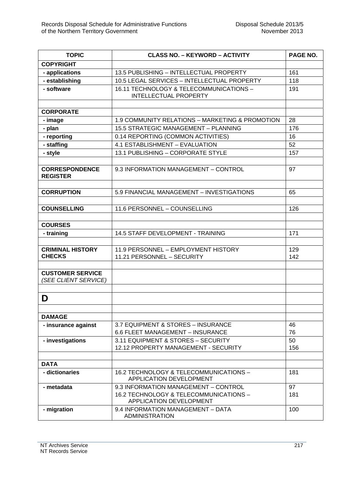| <b>TOPIC</b>                                    | <b>CLASS NO. - KEYWORD - ACTIVITY</b>                                                                     | PAGE NO.   |
|-------------------------------------------------|-----------------------------------------------------------------------------------------------------------|------------|
| <b>COPYRIGHT</b>                                |                                                                                                           |            |
| - applications                                  | 13.5 PUBLISHING - INTELLECTUAL PROPERTY                                                                   | 161        |
| - establishing                                  | 10.5 LEGAL SERVICES - INTELLECTUAL PROPERTY                                                               | 118        |
| - software                                      | 16.11 TECHNOLOGY & TELECOMMUNICATIONS -<br><b>INTELLECTUAL PROPERTY</b>                                   | 191        |
|                                                 |                                                                                                           |            |
| <b>CORPORATE</b>                                |                                                                                                           |            |
| - image                                         | 1.9 COMMUNITY RELATIONS - MARKETING & PROMOTION                                                           | 28         |
| - plan                                          | 15.5 STRATEGIC MANAGEMENT - PLANNING                                                                      | 176        |
| - reporting                                     | 0.14 REPORTING (COMMON ACTIVITIES)                                                                        | 16         |
| - staffing                                      | 4.1 ESTABLISHMENT - EVALUATION                                                                            | 52         |
| - style                                         | 13.1 PUBLISHING - CORPORATE STYLE                                                                         | 157        |
| <b>CORRESPONDENCE</b><br><b>REGISTER</b>        | 9.3 INFORMATION MANAGEMENT - CONTROL                                                                      | 97         |
| <b>CORRUPTION</b>                               | 5.9 FINANCIAL MANAGEMENT - INVESTIGATIONS                                                                 | 65         |
|                                                 |                                                                                                           |            |
| <b>COUNSELLING</b>                              | 11.6 PERSONNEL - COUNSELLING                                                                              | 126        |
| <b>COURSES</b>                                  |                                                                                                           |            |
| - training                                      | 14.5 STAFF DEVELOPMENT - TRAINING                                                                         | 171        |
| <b>CRIMINAL HISTORY</b><br><b>CHECKS</b>        | 11.9 PERSONNEL - EMPLOYMENT HISTORY<br>11.21 PERSONNEL - SECURITY                                         | 129<br>142 |
| <b>CUSTOMER SERVICE</b><br>(SEE CLIENT SERVICE) |                                                                                                           |            |
| D                                               |                                                                                                           |            |
| <b>DAMAGE</b>                                   |                                                                                                           |            |
| - insurance against                             | 3.7 EQUIPMENT & STORES - INSURANCE<br>6.6 FLEET MANAGEMENT - INSURANCE                                    | 46<br>76   |
| - investigations                                | 3.11 EQUIPMENT & STORES - SECURITY<br>12.12 PROPERTY MANAGEMENT - SECURITY                                | 50<br>156  |
| <b>DATA</b>                                     |                                                                                                           |            |
| - dictionaries                                  | 16.2 TECHNOLOGY & TELECOMMUNICATIONS -<br>APPLICATION DEVELOPMENT                                         | 181        |
| - metadata                                      | 9.3 INFORMATION MANAGEMENT - CONTROL<br>16.2 TECHNOLOGY & TELECOMMUNICATIONS -<br>APPLICATION DEVELOPMENT | 97<br>181  |
| - migration                                     | 9.4 INFORMATION MANAGEMENT - DATA<br><b>ADMINISTRATION</b>                                                | 100        |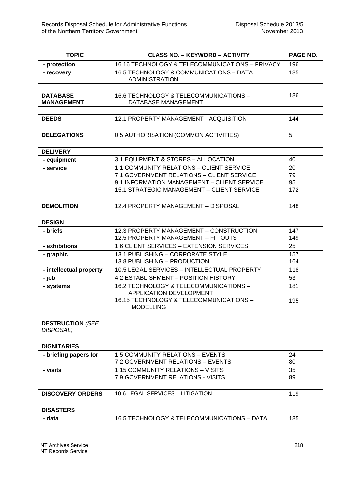| <b>TOPIC</b>                         | <b>CLASS NO. - KEYWORD - ACTIVITY</b>                                    | PAGE NO. |
|--------------------------------------|--------------------------------------------------------------------------|----------|
| - protection                         | 16.16 TECHNOLOGY & TELECOMMUNICATIONS - PRIVACY                          | 196      |
| - recovery                           | 16.5 TECHNOLOGY & COMMUNICATIONS - DATA<br><b>ADMINISTRATION</b>         | 185      |
|                                      |                                                                          |          |
| <b>DATABASE</b><br><b>MANAGEMENT</b> | 16.6 TECHNOLOGY & TELECOMMUNICATIONS -<br>DATABASE MANAGEMENT            | 186      |
|                                      | 12.1 PROPERTY MANAGEMENT - ACQUISITION                                   |          |
| <b>DEEDS</b>                         |                                                                          | 144      |
| <b>DELEGATIONS</b>                   | 0.5 AUTHORISATION (COMMON ACTIVITIES)                                    | 5        |
|                                      |                                                                          |          |
| <b>DELIVERY</b>                      |                                                                          |          |
| - equipment                          | 3.1 EQUIPMENT & STORES - ALLOCATION                                      | 40       |
| - service                            | 1.1 COMMUNITY RELATIONS - CLIENT SERVICE                                 | 20       |
|                                      | 7.1 GOVERNMENT RELATIONS - CLIENT SERVICE                                | 79       |
|                                      | 9.1 INFORMATION MANAGEMENT - CLIENT SERVICE                              | 95       |
|                                      | 15.1 STRATEGIC MANAGEMENT - CLIENT SERVICE                               | 172      |
|                                      |                                                                          |          |
| <b>DEMOLITION</b>                    | 12.4 PROPERTY MANAGEMENT - DISPOSAL                                      | 148      |
|                                      |                                                                          |          |
| <b>DESIGN</b>                        |                                                                          |          |
| - briefs                             | 12.3 PROPERTY MANAGEMENT - CONSTRUCTION                                  | 147      |
|                                      | 12.5 PROPERTY MANAGEMENT - FIT OUTS                                      | 149      |
| - exhibitions                        | 1.6 CLIENT SERVICES - EXTENSION SERVICES                                 | 25       |
| - graphic                            | 13.1 PUBLISHING - CORPORATE STYLE                                        | 157      |
|                                      | 13.8 PUBLISHING - PRODUCTION                                             | 164      |
| - intellectual property              | 10.5 LEGAL SERVICES - INTELLECTUAL PROPERTY                              | 118      |
| - job                                | 4.2 ESTABLISHMENT - POSITION HISTORY                                     | 53       |
| - systems                            | 16.2 TECHNOLOGY & TELECOMMUNICATIONS -<br><b>APPLICATION DEVELOPMENT</b> | 181      |
|                                      | 16.15 TECHNOLOGY & TELECOMMUNICATIONS -<br><b>MODELLING</b>              | 195      |
|                                      |                                                                          |          |
| <b>DESTRUCTION (SEE</b><br>DISPOSAL) |                                                                          |          |
|                                      |                                                                          |          |
| <b>DIGNITARIES</b>                   |                                                                          |          |
| - briefing papers for                | 1.5 COMMUNITY RELATIONS - EVENTS                                         | 24       |
|                                      | 7.2 GOVERNMENT RELATIONS - EVENTS                                        | 80       |
| - visits                             | 1.15 COMMUNITY RELATIONS - VISITS                                        | 35       |
|                                      | 7.9 GOVERNMENT RELATIONS - VISITS                                        | 89       |
| <b>DISCOVERY ORDERS</b>              | 10.6 LEGAL SERVICES - LITIGATION                                         | 119      |
|                                      |                                                                          |          |
| <b>DISASTERS</b>                     |                                                                          |          |
| - data                               | 16.5 TECHNOLOGY & TELECOMMUNICATIONS - DATA                              | 185      |
|                                      |                                                                          |          |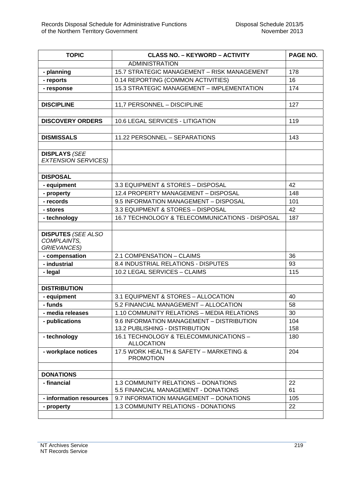| <b>TOPIC</b>               | <b>CLASS NO. - KEYWORD - ACTIVITY</b>                                       | PAGE NO.   |
|----------------------------|-----------------------------------------------------------------------------|------------|
|                            | <b>ADMINISTRATION</b>                                                       |            |
| - planning                 | 15.7 STRATEGIC MANAGEMENT - RISK MANAGEMENT                                 | 178        |
| - reports                  | 0.14 REPORTING (COMMON ACTIVITIES)                                          | 16         |
| - response                 | 15.3 STRATEGIC MANAGEMENT - IMPLEMENTATION                                  | 174        |
|                            |                                                                             |            |
| <b>DISCIPLINE</b>          | 11,7 PERSONNEL - DISCIPLINE                                                 | 127        |
|                            |                                                                             |            |
| <b>DISCOVERY ORDERS</b>    | 10.6 LEGAL SERVICES - LITIGATION                                            | 119        |
|                            |                                                                             |            |
| <b>DISMISSALS</b>          | 11.22 PERSONNEL - SEPARATIONS                                               | 143        |
|                            |                                                                             |            |
| <b>DISPLAYS (SEE</b>       |                                                                             |            |
| <b>EXTENSION SERVICES)</b> |                                                                             |            |
| <b>DISPOSAL</b>            |                                                                             |            |
| - equipment                | 3.3 EQUIPMENT & STORES - DISPOSAL                                           | 42         |
| - property                 | 12.4 PROPERTY MANAGEMENT - DISPOSAL                                         | 148        |
| - records                  | 9.5 INFORMATION MANAGEMENT - DISPOSAL                                       | 101        |
| - stores                   | 3.3 EQUIPMENT & STORES - DISPOSAL                                           | 42         |
| - technology               | 16.7 TECHNOLOGY & TELECOMMUNICATIONS - DISPOSAL                             | 187        |
|                            |                                                                             |            |
| <b>DISPUTES (SEE ALSO</b>  |                                                                             |            |
| COMPLAINTS,                |                                                                             |            |
| <b>GRIEVANCES)</b>         |                                                                             |            |
| - compensation             | 2.1 COMPENSATION - CLAIMS                                                   | 36         |
| - industrial               | 8.4 INDUSTRIAL RELATIONS - DISPUTES                                         | 93         |
| - legal                    | 10.2 LEGAL SERVICES - CLAIMS                                                | 115        |
|                            |                                                                             |            |
| <b>DISTRIBUTION</b>        |                                                                             |            |
| - equipment                | 3.1 EQUIPMENT & STORES - ALLOCATION                                         | 40         |
| - funds                    | 5.2 FINANCIAL MANAGEMENT - ALLOCATION                                       | 58         |
| - media releases           | 1.10 COMMUNITY RELATIONS - MEDIA RELATIONS                                  | 30         |
| - publications             | 9.6 INFORMATION MANAGEMENT - DISTRIBUTION<br>13.2 PUBLISHING - DISTRIBUTION | 104<br>158 |
|                            | 16.1 TECHNOLOGY & TELECOMMUNICATIONS -                                      | 180        |
| - technology               | <b>ALLOCATION</b>                                                           |            |
| - workplace notices        | 17.5 WORK HEALTH & SAFETY - MARKETING &                                     | 204        |
|                            | <b>PROMOTION</b>                                                            |            |
|                            |                                                                             |            |
| <b>DONATIONS</b>           |                                                                             |            |
| - financial                | 1.3 COMMUNITY RELATIONS - DONATIONS                                         | 22         |
|                            | 5.5 FINANCIAL MANAGEMENT - DONATIONS                                        | 61         |
| - information resources    | 9.7 INFORMATION MANAGEMENT - DONATIONS                                      | 105        |
| - property                 | 1.3 COMMUNITY RELATIONS - DONATIONS                                         | 22         |
|                            |                                                                             |            |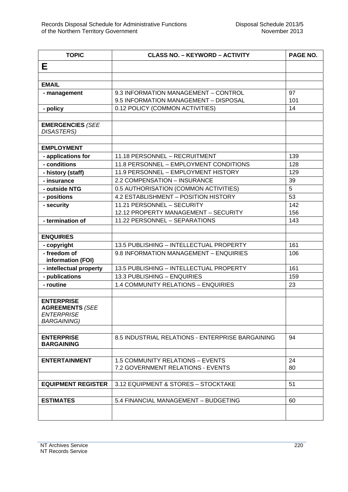| <b>TOPIC</b>                                                                           | <b>CLASS NO. - KEYWORD - ACTIVITY</b>                              | PAGE NO.   |
|----------------------------------------------------------------------------------------|--------------------------------------------------------------------|------------|
| Е                                                                                      |                                                                    |            |
|                                                                                        |                                                                    |            |
| <b>EMAIL</b>                                                                           |                                                                    |            |
| - management                                                                           | 9.3 INFORMATION MANAGEMENT - CONTROL                               | 97         |
|                                                                                        | 9.5 INFORMATION MANAGEMENT - DISPOSAL                              | 101        |
| - policy                                                                               | 0.12 POLICY (COMMON ACTIVITIES)                                    | 14         |
|                                                                                        |                                                                    |            |
| <b>EMERGENCIES (SEE</b><br><b>DISASTERS)</b>                                           |                                                                    |            |
|                                                                                        |                                                                    |            |
| <b>EMPLOYMENT</b>                                                                      |                                                                    |            |
| - applications for                                                                     | 11.18 PERSONNEL - RECRUITMENT                                      | 139        |
| - conditions                                                                           | 11.8 PERSONNEL - EMPLOYMENT CONDITIONS                             | 128        |
| - history (staff)                                                                      | 11.9 PERSONNEL - EMPLOYMENT HISTORY                                | 129        |
| - insurance                                                                            | 2.2 COMPENSATION - INSURANCE                                       | 39         |
| - outside NTG                                                                          | 0.5 AUTHORISATION (COMMON ACTIVITIES)                              | 5          |
| - positions                                                                            | 4.2 ESTABLISHMENT - POSITION HISTORY                               | 53         |
| - security                                                                             | 11.21 PERSONNEL - SECURITY<br>12.12 PROPERTY MANAGEMENT - SECURITY | 142<br>156 |
| - termination of                                                                       | 11.22 PERSONNEL - SEPARATIONS                                      | 143        |
|                                                                                        |                                                                    |            |
| <b>ENQUIRIES</b>                                                                       |                                                                    |            |
| - copyright                                                                            | 13.5 PUBLISHING - INTELLECTUAL PROPERTY                            | 161        |
| - freedom of                                                                           | 9.8 INFORMATION MANAGEMENT - ENQUIRIES                             | 106        |
| information (FOI)                                                                      |                                                                    |            |
| - intellectual property                                                                | 13.5 PUBLISHING - INTELLECTUAL PROPERTY                            | 161        |
| - publications                                                                         | 13.3 PUBLISHING - ENQUIRIES                                        | 159        |
| - routine                                                                              | 1.4 COMMUNITY RELATIONS - ENQUIRIES                                | 23         |
|                                                                                        |                                                                    |            |
| <b>ENTERPRISE</b><br><b>AGREEMENTS (SEE</b><br><b>ENTERPRISE</b><br><b>BARGAINING)</b> |                                                                    |            |
|                                                                                        |                                                                    |            |
| <b>ENTERPRISE</b><br><b>BARGAINING</b>                                                 | 8.5 INDUSTRIAL RELATIONS - ENTERPRISE BARGAINING                   | 94         |
|                                                                                        |                                                                    |            |
| <b>ENTERTAINMENT</b>                                                                   | 1.5 COMMUNITY RELATIONS - EVENTS                                   | 24         |
|                                                                                        | 7.2 GOVERNMENT RELATIONS - EVENTS                                  | 80         |
|                                                                                        | 3.12 EQUIPMENT & STORES - STOCKTAKE                                |            |
| <b>EQUIPMENT REGISTER</b>                                                              |                                                                    | 51         |
| <b>ESTIMATES</b>                                                                       | 5.4 FINANCIAL MANAGEMENT - BUDGETING                               | 60         |
|                                                                                        |                                                                    |            |
|                                                                                        |                                                                    |            |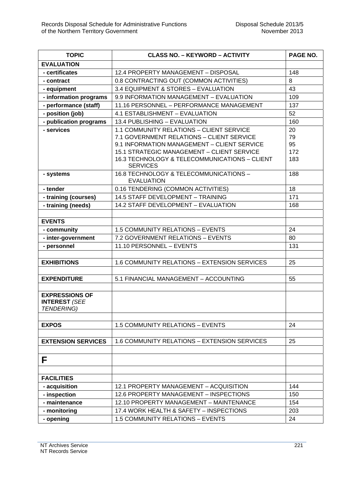| <b>TOPIC</b>                              | <b>CLASS NO. - KEYWORD - ACTIVITY</b>                            | PAGE NO. |
|-------------------------------------------|------------------------------------------------------------------|----------|
| <b>EVALUATION</b>                         |                                                                  |          |
| - certificates                            | 12.4 PROPERTY MANAGEMENT - DISPOSAL                              | 148      |
| - contract                                | 0.8 CONTRACTING OUT (COMMON ACTIVITIES)                          | 8        |
| - equipment                               | 3.4 EQUIPMENT & STORES - EVALUATION                              | 43       |
| - information programs                    | 9.9 INFORMATION MANAGEMENT - EVALUATION                          | 109      |
| - performance (staff)                     | 11.16 PERSONNEL - PERFORMANCE MANAGEMENT                         | 137      |
| - position (job)                          | 4.1 ESTABLISHMENT - EVALUATION                                   | 52       |
| - publication programs                    | 13.4 PUBLISHING - EVALUATION                                     | 160      |
| - services                                | 1.1 COMMUNITY RELATIONS - CLIENT SERVICE                         | 20       |
|                                           | 7.1 GOVERNMENT RELATIONS - CLIENT SERVICE                        | 79       |
|                                           | 9.1 INFORMATION MANAGEMENT - CLIENT SERVICE                      | 95       |
|                                           | 15.1 STRATEGIC MANAGEMENT - CLIENT SERVICE                       | 172      |
|                                           | 16.3 TECHNOLOGY & TELECOMMUNICATIONS - CLIENT<br><b>SERVICES</b> | 183      |
| - systems                                 | 16.8 TECHNOLOGY & TELECOMMUNICATIONS -<br><b>EVALUATION</b>      | 188      |
| - tender                                  | 0.16 TENDERING (COMMON ACTIVITIES)                               | 18       |
| - training (courses)                      | 14.5 STAFF DEVELOPMENT - TRAINING                                | 171      |
| - training (needs)                        | 14.2 STAFF DEVELOPMENT - EVALUATION                              | 168      |
|                                           |                                                                  |          |
| <b>EVENTS</b>                             |                                                                  |          |
| - community                               | 1.5 COMMUNITY RELATIONS - EVENTS                                 | 24       |
| - inter-government                        | 7.2 GOVERNMENT RELATIONS - EVENTS                                | 80       |
| - personnel                               | 11.10 PERSONNEL - EVENTS                                         | 131      |
|                                           |                                                                  |          |
| <b>EXHIBITIONS</b>                        | 1.6 COMMUNITY RELATIONS - EXTENSION SERVICES                     | 25       |
|                                           |                                                                  |          |
| <b>EXPENDITURE</b>                        | 5.1 FINANCIAL MANAGEMENT - ACCOUNTING                            | 55       |
|                                           |                                                                  |          |
| <b>EXPRESSIONS OF</b>                     |                                                                  |          |
| <b>INTEREST (SEE</b><br><b>TENDERING)</b> |                                                                  |          |
|                                           |                                                                  |          |
| <b>EXPOS</b>                              | <b>1.5 COMMUNITY RELATIONS - EVENTS</b>                          | 24       |
|                                           |                                                                  |          |
| <b>EXTENSION SERVICES</b>                 | <b>1.6 COMMUNITY RELATIONS - EXTENSION SERVICES</b>              | 25       |
|                                           |                                                                  |          |
|                                           |                                                                  |          |
| F                                         |                                                                  |          |
|                                           |                                                                  |          |
| <b>FACILITIES</b>                         |                                                                  |          |
| - acquisition                             | 12.1 PROPERTY MANAGEMENT - ACQUISITION                           | 144      |
| - inspection                              | 12.6 PROPERTY MANAGEMENT - INSPECTIONS                           | 150      |
| - maintenance                             | 12.10 PROPERTY MANAGEMENT - MAINTENANCE                          | 154      |
| - monitoring                              | 17.4 WORK HEALTH & SAFETY - INSPECTIONS                          | 203      |
| - opening                                 | 1.5 COMMUNITY RELATIONS - EVENTS                                 | 24       |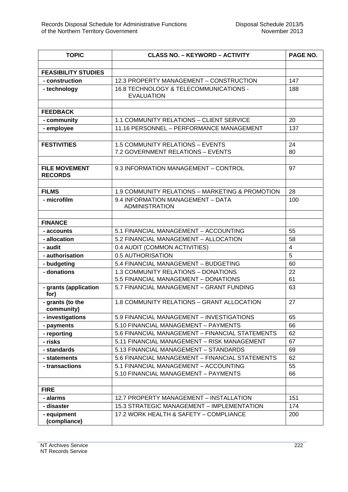| <b>TOPIC</b>                           | <b>CLASS NO. - KEYWORD - ACTIVITY</b>                                         | PAGE NO.                |
|----------------------------------------|-------------------------------------------------------------------------------|-------------------------|
|                                        |                                                                               |                         |
| <b>FEASIBILITY STUDIES</b>             |                                                                               |                         |
| - construction                         | 12.3 PROPERTY MANAGEMENT - CONSTRUCTION                                       | 147                     |
| - technology                           | 16.8 TECHNOLOGY & TELECOMMUNICATIONS -<br><b>EVALUATION</b>                   | 188                     |
| <b>FEEDBACK</b>                        |                                                                               |                         |
| - community                            | 1.1 COMMUNITY RELATIONS - CLIENT SERVICE                                      | 20                      |
| - employee                             | 11.16 PERSONNEL - PERFORMANCE MANAGEMENT                                      | 137                     |
|                                        |                                                                               |                         |
| <b>FESTIVITIES</b>                     | 1.5 COMMUNITY RELATIONS - EVENTS                                              | 24                      |
|                                        | 7.2 GOVERNMENT RELATIONS - EVENTS                                             | 80                      |
|                                        |                                                                               |                         |
| <b>FILE MOVEMENT</b><br><b>RECORDS</b> | 9.3 INFORMATION MANAGEMENT - CONTROL                                          | 97                      |
|                                        |                                                                               |                         |
| <b>FILMS</b>                           | 1.9 COMMUNITY RELATIONS - MARKETING & PROMOTION                               | 28                      |
| - microfilm                            | 9.4 INFORMATION MANAGEMENT - DATA<br><b>ADMINISTRATION</b>                    | 100                     |
| <b>FINANCE</b>                         |                                                                               |                         |
| - accounts                             | 5.1 FINANCIAL MANAGEMENT - ACCOUNTING                                         | 55                      |
| - allocation                           | 5.2 FINANCIAL MANAGEMENT - ALLOCATION                                         | 58                      |
| - audit                                | 0.4 AUDIT (COMMON ACTIVITIES)                                                 | $\overline{\mathbf{4}}$ |
| - authorisation                        | 0.5 AUTHORISATION                                                             | 5                       |
| - budgeting                            | 5.4 FINANCIAL MANAGEMENT - BUDGETING                                          | 60                      |
| - donations                            | 1.3 COMMUNITY RELATIONS - DONATIONS                                           | 22                      |
|                                        | 5.5 FINANCIAL MANAGEMENT - DONATIONS                                          | 61                      |
| - grants (application<br>for)          | 5.7 FINANCIAL MANAGEMENT - GRANT FUNDING                                      | 63                      |
| - grants (to the<br>community)         | 1.8 COMMUNITY RELATIONS - GRANT ALLOCATION                                    | 27                      |
| - investigations                       | 5.9 FINANCIAL MANAGEMENT - INVESTIGATIONS                                     | 65                      |
| - payments                             | 5.10 FINANCIAL MANAGEMENT - PAYMENTS                                          | 66                      |
| - reporting                            | 5.6 FINANCIAL MANAGEMENT - FINANCIAL STATEMENTS                               | 62                      |
| - risks                                | 5.11 FINANCIAL MANAGEMENT - RISK MANAGEMENT                                   | 67                      |
| - standards                            | 5.13 FINANCIAL MANAGEMENT - STANDARDS                                         | 69                      |
| - statements                           | 5.6 FINANCIAL MANAGEMENT - FINANCIAL STATEMENTS                               | 62                      |
| - transactions                         | 5.1 FINANCIAL MANAGEMENT - ACCOUNTING<br>5.10 FINANCIAL MANAGEMENT - PAYMENTS | 55<br>66                |
|                                        |                                                                               |                         |
| <b>FIRE</b>                            |                                                                               |                         |
| - alarms                               | 12.7 PROPERTY MANAGEMENT - INSTALLATION                                       | 151                     |
| - disaster                             | 15.3 STRATEGIC MANAGEMENT - IMPLEMENTATION                                    | 174                     |
| - equipment<br>(compliance)            | 17.2 WORK HEALTH & SAFETY - COMPLIANCE                                        | 200                     |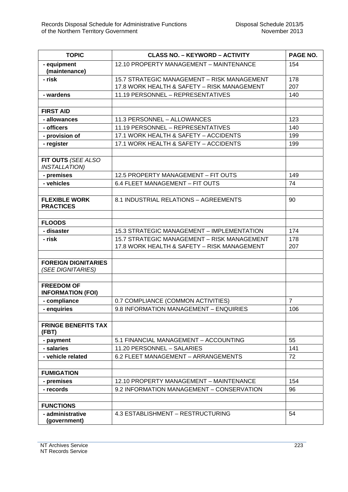| <b>TOPIC</b>                                    | <b>CLASS NO. - KEYWORD - ACTIVITY</b>                                                      | PAGE NO.       |
|-------------------------------------------------|--------------------------------------------------------------------------------------------|----------------|
| - equipment<br>(maintenance)                    | 12.10 PROPERTY MANAGEMENT - MAINTENANCE                                                    | 154            |
| - risk                                          | 15.7 STRATEGIC MANAGEMENT - RISK MANAGEMENT                                                | 178            |
|                                                 | 17.8 WORK HEALTH & SAFETY - RISK MANAGEMENT                                                | 207            |
| - wardens                                       | 11.19 PERSONNEL - REPRESENTATIVES                                                          | 140            |
|                                                 |                                                                                            |                |
| <b>FIRST AID</b>                                |                                                                                            |                |
| - allowances                                    | 11.3 PERSONNEL - ALLOWANCES                                                                | 123            |
| - officers                                      | 11.19 PERSONNEL - REPRESENTATIVES                                                          | 140            |
| - provision of                                  | 17.1 WORK HEALTH & SAFETY - ACCIDENTS                                                      | 199            |
| - register                                      | 17.1 WORK HEALTH & SAFETY - ACCIDENTS                                                      | 199            |
| FIT OUTS (SEE ALSO<br><b>INSTALLATION)</b>      |                                                                                            |                |
| - premises                                      | 12.5 PROPERTY MANAGEMENT - FIT OUTS                                                        | 149            |
| - vehicles                                      | 6.4 FLEET MANAGEMENT - FIT OUTS                                                            | 74             |
| <b>FLEXIBLE WORK</b><br><b>PRACTICES</b>        | 8.1 INDUSTRIAL RELATIONS - AGREEMENTS                                                      | 90             |
|                                                 |                                                                                            |                |
| <b>FLOODS</b>                                   |                                                                                            |                |
| - disaster                                      | 15.3 STRATEGIC MANAGEMENT - IMPLEMENTATION                                                 | 174            |
| - risk                                          | 15.7 STRATEGIC MANAGEMENT - RISK MANAGEMENT<br>17.8 WORK HEALTH & SAFETY - RISK MANAGEMENT | 178<br>207     |
|                                                 |                                                                                            |                |
| <b>FOREIGN DIGNITARIES</b><br>(SEE DIGNITARIES) |                                                                                            |                |
| <b>FREEDOM OF</b><br><b>INFORMATION (FOI)</b>   |                                                                                            |                |
| - compliance                                    | 0.7 COMPLIANCE (COMMON ACTIVITIES)                                                         | $\overline{7}$ |
| - enquiries                                     | 9.8 INFORMATION MANAGEMENT - ENQUIRIES                                                     | 106            |
| <b>FRINGE BENEFITS TAX</b><br>(FBT)             |                                                                                            |                |
| - payment                                       | 5.1 FINANCIAL MANAGEMENT - ACCOUNTING                                                      | 55             |
| - salaries                                      | 11.20 PERSONNEL - SALARIES                                                                 | 141            |
| - vehicle related                               | 6.2 FLEET MANAGEMENT - ARRANGEMENTS                                                        | 72             |
| <b>FUMIGATION</b>                               |                                                                                            |                |
| - premises                                      | 12.10 PROPERTY MANAGEMENT - MAINTENANCE                                                    | 154            |
| - records                                       | 9.2 INFORMATION MANAGEMENT - CONSERVATION                                                  | 96             |
| <b>FUNCTIONS</b>                                |                                                                                            |                |
| - administrative<br>(government)                | 4.3 ESTABLISHMENT - RESTRUCTURING                                                          | 54             |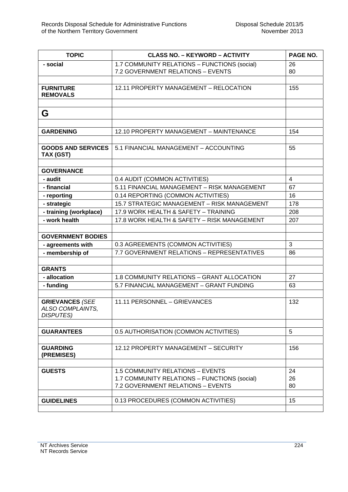| <b>TOPIC</b>                               | <b>CLASS NO. - KEYWORD - ACTIVITY</b>        | PAGE NO.       |
|--------------------------------------------|----------------------------------------------|----------------|
| - social                                   | 1.7 COMMUNITY RELATIONS - FUNCTIONS (social) | 26             |
|                                            | 7.2 GOVERNMENT RELATIONS - EVENTS            | 80             |
|                                            |                                              |                |
| <b>FURNITURE</b>                           | 12.11 PROPERTY MANAGEMENT - RELOCATION       | 155            |
| <b>REMOVALS</b>                            |                                              |                |
|                                            |                                              |                |
| G                                          |                                              |                |
|                                            |                                              |                |
| <b>GARDENING</b>                           | 12.10 PROPERTY MANAGEMENT - MAINTENANCE      | 154            |
|                                            |                                              |                |
| <b>GOODS AND SERVICES</b>                  | 5.1 FINANCIAL MANAGEMENT - ACCOUNTING        | 55             |
| TAX (GST)                                  |                                              |                |
|                                            |                                              |                |
| <b>GOVERNANCE</b>                          |                                              |                |
| - audit                                    | 0.4 AUDIT (COMMON ACTIVITIES)                | $\overline{4}$ |
| - financial                                | 5.11 FINANCIAL MANAGEMENT - RISK MANAGEMENT  | 67             |
| - reporting                                | 0.14 REPORTING (COMMON ACTIVITIES)           | 16             |
| - strategic                                | 15.7 STRATEGIC MANAGEMENT - RISK MANAGEMENT  | 178            |
| - training (workplace)                     | 17.9 WORK HEALTH & SAFETY - TRAINING         | 208            |
| - work health                              | 17.8 WORK HEALTH & SAFETY - RISK MANAGEMENT  | 207            |
|                                            |                                              |                |
| <b>GOVERNMENT BODIES</b>                   |                                              |                |
| - agreements with                          | 0.3 AGREEMENTS (COMMON ACTIVITIES)           | 3              |
| - membership of                            | 7.7 GOVERNMENT RELATIONS - REPRESENTATIVES   | 86             |
|                                            |                                              |                |
| <b>GRANTS</b>                              |                                              |                |
| - allocation                               | 1.8 COMMUNITY RELATIONS - GRANT ALLOCATION   | 27             |
| - funding                                  | 5.7 FINANCIAL MANAGEMENT - GRANT FUNDING     | 63             |
|                                            |                                              |                |
| <b>GRIEVANCES (SEE</b><br>ALSO COMPLAINTS, | 11.11 PERSONNEL - GRIEVANCES                 | 132            |
| <b>DISPUTES)</b>                           |                                              |                |
|                                            |                                              |                |
| <b>GUARANTEES</b>                          | 0.5 AUTHORISATION (COMMON ACTIVITIES)        | 5              |
|                                            |                                              |                |
| <b>GUARDING</b>                            | 12.12 PROPERTY MANAGEMENT - SECURITY         | 156            |
| (PREMISES)                                 |                                              |                |
|                                            |                                              |                |
| <b>GUESTS</b>                              | 1.5 COMMUNITY RELATIONS - EVENTS             | 24             |
|                                            | 1.7 COMMUNITY RELATIONS - FUNCTIONS (social) | 26             |
|                                            | 7.2 GOVERNMENT RELATIONS - EVENTS            | 80             |
|                                            |                                              |                |
| <b>GUIDELINES</b>                          | 0.13 PROCEDURES (COMMON ACTIVITIES)          | 15             |
|                                            |                                              |                |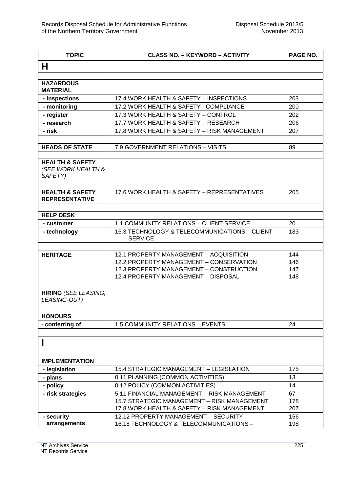| <b>TOPIC</b>                                                | <b>CLASS NO. - KEYWORD - ACTIVITY</b>                                              | PAGE NO.   |
|-------------------------------------------------------------|------------------------------------------------------------------------------------|------------|
| н                                                           |                                                                                    |            |
|                                                             |                                                                                    |            |
| <b>HAZARDOUS</b><br><b>MATERIAL</b>                         |                                                                                    |            |
| - inspections                                               | 17.4 WORK HEALTH & SAFETY - INSPECTIONS                                            | 203        |
| - monitoring                                                | 17.2 WORK HEALTH & SAFETY - COMPLIANCE                                             | 200        |
| - register                                                  | 17.3 WORK HEALTH & SAFETY - CONTROL                                                | 202        |
| - research                                                  | 17.7 WORK HEALTH & SAFETY - RESEARCH                                               | 206        |
| - risk                                                      | 17.8 WORK HEALTH & SAFETY - RISK MANAGEMENT                                        | 207        |
|                                                             |                                                                                    |            |
| <b>HEADS OF STATE</b>                                       | 7.9 GOVERNMENT RELATIONS - VISITS                                                  | 89         |
| <b>HEALTH &amp; SAFETY</b><br>(SEE WORK HEALTH &<br>SAFETY) |                                                                                    |            |
|                                                             |                                                                                    |            |
| <b>HEALTH &amp; SAFETY</b><br><b>REPRESENTATIVE</b>         | 17.6 WORK HEALTH & SAFETY - REPRESENTATIVES                                        | 205        |
|                                                             |                                                                                    |            |
| <b>HELP DESK</b>                                            |                                                                                    |            |
| - customer                                                  | 1.1 COMMUNITY RELATIONS - CLIENT SERVICE                                           | 20         |
| - technology                                                | 16.3 TECHNOLOGY & TELECOMMUNICATIONS - CLIENT<br><b>SERVICE</b>                    | 183        |
|                                                             |                                                                                    |            |
| <b>HERITAGE</b>                                             | 12.1 PROPERTY MANAGEMENT - ACQUISITION                                             | 144        |
|                                                             | 12.2 PROPERTY MANAGEMENT - CONSERVATION<br>12.3 PROPERTY MANAGEMENT - CONSTRUCTION | 146<br>147 |
|                                                             | 12.4 PROPERTY MANAGEMENT - DISPOSAL                                                | 148        |
|                                                             |                                                                                    |            |
| <b>HIRING (SEE LEASING;</b><br>LEASING-OUT)                 |                                                                                    |            |
|                                                             |                                                                                    |            |
| <b>HONOURS</b>                                              |                                                                                    |            |
| - conferring of                                             | 1.5 COMMUNITY RELATIONS - EVENTS                                                   | 24         |
|                                                             |                                                                                    |            |
| п                                                           |                                                                                    |            |
| <b>IMPLEMENTATION</b>                                       |                                                                                    |            |
| - legislation                                               | 15.4 STRATEGIC MANAGEMENT - LEGISLATION                                            | 175        |
| - plans                                                     | 0.11 PLANNING (COMMON ACTIVITIES)                                                  | 13         |
| - policy                                                    | 0.12 POLICY (COMMON ACTIVITIES)                                                    | 14         |
| - risk strategies                                           | 5.11 FINANCIAL MANAGEMENT - RISK MANAGEMENT                                        | 67         |
|                                                             | 15.7 STRATEGIC MANAGEMENT - RISK MANAGEMENT                                        | 178        |
|                                                             | 17.8 WORK HEALTH & SAFETY - RISK MANAGEMENT                                        | 207        |
| - security                                                  | 12.12 PROPERTY MANAGEMENT - SECURITY                                               | 156        |
| arrangements                                                | 16.18 TECHNOLOGY & TELECOMMUNICATIONS -                                            | 198        |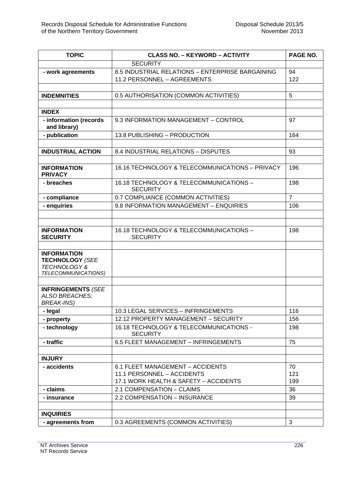| <b>TOPIC</b>                                                            | <b>CLASS NO. - KEYWORD - ACTIVITY</b>                                           | PAGE NO.       |
|-------------------------------------------------------------------------|---------------------------------------------------------------------------------|----------------|
|                                                                         | <b>SECURITY</b>                                                                 |                |
| - work agreements                                                       | 8.5 INDUSTRIAL RELATIONS - ENTERPRISE BARGAINING<br>11.2 PERSONNEL - AGREEMENTS | 94<br>122      |
|                                                                         |                                                                                 |                |
| <b>INDEMNITIES</b>                                                      | 0.5 AUTHORISATION (COMMON ACTIVITIES)                                           | 5              |
|                                                                         |                                                                                 |                |
| <b>INDEX</b>                                                            |                                                                                 |                |
| - information (records<br>and library)                                  | 9.3 INFORMATION MANAGEMENT - CONTROL                                            | 97             |
| - publication                                                           | 13.8 PUBLISHING - PRODUCTION                                                    | 164            |
|                                                                         |                                                                                 |                |
| <b>INDUSTRIAL ACTION</b>                                                | 8.4 INDUSTRIAL RELATIONS - DISPUTES                                             | 93             |
|                                                                         |                                                                                 |                |
| <b>INFORMATION</b><br><b>PRIVACY</b>                                    | 16.16 TECHNOLOGY & TELECOMMUNICATIONS - PRIVACY                                 | 196            |
| - breaches                                                              | 16.18 TECHNOLOGY & TELECOMMUNICATIONS -<br><b>SECURITY</b>                      | 198            |
| - compliance                                                            | 0.7 COMPLIANCE (COMMON ACTIVITIES)                                              | $\overline{7}$ |
| - enquiries                                                             | 9.8 INFORMATION MANAGEMENT - ENQUIRIES                                          | 106            |
|                                                                         |                                                                                 |                |
|                                                                         |                                                                                 |                |
| <b>INFORMATION</b><br><b>SECURITY</b>                                   | 16.18 TECHNOLOGY & TELECOMMUNICATIONS -<br><b>SECURITY</b>                      | 198            |
|                                                                         |                                                                                 |                |
| <b>INFORMATION</b><br><b>TECHNOLOGY (SEE</b>                            |                                                                                 |                |
| <b>TECHNOLOGY &amp;</b>                                                 |                                                                                 |                |
| TELECOMMUNICATIONS)                                                     |                                                                                 |                |
|                                                                         |                                                                                 |                |
| <b>INFRINGEMENTS (SEE</b><br><b>ALSO BREACHES;</b><br><b>BREAK-INS)</b> |                                                                                 |                |
| - legal                                                                 | 10.3 LEGAL SERVICES - INFRINGEMENTS                                             | 116            |
| - property                                                              | 12.12 PROPERTY MANAGEMENT - SECURITY                                            | 156            |
| - technology                                                            | 16.18 TECHNOLOGY & TELECOMMUNICATIONS -<br><b>SECURITY</b>                      | 198            |
| - traffic                                                               | 6.5 FLEET MANAGEMENT - INFRINGEMENTS                                            | 75             |
|                                                                         |                                                                                 |                |
| <b>INJURY</b>                                                           |                                                                                 |                |
| - accidents                                                             | 6.1 FLEET MANAGEMENT - ACCIDENTS                                                | 70             |
|                                                                         | 11.1 PERSONNEL - ACCIDENTS                                                      | 121            |
|                                                                         | 17.1 WORK HEALTH & SAFETY - ACCIDENTS                                           | 199            |
| - claims                                                                | 2.1 COMPENSATION - CLAIMS                                                       | 36             |
| - insurance                                                             | 2.2 COMPENSATION - INSURANCE                                                    | 39             |
|                                                                         |                                                                                 |                |
| <b>INQUIRIES</b>                                                        |                                                                                 |                |
| - agreements from                                                       | 0.3 AGREEMENTS (COMMON ACTIVITIES)                                              | 3              |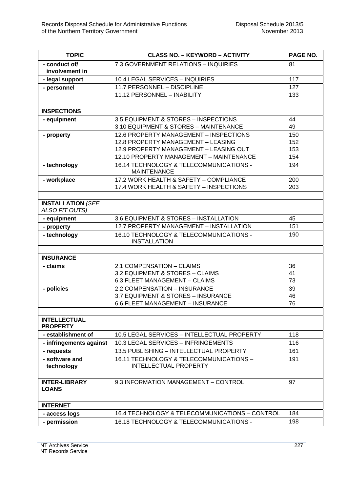| <b>TOPIC</b>                               | <b>CLASS NO. - KEYWORD - ACTIVITY</b>                          | PAGE NO. |
|--------------------------------------------|----------------------------------------------------------------|----------|
| - conduct of/<br>involvement in            | 7.3 GOVERNMENT RELATIONS - INQUIRIES                           | 81       |
| - legal support                            | 10.4 LEGAL SERVICES - INQUIRIES                                | 117      |
| - personnel                                | 11.7 PERSONNEL - DISCIPLINE                                    | 127      |
|                                            | 11.12 PERSONNEL - INABILITY                                    | 133      |
|                                            |                                                                |          |
| <b>INSPECTIONS</b>                         |                                                                |          |
| - equipment                                | 3.5 EQUIPMENT & STORES - INSPECTIONS                           | 44       |
|                                            | 3.10 EQUIPMENT & STORES - MAINTENANCE                          | 49       |
| - property                                 | 12.6 PROPERTY MANAGEMENT - INSPECTIONS                         | 150      |
|                                            | 12.8 PROPERTY MANAGEMENT - LEASING                             | 152      |
|                                            | 12.9 PROPERTY MANAGEMENT - LEASING OUT                         | 153      |
|                                            | 12.10 PROPERTY MANAGEMENT - MAINTENANCE                        | 154      |
| - technology                               | 16.14 TECHNOLOGY & TELECOMMUNICATIONS -<br><b>MAINTENANCE</b>  | 194      |
| - workplace                                | 17.2 WORK HEALTH & SAFETY - COMPLIANCE                         | 200      |
|                                            | 17.4 WORK HEALTH & SAFETY - INSPECTIONS                        | 203      |
|                                            |                                                                |          |
| <b>INSTALLATION (SEE</b><br>ALSO FIT OUTS) |                                                                |          |
| - equipment                                | 3.6 EQUIPMENT & STORES - INSTALLATION                          | 45       |
| - property                                 | 12.7 PROPERTY MANAGEMENT - INSTALLATION                        | 151      |
| - technology                               | 16.10 TECHNOLOGY & TELECOMMUNICATIONS -<br><b>INSTALLATION</b> | 190      |
|                                            |                                                                |          |
| <b>INSURANCE</b>                           |                                                                |          |
| - claims                                   | 2.1 COMPENSATION - CLAIMS                                      | 36       |
|                                            | 3.2 EQUIPMENT & STORES - CLAIMS                                | 41       |
|                                            | 6.3 FLEET MANAGEMENT - CLAIMS                                  | 73       |
| - policies                                 | 2.2 COMPENSATION - INSURANCE                                   | 39       |
|                                            | 3.7 EQUIPMENT & STORES - INSURANCE                             | 46       |
|                                            | 6.6 FLEET MANAGEMENT - INSURANCE                               | 76       |
| <b>INTELLECTUAL</b><br><b>PROPERTY</b>     |                                                                |          |
| - establishment of                         | 10.5 LEGAL SERVICES - INTELLECTUAL PROPERTY                    | 118      |
| - infringements against                    | 10.3 LEGAL SERVICES - INFRINGEMENTS                            | 116      |
| - requests                                 | 13.5 PUBLISHING - INTELLECTUAL PROPERTY                        | 161      |
| - software and                             | 16.11 TECHNOLOGY & TELECOMMUNICATIONS -                        | 191      |
| technology                                 | <b>INTELLECTUAL PROPERTY</b>                                   |          |
|                                            |                                                                |          |
| <b>INTER-LIBRARY</b><br><b>LOANS</b>       | 9.3 INFORMATION MANAGEMENT - CONTROL                           | 97       |
|                                            |                                                                |          |
| <b>INTERNET</b>                            |                                                                |          |
| - access logs                              | 16.4 TECHNOLOGY & TELECOMMUNICATIONS - CONTROL                 | 184      |
| - permission                               | 16.18 TECHNOLOGY & TELECOMMUNICATIONS -                        | 198      |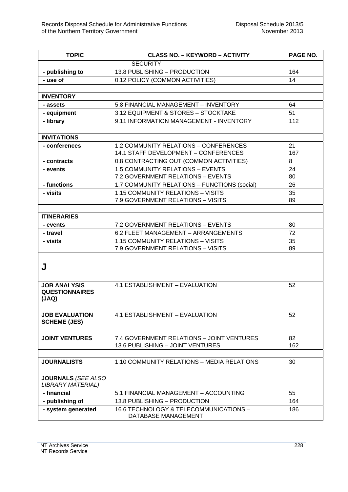| <b>TOPIC</b>              | <b>CLASS NO. - KEYWORD - ACTIVITY</b>        | PAGE NO. |
|---------------------------|----------------------------------------------|----------|
|                           | <b>SECURITY</b>                              |          |
| - publishing to           | 13.8 PUBLISHING - PRODUCTION                 | 164      |
| - use of                  | 0.12 POLICY (COMMON ACTIVITIES)              | 14       |
|                           |                                              |          |
| <b>INVENTORY</b>          |                                              |          |
| - assets                  | 5.8 FINANCIAL MANAGEMENT - INVENTORY         | 64       |
| - equipment               | 3.12 EQUIPMENT & STORES - STOCKTAKE          | 51       |
| - library                 | 9.11 INFORMATION MANAGEMENT - INVENTORY      | 112      |
|                           |                                              |          |
| <b>INVITATIONS</b>        |                                              |          |
| - conferences             | <b>1.2 COMMUNITY RELATIONS - CONFERENCES</b> | 21       |
|                           | 14.1 STAFF DEVELOPMENT - CONFERENCES         | 167      |
| - contracts               | 0.8 CONTRACTING OUT (COMMON ACTIVITIES)      | 8        |
| - events                  | 1.5 COMMUNITY RELATIONS - EVENTS             | 24       |
|                           | 7.2 GOVERNMENT RELATIONS - EVENTS            | 80       |
| - functions               | 1.7 COMMUNITY RELATIONS - FUNCTIONS (social) | 26       |
| - visits                  | 1.15 COMMUNITY RELATIONS - VISITS            | 35       |
|                           | 7.9 GOVERNMENT RELATIONS - VISITS            | 89       |
|                           |                                              |          |
| <b>ITINERARIES</b>        |                                              |          |
| - events                  | 7.2 GOVERNMENT RELATIONS - EVENTS            | 80       |
| - travel                  | 6.2 FLEET MANAGEMENT - ARRANGEMENTS          | 72       |
| - visits                  | 1.15 COMMUNITY RELATIONS - VISITS            | 35       |
|                           | 7.9 GOVERNMENT RELATIONS - VISITS            | 89       |
|                           |                                              |          |
| J                         |                                              |          |
|                           |                                              |          |
| <b>JOB ANALYSIS</b>       | 4.1 ESTABLISHMENT - EVALUATION               | 52       |
| <b>QUESTIONNAIRES</b>     |                                              |          |
| (JAQ)                     |                                              |          |
|                           |                                              |          |
| <b>JOB EVALUATION</b>     | 4.1 ESTABLISHMENT - EVALUATION               | 52       |
| <b>SCHEME (JES)</b>       |                                              |          |
|                           |                                              |          |
| <b>JOINT VENTURES</b>     | 7.4 GOVERNMENT RELATIONS - JOINT VENTURES    | 82       |
|                           | 13.6 PUBLISHING - JOINT VENTURES             | 162      |
|                           |                                              |          |
| <b>JOURNALISTS</b>        | 1.10 COMMUNITY RELATIONS - MEDIA RELATIONS   | 30       |
|                           |                                              |          |
| <b>JOURNALS (SEE ALSO</b> |                                              |          |
| <b>LIBRARY MATERIAL)</b>  |                                              |          |
| - financial               | 5.1 FINANCIAL MANAGEMENT - ACCOUNTING        | 55       |
| - publishing of           | 13.8 PUBLISHING - PRODUCTION                 | 164      |
| - system generated        | 16.6 TECHNOLOGY & TELECOMMUNICATIONS -       | 186      |
|                           | DATABASE MANAGEMENT                          |          |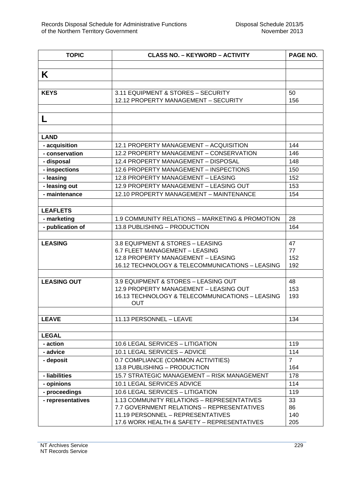| <b>TOPIC</b>                    | <b>CLASS NO. - KEYWORD - ACTIVITY</b>           | PAGE NO.       |
|---------------------------------|-------------------------------------------------|----------------|
|                                 |                                                 |                |
| K                               |                                                 |                |
|                                 |                                                 |                |
| <b>KEYS</b>                     | 3.11 EQUIPMENT & STORES - SECURITY              | 50             |
|                                 | 12.12 PROPERTY MANAGEMENT - SECURITY            | 156            |
|                                 |                                                 |                |
| L                               |                                                 |                |
|                                 |                                                 |                |
| <b>LAND</b>                     |                                                 |                |
|                                 | 12.1 PROPERTY MANAGEMENT - ACQUISITION          | 144            |
| - acquisition<br>- conservation | 12.2 PROPERTY MANAGEMENT - CONSERVATION         | 146            |
| - disposal                      | 12.4 PROPERTY MANAGEMENT - DISPOSAL             | 148            |
| - inspections                   | 12.6 PROPERTY MANAGEMENT - INSPECTIONS          | 150            |
| - leasing                       | 12.8 PROPERTY MANAGEMENT - LEASING              | 152            |
| - leasing out                   | 12.9 PROPERTY MANAGEMENT - LEASING OUT          | 153            |
| - maintenance                   | 12.10 PROPERTY MANAGEMENT - MAINTENANCE         | 154            |
|                                 |                                                 |                |
| <b>LEAFLETS</b>                 |                                                 |                |
| - marketing                     | 1.9 COMMUNITY RELATIONS - MARKETING & PROMOTION | 28             |
| - publication of                | 13.8 PUBLISHING - PRODUCTION                    | 164            |
|                                 |                                                 |                |
| <b>LEASING</b>                  | 3.8 EQUIPMENT & STORES - LEASING                | 47             |
|                                 | 6.7 FLEET MANAGEMENT - LEASING                  | 77             |
|                                 | 12.8 PROPERTY MANAGEMENT - LEASING              | 152            |
|                                 | 16.12 TECHNOLOGY & TELECOMMUNICATIONS - LEASING | 192            |
|                                 |                                                 |                |
| <b>LEASING OUT</b>              | 3.9 EQUIPMENT & STORES - LEASING OUT            | 48             |
|                                 | 12.9 PROPERTY MANAGEMENT - LEASING OUT          | 153            |
|                                 | 16.13 TECHNOLOGY & TELECOMMUNICATIONS - LEASING | 193            |
|                                 | <b>OUT</b>                                      |                |
| <b>LEAVE</b>                    | 11.13 PERSONNEL - LEAVE                         | 134            |
|                                 |                                                 |                |
| <b>LEGAL</b>                    |                                                 |                |
| - action                        | 10.6 LEGAL SERVICES - LITIGATION                | 119            |
| - advice                        | 10.1 LEGAL SERVICES - ADVICE                    | 114            |
| - deposit                       | 0.7 COMPLIANCE (COMMON ACTIVITIES)              | $\overline{7}$ |
|                                 | 13.8 PUBLISHING - PRODUCTION                    | 164            |
| - liabilities                   | 15.7 STRATEGIC MANAGEMENT - RISK MANAGEMENT     | 178            |
| - opinions                      | <b>10.1 LEGAL SERVICES ADVICE</b>               | 114            |
| - proceedings                   | 10.6 LEGAL SERVICES - LITIGATION                | 119            |
| - representatives               | 1.13 COMMUNITY RELATIONS - REPRESENTATIVES      | 33             |
|                                 | 7.7 GOVERNMENT RELATIONS - REPRESENTATIVES      | 86             |
|                                 | 11.19 PERSONNEL - REPRESENTATIVES               | 140            |
|                                 | 17.6 WORK HEALTH & SAFETY - REPRESENTATIVES     | 205            |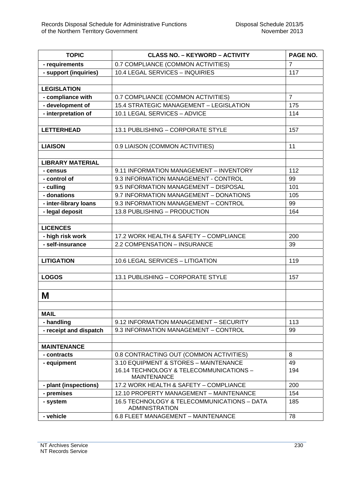| <b>TOPIC</b>            | <b>CLASS NO. - KEYWORD - ACTIVITY</b>                                | PAGE NO.       |
|-------------------------|----------------------------------------------------------------------|----------------|
| - requirements          | 0.7 COMPLIANCE (COMMON ACTIVITIES)                                   | $\overline{7}$ |
| - support (inquiries)   | 10.4 LEGAL SERVICES - INQUIRIES                                      | 117            |
|                         |                                                                      |                |
| <b>LEGISLATION</b>      |                                                                      |                |
| - compliance with       | 0.7 COMPLIANCE (COMMON ACTIVITIES)                                   | $\overline{7}$ |
| - development of        | 15.4 STRATEGIC MANAGEMENT - LEGISLATION                              | 175            |
| - interpretation of     | 10.1 LEGAL SERVICES - ADVICE                                         | 114            |
|                         |                                                                      |                |
| <b>LETTERHEAD</b>       | 13.1 PUBLISHING - CORPORATE STYLE                                    | 157            |
|                         |                                                                      |                |
| <b>LIAISON</b>          | 0.9 LIAISON (COMMON ACTIVITIES)                                      | 11             |
|                         |                                                                      |                |
| <b>LIBRARY MATERIAL</b> |                                                                      |                |
| - census                | 9.11 INFORMATION MANAGEMENT - INVENTORY                              | 112            |
| - control of            | 9.3 INFORMATION MANAGEMENT - CONTROL                                 | 99             |
| - culling               | 9.5 INFORMATION MANAGEMENT - DISPOSAL                                | 101            |
| - donations             | 9.7 INFORMATION MANAGEMENT - DONATIONS                               | 105            |
| - inter-library loans   | 9.3 INFORMATION MANAGEMENT - CONTROL                                 | 99             |
| - legal deposit         | 13.8 PUBLISHING - PRODUCTION                                         | 164            |
|                         |                                                                      |                |
| <b>LICENCES</b>         |                                                                      |                |
| - high risk work        | 17.2 WORK HEALTH & SAFETY - COMPLIANCE                               | 200            |
| - self-insurance        | 2.2 COMPENSATION - INSURANCE                                         | 39             |
|                         |                                                                      |                |
| <b>LITIGATION</b>       | 10.6 LEGAL SERVICES - LITIGATION                                     | 119            |
|                         |                                                                      |                |
| <b>LOGOS</b>            | 13.1 PUBLISHING - CORPORATE STYLE                                    | 157            |
|                         |                                                                      |                |
| M                       |                                                                      |                |
|                         |                                                                      |                |
| <b>MAIL</b>             |                                                                      |                |
| - handling              | 9.12 INFORMATION MANAGEMENT - SECURITY                               | 113            |
| - receipt and dispatch  | 9.3 INFORMATION MANAGEMENT - CONTROL                                 | 99             |
|                         |                                                                      |                |
| <b>MAINTENANCE</b>      |                                                                      |                |
| - contracts             | 0.8 CONTRACTING OUT (COMMON ACTIVITIES)                              | 8              |
| - equipment             | 3.10 EQUIPMENT & STORES - MAINTENANCE                                | 49             |
|                         | 16.14 TECHNOLOGY & TELECOMMUNICATIONS -                              | 194            |
|                         | <b>MAINTENANCE</b>                                                   |                |
| - plant (inspections)   | 17.2 WORK HEALTH & SAFETY - COMPLIANCE                               | 200            |
| - premises              | 12.10 PROPERTY MANAGEMENT - MAINTENANCE                              | 154            |
| - system                | 16.5 TECHNOLOGY & TELECOMMUNICATIONS - DATA<br><b>ADMINISTRATION</b> | 185            |
| - vehicle               | 6.8 FLEET MANAGEMENT - MAINTENANCE                                   | 78             |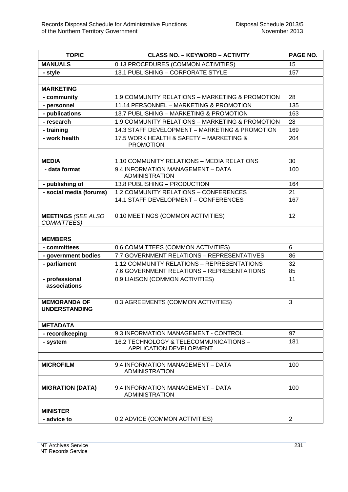| <b>TOPIC</b>                                | <b>CLASS NO. - KEYWORD - ACTIVITY</b>                                         | PAGE NO.       |
|---------------------------------------------|-------------------------------------------------------------------------------|----------------|
| <b>MANUALS</b>                              | 0.13 PROCEDURES (COMMON ACTIVITIES)                                           | 15             |
| - style                                     | 13.1 PUBLISHING - CORPORATE STYLE                                             | 157            |
|                                             |                                                                               |                |
| <b>MARKETING</b>                            |                                                                               |                |
| - community                                 | 1.9 COMMUNITY RELATIONS - MARKETING & PROMOTION                               | 28             |
| - personnel                                 | 11.14 PERSONNEL - MARKETING & PROMOTION                                       | 135            |
| - publications                              | 13.7 PUBLISHING - MARKETING & PROMOTION                                       | 163            |
| - research                                  | 1.9 COMMUNITY RELATIONS - MARKETING & PROMOTION                               | 28             |
| - training                                  | 14.3 STAFF DEVELOPMENT - MARKETING & PROMOTION                                | 169            |
| - work health                               | 17.5 WORK HEALTH & SAFETY - MARKETING &<br><b>PROMOTION</b>                   | 204            |
|                                             |                                                                               |                |
| <b>MEDIA</b>                                | 1.10 COMMUNITY RELATIONS - MEDIA RELATIONS                                    | 30             |
| - data format                               | 9.4 INFORMATION MANAGEMENT - DATA<br><b>ADMINISTRATION</b>                    | 100            |
| - publishing of                             | 13.8 PUBLISHING - PRODUCTION                                                  | 164            |
| - social media (forums)                     | 1.2 COMMUNITY RELATIONS - CONFERENCES<br>14.1 STAFF DEVELOPMENT - CONFERENCES | 21<br>167      |
| <b>MEETINGS (SEE ALSO</b><br>COMMITTEES)    | 0.10 MEETINGS (COMMON ACTIVITIES)                                             | 12             |
| <b>MEMBERS</b>                              |                                                                               |                |
| - committees                                | 0.6 COMMITTEES (COMMON ACTIVITIES)                                            | 6              |
| - government bodies                         | 7.7 GOVERNMENT RELATIONS - REPRESENTATIVES                                    | 86             |
| - parliament                                | 1.12 COMMUNITY RELATIONS - REPRESENTATIONS                                    | 32             |
|                                             | 7.6 GOVERNMENT RELATIONS - REPRESENTATIONS                                    | 85             |
| - professional<br>associations              | 0.9 LIAISON (COMMON ACTIVITIES)                                               | 11             |
| <b>MEMORANDA OF</b><br><b>UNDERSTANDING</b> | 0.3 AGREEMENTS (COMMON ACTIVITIES)                                            | 3              |
| <b>METADATA</b>                             |                                                                               |                |
| - recordkeeping                             | 9.3 INFORMATION MANAGEMENT - CONTROL                                          | 97             |
| - system                                    | 16.2 TECHNOLOGY & TELECOMMUNICATIONS -<br><b>APPLICATION DEVELOPMENT</b>      | 181            |
| <b>MICROFILM</b>                            | 9.4 INFORMATION MANAGEMENT - DATA<br><b>ADMINISTRATION</b>                    | 100            |
| <b>MIGRATION (DATA)</b>                     | 9.4 INFORMATION MANAGEMENT - DATA<br><b>ADMINISTRATION</b>                    | 100            |
| <b>MINISTER</b>                             |                                                                               |                |
| - advice to                                 | 0.2 ADVICE (COMMON ACTIVITIES)                                                | $\overline{2}$ |
|                                             |                                                                               |                |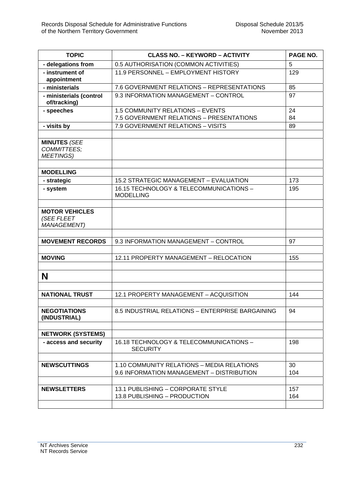| <b>TOPIC</b>                                               | <b>CLASS NO. - KEYWORD - ACTIVITY</b>                                                   | PAGE NO.   |
|------------------------------------------------------------|-----------------------------------------------------------------------------------------|------------|
| - delegations from                                         | 0.5 AUTHORISATION (COMMON ACTIVITIES)                                                   | 5          |
| - instrument of<br>appointment                             | 11.9 PERSONNEL - EMPLOYMENT HISTORY                                                     | 129        |
| - ministerials                                             | 7.6 GOVERNMENT RELATIONS - REPRESENTATIONS                                              | 85         |
| - ministerials (control<br>of/tracking)                    | 9.3 INFORMATION MANAGEMENT - CONTROL                                                    | 97         |
| - speeches                                                 | 1.5 COMMUNITY RELATIONS - EVENTS<br>7.5 GOVERNMENT RELATIONS - PRESENTATIONS            | 24<br>84   |
| - visits by                                                | 7.9 GOVERNMENT RELATIONS - VISITS                                                       | 89         |
| <b>MINUTES (SEE</b><br>COMMITTEES;<br><b>MEETINGS)</b>     |                                                                                         |            |
| <b>MODELLING</b>                                           |                                                                                         |            |
| - strategic                                                | 15.2 STRATEGIC MANAGEMENT - EVALUATION                                                  | 173        |
| - system                                                   | 16.15 TECHNOLOGY & TELECOMMUNICATIONS -<br><b>MODELLING</b>                             | 195        |
| <b>MOTOR VEHICLES</b><br>(SEE FLEET<br><b>MANAGEMENT</b> ) |                                                                                         |            |
| <b>MOVEMENT RECORDS</b>                                    | 9.3 INFORMATION MANAGEMENT - CONTROL                                                    | 97         |
| <b>MOVING</b>                                              | 12.11 PROPERTY MANAGEMENT - RELOCATION                                                  | 155        |
| N                                                          |                                                                                         |            |
| <b>NATIONAL TRUST</b>                                      | 12.1 PROPERTY MANAGEMENT - ACQUISITION                                                  | 144        |
| <b>NEGOTIATIONS</b><br>(INDUSTRIAL)                        | 8.5 INDUSTRIAL RELATIONS - ENTERPRISE BARGAINING                                        | 94         |
| <b>NETWORK (SYSTEMS)</b>                                   |                                                                                         |            |
| - access and security                                      | 16.18 TECHNOLOGY & TELECOMMUNICATIONS -<br><b>SECURITY</b>                              | 198        |
| <b>NEWSCUTTINGS</b>                                        | 1.10 COMMUNITY RELATIONS - MEDIA RELATIONS<br>9.6 INFORMATION MANAGEMENT - DISTRIBUTION | 30<br>104  |
| <b>NEWSLETTERS</b>                                         | 13.1 PUBLISHING - CORPORATE STYLE<br>13.8 PUBLISHING - PRODUCTION                       | 157<br>164 |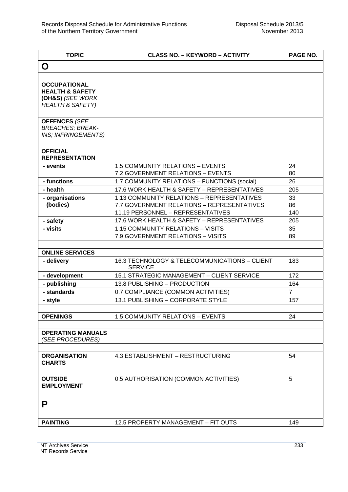| <b>TOPIC</b>                                                                                         | <b>CLASS NO. - KEYWORD - ACTIVITY</b>                                                                                         | PAGE NO.        |
|------------------------------------------------------------------------------------------------------|-------------------------------------------------------------------------------------------------------------------------------|-----------------|
| O                                                                                                    |                                                                                                                               |                 |
|                                                                                                      |                                                                                                                               |                 |
| <b>OCCUPATIONAL</b><br><b>HEALTH &amp; SAFETY</b><br>(OH&S) (SEE WORK<br><b>HEALTH &amp; SAFETY)</b> |                                                                                                                               |                 |
| <b>OFFENCES (SEE</b><br><b>BREACHES; BREAK-</b><br>INS; INFRINGEMENTS)                               |                                                                                                                               |                 |
| <b>OFFICIAL</b><br><b>REPRESENTATION</b>                                                             |                                                                                                                               |                 |
| - events                                                                                             | 1.5 COMMUNITY RELATIONS - EVENTS<br>7.2 GOVERNMENT RELATIONS - EVENTS                                                         | 24<br>80        |
| - functions                                                                                          | 1.7 COMMUNITY RELATIONS - FUNCTIONS (social)                                                                                  | 26              |
| - health                                                                                             | 17.6 WORK HEALTH & SAFETY - REPRESENTATIVES                                                                                   | 205             |
| - organisations<br>(bodies)                                                                          | 1.13 COMMUNITY RELATIONS - REPRESENTATIVES<br>7.7 GOVERNMENT RELATIONS - REPRESENTATIVES<br>11.19 PERSONNEL - REPRESENTATIVES | 33<br>86<br>140 |
| - safety                                                                                             | 17.6 WORK HEALTH & SAFETY - REPRESENTATIVES                                                                                   | 205             |
| - visits                                                                                             | 1.15 COMMUNITY RELATIONS - VISITS<br>7.9 GOVERNMENT RELATIONS - VISITS                                                        | 35<br>89        |
| <b>ONLINE SERVICES</b>                                                                               |                                                                                                                               |                 |
| - delivery                                                                                           | 16.3 TECHNOLOGY & TELECOMMUNICATIONS - CLIENT<br><b>SERVICE</b>                                                               | 183             |
| - development                                                                                        | 15.1 STRATEGIC MANAGEMENT - CLIENT SERVICE                                                                                    | 172             |
| - publishing                                                                                         | 13.8 PUBLISHING - PRODUCTION                                                                                                  | 164             |
| - standards                                                                                          | 0.7 COMPLIANCE (COMMON ACTIVITIES)                                                                                            | $\overline{7}$  |
| - style                                                                                              | 13.1 PUBLISHING - CORPORATE STYLE                                                                                             | 157             |
| <b>OPENINGS</b>                                                                                      | 1.5 COMMUNITY RELATIONS - EVENTS                                                                                              | 24              |
| <b>OPERATING MANUALS</b><br>(SEE PROCEDURES)                                                         |                                                                                                                               |                 |
| <b>ORGANISATION</b><br><b>CHARTS</b>                                                                 | 4.3 ESTABLISHMENT - RESTRUCTURING                                                                                             | 54              |
| <b>OUTSIDE</b><br><b>EMPLOYMENT</b>                                                                  | 0.5 AUTHORISATION (COMMON ACTIVITIES)                                                                                         | 5               |
| P                                                                                                    |                                                                                                                               |                 |
| <b>PAINTING</b>                                                                                      | 12.5 PROPERTY MANAGEMENT - FIT OUTS                                                                                           | 149             |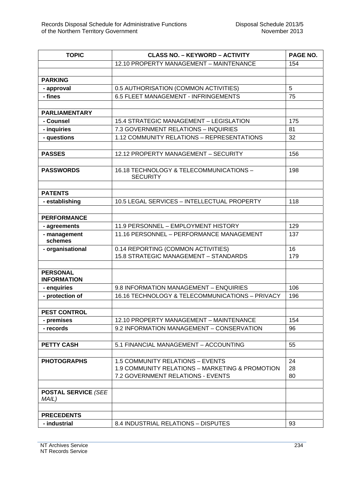| <b>TOPIC</b>                          | <b>CLASS NO. - KEYWORD - ACTIVITY</b>           | PAGE NO. |
|---------------------------------------|-------------------------------------------------|----------|
|                                       | 12.10 PROPERTY MANAGEMENT - MAINTENANCE         | 154      |
|                                       |                                                 |          |
| <b>PARKING</b>                        |                                                 |          |
| - approval                            | 0.5 AUTHORISATION (COMMON ACTIVITIES)           | 5        |
| - fines                               | 6.5 FLEET MANAGEMENT - INFRINGEMENTS            | 75       |
|                                       |                                                 |          |
| <b>PARLIAMENTARY</b>                  |                                                 |          |
| - Counsel                             | 15.4 STRATEGIC MANAGEMENT - LEGISLATION         | 175      |
| - inquiries                           | 7.3 GOVERNMENT RELATIONS - INQUIRIES            | 81       |
| - questions                           | 1.12 COMMUNITY RELATIONS - REPRESENTATIONS      | 32       |
|                                       |                                                 |          |
| <b>PASSES</b>                         | 12.12 PROPERTY MANAGEMENT - SECURITY            | 156      |
|                                       |                                                 |          |
| <b>PASSWORDS</b>                      | 16.18 TECHNOLOGY & TELECOMMUNICATIONS -         | 198      |
|                                       | <b>SECURITY</b>                                 |          |
|                                       |                                                 |          |
| <b>PATENTS</b>                        |                                                 |          |
| - establishing                        | 10.5 LEGAL SERVICES - INTELLECTUAL PROPERTY     | 118      |
|                                       |                                                 |          |
| <b>PERFORMANCE</b>                    |                                                 |          |
| - agreements                          | 11.9 PERSONNEL - EMPLOYMENT HISTORY             | 129      |
| - management<br>schemes               | 11.16 PERSONNEL - PERFORMANCE MANAGEMENT        | 137      |
| - organisational                      | 0.14 REPORTING (COMMON ACTIVITIES)              | 16       |
|                                       | 15.8 STRATEGIC MANAGEMENT - STANDARDS           | 179      |
|                                       |                                                 |          |
| <b>PERSONAL</b><br><b>INFORMATION</b> |                                                 |          |
| - enquiries                           | 9.8 INFORMATION MANAGEMENT - ENQUIRIES          | 106      |
| - protection of                       | 16.16 TECHNOLOGY & TELECOMMUNICATIONS - PRIVACY | 196      |
|                                       |                                                 |          |
| <b>PEST CONTROL</b>                   |                                                 |          |
| - premises                            | 12.10 PROPERTY MANAGEMENT - MAINTENANCE         | 154      |
| - records                             | 9.2 INFORMATION MANAGEMENT - CONSERVATION       | 96       |
|                                       |                                                 |          |
| <b>PETTY CASH</b>                     | 5.1 FINANCIAL MANAGEMENT - ACCOUNTING           | 55       |
|                                       |                                                 |          |
| <b>PHOTOGRAPHS</b>                    | 1.5 COMMUNITY RELATIONS - EVENTS                | 24       |
|                                       | 1.9 COMMUNITY RELATIONS - MARKETING & PROMOTION | 28       |
|                                       | 7.2 GOVERNMENT RELATIONS - EVENTS               | 80       |
|                                       |                                                 |          |
| <b>POSTAL SERVICE (SEE</b>            |                                                 |          |
| MAIL)                                 |                                                 |          |
|                                       |                                                 |          |
| <b>PRECEDENTS</b>                     |                                                 |          |
| - industrial                          | 8.4 INDUSTRIAL RELATIONS - DISPUTES             | 93       |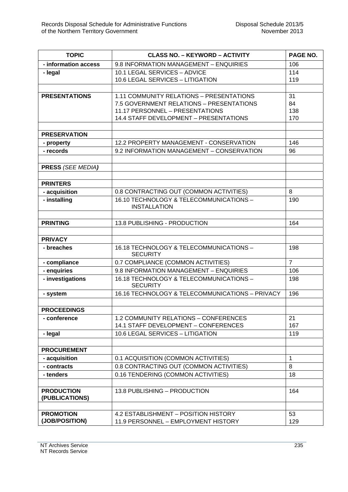| <b>TOPIC</b>             | <b>CLASS NO. - KEYWORD - ACTIVITY</b>                                    | PAGE NO.       |
|--------------------------|--------------------------------------------------------------------------|----------------|
| - information access     | 9.8 INFORMATION MANAGEMENT - ENQUIRIES                                   | 106            |
| - legal                  | 10.1 LEGAL SERVICES - ADVICE                                             | 114            |
|                          | 10.6 LEGAL SERVICES - LITIGATION                                         | 119            |
|                          |                                                                          |                |
| <b>PRESENTATIONS</b>     | 1.11 COMMUNITY RELATIONS - PRESENTATIONS                                 | 31             |
|                          | 7.5 GOVERNMENT RELATIONS - PRESENTATIONS                                 | 84             |
|                          | 11.17 PERSONNEL - PRESENTATIONS                                          | 138            |
|                          | 14.4 STAFF DEVELOPMENT - PRESENTATIONS                                   | 170            |
| <b>PRESERVATION</b>      |                                                                          |                |
| - property               | 12.2 PROPERTY MANAGEMENT - CONSERVATION                                  | 146            |
| - records                | 9.2 INFORMATION MANAGEMENT - CONSERVATION                                | 96             |
|                          |                                                                          |                |
| <b>PRESS (SEE MEDIA)</b> |                                                                          |                |
|                          |                                                                          |                |
| <b>PRINTERS</b>          |                                                                          |                |
| - acquisition            | 0.8 CONTRACTING OUT (COMMON ACTIVITIES)                                  | 8              |
| - installing             | 16.10 TECHNOLOGY & TELECOMMUNICATIONS -                                  | 190            |
|                          | <b>INSTALLATION</b>                                                      |                |
|                          |                                                                          |                |
| <b>PRINTING</b>          | 13.8 PUBLISHING - PRODUCTION                                             | 164            |
|                          |                                                                          |                |
| <b>PRIVACY</b>           |                                                                          |                |
| - breaches               | 16.18 TECHNOLOGY & TELECOMMUNICATIONS -<br><b>SECURITY</b>               | 198            |
| - compliance             | 0.7 COMPLIANCE (COMMON ACTIVITIES)                                       | $\overline{7}$ |
| - enquiries              | 9.8 INFORMATION MANAGEMENT - ENQUIRIES                                   | 106            |
| - investigations         | 16.18 TECHNOLOGY & TELECOMMUNICATIONS -                                  | 198            |
|                          | <b>SECURITY</b>                                                          |                |
| - system                 | 16.16 TECHNOLOGY & TELECOMMUNICATIONS - PRIVACY                          | 196            |
|                          |                                                                          |                |
| <b>PROCEEDINGS</b>       |                                                                          |                |
| - conference             | 1.2 COMMUNITY RELATIONS - CONFERENCES                                    | 21             |
|                          | 14.1 STAFF DEVELOPMENT - CONFERENCES<br>10.6 LEGAL SERVICES - LITIGATION | 167<br>119     |
| - legal                  |                                                                          |                |
| <b>PROCUREMENT</b>       |                                                                          |                |
| - acquisition            | 0.1 ACQUISITION (COMMON ACTIVITIES)                                      | $\mathbf{1}$   |
| - contracts              | 0.8 CONTRACTING OUT (COMMON ACTIVITIES)                                  | 8              |
| - tenders                | 0.16 TENDERING (COMMON ACTIVITIES)                                       | 18             |
|                          |                                                                          |                |
| <b>PRODUCTION</b>        | 13.8 PUBLISHING - PRODUCTION                                             | 164            |
| (PUBLICATIONS)           |                                                                          |                |
|                          |                                                                          |                |
| <b>PROMOTION</b>         | 4.2 ESTABLISHMENT - POSITION HISTORY                                     | 53             |
| (JOB/POSITION)           | 11.9 PERSONNEL - EMPLOYMENT HISTORY                                      | 129            |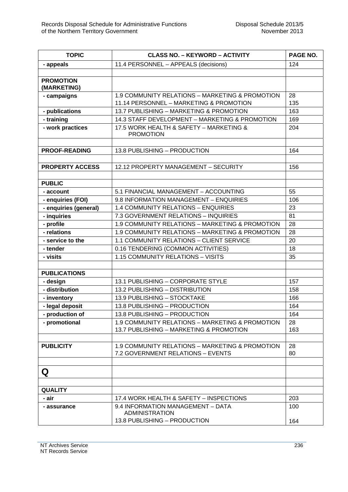| <b>TOPIC</b>           | <b>CLASS NO. - KEYWORD - ACTIVITY</b>                       | PAGE NO. |
|------------------------|-------------------------------------------------------------|----------|
| - appeals              | 11.4 PERSONNEL - APPEALS (decisions)                        | 124      |
|                        |                                                             |          |
| <b>PROMOTION</b>       |                                                             |          |
| (MARKETING)            |                                                             |          |
| - campaigns            | 1.9 COMMUNITY RELATIONS - MARKETING & PROMOTION             | 28       |
|                        | 11.14 PERSONNEL - MARKETING & PROMOTION                     | 135      |
| - publications         | 13.7 PUBLISHING - MARKETING & PROMOTION                     | 163      |
| - training             | 14.3 STAFF DEVELOPMENT - MARKETING & PROMOTION              | 169      |
| - work practices       | 17.5 WORK HEALTH & SAFETY - MARKETING &<br><b>PROMOTION</b> | 204      |
|                        |                                                             |          |
| <b>PROOF-READING</b>   | 13.8 PUBLISHING - PRODUCTION                                | 164      |
|                        |                                                             |          |
| <b>PROPERTY ACCESS</b> | 12.12 PROPERTY MANAGEMENT - SECURITY                        | 156      |
|                        |                                                             |          |
| <b>PUBLIC</b>          |                                                             |          |
| - account              | 5.1 FINANCIAL MANAGEMENT - ACCOUNTING                       | 55       |
| - enquiries (FOI)      | 9.8 INFORMATION MANAGEMENT - ENQUIRIES                      | 106      |
| - enquiries (general)  | 1.4 COMMUNITY RELATIONS - ENQUIRIES                         | 23       |
| - inquiries            | 7.3 GOVERNMENT RELATIONS - INQUIRIES                        | 81       |
| - profile              | 1.9 COMMUNITY RELATIONS - MARKETING & PROMOTION             | 28       |
| - relations            | 1.9 COMMUNITY RELATIONS - MARKETING & PROMOTION             | 28       |
| - service to the       | 1.1 COMMUNITY RELATIONS - CLIENT SERVICE                    | 20       |
| - tender               | 0.16 TENDERING (COMMON ACTIVITIES)                          | 18       |
| - visits               | 1.15 COMMUNITY RELATIONS - VISITS                           | 35       |
|                        |                                                             |          |
| <b>PUBLICATIONS</b>    |                                                             |          |
| - design               | 13.1 PUBLISHING - CORPORATE STYLE                           | 157      |
| - distribution         | 13.2 PUBLISHING - DISTRIBUTION                              | 158      |
| - inventory            | 13.9 PUBLISHING - STOCKTAKE                                 | 166      |
| - legal deposit        | 13.8 PUBLISHING - PRODUCTION                                | 164      |
| - production of        | 13.8 PUBLISHING – PRODUCTION                                | 164      |
| - promotional          | 1.9 COMMUNITY RELATIONS - MARKETING & PROMOTION             | 28       |
|                        | 13.7 PUBLISHING - MARKETING & PROMOTION                     | 163      |
|                        |                                                             |          |
| <b>PUBLICITY</b>       | 1.9 COMMUNITY RELATIONS - MARKETING & PROMOTION             | 28       |
|                        | 7.2 GOVERNMENT RELATIONS - EVENTS                           | 80       |
|                        |                                                             |          |
| Q                      |                                                             |          |
| <b>QUALITY</b>         |                                                             |          |
| - air                  | 17.4 WORK HEALTH & SAFETY - INSPECTIONS                     | 203      |
| - assurance            | 9.4 INFORMATION MANAGEMENT - DATA<br><b>ADMINISTRATION</b>  | 100      |
|                        | 13.8 PUBLISHING - PRODUCTION                                | 164      |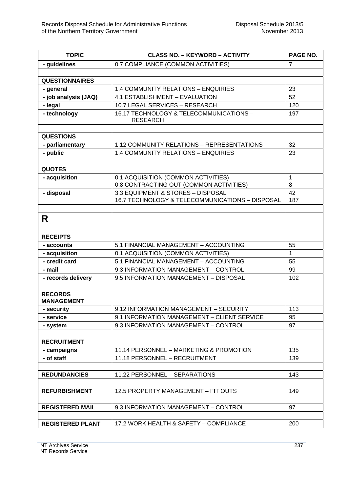| <b>TOPIC</b>                        | <b>CLASS NO. - KEYWORD - ACTIVITY</b>                      | PAGE NO.       |
|-------------------------------------|------------------------------------------------------------|----------------|
| - guidelines                        | 0.7 COMPLIANCE (COMMON ACTIVITIES)                         | $\overline{7}$ |
|                                     |                                                            |                |
| <b>QUESTIONNAIRES</b>               |                                                            |                |
| - general                           | 1.4 COMMUNITY RELATIONS - ENQUIRIES                        | 23             |
| - job analysis (JAQ)                | 4.1 ESTABLISHMENT - EVALUATION                             | 52             |
| - legal                             | 10.7 LEGAL SERVICES - RESEARCH                             | 120            |
| - technology                        | 16.17 TECHNOLOGY & TELECOMMUNICATIONS -<br><b>RESEARCH</b> | 197            |
| <b>QUESTIONS</b>                    |                                                            |                |
| - parliamentary                     | 1.12 COMMUNITY RELATIONS - REPRESENTATIONS                 | 32             |
| - public                            | 1.4 COMMUNITY RELATIONS - ENQUIRIES                        | 23             |
|                                     |                                                            |                |
| <b>QUOTES</b>                       |                                                            |                |
| - acquisition                       | 0.1 ACQUISITION (COMMON ACTIVITIES)                        | 1              |
|                                     | 0.8 CONTRACTING OUT (COMMON ACTIVITIES)                    | 8              |
| - disposal                          | 3.3 EQUIPMENT & STORES - DISPOSAL                          | 42             |
|                                     | 16.7 TECHNOLOGY & TELECOMMUNICATIONS - DISPOSAL            | 187            |
|                                     |                                                            |                |
| R                                   |                                                            |                |
| <b>RECEIPTS</b>                     |                                                            |                |
| - accounts                          | 5.1 FINANCIAL MANAGEMENT - ACCOUNTING                      | 55             |
| - acquisition                       | 0.1 ACQUISITION (COMMON ACTIVITIES)                        | $\mathbf{1}$   |
| - credit card                       | 5.1 FINANCIAL MANAGEMENT - ACCOUNTING                      | 55             |
| - mail                              | 9.3 INFORMATION MANAGEMENT - CONTROL                       | 99             |
| - records delivery                  | 9.5 INFORMATION MANAGEMENT - DISPOSAL                      | 102            |
| <b>RECORDS</b><br><b>MANAGEMENT</b> |                                                            |                |
| - security                          | 9.12 INFORMATION MANAGEMENT - SECURITY                     | 113            |
| - service                           | 9.1 INFORMATION MANAGEMENT - CLIENT SERVICE                | 95             |
| - system                            | 9.3 INFORMATION MANAGEMENT - CONTROL                       | 97             |
| <b>RECRUITMENT</b>                  |                                                            |                |
| - campaigns                         | 11.14 PERSONNEL - MARKETING & PROMOTION                    | 135            |
| - of staff                          | 11.18 PERSONNEL - RECRUITMENT                              | 139            |
|                                     |                                                            |                |
| <b>REDUNDANCIES</b>                 | 11.22 PERSONNEL - SEPARATIONS                              | 143            |
| <b>REFURBISHMENT</b>                | 12.5 PROPERTY MANAGEMENT - FIT OUTS                        | 149            |
|                                     |                                                            |                |
| <b>REGISTERED MAIL</b>              | 9.3 INFORMATION MANAGEMENT - CONTROL                       | 97             |
|                                     |                                                            |                |
| <b>REGISTERED PLANT</b>             | 17.2 WORK HEALTH & SAFETY - COMPLIANCE                     | 200            |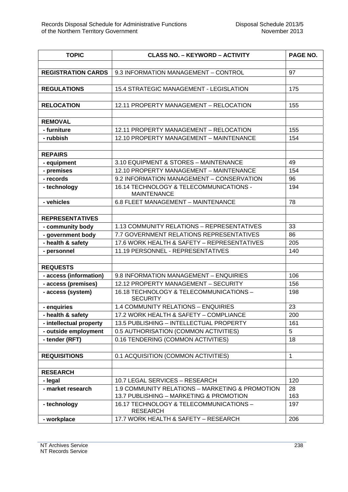| <b>TOPIC</b>              | <b>CLASS NO. - KEYWORD - ACTIVITY</b>                         | PAGE NO.     |
|---------------------------|---------------------------------------------------------------|--------------|
|                           |                                                               |              |
| <b>REGISTRATION CARDS</b> | 9.3 INFORMATION MANAGEMENT - CONTROL                          | 97           |
|                           |                                                               |              |
| <b>REGULATIONS</b>        | 15.4 STRATEGIC MANAGEMENT - LEGISLATION                       | 175          |
| <b>RELOCATION</b>         | 12.11 PROPERTY MANAGEMENT - RELOCATION                        |              |
|                           |                                                               | 155          |
| <b>REMOVAL</b>            |                                                               |              |
| - furniture               | 12.11 PROPERTY MANAGEMENT - RELOCATION                        | 155          |
| - rubbish                 | 12.10 PROPERTY MANAGEMENT - MAINTENANCE                       | 154          |
|                           |                                                               |              |
| <b>REPAIRS</b>            |                                                               |              |
| - equipment               | 3.10 EQUIPMENT & STORES - MAINTENANCE                         | 49           |
| - premises                | 12.10 PROPERTY MANAGEMENT - MAINTENANCE                       | 154          |
| - records                 | 9.2 INFORMATION MANAGEMENT - CONSERVATION                     | 96           |
| - technology              | 16.14 TECHNOLOGY & TELECOMMUNICATIONS -<br><b>MAINTENANCE</b> | 194          |
| - vehicles                | 6.8 FLEET MANAGEMENT - MAINTENANCE                            | 78           |
|                           |                                                               |              |
| <b>REPRESENTATIVES</b>    |                                                               |              |
| - community body          | 1.13 COMMUNITY RELATIONS - REPRESENTATIVES                    | 33           |
| - government body         | 7.7 GOVERNMENT RELATIONS REPRESENTATIVES                      | 86           |
| - health & safety         | 17.6 WORK HEALTH & SAFETY - REPRESENTATIVES                   | 205          |
| - personnel               | 11.19 PERSONNEL - REPRESENTATIVES                             | 140          |
|                           |                                                               |              |
| <b>REQUESTS</b>           |                                                               |              |
| - access (information)    | 9.8 INFORMATION MANAGEMENT - ENQUIRIES                        | 106          |
| - access (premises)       | 12.12 PROPERTY MANAGEMENT - SECURITY                          | 156          |
| - access (system)         | 16.18 TECHNOLOGY & TELECOMMUNICATIONS -<br><b>SECURITY</b>    | 198          |
| - enquiries               | 1.4 COMMUNITY RELATIONS - ENQUIRIES                           | 23           |
| - health & safety         | 17.2 WORK HEALTH & SAFETY - COMPLIANCE                        | 200          |
| - intellectual property   | 13.5 PUBLISHING - INTELLECTUAL PROPERTY                       | 161          |
| - outside employment      | 0.5 AUTHORISATION (COMMON ACTIVITIES)                         | 5            |
| - tender (RFT)            | 0.16 TENDERING (COMMON ACTIVITIES)                            | 18           |
| <b>REQUISITIONS</b>       | 0.1 ACQUISITION (COMMON ACTIVITIES)                           | $\mathbf{1}$ |
|                           |                                                               |              |
| <b>RESEARCH</b>           |                                                               |              |
| - legal                   | 10.7 LEGAL SERVICES - RESEARCH                                | 120          |
| - market research         | 1.9 COMMUNITY RELATIONS - MARKETING & PROMOTION               | 28           |
|                           | 13.7 PUBLISHING - MARKETING & PROMOTION                       | 163          |
| - technology              | 16.17 TECHNOLOGY & TELECOMMUNICATIONS -<br><b>RESEARCH</b>    | 197          |
| - workplace               | 17.7 WORK HEALTH & SAFETY - RESEARCH                          | 206          |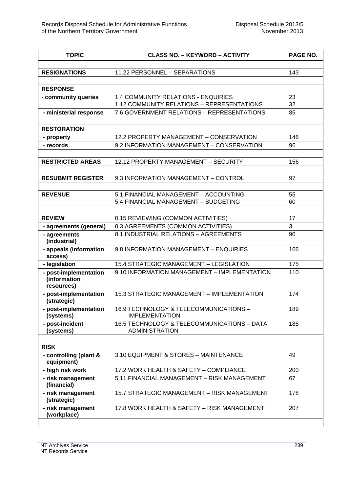| <b>TOPIC</b>                                        | <b>CLASS NO. - KEYWORD - ACTIVITY</b>                                | PAGE NO. |
|-----------------------------------------------------|----------------------------------------------------------------------|----------|
|                                                     |                                                                      |          |
| <b>RESIGNATIONS</b>                                 | 11.22 PERSONNEL - SEPARATIONS                                        | 143      |
|                                                     |                                                                      |          |
| <b>RESPONSE</b>                                     |                                                                      |          |
| - community queries                                 | <b>1.4 COMMUNITY RELATIONS - ENQUIRIES</b>                           | 23       |
|                                                     | 1.12 COMMUNITY RELATIONS - REPRESENTATIONS                           | 32       |
| - ministerial response                              | 7.6 GOVERNMENT RELATIONS - REPRESENTATIONS                           | 85       |
| <b>RESTORATION</b>                                  |                                                                      |          |
| - property                                          | 12.2 PROPERTY MANAGEMENT - CONSERVATION                              | 146      |
| - records                                           | 9.2 INFORMATION MANAGEMENT - CONSERVATION                            | 96       |
|                                                     |                                                                      |          |
| <b>RESTRICTED AREAS</b>                             | 12.12 PROPERTY MANAGEMENT - SECURITY                                 | 156      |
|                                                     |                                                                      |          |
| <b>RESUBMIT REGISTER</b>                            | 9.3 INFORMATION MANAGEMENT - CONTROL                                 | 97       |
|                                                     |                                                                      |          |
| <b>REVENUE</b>                                      | 5.1 FINANCIAL MANAGEMENT - ACCOUNTING                                | 55       |
|                                                     | 5.4 FINANCIAL MANAGEMENT - BUDGETING                                 | 60       |
|                                                     |                                                                      |          |
| <b>REVIEW</b>                                       | 0.15 REVIEWING (COMMON ACTIVITIES)                                   | 17       |
| - agreements (general)                              | 0.3 AGREEMENTS (COMMON ACTIVITIES)                                   | 3        |
| - agreements<br>(industrial)                        | 8.1 INDUSTRIAL RELATIONS - AGREEMENTS                                | 90       |
| - appeals (information<br>access)                   | 9.8 INFORMATION MANAGEMENT - ENQUIRIES                               | 106      |
| - legislation                                       | 15.4 STRATEGIC MANAGEMENT - LEGISLATION                              | 175      |
| - post-implementation<br>(information<br>resources) | 9.10 INFORMATION MANAGEMENT - IMPLEMENTATION                         | 110      |
| - post-implementation<br>(strategic)                | 15.3 STRATEGIC MANAGEMENT - IMPLEMENTATION                           | 174      |
| - post-implementation<br>(systems)                  | 16.9 TECHNOLOGY & TELECOMMUNICATIONS -<br><b>IMPLEMENTATION</b>      | 189      |
| - post-incident<br>(systems)                        | 16.5 TECHNOLOGY & TELECOMMUNICATIONS - DATA<br><b>ADMINISTRATION</b> | 185      |
|                                                     |                                                                      |          |
| <b>RISK</b>                                         |                                                                      |          |
| - controlling (plant &<br>equipment)                | 3.10 EQUIPMENT & STORES - MAINTENANCE                                | 49       |
| - high risk work                                    | 17.2 WORK HEALTH & SAFETY - COMPLIANCE                               | 200      |
| - risk management<br>(financial)                    | 5.11 FINANCIAL MANAGEMENT - RISK MANAGEMENT                          | 67       |
| - risk management<br>(strategic)                    | 15.7 STRATEGIC MANAGEMENT - RISK MANAGEMENT                          | 178      |
| - risk management<br>(workplace)                    | 17.8 WORK HEALTH & SAFETY - RISK MANAGEMENT                          | 207      |
|                                                     |                                                                      |          |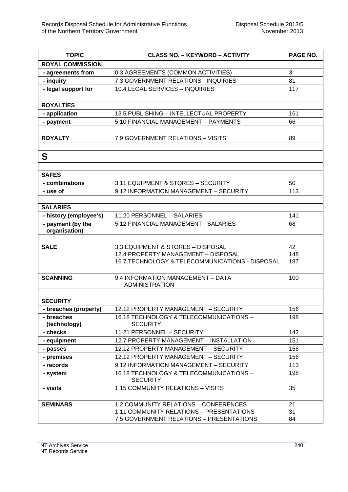| <b>TOPIC</b>               | <b>CLASS NO. - KEYWORD - ACTIVITY</b>                      | PAGE NO. |
|----------------------------|------------------------------------------------------------|----------|
| <b>ROYAL COMMISSION</b>    |                                                            |          |
| - agreements from          | 0.3 AGREEMENTS (COMMON ACTIVITIES)                         | 3        |
| - inquiry                  | 7.3 GOVERNMENT RELATIONS - INQUIRIES                       | 81       |
| - legal support for        | 10.4 LEGAL SERVICES - INQUIRIES                            | 117      |
|                            |                                                            |          |
| <b>ROYALTIES</b>           |                                                            |          |
| - application              | 13.5 PUBLISHING - INTELLECTUAL PROPERTY                    | 161      |
| - payment                  | 5.10 FINANCIAL MANAGEMENT - PAYMENTS                       | 66       |
|                            |                                                            |          |
| <b>ROYALTY</b>             | 7.9 GOVERNMENT RELATIONS - VISITS                          | 89       |
|                            |                                                            |          |
| S                          |                                                            |          |
|                            |                                                            |          |
| <b>SAFES</b>               |                                                            |          |
| - combinations             | 3.11 EQUIPMENT & STORES - SECURITY                         | 50       |
| - use of                   | 9.12 INFORMATION MANAGEMENT - SECURITY                     | 113      |
|                            |                                                            |          |
| <b>SALARIES</b>            |                                                            |          |
| - history (employee's)     | 11.20 PERSONNEL - SALARIES                                 | 141      |
| - payment (by the          | 5.12 FINANCIAL MANAGEMENT - SALARIES                       | 68       |
| organisation)              |                                                            |          |
| <b>SALE</b>                | 3.3 EQUIPMENT & STORES - DISPOSAL                          | 42       |
|                            | 12.4 PROPERTY MANAGEMENT - DISPOSAL                        | 148      |
|                            | 16.7 TECHNOLOGY & TELECOMMUNICATIONS - DISPOSAL            | 187      |
|                            |                                                            |          |
| <b>SCANNING</b>            | 9.4 INFORMATION MANAGEMENT - DATA                          | 100      |
|                            | <b>ADMINISTRATION</b>                                      |          |
|                            |                                                            |          |
| <b>SECURITY</b>            |                                                            |          |
| - breaches (property)      | 12.12 PROPERTY MANAGEMENT - SECURITY                       | 156      |
| - breaches<br>(technology) | 16.18 TECHNOLOGY & TELECOMMUNICATIONS -<br><b>SECURITY</b> | 198      |
| - checks                   | 11.21 PERSONNEL - SECURITY                                 | 142      |
| - equipment                | 12.7 PROPERTY MANAGEMENT - INSTALLATION                    | 151      |
| - passes                   | 12.12 PROPERTY MANAGEMENT - SECURITY                       | 156      |
| - premises                 | 12.12 PROPERTY MANAGEMENT - SECURITY                       | 156      |
| - records                  | 9.12 INFORMATION MANAGEMENT - SECURITY                     | 113      |
| - system                   | 16.18 TECHNOLOGY & TELECOMMUNICATIONS -                    | 198      |
|                            | <b>SECURITY</b>                                            |          |
| - visits                   | 1.15 COMMUNITY RELATIONS - VISITS                          | 35       |
|                            |                                                            |          |
| <b>SEMINARS</b>            | 1.2 COMMUNITY RELATIONS - CONFERENCES                      | 21       |
|                            | 1.11 COMMUNITY RELATIONS - PRESENTATIONS                   | 31       |
|                            | 7.5 GOVERNMENT RELATIONS - PRESENTATIONS                   | 84       |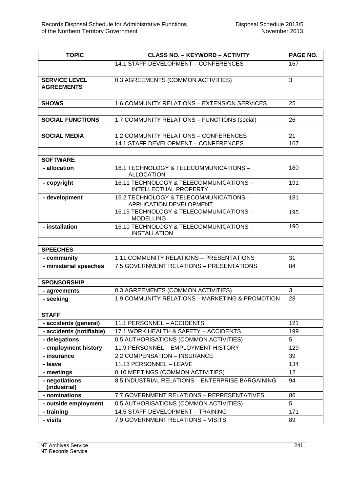| <b>TOPIC</b>                              | <b>CLASS NO. - KEYWORD - ACTIVITY</b>                                    | PAGE NO. |
|-------------------------------------------|--------------------------------------------------------------------------|----------|
|                                           | 14.1 STAFF DEVELOPMENT - CONFERENCES                                     | 167      |
|                                           |                                                                          |          |
| <b>SERVICE LEVEL</b><br><b>AGREEMENTS</b> | 0.3 AGREEMENTS (COMMON ACTIVITIES)                                       | 3        |
| <b>SHOWS</b>                              | 1.6 COMMUNITY RELATIONS - EXTENSION SERVICES                             | 25       |
|                                           |                                                                          |          |
| <b>SOCIAL FUNCTIONS</b>                   | 1.7 COMMUNITY RELATIONS - FUNCTIONS (social)                             | 26       |
|                                           |                                                                          |          |
| <b>SOCIAL MEDIA</b>                       | 1.2 COMMUNITY RELATIONS - CONFERENCES                                    | 21       |
|                                           | 14.1 STAFF DEVELOPMENT - CONFERENCES                                     | 167      |
|                                           |                                                                          |          |
| <b>SOFTWARE</b>                           |                                                                          |          |
| - allocation                              | 16.1 TECHNOLOGY & TELECOMMUNICATIONS -<br><b>ALLOCATION</b>              | 180      |
| - copyright                               | 16.11 TECHNOLOGY & TELECOMMUNICATIONS -<br><b>INTELLECTUAL PROPERTY</b>  | 191      |
| - development                             | 16.2 TECHNOLOGY & TELECOMMUNICATIONS -<br><b>APPLICATION DEVELOPMENT</b> | 181      |
|                                           | 16.15 TECHNOLOGY & TELECOMMUNICATIONS -<br><b>MODELLING</b>              | 195      |
| - installation                            | 16.10 TECHNOLOGY & TELECOMMUNICATIONS -<br><b>INSTALLATION</b>           | 190      |
| <b>SPEECHES</b>                           |                                                                          |          |
| - community                               | 1.11 COMMUNITY RELATIONS - PRESENTATIONS                                 | 31       |
| - ministerial speeches                    | 7.5 GOVERNMENT RELATIONS - PRESENTATIONS                                 | 84       |
|                                           |                                                                          |          |
| <b>SPONSORSHIP</b>                        |                                                                          |          |
| - agreements                              | 0.3 AGREEMENTS (COMMON ACTIVITIES)                                       | 3        |
| - seeking                                 | 1.9 COMMUNITY RELATIONS - MARKETING & PROMOTION                          | 28       |
|                                           |                                                                          |          |
| <b>STAFF</b>                              |                                                                          |          |
| - accidents (general)                     | 11.1 PERSONNEL - ACCIDENTS                                               | 121      |
| - accidents (notifiable)                  | 17.1 WORK HEALTH & SAFETY - ACCIDENTS                                    | 199      |
| - delegations                             | 0.5 AUTHORISATIONS (COMMON ACTIVITIES)                                   | 5        |
| - employment history                      | 11.9 PERSONNEL - EMPLOYMENT HISTORY                                      | 129      |
| - insurance                               | 2.2 COMPENSATION - INSURANCE                                             | 39       |
| - leave                                   | 11.13 PERSONNEL - LEAVE                                                  | 134      |
| - meetings                                | 0.10 MEETINGS (COMMON ACTIVITIES)                                        | 12       |
| - negotiations<br>(industrial)            | 8.5 INDUSTRIAL RELATIONS - ENTERPRISE BARGAINING                         | 94       |
| - nominations                             | 7.7 GOVERNMENT RELATIONS - REPRESENTATIVES                               | 86       |
| - outside employment                      | 0.5 AUTHORISATIONS (COMMON ACTIVITIES)                                   | 5        |
| - training                                | 14.5 STAFF DEVELOPMENT - TRAINING                                        | 171      |
| - visits                                  | 7.9 GOVERNMENT RELATIONS - VISITS                                        | 89       |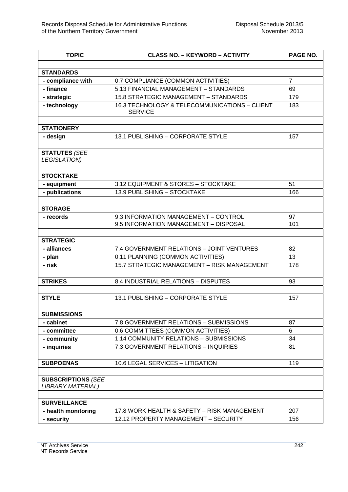| <b>TOPIC</b>                                          | <b>CLASS NO. - KEYWORD - ACTIVITY</b>                                         | PAGE NO.       |
|-------------------------------------------------------|-------------------------------------------------------------------------------|----------------|
|                                                       |                                                                               |                |
| <b>STANDARDS</b>                                      |                                                                               |                |
| - compliance with                                     | 0.7 COMPLIANCE (COMMON ACTIVITIES)                                            | $\overline{7}$ |
| - finance                                             | 5.13 FINANCIAL MANAGEMENT - STANDARDS                                         | 69             |
| - strategic                                           | 15.8 STRATEGIC MANAGEMENT - STANDARDS                                         | 179            |
| - technology                                          | 16.3 TECHNOLOGY & TELECOMMUNICATIONS - CLIENT<br><b>SERVICE</b>               | 183            |
| <b>STATIONERY</b>                                     |                                                                               |                |
| - design                                              | 13.1 PUBLISHING - CORPORATE STYLE                                             | 157            |
| <b>STATUTES (SEE</b><br><b>LEGISLATION)</b>           |                                                                               |                |
| <b>STOCKTAKE</b>                                      |                                                                               |                |
| - equipment                                           | 3.12 EQUIPMENT & STORES - STOCKTAKE                                           | 51             |
| - publications                                        | 13.9 PUBLISHING - STOCKTAKE                                                   | 166            |
|                                                       |                                                                               |                |
| <b>STORAGE</b>                                        |                                                                               |                |
| - records                                             | 9.3 INFORMATION MANAGEMENT - CONTROL<br>9.5 INFORMATION MANAGEMENT - DISPOSAL | 97<br>101      |
|                                                       |                                                                               |                |
| <b>STRATEGIC</b>                                      |                                                                               |                |
| - alliances                                           | 7.4 GOVERNMENT RELATIONS - JOINT VENTURES                                     | 82             |
| - plan                                                | 0.11 PLANNING (COMMON ACTIVITIES)                                             | 13             |
| - risk                                                | 15.7 STRATEGIC MANAGEMENT - RISK MANAGEMENT                                   | 178            |
|                                                       |                                                                               |                |
| <b>STRIKES</b>                                        | 8.4 INDUSTRIAL RELATIONS - DISPUTES                                           | 93             |
|                                                       |                                                                               |                |
| <b>STYLE</b>                                          | 13.1 PUBLISHING - CORPORATE STYLE                                             | 157            |
|                                                       |                                                                               |                |
| <b>SUBMISSIONS</b>                                    |                                                                               |                |
| - cabinet                                             | 7.8 GOVERNMENT RELATIONS - SUBMISSIONS                                        | 87             |
| - committee                                           | 0.6 COMMITTEES (COMMON ACTIVITIES)                                            | 6              |
| - community                                           | 1.14 COMMUNITY RELATIONS - SUBMISSIONS                                        | 34             |
| - inquiries                                           | 7.3 GOVERNMENT RELATIONS - INQUIRIES                                          | 81             |
|                                                       | 10.6 LEGAL SERVICES - LITIGATION                                              |                |
| <b>SUBPOENAS</b>                                      |                                                                               | 119            |
| <b>SUBSCRIPTIONS (SEE</b><br><b>LIBRARY MATERIAL)</b> |                                                                               |                |
| <b>SURVEILLANCE</b>                                   |                                                                               |                |
| - health monitoring                                   | 17.8 WORK HEALTH & SAFETY - RISK MANAGEMENT                                   | 207            |
| - security                                            | 12.12 PROPERTY MANAGEMENT - SECURITY                                          | 156            |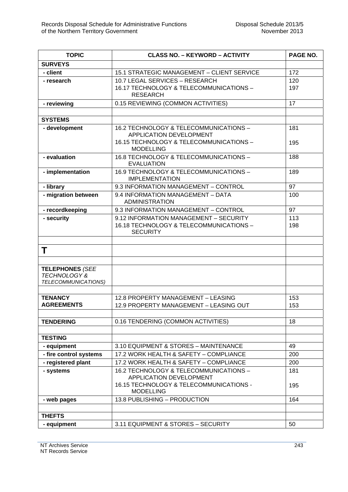| <b>TOPIC</b>                                                             | <b>CLASS NO. - KEYWORD - ACTIVITY</b>                                                                | PAGE NO.   |
|--------------------------------------------------------------------------|------------------------------------------------------------------------------------------------------|------------|
| <b>SURVEYS</b>                                                           |                                                                                                      |            |
| - client                                                                 | 15.1 STRATEGIC MANAGEMENT - CLIENT SERVICE                                                           | 172        |
| - research                                                               | 10.7 LEGAL SERVICES - RESEARCH                                                                       | 120        |
|                                                                          | 16.17 TECHNOLOGY & TELECOMMUNICATIONS -<br><b>RESEARCH</b>                                           | 197        |
| - reviewing                                                              | 0.15 REVIEWING (COMMON ACTIVITIES)                                                                   | 17         |
|                                                                          |                                                                                                      |            |
| <b>SYSTEMS</b>                                                           |                                                                                                      |            |
| - development                                                            | 16.2 TECHNOLOGY & TELECOMMUNICATIONS -<br>APPLICATION DEVELOPMENT                                    | 181        |
|                                                                          | 16.15 TECHNOLOGY & TELECOMMUNICATIONS -<br><b>MODELLING</b>                                          | 195        |
| - evaluation                                                             | 16.8 TECHNOLOGY & TELECOMMUNICATIONS -<br><b>EVALUATION</b>                                          | 188        |
| - implementation                                                         | 16.9 TECHNOLOGY & TELECOMMUNICATIONS -<br><b>IMPLEMENTATION</b>                                      | 189        |
| - library                                                                | 9.3 INFORMATION MANAGEMENT - CONTROL                                                                 | 97         |
| - migration between                                                      | 9.4 INFORMATION MANAGEMENT - DATA<br><b>ADMINISTRATION</b>                                           | 100        |
| - recordkeeping                                                          | 9.3 INFORMATION MANAGEMENT - CONTROL                                                                 | 97         |
| - security                                                               | 9.12 INFORMATION MANAGEMENT - SECURITY<br>16.18 TECHNOLOGY & TELECOMMUNICATIONS -<br><b>SECURITY</b> | 113<br>198 |
| Τ                                                                        |                                                                                                      |            |
|                                                                          |                                                                                                      |            |
| <b>TELEPHONES (SEE</b><br><b>TECHNOLOGY &amp;</b><br>TELECOMMUNICATIONS) |                                                                                                      |            |
|                                                                          |                                                                                                      |            |
| <b>TENANCY</b><br><b>AGREEMENTS</b>                                      | 12.8 PROPERTY MANAGEMENT - LEASING<br>12.9 PROPERTY MANAGEMENT - LEASING OUT                         | 153<br>153 |
|                                                                          |                                                                                                      |            |
| <b>TENDERING</b>                                                         | 0.16 TENDERING (COMMON ACTIVITIES)                                                                   | 18         |
| <b>TESTING</b>                                                           |                                                                                                      |            |
| - equipment                                                              | 3.10 EQUIPMENT & STORES - MAINTENANCE                                                                | 49         |
| - fire control systems                                                   | 17.2 WORK HEALTH & SAFETY - COMPLIANCE                                                               | 200        |
| - registered plant                                                       | 17.2 WORK HEALTH & SAFETY - COMPLIANCE                                                               | 200        |
| - systems                                                                | 16.2 TECHNOLOGY & TELECOMMUNICATIONS -                                                               | 181        |
|                                                                          | APPLICATION DEVELOPMENT                                                                              |            |
|                                                                          | 16.15 TECHNOLOGY & TELECOMMUNICATIONS -<br><b>MODELLING</b>                                          | 195        |
| - web pages                                                              | 13.8 PUBLISHING - PRODUCTION                                                                         | 164        |
|                                                                          |                                                                                                      |            |
| <b>THEFTS</b>                                                            |                                                                                                      |            |
| - equipment                                                              | 3.11 EQUIPMENT & STORES - SECURITY                                                                   | 50         |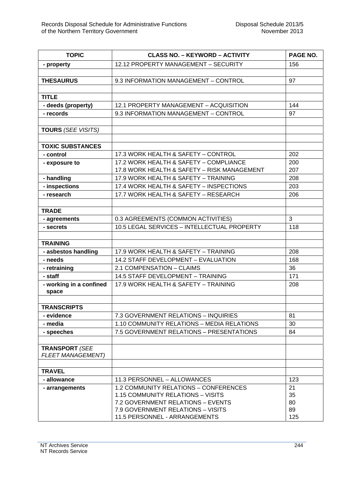| <b>TOPIC</b>              | <b>CLASS NO. - KEYWORD - ACTIVITY</b>        | PAGE NO. |
|---------------------------|----------------------------------------------|----------|
| - property                | 12.12 PROPERTY MANAGEMENT - SECURITY         | 156      |
|                           |                                              |          |
| <b>THESAURUS</b>          | 9.3 INFORMATION MANAGEMENT - CONTROL         | 97       |
|                           |                                              |          |
| <b>TITLE</b>              |                                              |          |
| - deeds (property)        | 12.1 PROPERTY MANAGEMENT - ACQUISITION       | 144      |
| - records                 | 9.3 INFORMATION MANAGEMENT - CONTROL         | 97       |
|                           |                                              |          |
| <b>TOURS (SEE VISITS)</b> |                                              |          |
|                           |                                              |          |
| <b>TOXIC SUBSTANCES</b>   |                                              |          |
| - control                 | 17.3 WORK HEALTH & SAFETY - CONTROL          | 202      |
| - exposure to             | 17.2 WORK HEALTH & SAFETY - COMPLIANCE       | 200      |
|                           | 17.8 WORK HEALTH & SAFETY - RISK MANAGEMENT  | 207      |
| - handling                | 17.9 WORK HEALTH & SAFETY - TRAINING         | 208      |
| - inspections             | 17.4 WORK HEALTH & SAFETY - INSPECTIONS      | 203      |
| - research                | 17.7 WORK HEALTH & SAFETY - RESEARCH         | 206      |
|                           |                                              |          |
| <b>TRADE</b>              |                                              |          |
| - agreements              | 0.3 AGREEMENTS (COMMON ACTIVITIES)           | 3        |
| - secrets                 | 10.5 LEGAL SERVICES - INTELLECTUAL PROPERTY  | 118      |
|                           |                                              |          |
| <b>TRAINING</b>           |                                              |          |
| - asbestos handling       | 17.9 WORK HEALTH & SAFETY - TRAINING         | 208      |
| - needs                   | 14.2 STAFF DEVELOPMENT - EVALUATION          | 168      |
| - retraining              | 2.1 COMPENSATION - CLAIMS                    | 36       |
| - staff                   | 14.5 STAFF DEVELOPMENT - TRAINING            | 171      |
| - working in a confined   | 17.9 WORK HEALTH & SAFETY - TRAINING         | 208      |
| space                     |                                              |          |
|                           |                                              |          |
| <b>TRANSCRIPTS</b>        |                                              |          |
| - evidence                | 7.3 GOVERNMENT RELATIONS - INQUIRIES         | 81       |
| - media                   | 1.10 COMMUNITY RELATIONS - MEDIA RELATIONS   | 30       |
| - speeches                | 7.5 GOVERNMENT RELATIONS - PRESENTATIONS     | 84       |
|                           |                                              |          |
| <b>TRANSPORT (SEE</b>     |                                              |          |
| <b>FLEET MANAGEMENT)</b>  |                                              |          |
|                           |                                              |          |
| <b>TRAVEL</b>             | 11.3 PERSONNEL - ALLOWANCES                  | 123      |
| - allowance               | <b>1.2 COMMUNITY RELATIONS - CONFERENCES</b> |          |
| - arrangements            | 1.15 COMMUNITY RELATIONS - VISITS            | 21<br>35 |
|                           | 7.2 GOVERNMENT RELATIONS - EVENTS            | 80       |
|                           | 7.9 GOVERNMENT RELATIONS - VISITS            | 89       |
|                           | 11.5 PERSONNEL - ARRANGEMENTS                | 125      |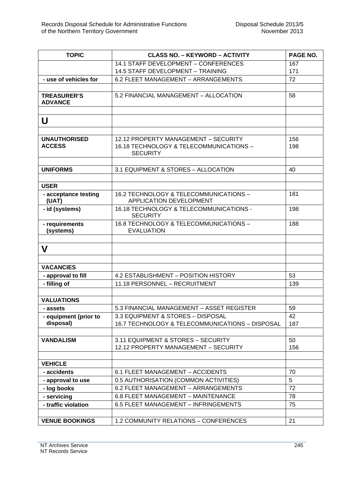| <b>TOPIC</b>                         | <b>CLASS NO. - KEYWORD - ACTIVITY</b>           | PAGE NO. |
|--------------------------------------|-------------------------------------------------|----------|
|                                      | 14.1 STAFF DEVELOPMENT - CONFERENCES            | 167      |
|                                      | 14.5 STAFF DEVELOPMENT - TRAINING               | 171      |
| - use of vehicles for                | 6.2 FLEET MANAGEMENT - ARRANGEMENTS             | 72       |
|                                      |                                                 |          |
| <b>TREASURER'S</b><br><b>ADVANCE</b> | 5.2 FINANCIAL MANAGEMENT - ALLOCATION           | 58       |
|                                      |                                                 |          |
| U                                    |                                                 |          |
|                                      |                                                 |          |
| <b>UNAUTHORISED</b>                  | 12.12 PROPERTY MANAGEMENT - SECURITY            | 156      |
| <b>ACCESS</b>                        | 16.18 TECHNOLOGY & TELECOMMUNICATIONS -         | 198      |
|                                      | <b>SECURITY</b>                                 |          |
|                                      |                                                 |          |
| <b>UNIFORMS</b>                      | 3.1 EQUIPMENT & STORES - ALLOCATION             | 40       |
| <b>USER</b>                          |                                                 |          |
|                                      | 16.2 TECHNOLOGY & TELECOMMUNICATIONS -          | 181      |
| - acceptance testing<br>(UAT)        | APPLICATION DEVELOPMENT                         |          |
| - id (systems)                       | 16.18 TECHNOLOGY & TELECOMMUNICATIONS -         | 198      |
|                                      | <b>SECURITY</b>                                 |          |
| - requirements                       | 16.8 TECHNOLOGY & TELECOMMUNICATIONS -          | 188      |
| (systems)                            | <b>EVALUATION</b>                               |          |
|                                      |                                                 |          |
| V                                    |                                                 |          |
|                                      |                                                 |          |
| <b>VACANCIES</b>                     |                                                 |          |
| - approval to fill                   | 4.2 ESTABLISHMENT - POSITION HISTORY            | 53       |
| - filling of                         | 11.18 PERSONNEL - RECRUITMENT                   | 139      |
|                                      |                                                 |          |
| <b>VALUATIONS</b>                    |                                                 |          |
| - assets                             | 5.3 FINANCIAL MANAGEMENT - ASSET REGISTER       | 59       |
| - equipment (prior to                | 3.3 EQUIPMENT & STORES - DISPOSAL               | 42       |
| disposal)                            | 16.7 TECHNOLOGY & TELECOMMUNICATIONS - DISPOSAL | 187      |
|                                      |                                                 |          |
| <b>VANDALISM</b>                     | 3.11 EQUIPMENT & STORES - SECURITY              | 50       |
|                                      | 12.12 PROPERTY MANAGEMENT - SECURITY            | 156      |
|                                      |                                                 |          |
| <b>VEHICLE</b>                       |                                                 |          |
| - accidents                          | 6.1 FLEET MANAGEMENT - ACCIDENTS                | 70       |
| - approval to use                    | 0.5 AUTHORISATION (COMMON ACTIVITIES)           | 5        |
| - log books                          | 6.2 FLEET MANAGEMENT - ARRANGEMENTS             | 72       |
| - servicing                          | 6.8 FLEET MANAGEMENT - MAINTENANCE              | 78       |
| - traffic violation                  | 6.5 FLEET MANAGEMENT - INFRINGEMENTS            | 75       |
|                                      |                                                 |          |
| <b>VENUE BOOKINGS</b>                | 1.2 COMMUNITY RELATIONS - CONFERENCES           | 21       |